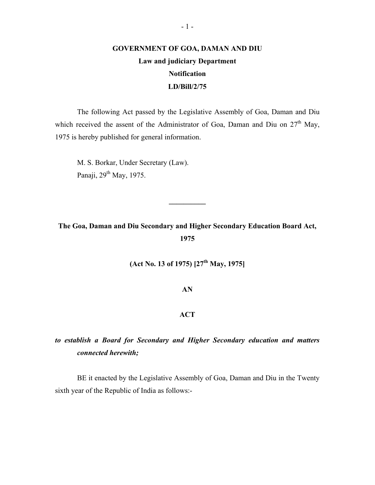# **GOVERNMENT OF GOA, DAMAN AND DIU Law and judiciary Department Notification LD/Bill/2/75**

The following Act passed by the Legislative Assembly of Goa, Daman and Diu which received the assent of the Administrator of Goa, Daman and Diu on  $27<sup>th</sup>$  May, 1975 is hereby published for general information.

M. S. Borkar, Under Secretary (Law). Panaji, 29<sup>th</sup> May, 1975.

**The Goa, Daman and Diu Secondary and Higher Secondary Education Board Act, 1975** 

**\_\_\_\_\_\_\_\_\_\_** 

**(Act No. 13 of 1975) [27th May, 1975]** 

**AN** 

# **ACT**

# *to establish a Board for Secondary and Higher Secondary education and matters connected herewith;*

BE it enacted by the Legislative Assembly of Goa, Daman and Diu in the Twenty sixth year of the Republic of India as follows:-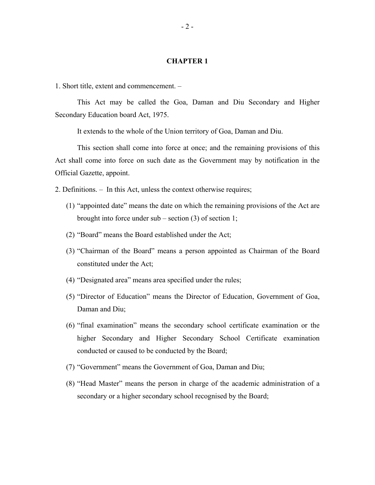## **CHAPTER 1**

1. Short title, extent and commencement. –

This Act may be called the Goa, Daman and Diu Secondary and Higher Secondary Education board Act, 1975.

It extends to the whole of the Union territory of Goa, Daman and Diu.

This section shall come into force at once; and the remaining provisions of this Act shall come into force on such date as the Government may by notification in the Official Gazette, appoint.

2. Definitions. – In this Act, unless the context otherwise requires;

- (1) "appointed date" means the date on which the remaining provisions of the Act are brought into force under sub – section (3) of section 1;
- (2) "Board" means the Board established under the Act;
- (3) "Chairman of the Board" means a person appointed as Chairman of the Board constituted under the Act;
- (4) "Designated area" means area specified under the rules;
- (5) "Director of Education" means the Director of Education, Government of Goa, Daman and Diu;
- (6) "final examination" means the secondary school certificate examination or the higher Secondary and Higher Secondary School Certificate examination conducted or caused to be conducted by the Board;
- (7) "Government" means the Government of Goa, Daman and Diu;
- (8) "Head Master" means the person in charge of the academic administration of a secondary or a higher secondary school recognised by the Board;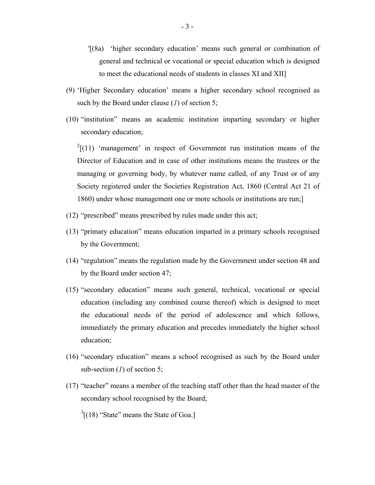- '[(8a) 'higher secondary education' means such general or combination of general and technical or vocational or special education which is designed to meet the educational needs of students in classes XI and XII]
- (9) 'Higher Secondary education' means a higher secondary school recognised as such by the Board under clause (*1*) of section 5;
- (10) "institution" means an academic institution imparting secondary or higher secondary education;

 $2[(11)$  $2[(11)$  $2[(11)$  'management' in respect of Government run institution means of the Director of Education and in case of other institutions means the trustees or the managing or governing body, by whatever name called, of any Trust or of any Society registered under the Societies Registration Act, 1860 (Central Act 21 of 1860) under whose management one or more schools or institutions are run;]

- (12) "prescribed" means prescribed by rules made under this act;
- (13) "primary education" means education imparted in a primary schools recognised by the Government;
- (14) "regulation" means the regulation made by the Government under section 48 and by the Board under section 47;
- (15) "secondary education" means such general, technical, vocational or special education (including any combined course thereof) which is designed to meet the educational needs of the period of adolescence and which follows, immediately the primary education and precedes immediately the higher school education;
- (16) "secondary education" means a school recognised as such by the Board under sub-section (*1*) of section 5;
- (17) "teacher" means a member of the teaching staff other than the head master of the secondary school recognised by the Board;
	- $3[(18)$  $3[(18)$  $3[(18)$  "State" means the State of Goa.]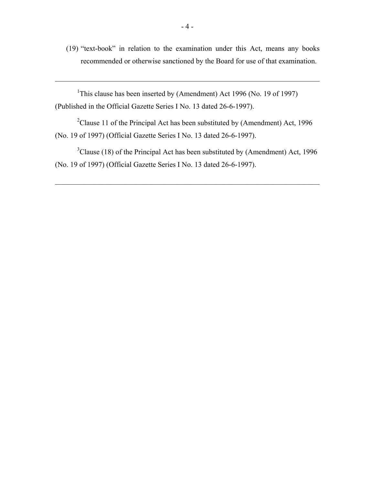(19) "text-book" in relation to the examination under this Act, means any books recommended or otherwise sanctioned by the Board for use of that examination.

 $\mathcal{L}_\text{max}$  , and the contribution of the contribution of the contribution of the contribution of the contribution of the contribution of the contribution of the contribution of the contribution of the contribution of t

<sup>1</sup>[This](#page-122-0) clause has been inserted by (Amendment) Act 1996 (No. 19 of 1997) (Published in the Official Gazette Series I No. 13 dated 26-6-1997).

 $2$ [Clause](#page-122-0) 11 of the Principal Act has been substituted by (Amendment) Act, 1996 (No. 19 of 1997) (Official Gazette Series I No. 13 dated 26-6-1997).

 $3$ [Clause](#page-122-0) (18) of the Principal Act has been substituted by (Amendment) Act, 1996 (No. 19 of 1997) (Official Gazette Series I No. 13 dated 26-6-1997).

 $\mathcal{L}_\text{max}$  , and the contribution of the contribution of the contribution of the contribution of the contribution of the contribution of the contribution of the contribution of the contribution of the contribution of t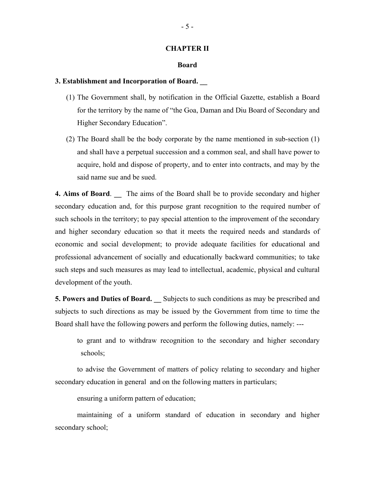#### **CHAPTER II**

#### **Board**

#### **3. Establishment and Incorporation of Board. \_\_**

- (1) The Government shall, by notification in the Official Gazette, establish a Board for the territory by the name of "the Goa, Daman and Diu Board of Secondary and Higher Secondary Education".
- (2) The Board shall be the body corporate by the name mentioned in sub-section (1) and shall have a perpetual succession and a common seal, and shall have power to acquire, hold and dispose of property, and to enter into contracts, and may by the said name sue and be sued.

**4. Aims of Board.** The aims of the Board shall be to provide secondary and higher secondary education and, for this purpose grant recognition to the required number of such schools in the territory; to pay special attention to the improvement of the secondary and higher secondary education so that it meets the required needs and standards of economic and social development; to provide adequate facilities for educational and professional advancement of socially and educationally backward communities; to take such steps and such measures as may lead to intellectual, academic, physical and cultural development of the youth.

**5. Powers and Duties of Board. \_\_** Subjects to such conditions as may be prescribed and subjects to such directions as may be issued by the Government from time to time the Board shall have the following powers and perform the following duties, namely: ---

to grant and to withdraw recognition to the secondary and higher secondary schools;

to advise the Government of matters of policy relating to secondary and higher secondary education in general and on the following matters in particulars;

ensuring a uniform pattern of education;

maintaining of a uniform standard of education in secondary and higher secondary school;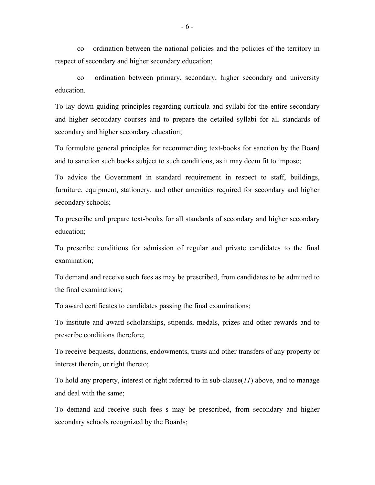co – ordination between the national policies and the policies of the territory in respect of secondary and higher secondary education;

co – ordination between primary, secondary, higher secondary and university education.

To lay down guiding principles regarding curricula and syllabi for the entire secondary and higher secondary courses and to prepare the detailed syllabi for all standards of secondary and higher secondary education;

To formulate general principles for recommending text-books for sanction by the Board and to sanction such books subject to such conditions, as it may deem fit to impose;

To advice the Government in standard requirement in respect to staff, buildings, furniture, equipment, stationery, and other amenities required for secondary and higher secondary schools;

To prescribe and prepare text-books for all standards of secondary and higher secondary education;

To prescribe conditions for admission of regular and private candidates to the final examination;

To demand and receive such fees as may be prescribed, from candidates to be admitted to the final examinations;

To award certificates to candidates passing the final examinations;

To institute and award scholarships, stipends, medals, prizes and other rewards and to prescribe conditions therefore;

To receive bequests, donations, endowments, trusts and other transfers of any property or interest therein, or right thereto;

To hold any property, interest or right referred to in sub-clause(*11*) above, and to manage and deal with the same;

To demand and receive such fees s may be prescribed, from secondary and higher secondary schools recognized by the Boards;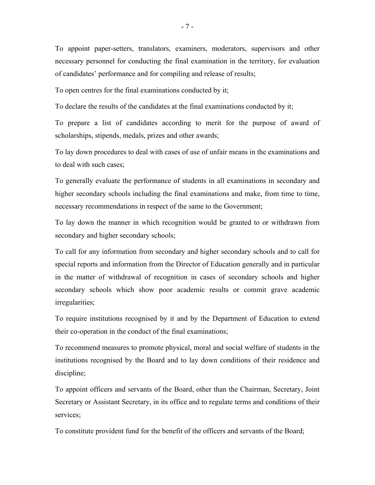To appoint paper-setters, translators, examiners, moderators, supervisors and other necessary personnel for conducting the final examination in the territory, for evaluation of candidates' performance and for compiling and release of results;

To open centres for the final examinations conducted by it;

To declare the results of the candidates at the final examinations conducted by it;

To prepare a list of candidates according to merit for the purpose of award of scholarships, stipends, medals, prizes and other awards;

To lay down procedures to deal with cases of use of unfair means in the examinations and to deal with such cases;

To generally evaluate the performance of students in all examinations in secondary and higher secondary schools including the final examinations and make, from time to time, necessary recommendations in respect of the same to the Government;

To lay down the manner in which recognition would be granted to or withdrawn from secondary and higher secondary schools;

To call for any information from secondary and higher secondary schools and to call for special reports and information from the Director of Education generally and in particular in the matter of withdrawal of recognition in cases of secondary schools and higher secondary schools which show poor academic results or commit grave academic irregularities;

To require institutions recognised by it and by the Department of Education to extend their co-operation in the conduct of the final examinations;

To recommend measures to promote physical, moral and social welfare of students in the institutions recognised by the Board and to lay down conditions of their residence and discipline;

To appoint officers and servants of the Board, other than the Chairman, Secretary, Joint Secretary or Assistant Secretary, in its office and to regulate terms and conditions of their services;

To constitute provident fund for the benefit of the officers and servants of the Board;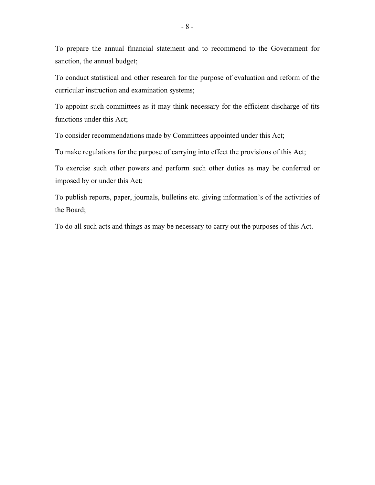To prepare the annual financial statement and to recommend to the Government for sanction, the annual budget;

To conduct statistical and other research for the purpose of evaluation and reform of the curricular instruction and examination systems;

To appoint such committees as it may think necessary for the efficient discharge of tits functions under this Act;

To consider recommendations made by Committees appointed under this Act;

To make regulations for the purpose of carrying into effect the provisions of this Act;

To exercise such other powers and perform such other duties as may be conferred or imposed by or under this Act;

To publish reports, paper, journals, bulletins etc. giving information's of the activities of the Board;

To do all such acts and things as may be necessary to carry out the purposes of this Act.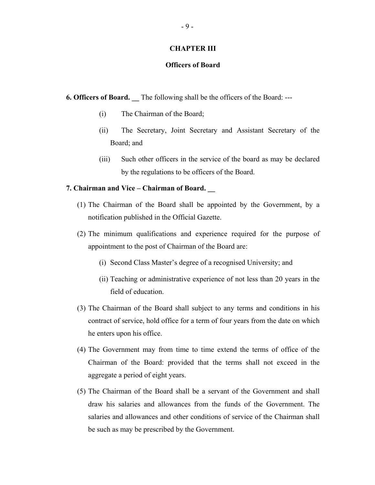### **CHAPTER III**

# **Officers of Board**

**6. Officers of Board.** The following shall be the officers of the Board: ---

- (i) The Chairman of the Board;
- (ii) The Secretary, Joint Secretary and Assistant Secretary of the Board; and
- (iii) Such other officers in the service of the board as may be declared by the regulations to be officers of the Board.

## **7. Chairman and Vice – Chairman of Board. \_\_**

- (1) The Chairman of the Board shall be appointed by the Government, by a notification published in the Official Gazette.
- (2) The minimum qualifications and experience required for the purpose of appointment to the post of Chairman of the Board are:
	- (i) Second Class Master's degree of a recognised University; and
	- (ii) Teaching or administrative experience of not less than 20 years in the field of education.
- (3) The Chairman of the Board shall subject to any terms and conditions in his contract of service, hold office for a term of four years from the date on which he enters upon his office.
- (4) The Government may from time to time extend the terms of office of the Chairman of the Board: provided that the terms shall not exceed in the aggregate a period of eight years.
- (5) The Chairman of the Board shall be a servant of the Government and shall draw his salaries and allowances from the funds of the Government. The salaries and allowances and other conditions of service of the Chairman shall be such as may be prescribed by the Government.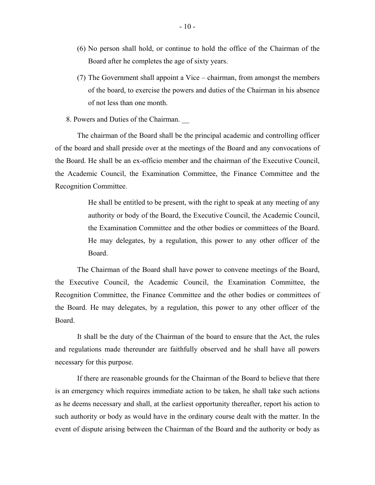- (6) No person shall hold, or continue to hold the office of the Chairman of the Board after he completes the age of sixty years.
- (7) The Government shall appoint a Vice chairman, from amongst the members of the board, to exercise the powers and duties of the Chairman in his absence of not less than one month.
- 8. Powers and Duties of the Chairman. \_\_

The chairman of the Board shall be the principal academic and controlling officer of the board and shall preside over at the meetings of the Board and any convocations of the Board. He shall be an ex-officio member and the chairman of the Executive Council, the Academic Council, the Examination Committee, the Finance Committee and the Recognition Committee.

> He shall be entitled to be present, with the right to speak at any meeting of any authority or body of the Board, the Executive Council, the Academic Council, the Examination Committee and the other bodies or committees of the Board. He may delegates, by a regulation, this power to any other officer of the Board.

The Chairman of the Board shall have power to convene meetings of the Board, the Executive Council, the Academic Council, the Examination Committee, the Recognition Committee, the Finance Committee and the other bodies or committees of the Board. He may delegates, by a regulation, this power to any other officer of the Board.

It shall be the duty of the Chairman of the board to ensure that the Act, the rules and regulations made thereunder are faithfully observed and he shall have all powers necessary for this purpose.

If there are reasonable grounds for the Chairman of the Board to believe that there is an emergency which requires immediate action to be taken, he shall take such actions as he deems necessary and shall, at the earliest opportunity thereafter, report his action to such authority or body as would have in the ordinary course dealt with the matter. In the event of dispute arising between the Chairman of the Board and the authority or body as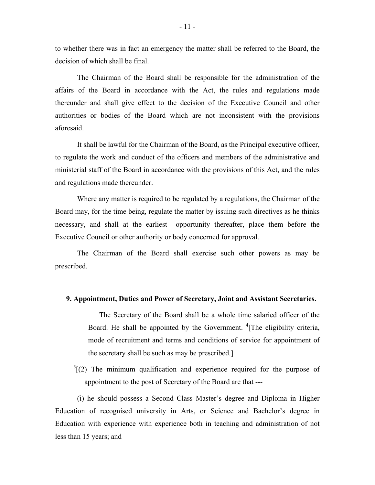to whether there was in fact an emergency the matter shall be referred to the Board, the decision of which shall be final.

The Chairman of the Board shall be responsible for the administration of the affairs of the Board in accordance with the Act, the rules and regulations made thereunder and shall give effect to the decision of the Executive Council and other authorities or bodies of the Board which are not inconsistent with the provisions aforesaid.

It shall be lawful for the Chairman of the Board, as the Principal executive officer, to regulate the work and conduct of the officers and members of the administrative and ministerial staff of the Board in accordance with the provisions of this Act, and the rules and regulations made thereunder.

Where any matter is required to be regulated by a regulations, the Chairman of the Board may, for the time being, regulate the matter by issuing such directives as he thinks necessary, and shall at the earliest opportunity thereafter, place them before the Executive Council or other authority or body concerned for approval.

The Chairman of the Board shall exercise such other powers as may be prescribed.

#### **9. Appointment, Duties and Power of Secretary, Joint and Assistant Secretaries.**

The Secretary of the Board shall be a whole time salaried officer of the Board. He shall be appointed by the Government. <sup>4</sup>[\[The](#page-122-0) eligibility criteria, mode of recruitment and terms and conditions of service for appointment of the secretary shall be such as may be prescribed.]

 $5(2)$  The minimum qualification and experience required for the purpose of appointment to the post of Secretary of the Board are that ---

(i) he should possess a Second Class Master's degree and Diploma in Higher Education of recognised university in Arts, or Science and Bachelor's degree in Education with experience with experience both in teaching and administration of not less than 15 years; and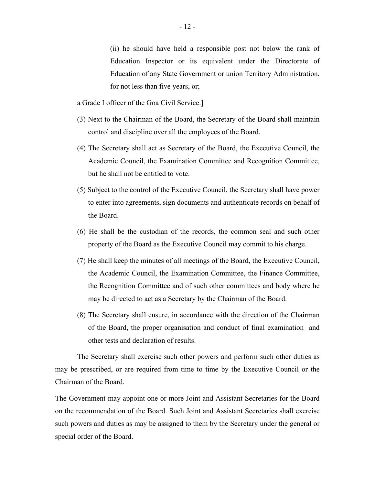(ii) he should have held a responsible post not below the rank of Education Inspector or its equivalent under the Directorate of Education of any State Government or union Territory Administration, for not less than five years, or;

a Grade I officer of the Goa Civil Service.]

- (3) Next to the Chairman of the Board, the Secretary of the Board shall maintain control and discipline over all the employees of the Board.
- (4) The Secretary shall act as Secretary of the Board, the Executive Council, the Academic Council, the Examination Committee and Recognition Committee, but he shall not be entitled to vote.
- (5) Subject to the control of the Executive Council, the Secretary shall have power to enter into agreements, sign documents and authenticate records on behalf of the Board.
- (6) He shall be the custodian of the records, the common seal and such other property of the Board as the Executive Council may commit to his charge.
- (7) He shall keep the minutes of all meetings of the Board, the Executive Council, the Academic Council, the Examination Committee, the Finance Committee, the Recognition Committee and of such other committees and body where he may be directed to act as a Secretary by the Chairman of the Board.
- (8) The Secretary shall ensure, in accordance with the direction of the Chairman of the Board, the proper organisation and conduct of final examination and other tests and declaration of results.

The Secretary shall exercise such other powers and perform such other duties as may be prescribed, or are required from time to time by the Executive Council or the Chairman of the Board.

The Government may appoint one or more Joint and Assistant Secretaries for the Board on the recommendation of the Board. Such Joint and Assistant Secretaries shall exercise such powers and duties as may be assigned to them by the Secretary under the general or special order of the Board.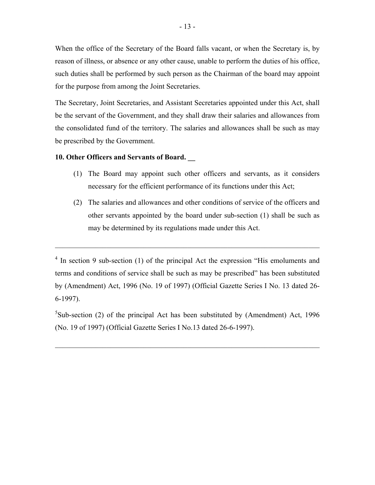When the office of the Secretary of the Board falls vacant, or when the Secretary is, by reason of illness, or absence or any other cause, unable to perform the duties of his office, such duties shall be performed by such person as the Chairman of the board may appoint for the purpose from among the Joint Secretaries.

The Secretary, Joint Secretaries, and Assistant Secretaries appointed under this Act, shall be the servant of the Government, and they shall draw their salaries and allowances from the consolidated fund of the territory. The salaries and allowances shall be such as may be prescribed by the Government.

# **10. Other Officers and Servants of Board. \_\_**

- (1) The Board may appoint such other officers and servants, as it considers necessary for the efficient performance of its functions under this Act;
- (2) The salaries and allowances and other conditions of service of the officers and other servants appointed by the board under sub-section (1) shall be such as may be determined by its regulations made under this Act.

 $\mathcal{L}_\text{max}$  , and the contribution of the contribution of the contribution of the contribution of the contribution of the contribution of the contribution of the contribution of the contribution of the contribution of t

 ${}^{5}$ [Sub-section](#page-122-0) (2) of the principal Act has been substituted by (Amendment) Act, 1996 (No. 19 of 1997) (Official Gazette Series I No.13 dated 26-6-1997).

 $\mathcal{L}_\text{max}$  , and the contribution of the contribution of the contribution of the contribution of the contribution of the contribution of the contribution of the contribution of the contribution of the contribution of t

<sup>&</sup>lt;sup>[4](#page-122-0)</sup> In section 9 sub-section (1) of the principal Act the expression "His emoluments and terms and conditions of service shall be such as may be prescribed" has been substituted by (Amendment) Act, 1996 (No. 19 of 1997) (Official Gazette Series I No. 13 dated 26 6-1997).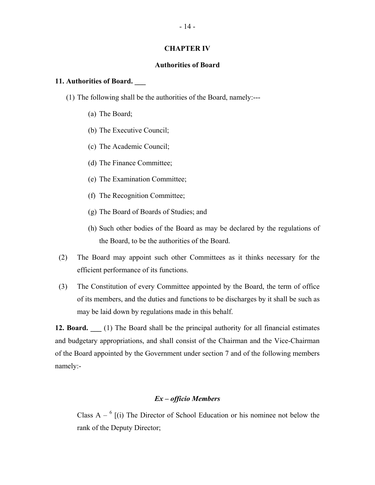#### **CHAPTER IV**

## **Authorities of Board**

#### **11. Authorities of Board. \_\_\_**

- (1) The following shall be the authorities of the Board, namely:---
	- (a) The Board;
	- (b) The Executive Council;
	- (c) The Academic Council;
	- (d) The Finance Committee;
	- (e) The Examination Committee;
	- (f) The Recognition Committee;
	- (g) The Board of Boards of Studies; and
	- (h) Such other bodies of the Board as may be declared by the regulations of the Board, to be the authorities of the Board.
- (2) The Board may appoint such other Committees as it thinks necessary for the efficient performance of its functions.
- (3) The Constitution of every Committee appointed by the Board, the term of office of its members, and the duties and functions to be discharges by it shall be such as may be laid down by regulations made in this behalf.

**12. Board. \_\_\_** (1) The Board shall be the principal authority for all financial estimates and budgetary appropriations, and shall consist of the Chairman and the Vice-Chairman of the Board appointed by the Government under section 7 and of the following members namely:-

# *Ex – officio Members*

Class  $A - \binom{6}{1}$  The Director of School Education or his nominee not below the rank of the Deputy Director;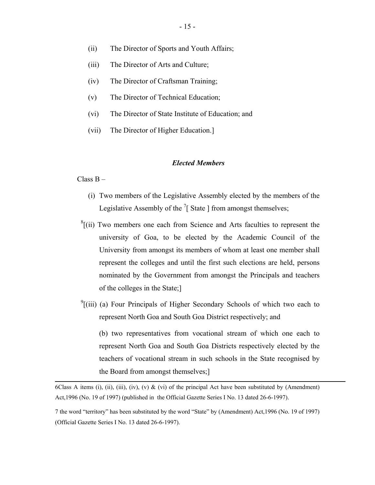- (ii) The Director of Sports and Youth Affairs;
- (iii) The Director of Arts and Culture;
- (iv) The Director of Craftsman Training;
- (v) The Director of Technical Education;
- (vi) The Director of State Institute of Education; and
- (vii) The Director of Higher Education.]

#### *Elected Members*

#### Class B –

- (i) Two members of the Legislative Assembly elected by the members of the Legislative Assembly of the  $\frac{7}{1}$  State ] from amongst themselves;
- ${}^{8}$ [\[\(ii\)](#page-122-0) Two members one each from Science and Arts faculties to represent the university of Goa, to be elected by the Academic Council of the University from amongst its members of whom at least one member shall represent the colleges and until the first such elections are held, persons nominated by the Government from amongst the Principals and teachers of the colleges in the State;]
- $^{9}$ [\[\(iii](#page-122-0)) (a) Four Principals of Higher Secondary Schools of which two each to represent North Goa and South Goa District respectively; and

(b) two representatives from vocational stream of which one each to represent North Goa and South Goa Districts respectively elected by the teachers of vocational stream in such schools in the State recognised by the Board from amongst themselves;]

6Class A items (i), (ii), (iii), (iv), (v) & (vi) of the principal Act have been substituted by (Amendment) Act,1996 (No. 19 of 1997) (published in the Official Gazette Series I No. 13 dated 26-6-1997).

7 the word "territory" has been substituted by the word "State" by (Amendment) Act,1996 (No. 19 of 1997) (Official Gazette Series I No. 13 dated 26-6-1997).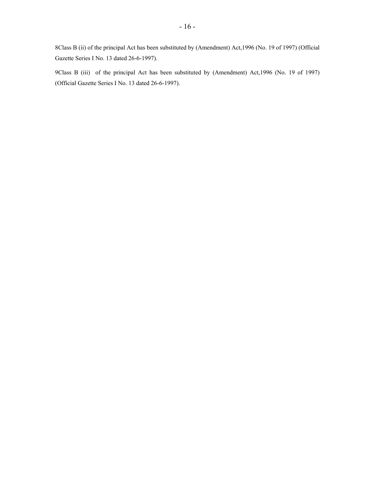8Class B (ii) of the principal Act has been substituted by (Amendment) Act,1996 (No. 19 of 1997) (Official Gazette Series I No. 13 dated 26-6-1997).

 9Class B (iii) of the principal Act has been substituted by (Amendment) Act,1996 (No. 19 of 1997) (Official Gazette Series I No. 13 dated 26-6-1997).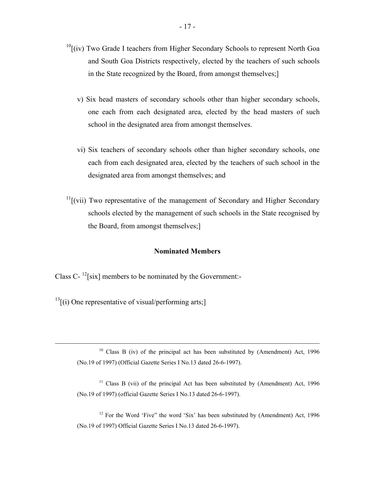- $10$ [(iv) Two Grade I teachers from Higher Secondary Schools to represent North Goa and South Goa Districts respectively, elected by the teachers of such schools in the State recognized by the Board, from amongst themselves;]
	- v) Six head masters of secondary schools other than higher secondary schools, one each from each designated area, elected by the head masters of such school in the designated area from amongst themselves.
	- vi) Six teachers of secondary schools other than higher secondary schools, one each from each designated area, elected by the teachers of such school in the designated area from amongst themselves; and
- $11$ [(vii) Two representative of the management of Secondary and Higher Secondary schools elected by the management of such schools in the State recognised by the Board, from amongst themselves;]

#### **Nominated Members**

Class  $C^{-12}$ [six] members to be nominated by the Government:-

 $13$ [(i) One representative of visual/performing arts;]

 $10$  Class B (iv) of the principal act has been substituted by (Amendment) Act, 1996 (No.19 of 1997) (Official Gazette Series I No.13 dated 26-6-1997).

 $\mathcal{L}_\text{max}$  , and the contribution of the contribution of the contribution of the contribution of the contribution of the contribution of the contribution of the contribution of the contribution of the contribution of t

 $11$  Class B (vii) of the principal Act has been substituted by (Amendment) Act, 1996 (No.19 of 1997) (official Gazette Series I No.13 dated 26-6-1997).

 $12$  For the Word 'Five" the word 'Six' has been substituted by (Amendment) Act, 1996 (No.19 of 1997) Official Gazette Series I No.13 dated 26-6-1997).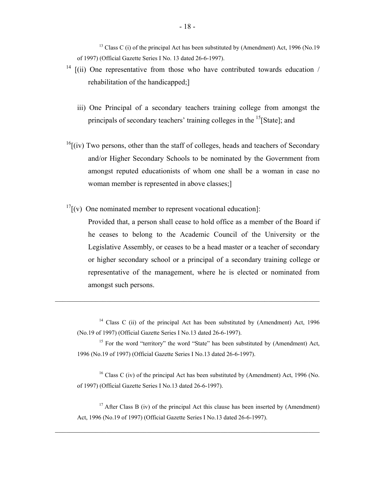$13$  Class C (i) of the principal Act has been substituted by (Amendment) Act, 1996 (No.19 of 1997) (Official Gazette Series I No. 13 dated 26-6-1997).

- $14$  [(ii) One representative from those who have contributed towards education / rehabilitation of the handicapped;]
	- iii) One Principal of a secondary teachers training college from amongst the principals of secondary teachers' training colleges in the <sup>15</sup>[State]; and
- $^{16}$ [(iv) Two persons, other than the staff of colleges, heads and teachers of Secondary and/or Higher Secondary Schools to be nominated by the Government from amongst reputed educationists of whom one shall be a woman in case no woman member is represented in above classes;]
- $17$ [(v) One nominated member to represent vocational education]:

Provided that, a person shall cease to hold office as a member of the Board if he ceases to belong to the Academic Council of the University or the Legislative Assembly, or ceases to be a head master or a teacher of secondary or higher secondary school or a principal of a secondary training college or representative of the management, where he is elected or nominated from amongst such persons.

<sup>14</sup> Class C (ii) of the principal Act has been substituted by (Amendment) Act, 1996 (No.19 of 1997) (Official Gazette Series I No.13 dated 26-6-1997).

 $\mathcal{L}_\text{max}$  , and the contribution of the contribution of the contribution of the contribution of the contribution of the contribution of the contribution of the contribution of the contribution of the contribution of t

 1996 (No.19 of 1997) (Official Gazette Series I No.13 dated 26-6-1997). <sup>15</sup> For the word "territory" the word "State" has been substituted by (Amendment) Act,

<sup>16</sup> Class C (iv) of the principal Act has been substituted by (Amendment) Act, 1996 (No. of 1997) (Official Gazette Series I No.13 dated 26-6-1997).

 Act, 1996 (No.19 of 1997) (Official Gazette Series I No.13 dated 26-6-1997). <sup>17</sup> After Class B (iv) of the principal Act this clause has been inserted by (Amendment)

 $\mathcal{L}_\text{max}$  , and the contribution of the contribution of the contribution of the contribution of the contribution of the contribution of the contribution of the contribution of the contribution of the contribution of t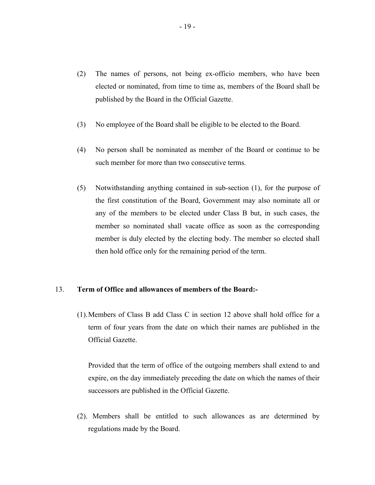- (2) The names of persons, not being ex-officio members, who have been elected or nominated, from time to time as, members of the Board shall be published by the Board in the Official Gazette.
- (3) No employee of the Board shall be eligible to be elected to the Board.
- (4) No person shall be nominated as member of the Board or continue to be such member for more than two consecutive terms.
- (5) Notwithstanding anything contained in sub-section (1), for the purpose of the first constitution of the Board, Government may also nominate all or any of the members to be elected under Class B but, in such cases, the member so nominated shall vacate office as soon as the corresponding member is duly elected by the electing body. The member so elected shall then hold office only for the remaining period of the term.

#### 13. **Term of Office and allowances of members of the Board:-**

(1). Members of Class B add Class C in section 12 above shall hold office for a term of four years from the date on which their names are published in the Official Gazette.

Provided that the term of office of the outgoing members shall extend to and expire, on the day immediately preceding the date on which the names of their successors are published in the Official Gazette.

(2). Members shall be entitled to such allowances as are determined by regulations made by the Board.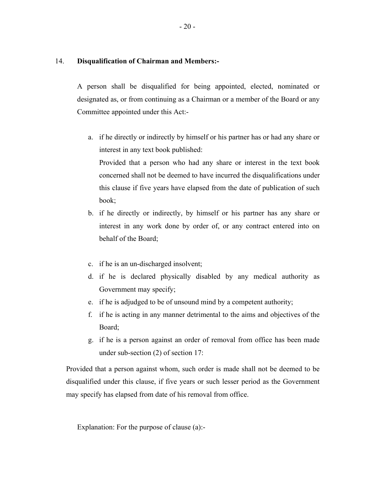# 14. **Disqualification of Chairman and Members:-**

A person shall be disqualified for being appointed, elected, nominated or designated as, or from continuing as a Chairman or a member of the Board or any Committee appointed under this Act:-

a. if he directly or indirectly by himself or his partner has or had any share or interest in any text book published:

Provided that a person who had any share or interest in the text book concerned shall not be deemed to have incurred the disqualifications under this clause if five years have elapsed from the date of publication of such book;

- b. if he directly or indirectly, by himself or his partner has any share or interest in any work done by order of, or any contract entered into on behalf of the Board;
- c. if he is an un-discharged insolvent;
- d. if he is declared physically disabled by any medical authority as Government may specify;
- e. if he is adjudged to be of unsound mind by a competent authority;
- f. if he is acting in any manner detrimental to the aims and objectives of the Board;
- g. if he is a person against an order of removal from office has been made under sub-section (2) of section 17:

Provided that a person against whom, such order is made shall not be deemed to be disqualified under this clause, if five years or such lesser period as the Government may specify has elapsed from date of his removal from office.

Explanation: For the purpose of clause (a):-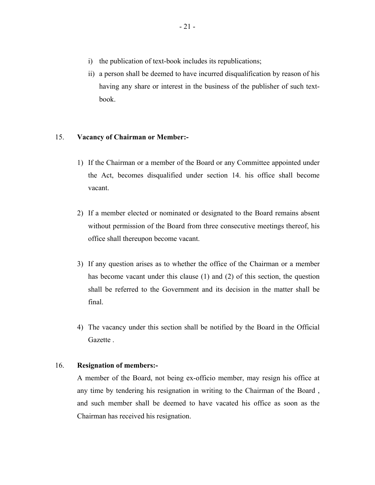- i) the publication of text-book includes its republications;
- ii) a person shall be deemed to have incurred disqualification by reason of his having any share or interest in the business of the publisher of such textbook.

# 15. **Vacancy of Chairman or Member:-**

- 1) If the Chairman or a member of the Board or any Committee appointed under the Act, becomes disqualified under section 14. his office shall become vacant.
- 2) If a member elected or nominated or designated to the Board remains absent without permission of the Board from three consecutive meetings thereof, his office shall thereupon become vacant.
- 3) If any question arises as to whether the office of the Chairman or a member has become vacant under this clause (1) and (2) of this section, the question shall be referred to the Government and its decision in the matter shall be final.
- 4) The vacancy under this section shall be notified by the Board in the Official Gazette .

# 16. **Resignation of members:-**

A member of the Board, not being ex-officio member, may resign his office at any time by tendering his resignation in writing to the Chairman of the Board , and such member shall be deemed to have vacated his office as soon as the Chairman has received his resignation.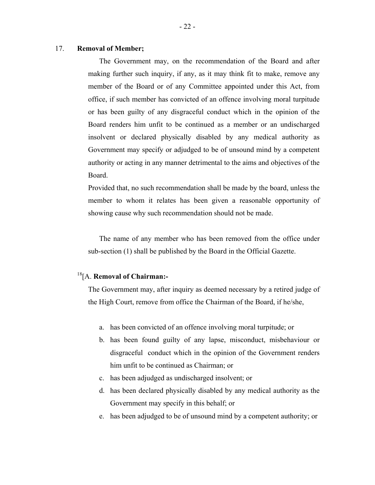# 17. **Removal of Member;**

The Government may, on the recommendation of the Board and after making further such inquiry, if any, as it may think fit to make, remove any member of the Board or of any Committee appointed under this Act, from office, if such member has convicted of an offence involving moral turpitude or has been guilty of any disgraceful conduct which in the opinion of the Board renders him unfit to be continued as a member or an undischarged insolvent or declared physically disabled by any medical authority as Government may specify or adjudged to be of unsound mind by a competent authority or acting in any manner detrimental to the aims and objectives of the Board.

Provided that, no such recommendation shall be made by the board, unless the member to whom it relates has been given a reasonable opportunity of showing cause why such recommendation should not be made.

The name of any member who has been removed from the office under sub-section (1) shall be published by the Board in the Official Gazette.

# 18[A. **Removal of Chairman:-**

The Government may, after inquiry as deemed necessary by a retired judge of the High Court, remove from office the Chairman of the Board, if he/she,

- a. has been convicted of an offence involving moral turpitude; or
- b. has been found guilty of any lapse, misconduct, misbehaviour or disgraceful conduct which in the opinion of the Government renders him unfit to be continued as Chairman; or
- c. has been adjudged as undischarged insolvent; or
- d. has been declared physically disabled by any medical authority as the Government may specify in this behalf; or
- e. has been adjudged to be of unsound mind by a competent authority; or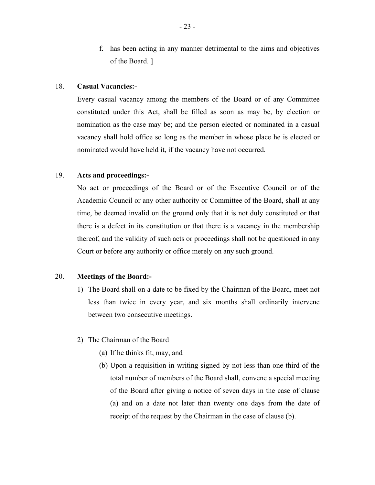f. has been acting in any manner detrimental to the aims and objectives of the Board. ]

## 18. **Casual Vacancies:-**

Every casual vacancy among the members of the Board or of any Committee constituted under this Act, shall be filled as soon as may be, by election or nomination as the case may be; and the person elected or nominated in a casual vacancy shall hold office so long as the member in whose place he is elected or nominated would have held it, if the vacancy have not occurred.

# 19. **Acts and proceedings:-**

No act or proceedings of the Board or of the Executive Council or of the Academic Council or any other authority or Committee of the Board, shall at any time, be deemed invalid on the ground only that it is not duly constituted or that there is a defect in its constitution or that there is a vacancy in the membership thereof, and the validity of such acts or proceedings shall not be questioned in any Court or before any authority or office merely on any such ground.

# 20. **Meetings of the Board:-**

1) The Board shall on a date to be fixed by the Chairman of the Board, meet not less than twice in every year, and six months shall ordinarily intervene between two consecutive meetings.

# 2) The Chairman of the Board

- (a) If he thinks fit, may, and
- (b) Upon a requisition in writing signed by not less than one third of the total number of members of the Board shall, convene a special meeting of the Board after giving a notice of seven days in the case of clause (a) and on a date not later than twenty one days from the date of receipt of the request by the Chairman in the case of clause (b).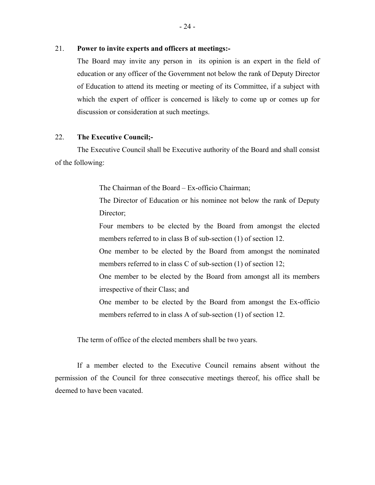## 21. **Power to invite experts and officers at meetings:-**

The Board may invite any person in its opinion is an expert in the field of education or any officer of the Government not below the rank of Deputy Director of Education to attend its meeting or meeting of its Committee, if a subject with which the expert of officer is concerned is likely to come up or comes up for discussion or consideration at such meetings.

# 22. **The Executive Council;-**

The Executive Council shall be Executive authority of the Board and shall consist of the following:

The Chairman of the Board – Ex-officio Chairman;

The Director of Education or his nominee not below the rank of Deputy Director;

Four members to be elected by the Board from amongst the elected members referred to in class B of sub-section (1) of section 12.

One member to be elected by the Board from amongst the nominated members referred to in class C of sub-section (1) of section 12;

One member to be elected by the Board from amongst all its members irrespective of their Class; and

One member to be elected by the Board from amongst the Ex-officio members referred to in class A of sub-section (1) of section 12.

The term of office of the elected members shall be two years.

If a member elected to the Executive Council remains absent without the permission of the Council for three consecutive meetings thereof, his office shall be deemed to have been vacated.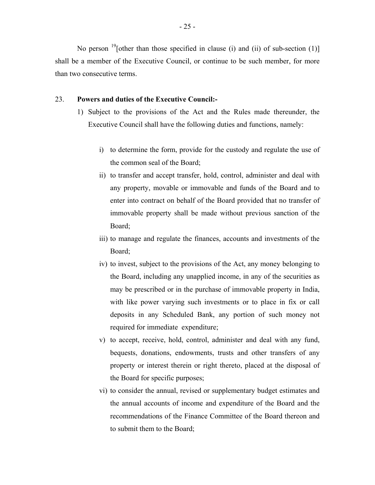No person  $^{19}$ [other than those specified in clause (i) and (ii) of sub-section (1)] shall be a member of the Executive Council, or continue to be such member, for more than two consecutive terms.

## 23. **Powers and duties of the Executive Council:-**

- 1) Subject to the provisions of the Act and the Rules made thereunder, the Executive Council shall have the following duties and functions, namely:
	- i) to determine the form, provide for the custody and regulate the use of the common seal of the Board;
	- ii) to transfer and accept transfer, hold, control, administer and deal with any property, movable or immovable and funds of the Board and to enter into contract on behalf of the Board provided that no transfer of immovable property shall be made without previous sanction of the Board;
	- iii) to manage and regulate the finances, accounts and investments of the Board;
	- iv) to invest, subject to the provisions of the Act, any money belonging to the Board, including any unapplied income, in any of the securities as may be prescribed or in the purchase of immovable property in India, with like power varying such investments or to place in fix or call deposits in any Scheduled Bank, any portion of such money not required for immediate expenditure;
	- v) to accept, receive, hold, control, administer and deal with any fund, bequests, donations, endowments, trusts and other transfers of any property or interest therein or right thereto, placed at the disposal of the Board for specific purposes;
	- vi) to consider the annual, revised or supplementary budget estimates and the annual accounts of income and expenditure of the Board and the recommendations of the Finance Committee of the Board thereon and to submit them to the Board;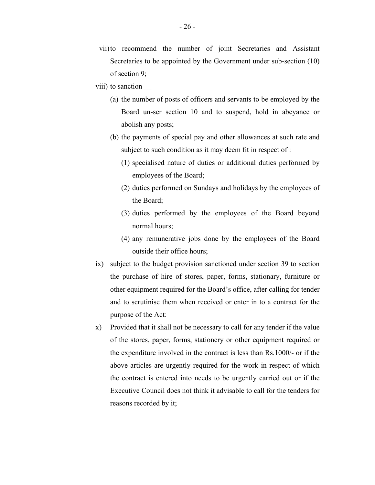- vii)to recommend the number of joint Secretaries and Assistant Secretaries to be appointed by the Government under sub-section (10) of section 9;
- viii) to sanction
	- (a) the number of posts of officers and servants to be employed by the Board un-ser section 10 and to suspend, hold in abeyance or abolish any posts;
	- (b) the payments of special pay and other allowances at such rate and subject to such condition as it may deem fit in respect of :
		- (1) specialised nature of duties or additional duties performed by employees of the Board;
		- (2) duties performed on Sundays and holidays by the employees of the Board;
		- (3) duties performed by the employees of the Board beyond normal hours;
		- (4) any remunerative jobs done by the employees of the Board outside their office hours;
- ix) subject to the budget provision sanctioned under section 39 to section the purchase of hire of stores, paper, forms, stationary, furniture or other equipment required for the Board's office, after calling for tender and to scrutinise them when received or enter in to a contract for the purpose of the Act:
- $x)$  Provided that it shall not be necessary to call for any tender if the value of the stores, paper, forms, stationery or other equipment required or the expenditure involved in the contract is less than Rs.1000/- or if the above articles are urgently required for the work in respect of which the contract is entered into needs to be urgently carried out or if the Executive Council does not think it advisable to call for the tenders for reasons recorded by it;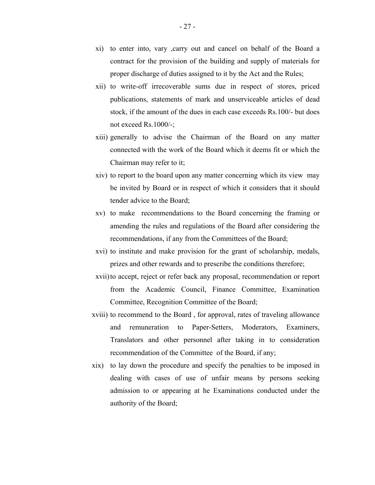- xi) to enter into, vary ,carry out and cancel on behalf of the Board a contract for the provision of the building and supply of materials for proper discharge of duties assigned to it by the Act and the Rules;
- xii) to write-off irrecoverable sums due in respect of stores, priced publications, statements of mark and unserviceable articles of dead stock, if the amount of the dues in each case exceeds Rs.100/- but does not exceed Rs.1000/-;
- xiii) generally to advise the Chairman of the Board on any matter connected with the work of the Board which it deems fit or which the Chairman may refer to it;
- xiv) to report to the board upon any matter concerning which its view may be invited by Board or in respect of which it considers that it should tender advice to the Board;
- xv) to make recommendations to the Board concerning the framing or amending the rules and regulations of the Board after considering the recommendations, if any from the Committees of the Board;
- xvi) to institute and make provision for the grant of scholarship, medals, prizes and other rewards and to prescribe the conditions therefore;
- xvii)to accept, reject or refer back any proposal, recommendation or report from the Academic Council, Finance Committee, Examination Committee, Recognition Committee of the Board;
- xviii) to recommend to the Board , for approval, rates of traveling allowance and remuneration to Paper-Setters, Moderators, Examiners, Translators and other personnel after taking in to consideration recommendation of the Committee of the Board, if any;
- xix) to lay down the procedure and specify the penalties to be imposed in dealing with cases of use of unfair means by persons seeking admission to or appearing at he Examinations conducted under the authority of the Board;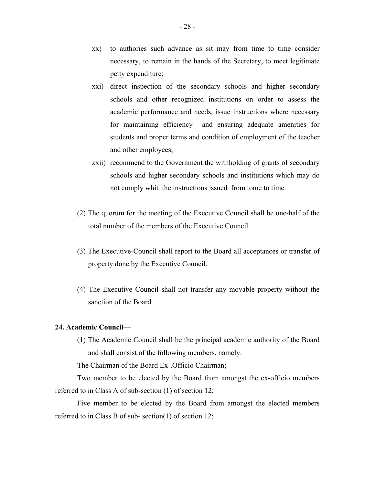- xx) to authories such advance as sit may from time to time consider necessary, to remain in the hands of the Secretary, to meet legitimate petty expenditure;
- xxi) direct inspection of the secondary schools and higher secondary schools and other recognized institutions on order to assess the academic performance and needs, issue instructions where necessary for maintaining efficiency and ensuring adequate amenities for students and proper terms and condition of employment of the teacher and other employees;
- xxii) recommend to the Government the withholding of grants of secondary schools and higher secondary schools and institutions which may do not comply whit the instructions issued from tome to time.
- (2) The quorum for the meeting of the Executive Council shall be one-half of the total number of the members of the Executive Council.
- (3) The Executive-Council shall report to the Board all acceptances or transfer of property done by the Executive Council.
- (4) The Executive Council shall not transfer any movable property without the sanction of the Board.

## **24. Academic Council**—

(1) The Academic Council shall be the principal academic authority of the Board and shall consist of the following members, namely:

The Chairman of the Board Ex-.Officio Chairman;

Two member to be elected by the Board from amongst the ex-officio members referred to in Class A of sub-section (1) of section 12;

Five member to be elected by the Board from amongst the elected members referred to in Class B of sub- section(1) of section 12;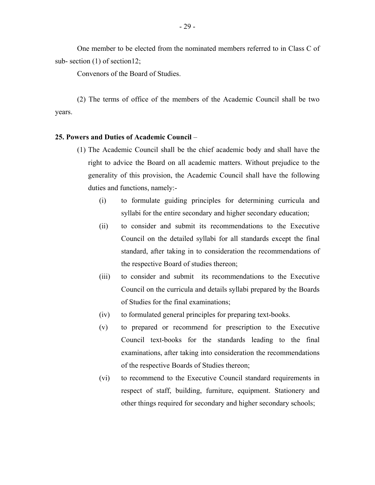One member to be elected from the nominated members referred to in Class C of sub- section (1) of section12;

Convenors of the Board of Studies.

(2) The terms of office of the members of the Academic Council shall be two years.

#### **25. Powers and Duties of Academic Council** –

- (1) The Academic Council shall be the chief academic body and shall have the right to advice the Board on all academic matters. Without prejudice to the generality of this provision, the Academic Council shall have the following duties and functions, namely:-
	- (i) to formulate guiding principles for determining curricula and syllabi for the entire secondary and higher secondary education;
	- (ii) to consider and submit its recommendations to the Executive Council on the detailed syllabi for all standards except the final standard, after taking in to consideration the recommendations of the respective Board of studies thereon;
	- (iii) to consider and submit its recommendations to the Executive Council on the curricula and details syllabi prepared by the Boards of Studies for the final examinations;
	- (iv) to formulated general principles for preparing text-books.
	- (v) to prepared or recommend for prescription to the Executive Council text-books for the standards leading to the final examinations, after taking into consideration the recommendations of the respective Boards of Studies thereon;
	- (vi) to recommend to the Executive Council standard requirements in respect of staff, building, furniture, equipment. Stationery and other things required for secondary and higher secondary schools;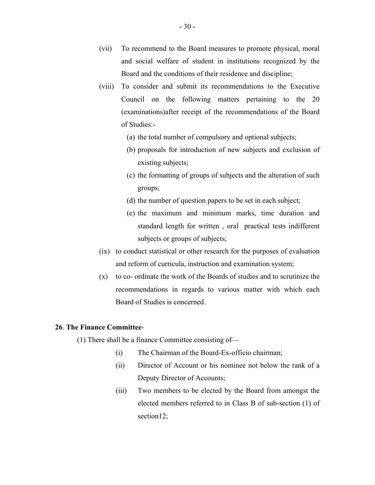- (vii) To recommend to the Board measures to promote physical, moral and social welfare of student in institutions recognized by the Board and the conditions of their residence and discipline;
- (viii) To consider and submit its recommendations to the Executive Council on the following matters pertaining to the 20 (examinations)after receipt of the recommendations of the Board of Studies:
	- (a) the total number of compulsory and optional subjects;
	- (b) proposals for introduction of new subjects and exclusion of existing subjects;
	- (c) the formatting of groups of subjects and the alteration of such groups;
	- (d) the number of question papers to be set in each subject;
	- (e) the maximum and minimum marks, time duration and standard length for written , oral practical tests indifferent subjects or groups of subjects;
- (ix) to conduct statistical or other research for the purposes of evaluation and reform of curricula, instruction and examination system;
- $(x)$  to co- ordinate the work of the Boards of studies and to scrutinize the recommendations in regards to various matter with which each Board of Studies is concerned.

# **26**. **The Finance Committee**-

(1) There shall be a finance Committee consisting of—

- (i) The Chairman of the Board-Ex-officio chairman;
- (ii) Director of Account or his nominee not below the rank of a Deputy Director of Accounts;
- (iii) Two members to be elected by the Board from amongst the elected members referred to in Class B of sub-section (1) of section12;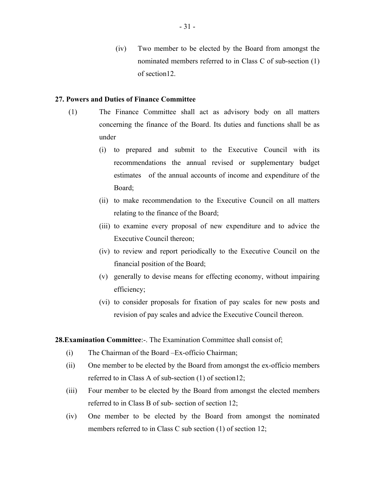(iv) Two member to be elected by the Board from amongst the nominated members referred to in Class C of sub-section (1) of section12.

# **27. Powers and Duties of Finance Committee**

- (1) The Finance Committee shall act as advisory body on all matters concerning the finance of the Board. Its duties and functions shall be as under
	- (i) to prepared and submit to the Executive Council with its recommendations the annual revised or supplementary budget estimates of the annual accounts of income and expenditure of the Board;
	- (ii) to make recommendation to the Executive Council on all matters relating to the finance of the Board;
	- (iii) to examine every proposal of new expenditure and to advice the Executive Council thereon;
	- (iv) to review and report periodically to the Executive Council on the financial position of the Board;
	- (v) generally to devise means for effecting economy, without impairing efficiency;
	- (vi) to consider proposals for fixation of pay scales for new posts and revision of pay scales and advice the Executive Council thereon.

## **28.Examination Committee**:-. The Examination Committee shall consist of;

- (i) The Chairman of the Board –Ex-officio Chairman;
- (ii) One member to be elected by the Board from amongst the ex-officio members referred to in Class A of sub-section (1) of section12;
- (iii) Four member to be elected by the Board from amongst the elected members referred to in Class B of sub- section of section 12;
- (iv) One member to be elected by the Board from amongst the nominated members referred to in Class C sub section (1) of section 12;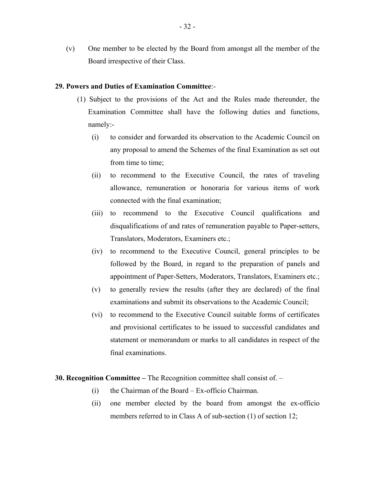(v) One member to be elected by the Board from amongst all the member of the Board irrespective of their Class.

#### **29. Powers and Duties of Examination Committee**:-

- (1) Subject to the provisions of the Act and the Rules made thereunder, the Examination Committee shall have the following duties and functions, namely:-
	- (i) to consider and forwarded its observation to the Academic Council on any proposal to amend the Schemes of the final Examination as set out from time to time;
	- (ii) to recommend to the Executive Council, the rates of traveling allowance, remuneration or honoraria for various items of work connected with the final examination;
	- (iii) to recommend to the Executive Council qualifications and disqualifications of and rates of remuneration payable to Paper-setters, Translators, Moderators, Examiners etc.;
	- (iv) to recommend to the Executive Council, general principles to be followed by the Board, in regard to the preparation of panels and appointment of Paper-Setters, Moderators, Translators, Examiners etc.;
	- (v) to generally review the results (after they are declared) of the final examinations and submit its observations to the Academic Council;
	- (vi) to recommend to the Executive Council suitable forms of certificates and provisional certificates to be issued to successful candidates and statement or memorandum or marks to all candidates in respect of the final examinations.

**30. Recognition Committee –** The Recognition committee shall consist of. –

- (i) the Chairman of the Board Ex-officio Chairman.
- (ii) one member elected by the board from amongst the ex-officio members referred to in Class A of sub-section (1) of section 12;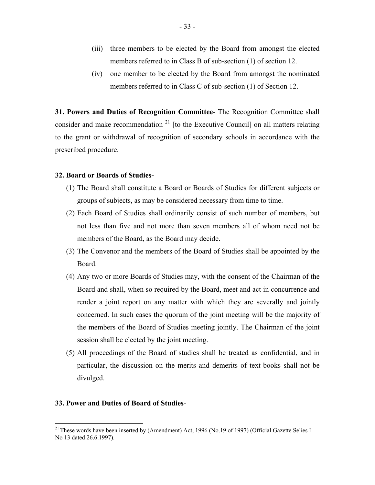- (iii) three members to be elected by the Board from amongst the elected members referred to in Class B of sub-section (1) of section 12.
- (iv) one member to be elected by the Board from amongst the nominated members referred to in Class C of sub-section (1) of Section 12.

**31. Powers and Duties of Recognition Committee**- The Recognition Committee shall consider and make recommendation<sup>21</sup> [to the Executive Council] on all matters relating to the grant or withdrawal of recognition of secondary schools in accordance with the prescribed procedure.

#### **32. Board or Boards of Studies-**

- (1) The Board shall constitute a Board or Boards of Studies for different subjects or groups of subjects, as may be considered necessary from time to time.
- (2) Each Board of Studies shall ordinarily consist of such number of members, but not less than five and not more than seven members all of whom need not be members of the Board, as the Board may decide.
- (3) The Convenor and the members of the Board of Studies shall be appointed by the Board.
- (4) Any two or more Boards of Studies may, with the consent of the Chairman of the Board and shall, when so required by the Board, meet and act in concurrence and render a joint report on any matter with which they are severally and jointly concerned. In such cases the quorum of the joint meeting will be the majority of the members of the Board of Studies meeting jointly. The Chairman of the joint session shall be elected by the joint meeting.
- (5) All proceedings of the Board of studies shall be treated as confidential, and in particular, the discussion on the merits and demerits of text-books shall not be divulged.

#### **33. Power and Duties of Board of Studies**-

1

<sup>&</sup>lt;sup>21</sup> These words have been inserted by (Amendment) Act, 1996 (No.19 of 1997) (Official Gazette Selies I No 13 dated 26.6.1997).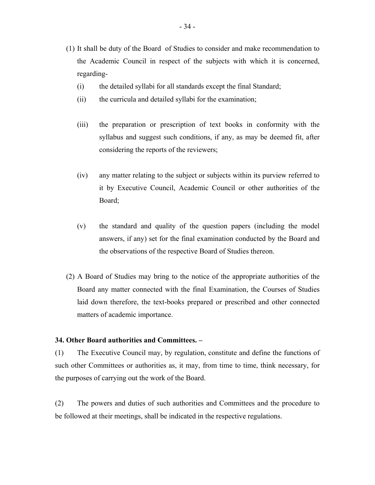- (1) It shall be duty of the Board of Studies to consider and make recommendation to the Academic Council in respect of the subjects with which it is concerned, regarding-
	- (i) the detailed syllabi for all standards except the final Standard;
	- (ii) the curricula and detailed syllabi for the examination;
	- (iii) the preparation or prescription of text books in conformity with the syllabus and suggest such conditions, if any, as may be deemed fit, after considering the reports of the reviewers;
	- (iv) any matter relating to the subject or subjects within its purview referred to it by Executive Council, Academic Council or other authorities of the Board;
	- (v) the standard and quality of the question papers (including the model answers, if any) set for the final examination conducted by the Board and the observations of the respective Board of Studies thereon.
- (2) A Board of Studies may bring to the notice of the appropriate authorities of the Board any matter connected with the final Examination, the Courses of Studies laid down therefore, the text-books prepared or prescribed and other connected matters of academic importance.

# **34. Other Board authorities and Committees. –**

(1) The Executive Council may, by regulation, constitute and define the functions of such other Committees or authorities as, it may, from time to time, think necessary, for the purposes of carrying out the work of the Board.

(2) The powers and duties of such authorities and Committees and the procedure to be followed at their meetings, shall be indicated in the respective regulations.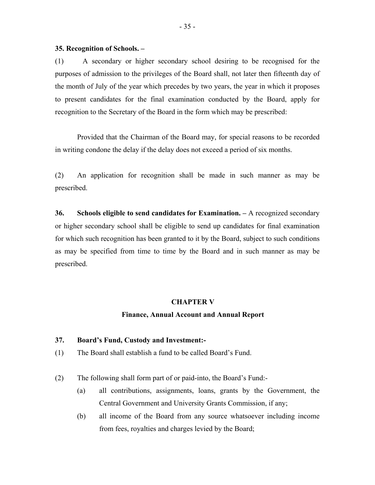#### **35. Recognition of Schools. –**

(1) A secondary or higher secondary school desiring to be recognised for the purposes of admission to the privileges of the Board shall, not later then fifteenth day of the month of July of the year which precedes by two years, the year in which it proposes to present candidates for the final examination conducted by the Board, apply for recognition to the Secretary of the Board in the form which may be prescribed:

Provided that the Chairman of the Board may, for special reasons to be recorded in writing condone the delay if the delay does not exceed a period of six months.

(2) An application for recognition shall be made in such manner as may be prescribed.

**36. Schools eligible to send candidates for Examination. –** A recognized secondary or higher secondary school shall be eligible to send up candidates for final examination for which such recognition has been granted to it by the Board, subject to such conditions as may be specified from time to time by the Board and in such manner as may be prescribed.

#### **CHAPTER V**

#### **Finance, Annual Account and Annual Report**

# **37. Board's Fund, Custody and Investment:-**

(1) The Board shall establish a fund to be called Board's Fund.

(2) The following shall form part of or paid-into, the Board's Fund:-

- (a) all contributions, assignments, loans, grants by the Government, the Central Government and University Grants Commission, if any;
- (b) all income of the Board from any source whatsoever including income from fees, royalties and charges levied by the Board;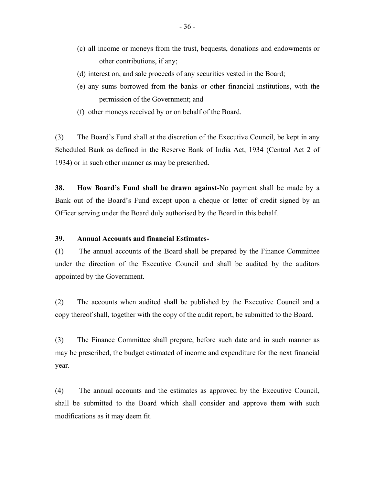- (c) all income or moneys from the trust, bequests, donations and endowments or other contributions, if any;
- (d) interest on, and sale proceeds of any securities vested in the Board;
- (e) any sums borrowed from the banks or other financial institutions, with the permission of the Government; and
- (f) other moneys received by or on behalf of the Board.

(3) The Board's Fund shall at the discretion of the Executive Council, be kept in any Scheduled Bank as defined in the Reserve Bank of India Act, 1934 (Central Act 2 of 1934) or in such other manner as may be prescribed.

**38. How Board's Fund shall be drawn against-**No payment shall be made by a Bank out of the Board's Fund except upon a cheque or letter of credit signed by an Officer serving under the Board duly authorised by the Board in this behalf.

# **39. Annual Accounts and financial Estimates-**

**(**1) The annual accounts of the Board shall be prepared by the Finance Committee under the direction of the Executive Council and shall be audited by the auditors appointed by the Government.

(2) The accounts when audited shall be published by the Executive Council and a copy thereof shall, together with the copy of the audit report, be submitted to the Board.

(3) The Finance Committee shall prepare, before such date and in such manner as may be prescribed, the budget estimated of income and expenditure for the next financial year.

(4) The annual accounts and the estimates as approved by the Executive Council, shall be submitted to the Board which shall consider and approve them with such modifications as it may deem fit.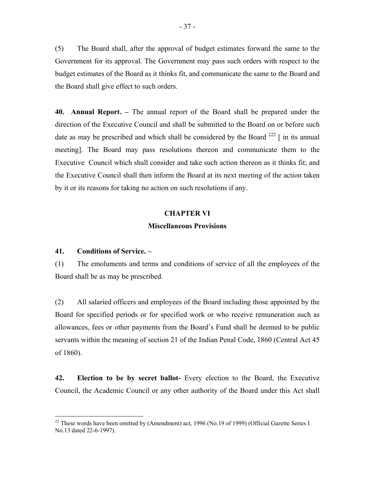(5) The Board shall, after the approval of budget estimates forward the same to the Government for its approval. The Government may pass such orders with respect to the budget estimates of the Board as it thinks fit, and communicate the same to the Board and the Board shall give effect to such orders.

**40. Annual Report. –** The annual report of the Board shall be prepared under the direction of the Executive Council and shall be submitted to the Board on or before such date as may be prescribed and which shall be considered by the Board  $^{222}$  [ in its annual meeting]. The Board may pass resolutions thereon and communicate them to the Executive Council which shall consider and take such action thereon as it thinks fit; and the Executive Council shall then inform the Board at its next meeting of the action taken by it or its reasons for taking no action on such resolutions if any.

# **CHAPTER VI**

# **Miscellaneous Provisions**

# **41. Conditions of Service. –**

 $\overline{a}$ 

(1) The emoluments and terms and conditions of service of all the employees of the Board shall be as may be prescribed.

(2) All salaried officers and employees of the Board including those appointed by the Board for specified periods or for specified work or who receive remuneration such as allowances, fees or other payments from the Board's Fund shall be deemed to be public servants within the meaning of section 21 of the Indian Penal Code, 1860 (Central Act 45 of 1860).

**42. Election to be by secret ballot-** Every election to the Board, the Executive Council, the Academic Council or any other authority of the Board under this Act shall

<sup>&</sup>lt;sup>22</sup> These words have been omitted by (Amendment) act, 1996 (No.19 of 1999) (Official Gazette Series I No.13 dated 22-6-1997).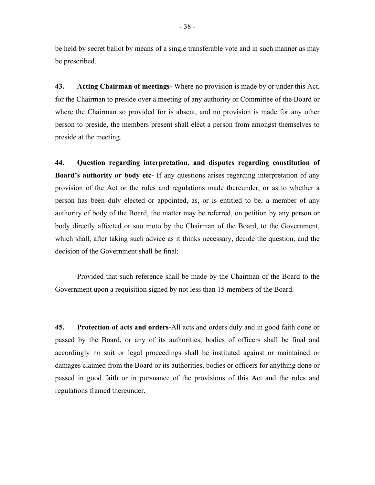be held by secret ballot by means of a single transferable vote and in such manner as may be prescribed.

**43. Acting Chairman of meetings-** Where no provision is made by or under this Act, for the Chairman to preside over a meeting of any authority or Committee of the Board or where the Chairman so provided for is absent, and no provision is made for any other person to preside, the members present shall elect a person from amongst themselves to preside at the meeting.

**44. Question regarding interpretation, and disputes regarding constitution of Board's authority or body etc-** If any questions arises regarding interpretation of any provision of the Act or the rules and regulations made thereunder, or as to whether a person has been duly elected or appointed, as, or is entitled to be, a member of any authority of body of the Board, the matter may be referred, on petition by any person or body directly affected or suo moto by the Chairman of the Board, to the Government, which shall, after taking such advice as it thinks necessary, decide the question, and the decision of the Government shall be final:

Provided that such reference shall be made by the Chairman of the Board to the Government upon a requisition signed by not less than 15 members of the Board.

**45. Protection of acts and orders-**All acts and orders duly and in good faith done or passed by the Board, or any of its authorities, bodies of officers shall be final and accordingly no suit or legal proceedings shall be instituted against or maintained or damages claimed from the Board or its authorities, bodies or officers for anything done or passed in good faith or in pursuance of the provisions of this Act and the rules and regulations framed thereunder.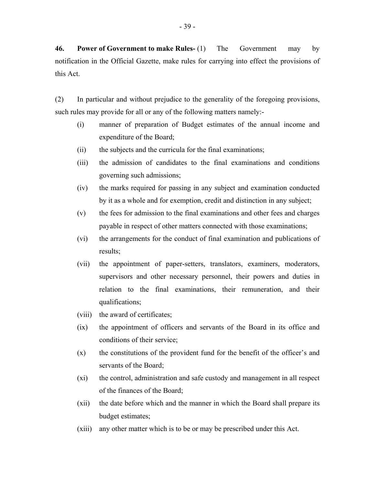**46. Power of Government to make Rules-** (1) The Government may by notification in the Official Gazette, make rules for carrying into effect the provisions of this Act.

(2) In particular and without prejudice to the generality of the foregoing provisions, such rules may provide for all or any of the following matters namely:-

- (i) manner of preparation of Budget estimates of the annual income and expenditure of the Board;
- (ii) the subjects and the curricula for the final examinations;
- (iii) the admission of candidates to the final examinations and conditions governing such admissions;
- (iv) the marks required for passing in any subject and examination conducted by it as a whole and for exemption, credit and distinction in any subject;
- (v) the fees for admission to the final examinations and other fees and charges payable in respect of other matters connected with those examinations;
- (vi) the arrangements for the conduct of final examination and publications of results;
- (vii) the appointment of paper-setters, translators, examiners, moderators, supervisors and other necessary personnel, their powers and duties in relation to the final examinations, their remuneration, and their qualifications;
- (viii) the award of certificates;
- (ix) the appointment of officers and servants of the Board in its office and conditions of their service;
- (x) the constitutions of the provident fund for the benefit of the officer's and servants of the Board;
- (xi) the control, administration and safe custody and management in all respect of the finances of the Board;
- (xii) the date before which and the manner in which the Board shall prepare its budget estimates;
- (xiii) any other matter which is to be or may be prescribed under this Act.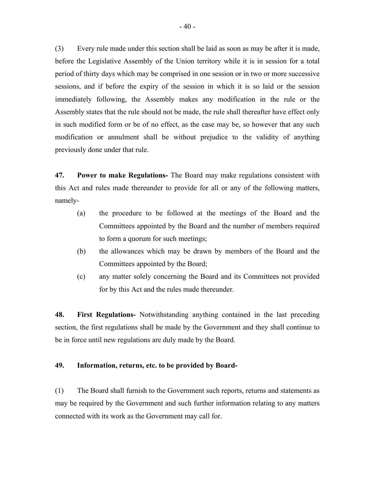(3) Every rule made under this section shall be laid as soon as may be after it is made, before the Legislative Assembly of the Union territory while it is in session for a total period of thirty days which may be comprised in one session or in two or more successive sessions, and if before the expiry of the session in which it is so laid or the session immediately following, the Assembly makes any modification in the rule or the Assembly states that the rule should not be made, the rule shall thereafter have effect only in such modified form or be of no effect, as the case may be, so however that any such modification or annulment shall be without prejudice to the validity of anything previously done under that rule.

**47. Power to make Regulations-** The Board may make regulations consistent with this Act and rules made thereunder to provide for all or any of the following matters, namely

- (a) the procedure to be followed at the meetings of the Board and the Committees appointed by the Board and the number of members required to form a quorum for such meetings;
- (b) the allowances which may be drawn by members of the Board and the Committees appointed by the Board;
- (c) any matter solely concerning the Board and its Committees not provided for by this Act and the rules made thereunder.

**48. First Regulations-** Notwithstanding anything contained in the last preceding section, the first regulations shall be made by the Government and they shall continue to be in force until new regulations are duly made by the Board.

# **49. Information, returns, etc. to be provided by Board-**

(1) The Board shall furnish to the Government such reports, returns and statements as may be required by the Government and such further information relating to any matters connected with its work as the Government may call for.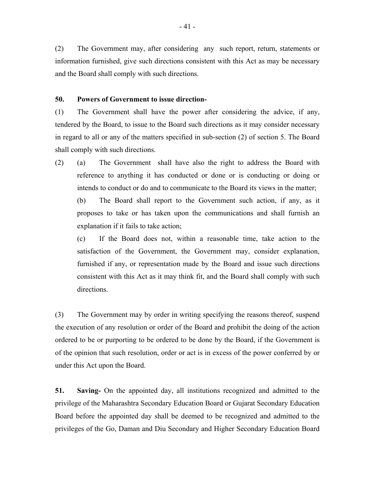(2) The Government may, after considering any such report, return, statements or information furnished, give such directions consistent with this Act as may be necessary and the Board shall comply with such directions.

#### **50. Powers of Government to issue direction-**

(1) The Government shall have the power after considering the advice, if any, tendered by the Board, to issue to the Board such directions as it may consider necessary in regard to all or any of the matters specified in sub-section (2) of section 5. The Board shall comply with such directions.

(2) (a) The Government shall have also the right to address the Board with reference to anything it has conducted or done or is conducting or doing or intends to conduct or do and to communicate to the Board its views in the matter;

(b) The Board shall report to the Government such action, if any, as it proposes to take or has taken upon the communications and shall furnish an explanation if it fails to take action;

(c) If the Board does not, within a reasonable time, take action to the satisfaction of the Government, the Government may, consider explanation, furnished if any, or representation made by the Board and issue such directions consistent with this Act as it may think fit, and the Board shall comply with such directions.

(3) The Government may by order in writing specifying the reasons thereof, suspend the execution of any resolution or order of the Board and prohibit the doing of the action ordered to be or purporting to be ordered to be done by the Board, if the Government is of the opinion that such resolution, order or act is in excess of the power conferred by or under this Act upon the Board.

**51. Saving-** On the appointed day, all institutions recognized and admitted to the privilege of the Maharashtra Secondary Education Board or Gujarat Secondary Education Board before the appointed day shall be deemed to be recognized and admitted to the privileges of the Go, Daman and Diu Secondary and Higher Secondary Education Board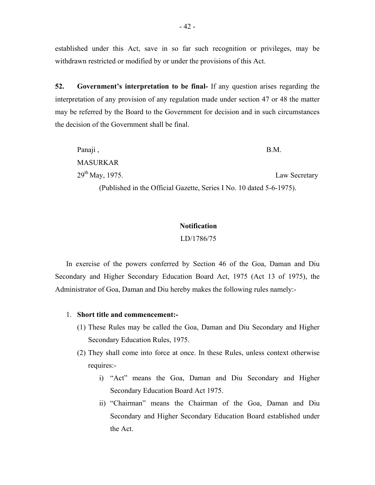established under this Act, save in so far such recognition or privileges, may be withdrawn restricted or modified by or under the provisions of this Act.

**52. Government's interpretation to be final-** If any question arises regarding the interpretation of any provision of any regulation made under section 47 or 48 the matter may be referred by the Board to the Government for decision and in such circumstances the decision of the Government shall be final.

| Panaji,              | B.M.          |
|----------------------|---------------|
| <b>MASURKAR</b>      |               |
| $29^{th}$ May, 1975. | Law Secretary |

(Published in the Official Gazette, Series I No. 10 dated 5-6-1975).

# **Notification**

LD/1786/75

In exercise of the powers conferred by Section 46 of the Goa, Daman and Diu Secondary and Higher Secondary Education Board Act, 1975 (Act 13 of 1975), the Administrator of Goa, Daman and Diu hereby makes the following rules namely:-

# 1. **Short title and commencement:-**

- (1) These Rules may be called the Goa, Daman and Diu Secondary and Higher Secondary Education Rules, 1975.
- (2) They shall come into force at once. In these Rules, unless context otherwise requires:
	- i) "Act" means the Goa, Daman and Diu Secondary and Higher Secondary Education Board Act 1975.
	- ii) "Chairman" means the Chairman of the Goa, Daman and Diu Secondary and Higher Secondary Education Board established under the Act.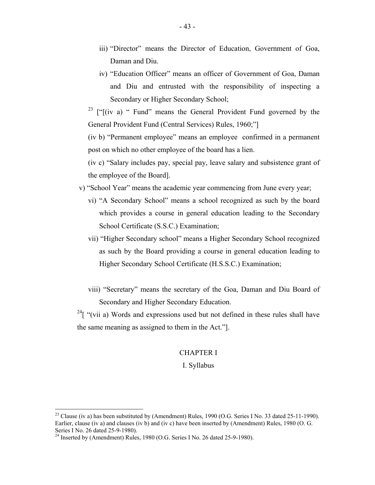- iii) "Director" means the Director of Education, Government of Goa, Daman and Diu.
- iv) "Education Officer" means an officer of Government of Goa, Daman and Diu and entrusted with the responsibility of inspecting a Secondary or Higher Secondary School;

<sup>23</sup> [" $(iv a)$  " Fund" means the General Provident Fund governed by the General Provident Fund (Central Services) Rules, 1960;"]

(iv b) "Permanent employee" means an employee confirmed in a permanent post on which no other employee of the board has a lien.

(iv c) "Salary includes pay, special pay, leave salary and subsistence grant of the employee of the Board].

- v) "School Year" means the academic year commencing from June every year;
	- vi) "A Secondary School" means a school recognized as such by the board which provides a course in general education leading to the Secondary School Certificate (S.S.C.) Examination;
	- vii) "Higher Secondary school" means a Higher Secondary School recognized as such by the Board providing a course in general education leading to Higher Secondary School Certificate (H.S.S.C.) Examination;
	- viii) "Secretary" means the secretary of the Goa, Daman and Diu Board of Secondary and Higher Secondary Education.

<sup>24</sup>[ "(vii a) Words and expressions used but not defined in these rules shall have the same meaning as assigned to them in the Act."].

#### CHAPTER I

# I. Syllabus

 $\overline{a}$ 

 Earlier, clause (iv a) and clauses (iv b) and (iv c) have been inserted by (Amendment) Rules, 1980 (O. G. <sup>23</sup> Clause (iv a) has been substituted by (Amendment) Rules, 1990 (O.G. Series I No. 33 dated 25-11-1990). Series I No. 26 dated 25-9-1980).

<sup>&</sup>lt;sup>24</sup> Inserted by (Amendment) Rules, 1980 (O.G. Series I No. 26 dated 25-9-1980).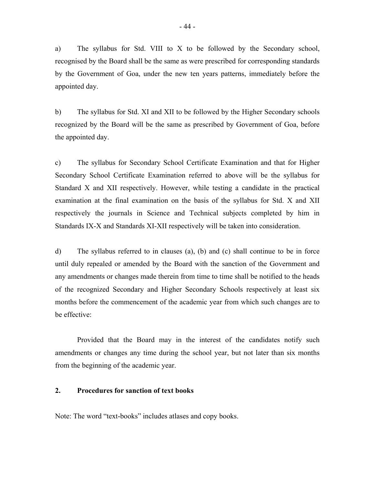a) The syllabus for Std. VIII to X to be followed by the Secondary school, recognised by the Board shall be the same as were prescribed for corresponding standards by the Government of Goa, under the new ten years patterns, immediately before the appointed day.

b) The syllabus for Std. XI and XII to be followed by the Higher Secondary schools recognized by the Board will be the same as prescribed by Government of Goa, before the appointed day.

c) The syllabus for Secondary School Certificate Examination and that for Higher Secondary School Certificate Examination referred to above will be the syllabus for Standard X and XII respectively. However, while testing a candidate in the practical examination at the final examination on the basis of the syllabus for Std. X and XII respectively the journals in Science and Technical subjects completed by him in Standards IX-X and Standards XI-XII respectively will be taken into consideration.

d) The syllabus referred to in clauses (a), (b) and (c) shall continue to be in force until duly repealed or amended by the Board with the sanction of the Government and any amendments or changes made therein from time to time shall be notified to the heads of the recognized Secondary and Higher Secondary Schools respectively at least six months before the commencement of the academic year from which such changes are to be effective:

Provided that the Board may in the interest of the candidates notify such amendments or changes any time during the school year, but not later than six months from the beginning of the academic year.

#### $2.$ **2. Procedures for sanction of text books**

Note: The word "text-books" includes atlases and copy books.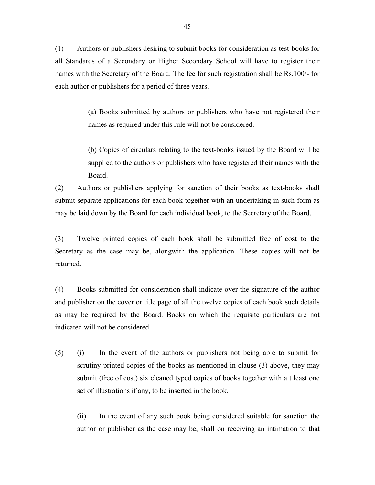(1) Authors or publishers desiring to submit books for consideration as test-books for all Standards of a Secondary or Higher Secondary School will have to register their names with the Secretary of the Board. The fee for such registration shall be Rs.100/- for each author or publishers for a period of three years.

> (a) Books submitted by authors or publishers who have not registered their names as required under this rule will not be considered.

> (b) Copies of circulars relating to the text-books issued by the Board will be supplied to the authors or publishers who have registered their names with the Board.

(2) Authors or publishers applying for sanction of their books as text-books shall submit separate applications for each book together with an undertaking in such form as may be laid down by the Board for each individual book, to the Secretary of the Board.

(3) Twelve printed copies of each book shall be submitted free of cost to the Secretary as the case may be, alongwith the application. These copies will not be returned.

(4) Books submitted for consideration shall indicate over the signature of the author and publisher on the cover or title page of all the twelve copies of each book such details as may be required by the Board. Books on which the requisite particulars are not indicated will not be considered.

(5) (i) In the event of the authors or publishers not being able to submit for scrutiny printed copies of the books as mentioned in clause (3) above, they may submit (free of cost) six cleaned typed copies of books together with a t least one set of illustrations if any, to be inserted in the book.

(ii) In the event of any such book being considered suitable for sanction the author or publisher as the case may be, shall on receiving an intimation to that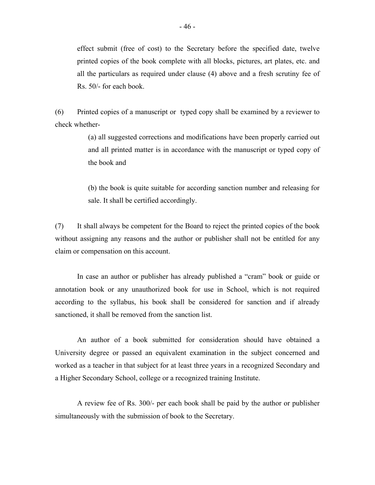effect submit (free of cost) to the Secretary before the specified date, twelve printed copies of the book complete with all blocks, pictures, art plates, etc. and all the particulars as required under clause (4) above and a fresh scrutiny fee of Rs. 50/- for each book.

(6) Printed copies of a manuscript or typed copy shall be examined by a reviewer to check whether-

> (a) all suggested corrections and modifications have been properly carried out and all printed matter is in accordance with the manuscript or typed copy of the book and

> (b) the book is quite suitable for according sanction number and releasing for sale. It shall be certified accordingly.

(7) It shall always be competent for the Board to reject the printed copies of the book without assigning any reasons and the author or publisher shall not be entitled for any claim or compensation on this account.

In case an author or publisher has already published a "cram" book or guide or annotation book or any unauthorized book for use in School, which is not required according to the syllabus, his book shall be considered for sanction and if already sanctioned, it shall be removed from the sanction list.

An author of a book submitted for consideration should have obtained a University degree or passed an equivalent examination in the subject concerned and worked as a teacher in that subject for at least three years in a recognized Secondary and a Higher Secondary School, college or a recognized training Institute.

A review fee of Rs. 300/- per each book shall be paid by the author or publisher simultaneously with the submission of book to the Secretary.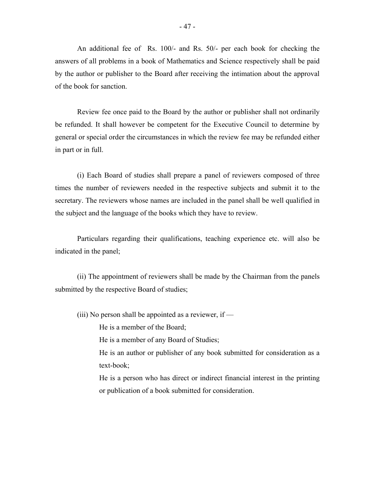An additional fee of Rs. 100/- and Rs. 50/- per each book for checking the answers of all problems in a book of Mathematics and Science respectively shall be paid by the author or publisher to the Board after receiving the intimation about the approval of the book for sanction.

Review fee once paid to the Board by the author or publisher shall not ordinarily be refunded. It shall however be competent for the Executive Council to determine by general or special order the circumstances in which the review fee may be refunded either in part or in full.

(i) Each Board of studies shall prepare a panel of reviewers composed of three times the number of reviewers needed in the respective subjects and submit it to the secretary. The reviewers whose names are included in the panel shall be well qualified in the subject and the language of the books which they have to review.

Particulars regarding their qualifications, teaching experience etc. will also be indicated in the panel;

(ii) The appointment of reviewers shall be made by the Chairman from the panels submitted by the respective Board of studies;

(iii) No person shall be appointed as a reviewer, if  $-$ 

He is a member of the Board;

He is a member of any Board of Studies;

He is an author or publisher of any book submitted for consideration as a text-book;

He is a person who has direct or indirect financial interest in the printing or publication of a book submitted for consideration.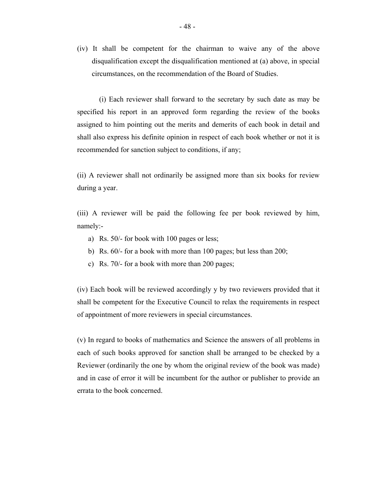(iv) It shall be competent for the chairman to waive any of the above disqualification except the disqualification mentioned at (a) above, in special circumstances, on the recommendation of the Board of Studies.

(i) Each reviewer shall forward to the secretary by such date as may be specified his report in an approved form regarding the review of the books assigned to him pointing out the merits and demerits of each book in detail and shall also express his definite opinion in respect of each book whether or not it is recommended for sanction subject to conditions, if any;

(ii) A reviewer shall not ordinarily be assigned more than six books for review during a year.

(iii) A reviewer will be paid the following fee per book reviewed by him, namely:-

- a) Rs. 50/- for book with 100 pages or less;
- b) Rs. 60/- for a book with more than 100 pages; but less than 200;
- c) Rs. 70/- for a book with more than 200 pages;

(iv) Each book will be reviewed accordingly y by two reviewers provided that it shall be competent for the Executive Council to relax the requirements in respect of appointment of more reviewers in special circumstances.

(v) In regard to books of mathematics and Science the answers of all problems in each of such books approved for sanction shall be arranged to be checked by a Reviewer (ordinarily the one by whom the original review of the book was made) and in case of error it will be incumbent for the author or publisher to provide an errata to the book concerned.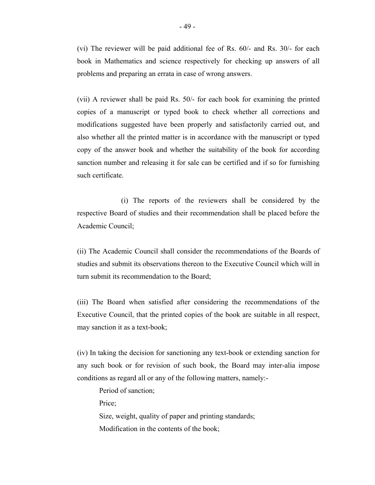(vi) The reviewer will be paid additional fee of Rs. 60/- and Rs. 30/- for each book in Mathematics and science respectively for checking up answers of all problems and preparing an errata in case of wrong answers.

(vii) A reviewer shall be paid Rs. 50/- for each book for examining the printed copies of a manuscript or typed book to check whether all corrections and modifications suggested have been properly and satisfactorily carried out, and also whether all the printed matter is in accordance with the manuscript or typed copy of the answer book and whether the suitability of the book for according sanction number and releasing it for sale can be certified and if so for furnishing such certificate.

(i) The reports of the reviewers shall be considered by the respective Board of studies and their recommendation shall be placed before the Academic Council;

(ii) The Academic Council shall consider the recommendations of the Boards of studies and submit its observations thereon to the Executive Council which will in turn submit its recommendation to the Board;

(iii) The Board when satisfied after considering the recommendations of the Executive Council, that the printed copies of the book are suitable in all respect, may sanction it as a text-book;

(iv) In taking the decision for sanctioning any text-book or extending sanction for any such book or for revision of such book, the Board may inter-alia impose conditions as regard all or any of the following matters, namely:-

Period of sanction; Price;

Size, weight, quality of paper and printing standards;

Modification in the contents of the book;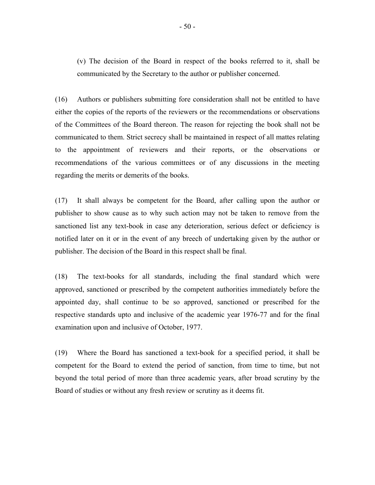(v) The decision of the Board in respect of the books referred to it, shall be communicated by the Secretary to the author or publisher concerned.

(16) Authors or publishers submitting fore consideration shall not be entitled to have either the copies of the reports of the reviewers or the recommendations or observations of the Committees of the Board thereon. The reason for rejecting the book shall not be communicated to them. Strict secrecy shall be maintained in respect of all mattes relating to the appointment of reviewers and their reports, or the observations or recommendations of the various committees or of any discussions in the meeting regarding the merits or demerits of the books.

(17) It shall always be competent for the Board, after calling upon the author or publisher to show cause as to why such action may not be taken to remove from the sanctioned list any text-book in case any deterioration, serious defect or deficiency is notified later on it or in the event of any breech of undertaking given by the author or publisher. The decision of the Board in this respect shall be final.

(18) The text-books for all standards, including the final standard which were approved, sanctioned or prescribed by the competent authorities immediately before the appointed day, shall continue to be so approved, sanctioned or prescribed for the respective standards upto and inclusive of the academic year 1976-77 and for the final examination upon and inclusive of October, 1977.

(19) Where the Board has sanctioned a text-book for a specified period, it shall be competent for the Board to extend the period of sanction, from time to time, but not beyond the total period of more than three academic years, after broad scrutiny by the Board of studies or without any fresh review or scrutiny as it deems fit.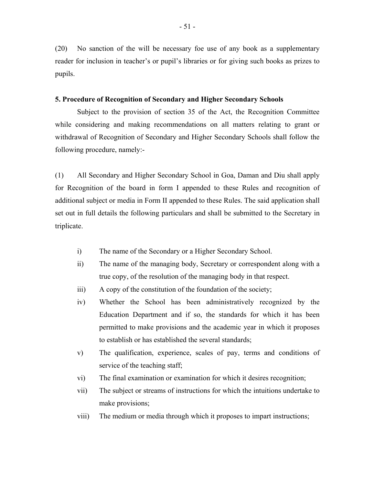(20) No sanction of the will be necessary foe use of any book as a supplementary reader for inclusion in teacher's or pupil's libraries or for giving such books as prizes to pupils.

# **5. Procedure of Recognition of Secondary and Higher Secondary Schools**

Subject to the provision of section 35 of the Act, the Recognition Committee while considering and making recommendations on all matters relating to grant or withdrawal of Recognition of Secondary and Higher Secondary Schools shall follow the following procedure, namely:-

(1) All Secondary and Higher Secondary School in Goa, Daman and Diu shall apply for Recognition of the board in form I appended to these Rules and recognition of additional subject or media in Form II appended to these Rules. The said application shall set out in full details the following particulars and shall be submitted to the Secretary in triplicate.

- i) The name of the Secondary or a Higher Secondary School.
- ii) The name of the managing body, Secretary or correspondent along with a true copy, of the resolution of the managing body in that respect.
- iii) A copy of the constitution of the foundation of the society;
- iv) Whether the School has been administratively recognized by the Education Department and if so, the standards for which it has been permitted to make provisions and the academic year in which it proposes to establish or has established the several standards;
- v) The qualification, experience, scales of pay, terms and conditions of service of the teaching staff;
- vi) The final examination or examination for which it desires recognition;
- vii) The subject or streams of instructions for which the intuitions undertake to make provisions;
- viii) The medium or media through which it proposes to impart instructions;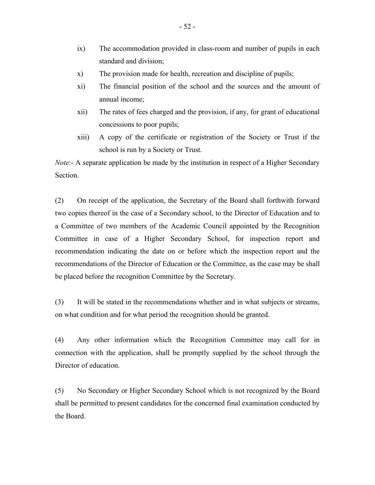- ix) The accommodation provided in class-room and number of pupils in each standard and division;
- x) The provision made for health, recreation and discipline of pupils;
- xi) The financial position of the school and the sources and the amount of annual income;
- xii) The rates of fees charged and the provision, if any, for grant of educational concessions to poor pupils;
- xiii) A copy of the certificate or registration of the Society or Trust if the school is run by a Society or Trust.

*Note*:- A separate application be made by the institution in respect of a Higher Secondary Section.

(2) On receipt of the application, the Secretary of the Board shall forthwith forward two copies thereof in the case of a Secondary school, to the Director of Education and to a Committee of two members of the Academic Council appointed by the Recognition Committee in case of a Higher Secondary School, for inspection report and recommendation indicating the date on or before which the inspection report and the recommendations of the Director of Education or the Committee, as the case may be shall be placed before the recognition Committee by the Secretary.

(3) It will be stated in the recommendations whether and in what subjects or streams, on what condition and for what period the recognition should be granted.

(4) Any other information which the Recognition Committee may call for in connection with the application, shall be promptly supplied by the school through the Director of education.

(5) No Secondary or Higher Secondary School which is not recognized by the Board shall be permitted to present candidates for the concerned final examination conducted by the Board.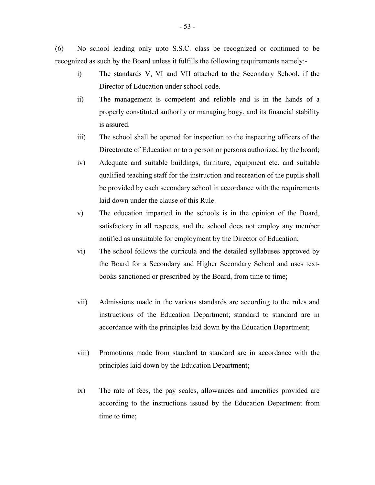(6) No school leading only upto S.S.C. class be recognized or continued to be recognized as such by the Board unless it fulfills the following requirements namely:-

- i) The standards V, VI and VII attached to the Secondary School, if the Director of Education under school code.
- ii) The management is competent and reliable and is in the hands of a properly constituted authority or managing bogy, and its financial stability is assured.
- iii) The school shall be opened for inspection to the inspecting officers of the Directorate of Education or to a person or persons authorized by the board;
- iv) Adequate and suitable buildings, furniture, equipment etc. and suitable qualified teaching staff for the instruction and recreation of the pupils shall be provided by each secondary school in accordance with the requirements laid down under the clause of this Rule.
- v) The education imparted in the schools is in the opinion of the Board, satisfactory in all respects, and the school does not employ any member notified as unsuitable for employment by the Director of Education;
- vi) The school follows the curricula and the detailed syllabuses approved by the Board for a Secondary and Higher Secondary School and uses textbooks sanctioned or prescribed by the Board, from time to time;
- vii) Admissions made in the various standards are according to the rules and instructions of the Education Department; standard to standard are in accordance with the principles laid down by the Education Department;
- viii) Promotions made from standard to standard are in accordance with the principles laid down by the Education Department;
- ix) The rate of fees, the pay scales, allowances and amenities provided are according to the instructions issued by the Education Department from time to time;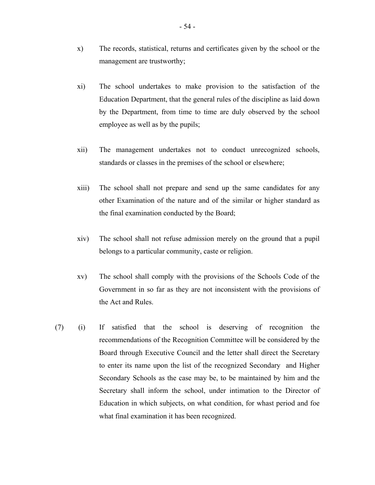- x) The records, statistical, returns and certificates given by the school or the management are trustworthy;
- xi) The school undertakes to make provision to the satisfaction of the Education Department, that the general rules of the discipline as laid down by the Department, from time to time are duly observed by the school employee as well as by the pupils;
- xii) The management undertakes not to conduct unrecognized schools, standards or classes in the premises of the school or elsewhere;
- xiii) The school shall not prepare and send up the same candidates for any other Examination of the nature and of the similar or higher standard as the final examination conducted by the Board;
- xiv) The school shall not refuse admission merely on the ground that a pupil belongs to a particular community, caste or religion.
- xv) The school shall comply with the provisions of the Schools Code of the Government in so far as they are not inconsistent with the provisions of the Act and Rules.
- (7) (i) If satisfied that the school is deserving of recognition the recommendations of the Recognition Committee will be considered by the Board through Executive Council and the letter shall direct the Secretary to enter its name upon the list of the recognized Secondary and Higher Secondary Schools as the case may be, to be maintained by him and the Secretary shall inform the school, under intimation to the Director of Education in which subjects, on what condition, for whast period and foe what final examination it has been recognized.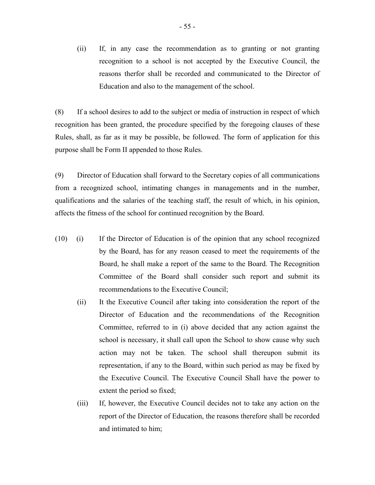(ii) If, in any case the recommendation as to granting or not granting recognition to a school is not accepted by the Executive Council, the reasons therfor shall be recorded and communicated to the Director of Education and also to the management of the school.

(8) If a school desires to add to the subject or media of instruction in respect of which recognition has been granted, the procedure specified by the foregoing clauses of these Rules, shall, as far as it may be possible, be followed. The form of application for this purpose shall be Form II appended to those Rules.

(9) Director of Education shall forward to the Secretary copies of all communications from a recognized school, intimating changes in managements and in the number, qualifications and the salaries of the teaching staff, the result of which, in his opinion, affects the fitness of the school for continued recognition by the Board.

- (10) (i) If the Director of Education is of the opinion that any school recognized by the Board, has for any reason ceased to meet the requirements of the Board, he shall make a report of the same to the Board. The Recognition Committee of the Board shall consider such report and submit its recommendations to the Executive Council;
	- (ii) It the Executive Council after taking into consideration the report of the Director of Education and the recommendations of the Recognition Committee, referred to in (i) above decided that any action against the school is necessary, it shall call upon the School to show cause why such action may not be taken. The school shall thereupon submit its representation, if any to the Board, within such period as may be fixed by the Executive Council. The Executive Council Shall have the power to extent the period so fixed;
	- (iii) If, however, the Executive Council decides not to take any action on the report of the Director of Education, the reasons therefore shall be recorded and intimated to him;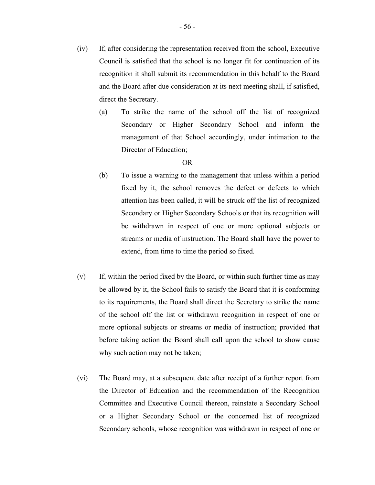recognition it shall submit its recommendation in this behalf to the Board and the Board after due consideration at its next meeting shall, if satisfied, direct the Secretary.

(a) To strike the name of the school off the list of recognized Secondary or Higher Secondary School and inform the management of that School accordingly, under intimation to the Director of Education;

# OR

- (b) To issue a warning to the management that unless within a period fixed by it, the school removes the defect or defects to which attention has been called, it will be struck off the list of recognized Secondary or Higher Secondary Schools or that its recognition will be withdrawn in respect of one or more optional subjects or streams or media of instruction. The Board shall have the power to extend, from time to time the period so fixed.
- (v) If, within the period fixed by the Board, or within such further time as may be allowed by it, the School fails to satisfy the Board that it is conforming to its requirements, the Board shall direct the Secretary to strike the name of the school off the list or withdrawn recognition in respect of one or more optional subjects or streams or media of instruction; provided that before taking action the Board shall call upon the school to show cause why such action may not be taken;
- (vi) The Board may, at a subsequent date after receipt of a further report from the Director of Education and the recommendation of the Recognition Committee and Executive Council thereon, reinstate a Secondary School or a Higher Secondary School or the concerned list of recognized Secondary schools, whose recognition was withdrawn in respect of one or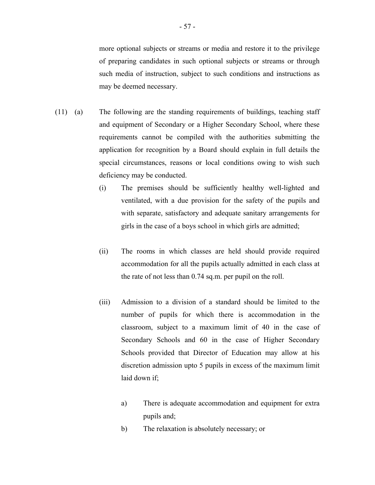more optional subjects or streams or media and restore it to the privilege of preparing candidates in such optional subjects or streams or through such media of instruction, subject to such conditions and instructions as may be deemed necessary.

- $(11)$  (a) The following are the standing requirements of buildings, teaching staff and equipment of Secondary or a Higher Secondary School, where these requirements cannot be compiled with the authorities submitting the application for recognition by a Board should explain in full details the special circumstances, reasons or local conditions owing to wish such deficiency may be conducted.
	- (i) The premises should be sufficiently healthy well-lighted and ventilated, with a due provision for the safety of the pupils and with separate, satisfactory and adequate sanitary arrangements for girls in the case of a boys school in which girls are admitted;
	- (ii) The rooms in which classes are held should provide required accommodation for all the pupils actually admitted in each class at the rate of not less than 0.74 sq.m. per pupil on the roll.
	- (iii) Admission to a division of a standard should be limited to the number of pupils for which there is accommodation in the classroom, subject to a maximum limit of 40 in the case of Secondary Schools and 60 in the case of Higher Secondary Schools provided that Director of Education may allow at his discretion admission upto 5 pupils in excess of the maximum limit laid down if;
		- a) There is adequate accommodation and equipment for extra pupils and;
		- b) The relaxation is absolutely necessary; or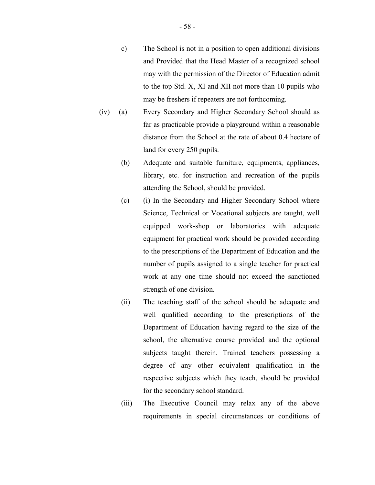- c) The School is not in a position to open additional divisions and Provided that the Head Master of a recognized school may with the permission of the Director of Education admit to the top Std. X, XI and XII not more than 10 pupils who may be freshers if repeaters are not forthcoming.
- (iv) (a) Every Secondary and Higher Secondary School should as far as practicable provide a playground within a reasonable distance from the School at the rate of about 0.4 hectare of land for every 250 pupils.
	- (b) Adequate and suitable furniture, equipments, appliances, library, etc. for instruction and recreation of the pupils attending the School, should be provided.
	- (c) (i) In the Secondary and Higher Secondary School where Science, Technical or Vocational subjects are taught, well equipped work-shop or laboratories with adequate equipment for practical work should be provided according to the prescriptions of the Department of Education and the number of pupils assigned to a single teacher for practical work at any one time should not exceed the sanctioned strength of one division.
	- (ii) The teaching staff of the school should be adequate and well qualified according to the prescriptions of the Department of Education having regard to the size of the school, the alternative course provided and the optional subjects taught therein. Trained teachers possessing a degree of any other equivalent qualification in the respective subjects which they teach, should be provided for the secondary school standard.
	- (iii) The Executive Council may relax any of the above requirements in special circumstances or conditions of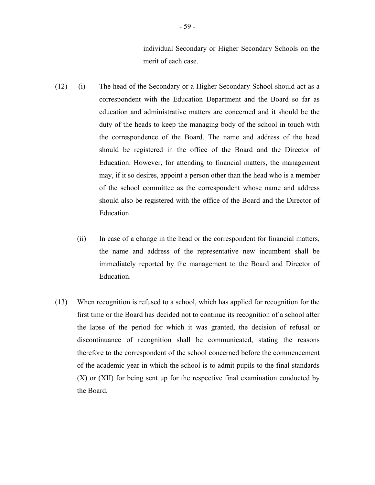individual Secondary or Higher Secondary Schools on the merit of each case.

- (12) (i) The head of the Secondary or a Higher Secondary School should act as a correspondent with the Education Department and the Board so far as education and administrative matters are concerned and it should be the duty of the heads to keep the managing body of the school in touch with the correspondence of the Board. The name and address of the head should be registered in the office of the Board and the Director of Education. However, for attending to financial matters, the management may, if it so desires, appoint a person other than the head who is a member of the school committee as the correspondent whose name and address should also be registered with the office of the Board and the Director of Education.
	- (ii) In case of a change in the head or the correspondent for financial matters, the name and address of the representative new incumbent shall be immediately reported by the management to the Board and Director of Education.
- (13) When recognition is refused to a school, which has applied for recognition for the first time or the Board has decided not to continue its recognition of a school after the lapse of the period for which it was granted, the decision of refusal or discontinuance of recognition shall be communicated, stating the reasons therefore to the correspondent of the school concerned before the commencement of the academic year in which the school is to admit pupils to the final standards (X) or (XII) for being sent up for the respective final examination conducted by the Board.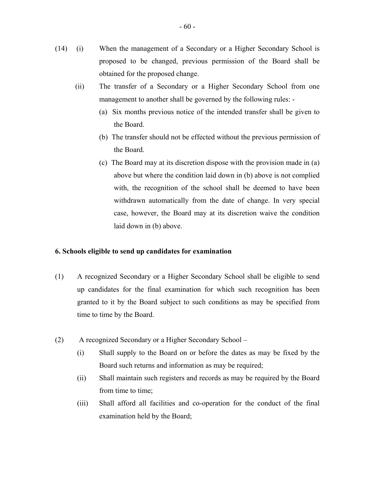- $(14)$ (i) When the management of a Secondary or a Higher Secondary School is proposed to be changed, previous permission of the Board shall be obtained for the proposed change.
	- (ii) The transfer of a Secondary or a Higher Secondary School from one management to another shall be governed by the following rules: -
		- (a) Six months previous notice of the intended transfer shall be given to the Board.
		- (b) The transfer should not be effected without the previous permission of the Board.
		- (c) The Board may at its discretion dispose with the provision made in (a) above but where the condition laid down in (b) above is not complied with, the recognition of the school shall be deemed to have been withdrawn automatically from the date of change. In very special case, however, the Board may at its discretion waive the condition laid down in (b) above.

# **6. Schools eligible to send up candidates for examination**

- (1) A recognized Secondary or a Higher Secondary School shall be eligible to send up candidates for the final examination for which such recognition has been granted to it by the Board subject to such conditions as may be specified from time to time by the Board.
- (2) A recognized Secondary or a Higher Secondary School
	- (i) Shall supply to the Board on or before the dates as may be fixed by the Board such returns and information as may be required;
	- (ii) Shall maintain such registers and records as may be required by the Board from time to time;
	- (iii) Shall afford all facilities and co-operation for the conduct of the final examination held by the Board;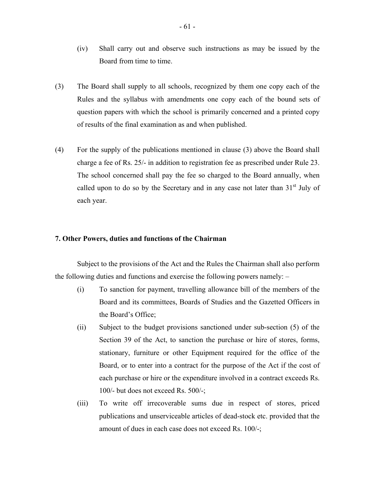- (iv) Shall carry out and observe such instructions as may be issued by the Board from time to time.
- (3) The Board shall supply to all schools, recognized by them one copy each of the Rules and the syllabus with amendments one copy each of the bound sets of question papers with which the school is primarily concerned and a printed copy of results of the final examination as and when published.
- (4) For the supply of the publications mentioned in clause (3) above the Board shall charge a fee of Rs. 25/- in addition to registration fee as prescribed under Rule 23. The school concerned shall pay the fee so charged to the Board annually, when called upon to do so by the Secretary and in any case not later than  $31<sup>st</sup>$  July of each year.

# **7. Other Powers, duties and functions of the Chairman**

Subject to the provisions of the Act and the Rules the Chairman shall also perform the following duties and functions and exercise the following powers namely: –

- (i) To sanction for payment, travelling allowance bill of the members of the Board and its committees, Boards of Studies and the Gazetted Officers in the Board's Office;
- (ii) Subject to the budget provisions sanctioned under sub-section (5) of the Section 39 of the Act, to sanction the purchase or hire of stores, forms, stationary, furniture or other Equipment required for the office of the Board, or to enter into a contract for the purpose of the Act if the cost of each purchase or hire or the expenditure involved in a contract exceeds Rs. 100/- but does not exceed Rs. 500/-;
- (iii) To write off irrecoverable sums due in respect of stores, priced publications and unserviceable articles of dead-stock etc. provided that the amount of dues in each case does not exceed Rs. 100/-;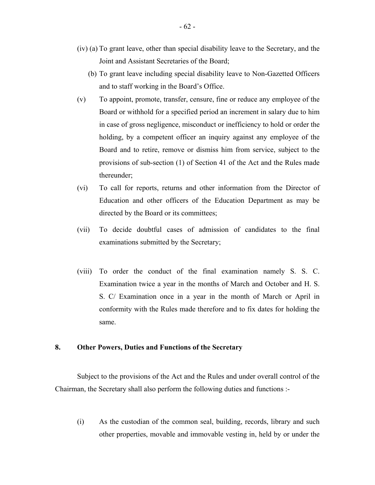- (iv) (a) To grant leave, other than special disability leave to the Secretary, and the Joint and Assistant Secretaries of the Board;
	- (b) To grant leave including special disability leave to Non-Gazetted Officers and to staff working in the Board's Office.
- (v) To appoint, promote, transfer, censure, fine or reduce any employee of the Board or withhold for a specified period an increment in salary due to him in case of gross negligence, misconduct or inefficiency to hold or order the holding, by a competent officer an inquiry against any employee of the Board and to retire, remove or dismiss him from service, subject to the provisions of sub-section (1) of Section 41 of the Act and the Rules made thereunder;
- (vi) To call for reports, returns and other information from the Director of Education and other officers of the Education Department as may be directed by the Board or its committees;
- (vii) To decide doubtful cases of admission of candidates to the final examinations submitted by the Secretary;
- (viii) To order the conduct of the final examination namely S. S. C. Examination twice a year in the months of March and October and H. S. S. C/ Examination once in a year in the month of March or April in conformity with the Rules made therefore and to fix dates for holding the same.

# **8. Other Powers, Duties and Functions of the Secretary**

Subject to the provisions of the Act and the Rules and under overall control of the Chairman, the Secretary shall also perform the following duties and functions :-

(i) As the custodian of the common seal, building, records, library and such other properties, movable and immovable vesting in, held by or under the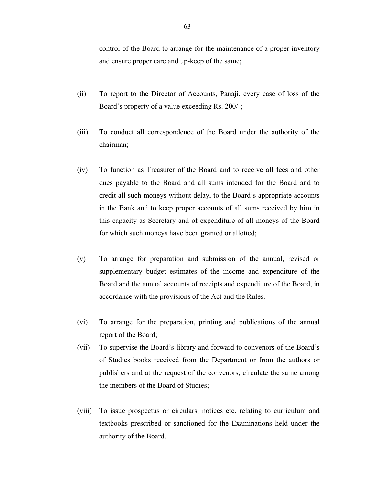control of the Board to arrange for the maintenance of a proper inventory and ensure proper care and up-keep of the same;

- (ii) To report to the Director of Accounts, Panaji, every case of loss of the Board's property of a value exceeding Rs. 200/-;
- (iii) To conduct all correspondence of the Board under the authority of the chairman;
- (iv) To function as Treasurer of the Board and to receive all fees and other dues payable to the Board and all sums intended for the Board and to credit all such moneys without delay, to the Board's appropriate accounts in the Bank and to keep proper accounts of all sums received by him in this capacity as Secretary and of expenditure of all moneys of the Board for which such moneys have been granted or allotted;
- (v) To arrange for preparation and submission of the annual, revised or supplementary budget estimates of the income and expenditure of the Board and the annual accounts of receipts and expenditure of the Board, in accordance with the provisions of the Act and the Rules.
- (vi) To arrange for the preparation, printing and publications of the annual report of the Board;
- (vii) To supervise the Board's library and forward to convenors of the Board's of Studies books received from the Department or from the authors or publishers and at the request of the convenors, circulate the same among the members of the Board of Studies;
- (viii) To issue prospectus or circulars, notices etc. relating to curriculum and textbooks prescribed or sanctioned for the Examinations held under the authority of the Board.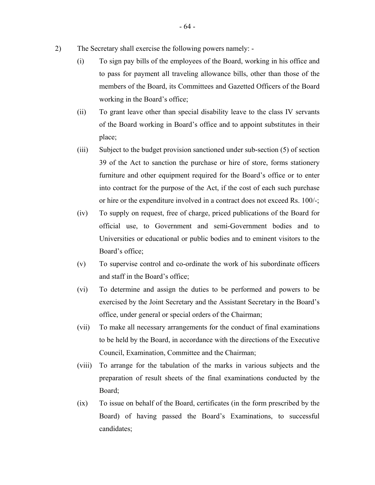- 2) The Secretary shall exercise the following powers namely:
	- (i) To sign pay bills of the employees of the Board, working in his office and to pass for payment all traveling allowance bills, other than those of the members of the Board, its Committees and Gazetted Officers of the Board working in the Board's office;
	- (ii) To grant leave other than special disability leave to the class IV servants of the Board working in Board's office and to appoint substitutes in their place;
	- (iii) Subject to the budget provision sanctioned under sub-section (5) of section 39 of the Act to sanction the purchase or hire of store, forms stationery furniture and other equipment required for the Board's office or to enter into contract for the purpose of the Act, if the cost of each such purchase or hire or the expenditure involved in a contract does not exceed Rs. 100/-;
	- (iv) To supply on request, free of charge, priced publications of the Board for official use, to Government and semi-Government bodies and to Universities or educational or public bodies and to eminent visitors to the Board's office;
	- (v) To supervise control and co-ordinate the work of his subordinate officers and staff in the Board's office;
	- (vi) To determine and assign the duties to be performed and powers to be exercised by the Joint Secretary and the Assistant Secretary in the Board's office, under general or special orders of the Chairman;
	- (vii) To make all necessary arrangements for the conduct of final examinations to be held by the Board, in accordance with the directions of the Executive Council, Examination, Committee and the Chairman;
	- (viii) To arrange for the tabulation of the marks in various subjects and the preparation of result sheets of the final examinations conducted by the Board;
	- (ix) To issue on behalf of the Board, certificates (in the form prescribed by the Board) of having passed the Board's Examinations, to successful candidates;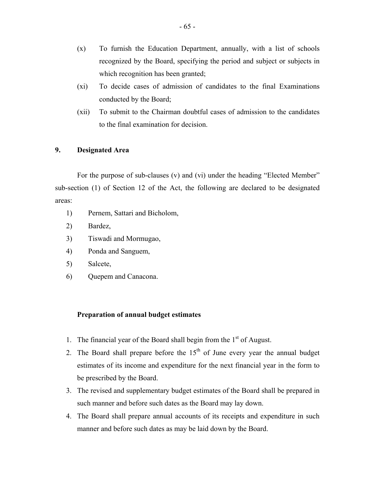- (x) To furnish the Education Department, annually, with a list of schools recognized by the Board, specifying the period and subject or subjects in which recognition has been granted;
- (xi) To decide cases of admission of candidates to the final Examinations conducted by the Board;
- (xii) To submit to the Chairman doubtful cases of admission to the candidates to the final examination for decision.

# **9. Designated Area**

For the purpose of sub-clauses (v) and (vi) under the heading "Elected Member" sub-section (1) of Section 12 of the Act, the following are declared to be designated areas:

- 1) Pernem, Sattari and Bicholom,
- 2) Bardez,
- 3) Tiswadi and Mormugao,
- 4) Ponda and Sanguem,
- 5) Salcete,
- 6) Quepem and Canacona.

# **Preparation of annual budget estimates**

- 1. The financial year of the Board shall begin from the  $1<sup>st</sup>$  of August.
- 2. The Board shall prepare before the  $15<sup>th</sup>$  of June every year the annual budget estimates of its income and expenditure for the next financial year in the form to be prescribed by the Board.
- 3. The revised and supplementary budget estimates of the Board shall be prepared in such manner and before such dates as the Board may lay down.
- 4. The Board shall prepare annual accounts of its receipts and expenditure in such manner and before such dates as may be laid down by the Board.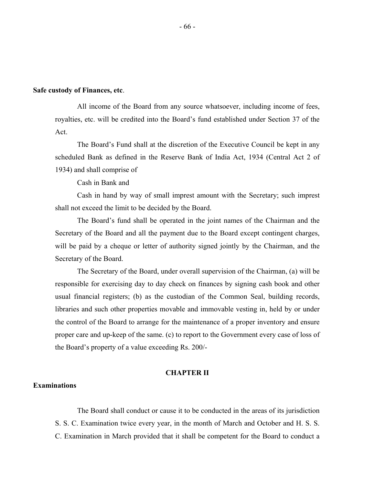# **Safe custody of Finances, etc**.

All income of the Board from any source whatsoever, including income of fees, royalties, etc. will be credited into the Board's fund established under Section 37 of the Act.

The Board's Fund shall at the discretion of the Executive Council be kept in any scheduled Bank as defined in the Reserve Bank of India Act, 1934 (Central Act 2 of 1934) and shall comprise of

Cash in Bank and

Cash in hand by way of small imprest amount with the Secretary; such imprest shall not exceed the limit to be decided by the Board.

The Board's fund shall be operated in the joint names of the Chairman and the Secretary of the Board and all the payment due to the Board except contingent charges, will be paid by a cheque or letter of authority signed jointly by the Chairman, and the Secretary of the Board.

The Secretary of the Board, under overall supervision of the Chairman, (a) will be responsible for exercising day to day check on finances by signing cash book and other usual financial registers; (b) as the custodian of the Common Seal, building records, libraries and such other properties movable and immovable vesting in, held by or under the control of the Board to arrange for the maintenance of a proper inventory and ensure proper care and up-keep of the same. (c) to report to the Government every case of loss of the Board's property of a value exceeding Rs. 200/-

#### **CHAPTER II**

#### **Examinations**

The Board shall conduct or cause it to be conducted in the areas of its jurisdiction S. S. C. Examination twice every year, in the month of March and October and H. S. S. C. Examination in March provided that it shall be competent for the Board to conduct a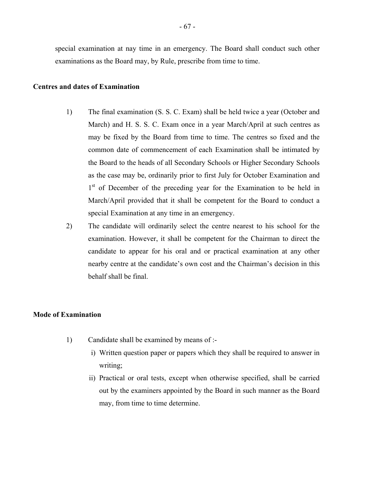special examination at nay time in an emergency. The Board shall conduct such other examinations as the Board may, by Rule, prescribe from time to time.

# **Centres and dates of Examination**

- 1) The final examination (S. S. C. Exam) shall be held twice a year (October and March) and H. S. S. C. Exam once in a year March/April at such centres as may be fixed by the Board from time to time. The centres so fixed and the common date of commencement of each Examination shall be intimated by the Board to the heads of all Secondary Schools or Higher Secondary Schools as the case may be, ordinarily prior to first July for October Examination and 1<sup>st</sup> of December of the preceding year for the Examination to be held in March/April provided that it shall be competent for the Board to conduct a special Examination at any time in an emergency.
- 2) The candidate will ordinarily select the centre nearest to his school for the examination. However, it shall be competent for the Chairman to direct the candidate to appear for his oral and or practical examination at any other nearby centre at the candidate's own cost and the Chairman's decision in this behalf shall be final.

# **Mode of Examination**

- 1) Candidate shall be examined by means of :
	- i) Written question paper or papers which they shall be required to answer in writing;
	- ii) Practical or oral tests, except when otherwise specified, shall be carried out by the examiners appointed by the Board in such manner as the Board may, from time to time determine.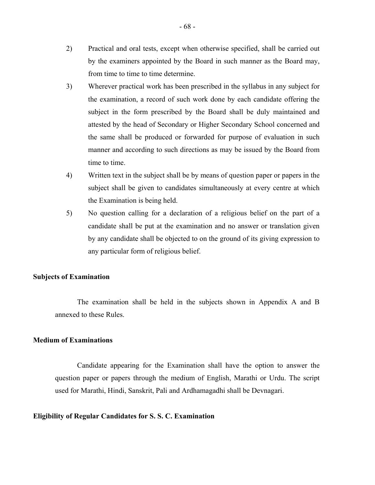- 2) Practical and oral tests, except when otherwise specified, shall be carried out by the examiners appointed by the Board in such manner as the Board may, from time to time to time determine.
- 3) Wherever practical work has been prescribed in the syllabus in any subject for the examination, a record of such work done by each candidate offering the subject in the form prescribed by the Board shall be duly maintained and attested by the head of Secondary or Higher Secondary School concerned and the same shall be produced or forwarded for purpose of evaluation in such manner and according to such directions as may be issued by the Board from time to time.
- 4) Written text in the subject shall be by means of question paper or papers in the subject shall be given to candidates simultaneously at every centre at which the Examination is being held.
- 5) No question calling for a declaration of a religious belief on the part of a candidate shall be put at the examination and no answer or translation given by any candidate shall be objected to on the ground of its giving expression to any particular form of religious belief.

# **Subjects of Examination**

The examination shall be held in the subjects shown in Appendix A and B annexed to these Rules.

# **Medium of Examinations**

Candidate appearing for the Examination shall have the option to answer the question paper or papers through the medium of English, Marathi or Urdu. The script used for Marathi, Hindi, Sanskrit, Pali and Ardhamagadhi shall be Devnagari.

#### **Eligibility of Regular Candidates for S. S. C. Examination**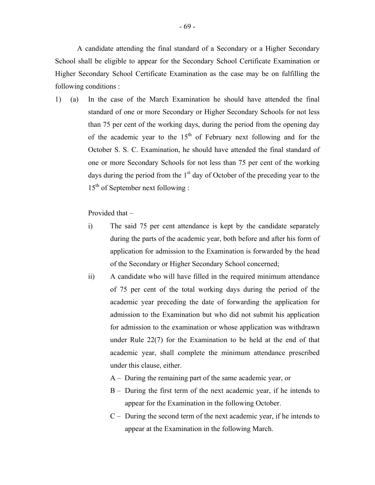A candidate attending the final standard of a Secondary or a Higher Secondary School shall be eligible to appear for the Secondary School Certificate Examination or Higher Secondary School Certificate Examination as the case may be on fulfilling the following conditions :

 $1)$  (a) In the case of the March Examination he should have attended the final standard of one or more Secondary or Higher Secondary Schools for not less than 75 per cent of the working days, during the period from the opening day of the academic year to the  $15<sup>th</sup>$  of February next following and for the October S. S. C. Examination, he should have attended the final standard of one or more Secondary Schools for not less than 75 per cent of the working days during the period from the  $1<sup>st</sup>$  day of October of the preceding year to the  $15<sup>th</sup>$  of September next following :

Provided that –

- i) The said 75 per cent attendance is kept by the candidate separately during the parts of the academic year, both before and after his form of application for admission to the Examination is forwarded by the head of the Secondary or Higher Secondary School concerned;
- ii) A candidate who will have filled in the required minimum attendance of 75 per cent of the total working days during the period of the academic year preceding the date of forwarding the application for admission to the Examination but who did not submit his application for admission to the examination or whose application was withdrawn under Rule 22(7) for the Examination to be held at the end of that academic year, shall complete the minimum attendance prescribed under this clause, either.
	- A During the remaining part of the same academic year, or
	- B During the first term of the next academic year, if he intends to appear for the Examination in the following October.
	- C During the second term of the next academic year, if he intends to appear at the Examination in the following March.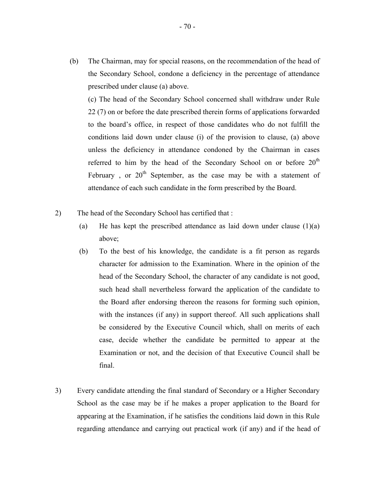(b) The Chairman, may for special reasons, on the recommendation of the head of the Secondary School, condone a deficiency in the percentage of attendance prescribed under clause (a) above.

(c) The head of the Secondary School concerned shall withdraw under Rule 22 (7) on or before the date prescribed therein forms of applications forwarded to the board's office, in respect of those candidates who do not fulfill the conditions laid down under clause (i) of the provision to clause, (a) above unless the deficiency in attendance condoned by the Chairman in cases referred to him by the head of the Secondary School on or before  $20<sup>th</sup>$ February, or  $20<sup>th</sup>$  September, as the case may be with a statement of attendance of each such candidate in the form prescribed by the Board.

- 2) The head of the Secondary School has certified that :
	- (a) He has kept the prescribed attendance as laid down under clause  $(1)(a)$ above;
	- (b) To the best of his knowledge, the candidate is a fit person as regards character for admission to the Examination. Where in the opinion of the head of the Secondary School, the character of any candidate is not good, such head shall nevertheless forward the application of the candidate to the Board after endorsing thereon the reasons for forming such opinion, with the instances (if any) in support thereof. All such applications shall be considered by the Executive Council which, shall on merits of each case, decide whether the candidate be permitted to appear at the Examination or not, and the decision of that Executive Council shall be final.
- 3) Every candidate attending the final standard of Secondary or a Higher Secondary School as the case may be if he makes a proper application to the Board for appearing at the Examination, if he satisfies the conditions laid down in this Rule regarding attendance and carrying out practical work (if any) and if the head of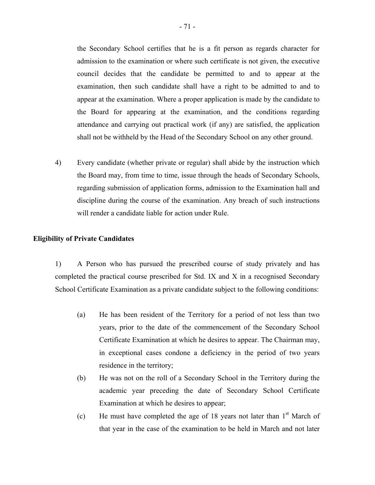the Secondary School certifies that he is a fit person as regards character for admission to the examination or where such certificate is not given, the executive council decides that the candidate be permitted to and to appear at the examination, then such candidate shall have a right to be admitted to and to appear at the examination. Where a proper application is made by the candidate to the Board for appearing at the examination, and the conditions regarding attendance and carrying out practical work (if any) are satisfied, the application shall not be withheld by the Head of the Secondary School on any other ground.

4) Every candidate (whether private or regular) shall abide by the instruction which the Board may, from time to time, issue through the heads of Secondary Schools, regarding submission of application forms, admission to the Examination hall and discipline during the course of the examination. Any breach of such instructions will render a candidate liable for action under Rule.

#### **Eligibility of Private Candidates**

1) A Person who has pursued the prescribed course of study privately and has completed the practical course prescribed for Std. IX and X in a recognised Secondary School Certificate Examination as a private candidate subject to the following conditions:

- (a) He has been resident of the Territory for a period of not less than two years, prior to the date of the commencement of the Secondary School Certificate Examination at which he desires to appear. The Chairman may, in exceptional cases condone a deficiency in the period of two years residence in the territory;
- (b) He was not on the roll of a Secondary School in the Territory during the academic year preceding the date of Secondary School Certificate Examination at which he desires to appear;
- (c) He must have completed the age of 18 years not later than  $1<sup>st</sup>$  March of that year in the case of the examination to be held in March and not later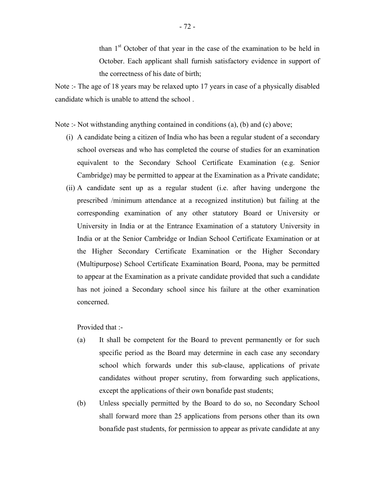than  $1<sup>st</sup>$  October of that year in the case of the examination to be held in October. Each applicant shall furnish satisfactory evidence in support of the correctness of his date of birth;

Note :- The age of 18 years may be relaxed upto 17 years in case of a physically disabled candidate which is unable to attend the school .

Note :- Not withstanding anything contained in conditions (a), (b) and (c) above;

- (i) A candidate being a citizen of India who has been a regular student of a secondary school overseas and who has completed the course of studies for an examination equivalent to the Secondary School Certificate Examination (e.g. Senior Cambridge) may be permitted to appear at the Examination as a Private candidate;
- (ii) A candidate sent up as a regular student (i.e. after having undergone the prescribed /minimum attendance at a recognized institution) but failing at the corresponding examination of any other statutory Board or University or University in India or at the Entrance Examination of a statutory University in India or at the Senior Cambridge or Indian School Certificate Examination or at the Higher Secondary Certificate Examination or the Higher Secondary (Multipurpose) School Certificate Examination Board, Poona, may be permitted to appear at the Examination as a private candidate provided that such a candidate has not joined a Secondary school since his failure at the other examination concerned.

Provided that :-

- (a) It shall be competent for the Board to prevent permanently or for such specific period as the Board may determine in each case any secondary school which forwards under this sub-clause, applications of private candidates without proper scrutiny, from forwarding such applications, except the applications of their own bonafide past students;
- (b) Unless specially permitted by the Board to do so, no Secondary School shall forward more than 25 applications from persons other than its own bonafide past students, for permission to appear as private candidate at any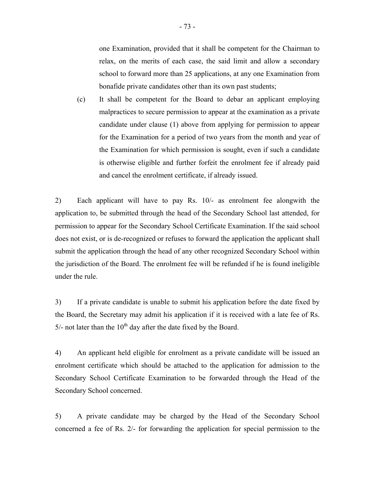one Examination, provided that it shall be competent for the Chairman to relax, on the merits of each case, the said limit and allow a secondary school to forward more than 25 applications, at any one Examination from bonafide private candidates other than its own past students;

(c) It shall be competent for the Board to debar an applicant employing malpractices to secure permission to appear at the examination as a private candidate under clause (1) above from applying for permission to appear for the Examination for a period of two years from the month and year of the Examination for which permission is sought, even if such a candidate is otherwise eligible and further forfeit the enrolment fee if already paid and cancel the enrolment certificate, if already issued.

2) Each applicant will have to pay Rs. 10/- as enrolment fee alongwith the application to, be submitted through the head of the Secondary School last attended, for permission to appear for the Secondary School Certificate Examination. If the said school does not exist, or is de-recognized or refuses to forward the application the applicant shall submit the application through the head of any other recognized Secondary School within the jurisdiction of the Board. The enrolment fee will be refunded if he is found ineligible under the rule.

3) If a private candidate is unable to submit his application before the date fixed by the Board, the Secretary may admit his application if it is received with a late fee of Rs.  $5/-$  not later than the  $10<sup>th</sup>$  day after the date fixed by the Board.

4) An applicant held eligible for enrolment as a private candidate will be issued an enrolment certificate which should be attached to the application for admission to the Secondary School Certificate Examination to be forwarded through the Head of the Secondary School concerned.

5) A private candidate may be charged by the Head of the Secondary School concerned a fee of Rs. 2/- for forwarding the application for special permission to the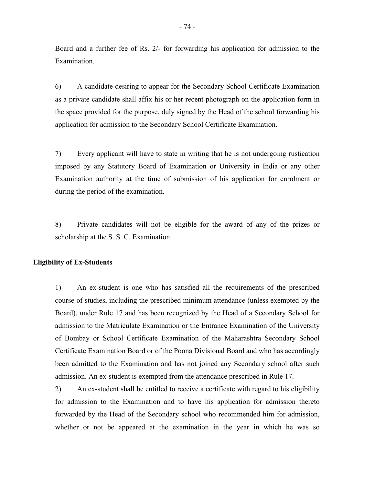Board and a further fee of Rs. 2/- for forwarding his application for admission to the Examination.

6) A candidate desiring to appear for the Secondary School Certificate Examination as a private candidate shall affix his or her recent photograph on the application form in the space provided for the purpose, duly signed by the Head of the school forwarding his application for admission to the Secondary School Certificate Examination.

7) Every applicant will have to state in writing that he is not undergoing rustication imposed by any Statutory Board of Examination or University in India or any other Examination authority at the time of submission of his application for enrolment or during the period of the examination.

8) Private candidates will not be eligible for the award of any of the prizes or scholarship at the S. S. C. Examination.

### **Eligibility of Ex-Students**

1) An ex-student is one who has satisfied all the requirements of the prescribed course of studies, including the prescribed minimum attendance (unless exempted by the Board), under Rule 17 and has been recognized by the Head of a Secondary School for admission to the Matriculate Examination or the Entrance Examination of the University of Bombay or School Certificate Examination of the Maharashtra Secondary School Certificate Examination Board or of the Poona Divisional Board and who has accordingly been admitted to the Examination and has not joined any Secondary school after such admission. An ex-student is exempted from the attendance prescribed in Rule 17.

2) An ex-student shall be entitled to receive a certificate with regard to his eligibility for admission to the Examination and to have his application for admission thereto forwarded by the Head of the Secondary school who recommended him for admission, whether or not be appeared at the examination in the year in which he was so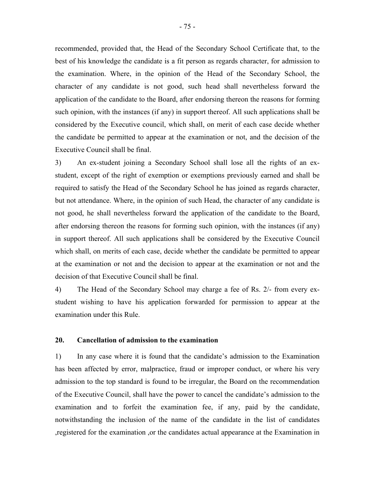recommended, provided that, the Head of the Secondary School Certificate that, to the best of his knowledge the candidate is a fit person as regards character, for admission to the examination. Where, in the opinion of the Head of the Secondary School, the character of any candidate is not good, such head shall nevertheless forward the application of the candidate to the Board, after endorsing thereon the reasons for forming such opinion, with the instances (if any) in support thereof. All such applications shall be considered by the Executive council, which shall, on merit of each case decide whether the candidate be permitted to appear at the examination or not, and the decision of the Executive Council shall be final.

3) An ex-student joining a Secondary School shall lose all the rights of an exstudent, except of the right of exemption or exemptions previously earned and shall be required to satisfy the Head of the Secondary School he has joined as regards character, but not attendance. Where, in the opinion of such Head, the character of any candidate is not good, he shall nevertheless forward the application of the candidate to the Board, after endorsing thereon the reasons for forming such opinion, with the instances (if any) in support thereof. All such applications shall be considered by the Executive Council which shall, on merits of each case, decide whether the candidate be permitted to appear at the examination or not and the decision to appear at the examination or not and the decision of that Executive Council shall be final.

4) The Head of the Secondary School may charge a fee of Rs. 2/- from every exstudent wishing to have his application forwarded for permission to appear at the examination under this Rule.

### **20. Cancellation of admission to the examination**

1) In any case where it is found that the candidate's admission to the Examination has been affected by error, malpractice, fraud or improper conduct, or where his very admission to the top standard is found to be irregular, the Board on the recommendation of the Executive Council, shall have the power to cancel the candidate's admission to the examination and to forfeit the examination fee, if any, paid by the candidate, notwithstanding the inclusion of the name of the candidate in the list of candidates ,registered for the examination ,or the candidates actual appearance at the Examination in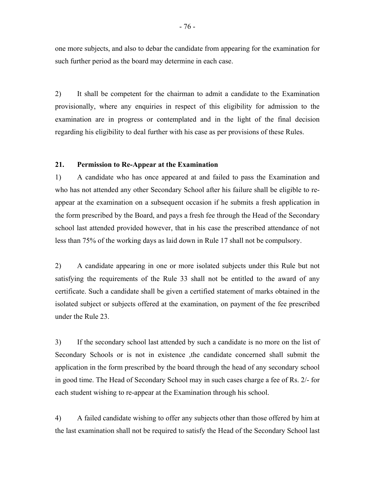one more subjects, and also to debar the candidate from appearing for the examination for such further period as the board may determine in each case.

2) It shall be competent for the chairman to admit a candidate to the Examination provisionally, where any enquiries in respect of this eligibility for admission to the examination are in progress or contemplated and in the light of the final decision regarding his eligibility to deal further with his case as per provisions of these Rules.

### **21. Permission to Re-Appear at the Examination**

1) A candidate who has once appeared at and failed to pass the Examination and who has not attended any other Secondary School after his failure shall be eligible to reappear at the examination on a subsequent occasion if he submits a fresh application in the form prescribed by the Board, and pays a fresh fee through the Head of the Secondary school last attended provided however, that in his case the prescribed attendance of not less than 75% of the working days as laid down in Rule 17 shall not be compulsory.

2) A candidate appearing in one or more isolated subjects under this Rule but not satisfying the requirements of the Rule 33 shall not be entitled to the award of any certificate. Such a candidate shall be given a certified statement of marks obtained in the isolated subject or subjects offered at the examination, on payment of the fee prescribed under the Rule 23.

3) If the secondary school last attended by such a candidate is no more on the list of Secondary Schools or is not in existence ,the candidate concerned shall submit the application in the form prescribed by the board through the head of any secondary school in good time. The Head of Secondary School may in such cases charge a fee of Rs. 2/- for each student wishing to re-appear at the Examination through his school.

4) A failed candidate wishing to offer any subjects other than those offered by him at the last examination shall not be required to satisfy the Head of the Secondary School last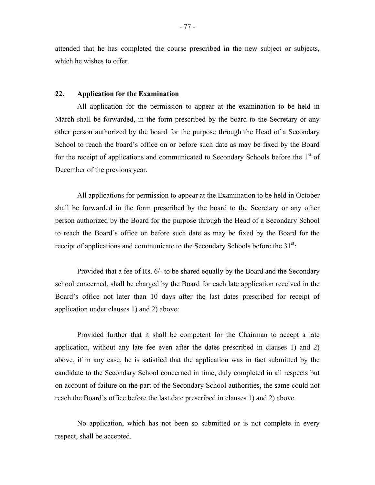attended that he has completed the course prescribed in the new subject or subjects, which he wishes to offer.

### **22. Application for the Examination**

All application for the permission to appear at the examination to be held in March shall be forwarded, in the form prescribed by the board to the Secretary or any other person authorized by the board for the purpose through the Head of a Secondary School to reach the board's office on or before such date as may be fixed by the Board for the receipt of applications and communicated to Secondary Schools before the  $1<sup>st</sup>$  of December of the previous year.

All applications for permission to appear at the Examination to be held in October shall be forwarded in the form prescribed by the board to the Secretary or any other person authorized by the Board for the purpose through the Head of a Secondary School to reach the Board's office on before such date as may be fixed by the Board for the receipt of applications and communicate to the Secondary Schools before the  $31<sup>st</sup>$ .

Provided that a fee of Rs. 6/- to be shared equally by the Board and the Secondary school concerned, shall be charged by the Board for each late application received in the Board's office not later than 10 days after the last dates prescribed for receipt of application under clauses 1) and 2) above:

Provided further that it shall be competent for the Chairman to accept a late application, without any late fee even after the dates prescribed in clauses 1) and 2) above, if in any case, he is satisfied that the application was in fact submitted by the candidate to the Secondary School concerned in time, duly completed in all respects but on account of failure on the part of the Secondary School authorities, the same could not reach the Board's office before the last date prescribed in clauses 1) and 2) above.

No application, which has not been so submitted or is not complete in every respect, shall be accepted.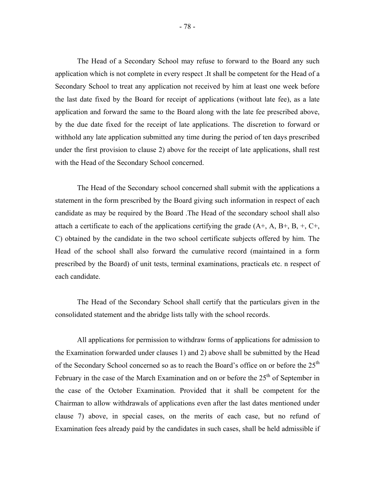The Head of a Secondary School may refuse to forward to the Board any such application which is not complete in every respect .It shall be competent for the Head of a Secondary School to treat any application not received by him at least one week before the last date fixed by the Board for receipt of applications (without late fee), as a late application and forward the same to the Board along with the late fee prescribed above, by the due date fixed for the receipt of late applications. The discretion to forward or withhold any late application submitted any time during the period of ten days prescribed under the first provision to clause 2) above for the receipt of late applications, shall rest with the Head of the Secondary School concerned.

The Head of the Secondary school concerned shall submit with the applications a statement in the form prescribed by the Board giving such information in respect of each candidate as may be required by the Board .The Head of the secondary school shall also attach a certificate to each of the applications certifying the grade  $(A+, A, B+, B, +, C+,$ C) obtained by the candidate in the two school certificate subjects offered by him. The Head of the school shall also forward the cumulative record (maintained in a form prescribed by the Board) of unit tests, terminal examinations, practicals etc. n respect of each candidate.

The Head of the Secondary School shall certify that the particulars given in the consolidated statement and the abridge lists tally with the school records.

All applications for permission to withdraw forms of applications for admission to the Examination forwarded under clauses 1) and 2) above shall be submitted by the Head of the Secondary School concerned so as to reach the Board's office on or before the 25<sup>th</sup> February in the case of the March Examination and on or before the  $25<sup>th</sup>$  of September in the case of the October Examination. Provided that it shall be competent for the Chairman to allow withdrawals of applications even after the last dates mentioned under clause 7) above, in special cases, on the merits of each case, but no refund of Examination fees already paid by the candidates in such cases, shall be held admissible if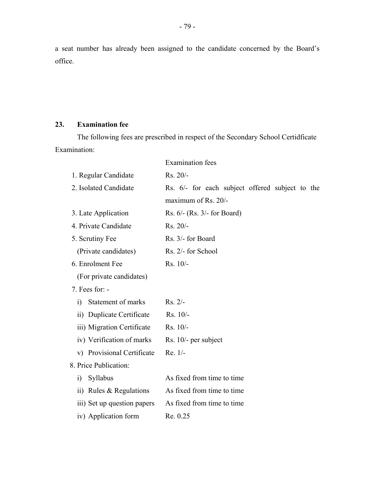a seat number has already been assigned to the candidate concerned by the Board's office.

# **23. Examination fee**

The following fees are prescribed in respect of the Secondary School Certidficate Examination:

|                             | <b>Examination</b> fees                         |
|-----------------------------|-------------------------------------------------|
| 1. Regular Candidate        | Rs. 20/-                                        |
| 2. Isolated Candidate       | Rs. 6/- for each subject offered subject to the |
|                             | maximum of Rs. 20/-                             |
| 3. Late Application         | Rs. $6$ /- (Rs. $3$ /- for Board)               |
| 4. Private Candidate        | Rs. 20/-                                        |
| 5. Scrutiny Fee             | Rs. 3/- for Board                               |
| (Private candidates)        | Rs. 2/- for School                              |
| 6. Enrolment Fee            | Rs. 10/-                                        |
| (For private candidates)    |                                                 |
| $7.$ Fees for: $-$          |                                                 |
| Statement of marks<br>1)    | $Rs. 2/-$                                       |
| ii) Duplicate Certificate   | $Rs. 10/-$                                      |
| iii) Migration Certificate  | $Rs. 10/-$                                      |
| iv) Verification of marks   | Rs. $10/-$ per subject                          |
| v) Provisional Certificate  | $Re. 1/-$                                       |
| 8. Price Publication:       |                                                 |
| Syllabus<br>$\ddot{1}$      | As fixed from time to time                      |
| ii) Rules $&$ Regulations   | As fixed from time to time                      |
| iii) Set up question papers | As fixed from time to time                      |
| iv) Application form        | Re. 0.25                                        |
|                             |                                                 |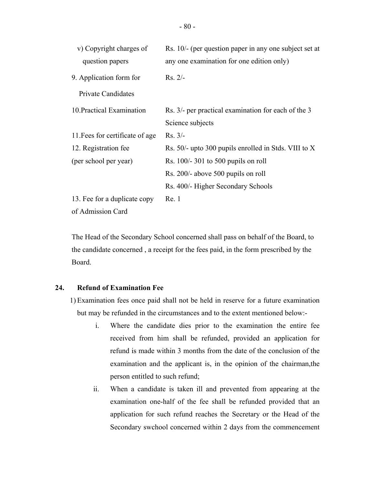| v) Copyright charges of         | Rs. 10/- (per question paper in any one subject set at                  |
|---------------------------------|-------------------------------------------------------------------------|
| question papers                 | any one examination for one edition only)                               |
| 9. Application form for         | $Rs. 2/-$                                                               |
| <b>Private Candidates</b>       |                                                                         |
| 10. Practical Examination       | Rs. 3/- per practical examination for each of the 3<br>Science subjects |
| 11. Fees for certificate of age | $Rs. 3/-$                                                               |
| 12. Registration fee            | Rs. 50/- upto 300 pupils enrolled in Stds. VIII to X                    |
| (per school per year)           | Rs. $100/- 301$ to 500 pupils on roll                                   |
|                                 | Rs. 200/- above 500 pupils on roll                                      |
|                                 | Rs. 400/- Higher Secondary Schools                                      |
| 13. Fee for a duplicate copy    | Re.1                                                                    |
| of Admission Card               |                                                                         |

The Head of the Secondary School concerned shall pass on behalf of the Board, to the candidate concerned , a receipt for the fees paid, in the form prescribed by the Board.

# **24. Refund of Examination Fee**

1) Examination fees once paid shall not be held in reserve for a future examination but may be refunded in the circumstances and to the extent mentioned below:-

- i. Where the candidate dies prior to the examination the entire fee received from him shall be refunded, provided an application for refund is made within 3 months from the date of the conclusion of the examination and the applicant is, in the opinion of the chairman,the person entitled to such refund;
- ii. When a candidate is taken ill and prevented from appearing at the examination one-half of the fee shall be refunded provided that an application for such refund reaches the Secretary or the Head of the Secondary swchool concerned within 2 days from the commencement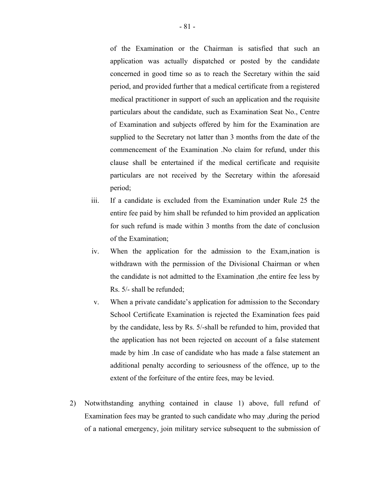of the Examination or the Chairman is satisfied that such an application was actually dispatched or posted by the candidate concerned in good time so as to reach the Secretary within the said period, and provided further that a medical certificate from a registered medical practitioner in support of such an application and the requisite particulars about the candidate, such as Examination Seat No., Centre of Examination and subjects offered by him for the Examination are supplied to the Secretary not latter than 3 months from the date of the commencement of the Examination .No claim for refund, under this clause shall be entertained if the medical certificate and requisite particulars are not received by the Secretary within the aforesaid period;

- iii. If a candidate is excluded from the Examination under Rule 25 the entire fee paid by him shall be refunded to him provided an application for such refund is made within 3 months from the date of conclusion of the Examination;
- iv. When the application for the admission to the Exam, ination is withdrawn with the permission of the Divisional Chairman or when the candidate is not admitted to the Examination ,the entire fee less by Rs. 5/- shall be refunded;
- v. When a private candidate's application for admission to the Secondary School Certificate Examination is rejected the Examination fees paid by the candidate, less by Rs. 5/-shall be refunded to him, provided that the application has not been rejected on account of a false statement made by him .In case of candidate who has made a false statement an additional penalty according to seriousness of the offence, up to the extent of the forfeiture of the entire fees, may be levied.
- 2) Notwithstanding anything contained in clause 1) above, full refund of Examination fees may be granted to such candidate who may ,during the period of a national emergency, join military service subsequent to the submission of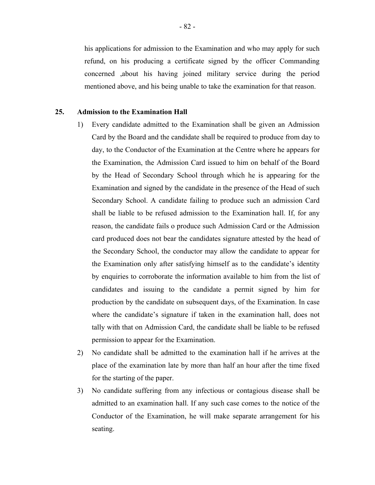his applications for admission to the Examination and who may apply for such refund, on his producing a certificate signed by the officer Commanding concerned ,about his having joined military service during the period mentioned above, and his being unable to take the examination for that reason.

### **25. Admission to the Examination Hall**

- 1) Every candidate admitted to the Examination shall be given an Admission Card by the Board and the candidate shall be required to produce from day to day, to the Conductor of the Examination at the Centre where he appears for the Examination, the Admission Card issued to him on behalf of the Board by the Head of Secondary School through which he is appearing for the Examination and signed by the candidate in the presence of the Head of such Secondary School. A candidate failing to produce such an admission Card shall be liable to be refused admission to the Examination hall. If, for any reason, the candidate fails o produce such Admission Card or the Admission card produced does not bear the candidates signature attested by the head of the Secondary School, the conductor may allow the candidate to appear for the Examination only after satisfying himself as to the candidate's identity by enquiries to corroborate the information available to him from the list of candidates and issuing to the candidate a permit signed by him for production by the candidate on subsequent days, of the Examination. In case where the candidate's signature if taken in the examination hall, does not tally with that on Admission Card, the candidate shall be liable to be refused permission to appear for the Examination.
- 2) No candidate shall be admitted to the examination hall if he arrives at the place of the examination late by more than half an hour after the time fixed for the starting of the paper.
- 3) No candidate suffering from any infectious or contagious disease shall be admitted to an examination hall. If any such case comes to the notice of the Conductor of the Examination, he will make separate arrangement for his seating.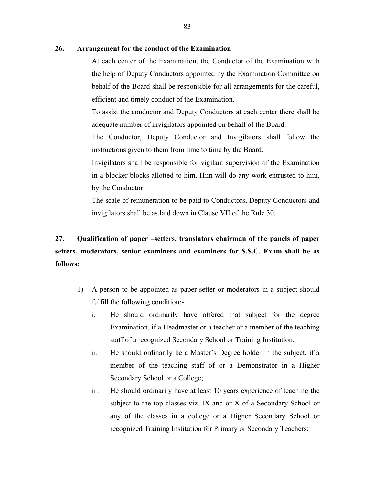### **26. Arrangement for the conduct of the Examination**

At each center of the Examination, the Conductor of the Examination with the help of Deputy Conductors appointed by the Examination Committee on behalf of the Board shall be responsible for all arrangements for the careful, efficient and timely conduct of the Examination.

To assist the conductor and Deputy Conductors at each center there shall be adequate number of invigilators appointed on behalf of the Board.

The Conductor, Deputy Conductor and Invigilators shall follow the instructions given to them from time to time by the Board.

Invigilators shall be responsible for vigilant supervision of the Examination in a blocker blocks allotted to him. Him will do any work entrusted to him, by the Conductor

The scale of remuneration to be paid to Conductors, Deputy Conductors and invigilators shall be as laid down in Clause VII of the Rule 30.

# **27. Qualification of paper –setters, translators chairman of the panels of paper setters, moderators, senior examiners and examiners for S.S.C. Exam shall be as follows:**

- 1) A person to be appointed as paper-setter or moderators in a subject should fulfill the following condition:
	- i. He should ordinarily have offered that subject for the degree Examination, if a Headmaster or a teacher or a member of the teaching staff of a recognized Secondary School or Training Institution;
	- ii. He should ordinarily be a Master's Degree holder in the subject, if a member of the teaching staff of or a Demonstrator in a Higher Secondary School or a College;
	- iii. He should ordinarily have at least 10 years experience of teaching the subject to the top classes viz. IX and or X of a Secondary School or any of the classes in a college or a Higher Secondary School or recognized Training Institution for Primary or Secondary Teachers;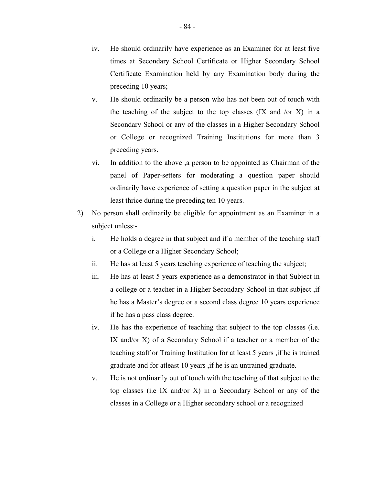- iv. He should ordinarily have experience as an Examiner for at least five times at Secondary School Certificate or Higher Secondary School Certificate Examination held by any Examination body during the preceding 10 years;
- v. He should ordinarily be a person who has not been out of touch with the teaching of the subject to the top classes  $(IX \text{ and } / \text{or } X)$  in a Secondary School or any of the classes in a Higher Secondary School or College or recognized Training Institutions for more than 3 preceding years.
- vi. In addition to the above ,a person to be appointed as Chairman of the panel of Paper-setters for moderating a question paper should ordinarily have experience of setting a question paper in the subject at least thrice during the preceding ten 10 years.
- 2) No person shall ordinarily be eligible for appointment as an Examiner in a subject unless:-
	- i. He holds a degree in that subject and if a member of the teaching staff or a College or a Higher Secondary School;
	- ii. He has at least 5 years teaching experience of teaching the subject;
	- iii. He has at least 5 years experience as a demonstrator in that Subject in a college or a teacher in a Higher Secondary School in that subject ,if he has a Master's degree or a second class degree 10 years experience if he has a pass class degree.
	- iv. He has the experience of teaching that subject to the top classes (i.e. IX and/or X) of a Secondary School if a teacher or a member of the teaching staff or Training Institution for at least 5 years ,if he is trained graduate and for atleast 10 years ,if he is an untrained graduate.
	- v. He is not ordinarily out of touch with the teaching of that subject to the top classes (i.e IX and/or X) in a Secondary School or any of the classes in a College or a Higher secondary school or a recognized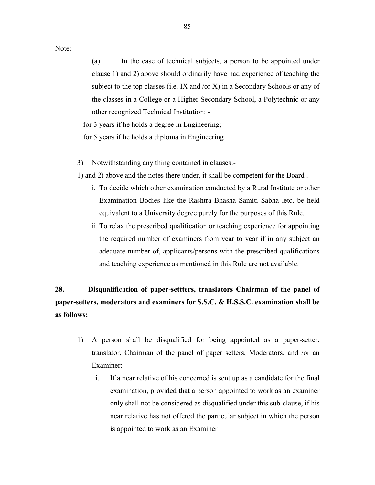Note:-

(a) In the case of technical subjects, a person to be appointed under clause 1) and 2) above should ordinarily have had experience of teaching the subject to the top classes (i.e. IX and /or X) in a Secondary Schools or any of the classes in a College or a Higher Secondary School, a Polytechnic or any other recognized Technical Institution: -

for 3 years if he holds a degree in Engineering;

for 5 years if he holds a diploma in Engineering

3) Notwithstanding any thing contained in clauses:-

1) and 2) above and the notes there under, it shall be competent for the Board .

- i. To decide which other examination conducted by a Rural Institute or other Examination Bodies like the Rashtra Bhasha Samiti Sabha ,etc. be held equivalent to a University degree purely for the purposes of this Rule.
- ii. To relax the prescribed qualification or teaching experience for appointing the required number of examiners from year to year if in any subject an adequate number of, applicants/persons with the prescribed qualifications and teaching experience as mentioned in this Rule are not available.

# **28. Disqualification of paper-settters, translators Chairman of the panel of paper-setters, moderators and examiners for S.S.C. & H.S.S.C. examination shall be as follows:**

- 1) A person shall be disqualified for being appointed as a paper-setter, translator, Chairman of the panel of paper setters, Moderators, and /or an Examiner:
	- i. If a near relative of his concerned is sent up as a candidate for the final examination, provided that a person appointed to work as an examiner only shall not be considered as disqualified under this sub-clause, if his near relative has not offered the particular subject in which the person is appointed to work as an Examiner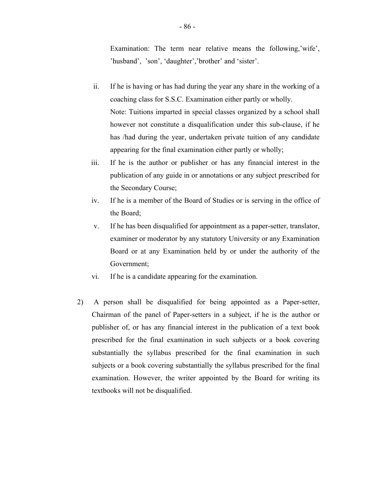Examination: The term near relative means the following,'wife', 'husband', 'son', 'daughter','brother' and 'sister'.

- ii. If he is having or has had during the year any share in the working of a coaching class for S.S.C. Examination either partly or wholly. Note: Tuitions imparted in special classes organized by a school shall however not constitute a disqualification under this sub-clause, if he has /had during the year, undertaken private tuition of any candidate appearing for the final examination either partly or wholly;
- iii. If he is the author or publisher or has any financial interest in the publication of any guide in or annotations or any subject prescribed for the Secondary Course;
- iv. If he is a member of the Board of Studies or is serving in the office of the Board;
- v. If he has been disqualified for appointment as a paper-setter, translator, examiner or moderator by any statutory University or any Examination Board or at any Examination held by or under the authority of the Government;
- vi. If he is a candidate appearing for the examination.
- 2) A person shall be disqualified for being appointed as a Paper-setter, Chairman of the panel of Paper-setters in a subject, if he is the author or publisher of, or has any financial interest in the publication of a text book prescribed for the final examination in such subjects or a book covering substantially the syllabus prescribed for the final examination in such subjects or a book covering substantially the syllabus prescribed for the final examination. However, the writer appointed by the Board for writing its textbooks will not be disqualified.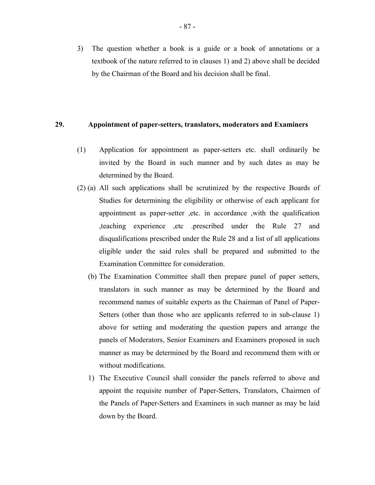3) The question whether a book is a guide or a book of annotations or a textbook of the nature referred to in clauses 1) and 2) above shall be decided by the Chairman of the Board and his decision shall be final.

### **29. Appointment of paper-setters, translators, moderators and Examiners**

- (1) Application for appointment as paper-setters etc. shall ordinarily be invited by the Board in such manner and by such dates as may be determined by the Board.
- (2) (a) All such applications shall be scrutinized by the respective Boards of Studies for determining the eligibility or otherwise of each applicant for appointment as paper-setter ,etc. in accordance ,with the qualification ,teaching experience ,etc .prescribed under the Rule 27 and disqualifications prescribed under the Rule 28 and a list of all applications eligible under the said rules shall be prepared and submitted to the Examination Committee for consideration.
	- (b) The Examination Committee shall then prepare panel of paper setters, translators in such manner as may be determined by the Board and recommend names of suitable experts as the Chairman of Panel of Paper-Setters (other than those who are applicants referred to in sub-clause 1) above for setting and moderating the question papers and arrange the panels of Moderators, Senior Examiners and Examiners proposed in such manner as may be determined by the Board and recommend them with or without modifications.
	- 1) The Executive Council shall consider the panels referred to above and appoint the requisite number of Paper-Setters, Translators, Chairmen of the Panels of Paper-Setters and Examiners in such manner as may be laid down by the Board.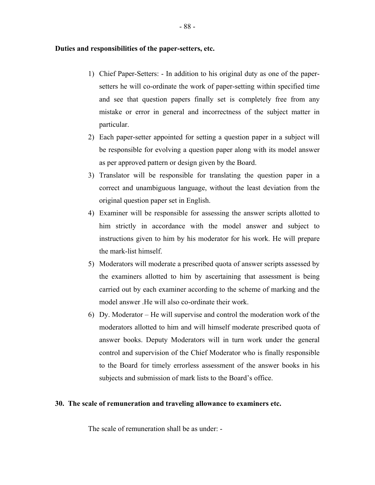### **Duties and responsibilities of the paper-setters, etc.**

- 1) Chief Paper-Setters: In addition to his original duty as one of the papersetters he will co-ordinate the work of paper-setting within specified time and see that question papers finally set is completely free from any mistake or error in general and incorrectness of the subject matter in particular.
- 2) Each paper-setter appointed for setting a question paper in a subject will be responsible for evolving a question paper along with its model answer as per approved pattern or design given by the Board.
- 3) Translator will be responsible for translating the question paper in a correct and unambiguous language, without the least deviation from the original question paper set in English.
- 4) Examiner will be responsible for assessing the answer scripts allotted to him strictly in accordance with the model answer and subject to instructions given to him by his moderator for his work. He will prepare the mark-list himself.
- 5) Moderators will moderate a prescribed quota of answer scripts assessed by the examiners allotted to him by ascertaining that assessment is being carried out by each examiner according to the scheme of marking and the model answer .He will also co-ordinate their work.
- 6) Dy. Moderator He will supervise and control the moderation work of the moderators allotted to him and will himself moderate prescribed quota of answer books. Deputy Moderators will in turn work under the general control and supervision of the Chief Moderator who is finally responsible to the Board for timely errorless assessment of the answer books in his subjects and submission of mark lists to the Board's office.

### **30. The scale of remuneration and traveling allowance to examiners etc.**

The scale of remuneration shall be as under: -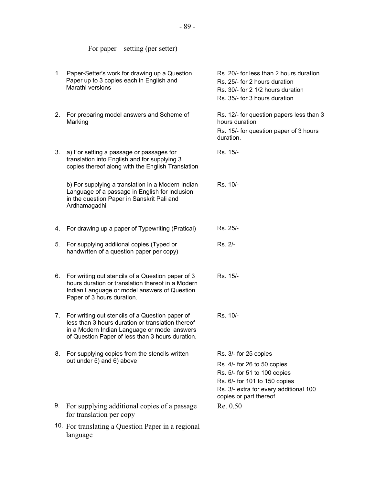### For paper – setting (per setter)

- 1. Paper-Setter's work for drawing up a Question Paper up to 3 copies each in English and Marathi versions
- 2. For preparing model answers and Scheme of Marking
- 3. a) For setting a passage or passages for translation into English and for supplying 3 copies thereof along with the English Translation

b) For supplying a translation in a Modern Indian Language of a passage in English for inclusion in the question Paper in Sanskrit Pali and Ardhamagadhi

- 
- 4. For drawing up a paper of Typewriting (Pratical)<br>5. For supplying addiional copies (Typed or handwrtten of a question paper per copy)
- 6. For writing out stencils of a Question paper of 3 hours duration or translation thereof in a Modern Indian Language or model answers of Question Paper of 3 hours duration.
- 7. For writing out stencils of a Question paper of less than 3 hours duration or translation thereof in a Modern Indian Language or model answers of Question Paper of less than 3 hours duration.
- 8. For supplying copies from the stencils written out under 5) and 6) above
- 9. For supplying additional copies of a passage for translation per copy
- 10. For translating a Question Paper in a regional language

Rs. 20/- for less than 2 hours duration Rs. 25/- for 2 hours duration Rs. 30/- for 2 1/2 hours duration Rs. 35/- for 3 hours duration Rs. 12/- for question papers less than 3 hours duration Rs. 15/- for question paper of 3 hours duration. Rs. 15/- Rs. 10/- Rs. 25/- Rs. 2/- Rs. 15/- Rs. 10/- Rs. 3/- for 25 copies Rs. 4/- for 26 to 50 copies Rs. 5/- for 51 to 100 copies Rs. 6/- for 101 to 150 copies Rs. 3/- extra for every additional 100 copies or part thereof

Re. 0.50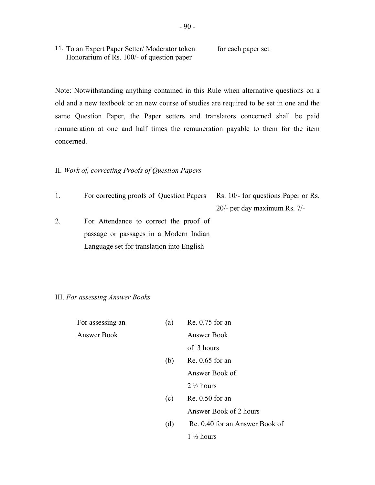11. To an Expert Paper Setter/Moderator token for each paper set Honorarium of Rs. 100/- of question paper

Note: Notwithstanding anything contained in this Rule when alternative questions on a old and a new textbook or an new course of studies are required to be set in one and the same Question Paper, the Paper setters and translators concerned shall be paid remuneration at one and half times the remuneration payable to them for the item concerned.

### II. *Work of, correcting Proofs of Question Papers*

1. For correcting proofs of Question Papers Rs. 10/- for questions Paper or Rs.

20/- per day maximum Rs. 7/-

2. For Attendance to correct the proof of passage or passages in a Modern Indian Language set for translation into English

### III. *For assessing Answer Books*

| For assessing an   | (a) | Re. 0.75 for an                |
|--------------------|-----|--------------------------------|
| <b>Answer Book</b> |     | <b>Answer Book</b>             |
|                    |     | of 3 hours                     |
|                    | (b) | $Re. 0.65$ for an              |
|                    |     | Answer Book of                 |
|                    |     | $2\frac{1}{2}$ hours           |
|                    | (c) | $Re. 0.50$ for an              |
|                    |     | Answer Book of 2 hours         |
|                    | (d) | Re. 0.40 for an Answer Book of |
|                    |     | $1\frac{1}{2}$ hours           |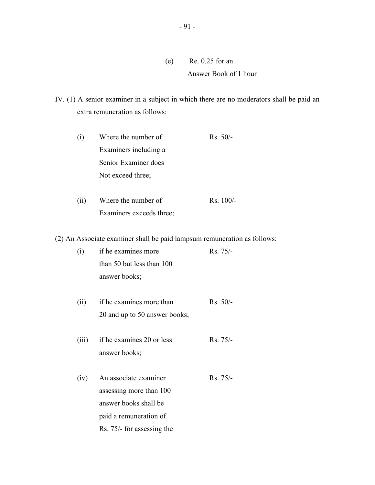- (e) Re. 0.25 for an Answer Book of 1 hour
- IV. (1) A senior examiner in a subject in which there are no moderators shall be paid an extra remuneration as follows:

| (1) | Where the number of   | $Rs. 50/-$ |
|-----|-----------------------|------------|
|     | Examiners including a |            |
|     | Senior Examiner does  |            |
|     | Not exceed three;     |            |

(ii) Where the number of Rs. 100/-Examiners exceeds three;

(2) An Associate examiner shall be paid lampsum remuneration as follows:

| (i)   | if he examines more           | Rs. 75/-   |
|-------|-------------------------------|------------|
|       | than 50 but less than 100     |            |
|       | answer books;                 |            |
| (ii)  | if he examines more than      | $Rs. 50/-$ |
|       | 20 and up to 50 answer books; |            |
| (iii) | if he examines 20 or less     | Rs. 75/-   |
|       | answer books;                 |            |
| (iv)  | An associate examiner         | Rs. 75/-   |
|       | assessing more than 100       |            |
|       | answer books shall be         |            |
|       | paid a remuneration of        |            |

Rs. 75/- for assessing the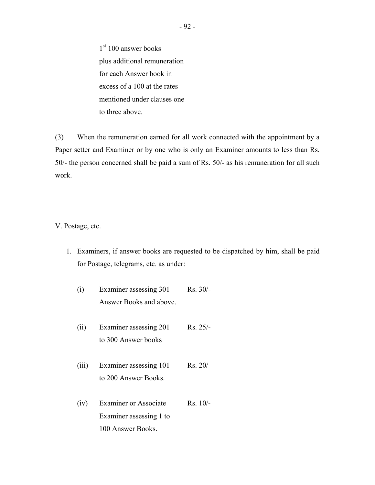1st 100 answer books plus additional remuneration for each Answer book in excess of a 100 at the rates mentioned under clauses one to three above.

(3) When the remuneration earned for all work connected with the appointment by a Paper setter and Examiner or by one who is only an Examiner amounts to less than Rs. 50/- the person concerned shall be paid a sum of Rs. 50/- as his remuneration for all such work.

V. Postage, etc.

- 1. Examiners, if answer books are requested to be dispatched by him, shall be paid for Postage, telegrams, etc. as under:
	- (i) Examiner assessing 301 Rs. 30/- Answer Books and above.
	- (ii) Examiner assessing 201 Rs. 25/to 300 Answer books
	- (iii) Examiner assessing 101 Rs. 20/to 200 Answer Books.
	- (iv) Examiner or Associate Rs. 10/- Examiner assessing 1 to 100 Answer Books.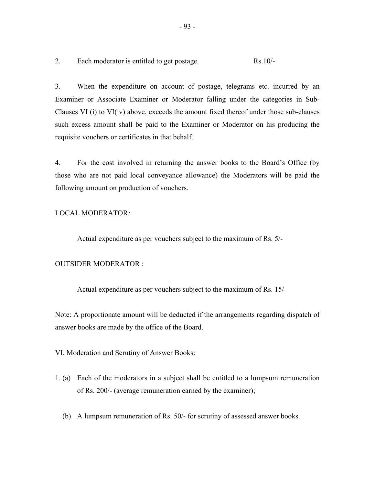2. Each moderator is entitled to get postage.  $Rs.10/-$ 

3. When the expenditure on account of postage, telegrams etc. incurred by an Examiner or Associate Examiner or Moderator falling under the categories in Sub-Clauses VI (i) to VI(iv) above, exceeds the amount fixed thereof under those sub-clauses such excess amount shall be paid to the Examiner or Moderator on his producing the requisite vouchers or certificates in that behalf.

4. For the cost involved in returning the answer books to the Board's Office (by those who are not paid local conveyance allowance) the Moderators will be paid the following amount on production of vouchers.

### LOCAL MODERATOR*:*

Actual expenditure as per vouchers subject to the maximum of Rs. 5/-

### OUTSIDER MODERATOR :

Actual expenditure as per vouchers subject to the maximum of Rs. 15/-

Note: A proportionate amount will be deducted if the arrangements regarding dispatch of answer books are made by the office of the Board.

VI. Moderation and Scrutiny of Answer Books:

- 1. (a) Each of the moderators in a subject shall be entitled to a lumpsum remuneration of Rs. 200/- (average remuneration earned by the examiner);
	- (b) A lumpsum remuneration of Rs. 50/- for scrutiny of assessed answer books.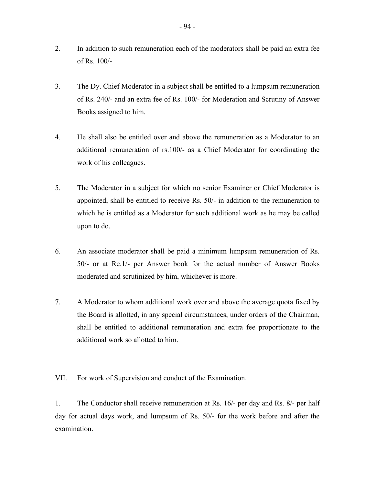- 2. In addition to such remuneration each of the moderators shall be paid an extra fee of Rs. 100/-
- 3. The Dy. Chief Moderator in a subject shall be entitled to a lumpsum remuneration of Rs. 240/- and an extra fee of Rs. 100/- for Moderation and Scrutiny of Answer Books assigned to him.
- 4. He shall also be entitled over and above the remuneration as a Moderator to an additional remuneration of rs.100/- as a Chief Moderator for coordinating the work of his colleagues.
- 5. The Moderator in a subject for which no senior Examiner or Chief Moderator is appointed, shall be entitled to receive Rs. 50/- in addition to the remuneration to which he is entitled as a Moderator for such additional work as he may be called upon to do.
- 6. An associate moderator shall be paid a minimum lumpsum remuneration of Rs. 50/- or at Re.1/- per Answer book for the actual number of Answer Books moderated and scrutinized by him, whichever is more.
- 7. A Moderator to whom additional work over and above the average quota fixed by the Board is allotted, in any special circumstances, under orders of the Chairman, shall be entitled to additional remuneration and extra fee proportionate to the additional work so allotted to him.

VII. For work of Supervision and conduct of the Examination.

1. The Conductor shall receive remuneration at Rs. 16/- per day and Rs. 8/- per half day for actual days work, and lumpsum of Rs. 50/- for the work before and after the examination.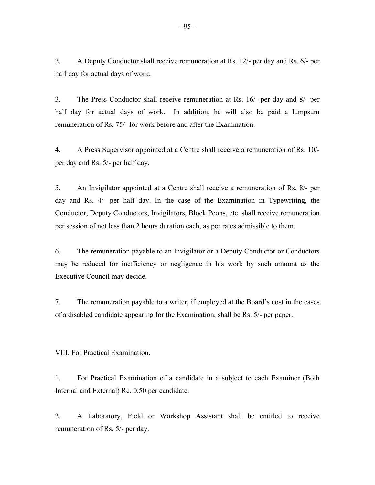2. A Deputy Conductor shall receive remuneration at Rs. 12/- per day and Rs. 6/- per half day for actual days of work.

3. The Press Conductor shall receive remuneration at Rs. 16/- per day and 8/- per half day for actual days of work. In addition, he will also be paid a lumpsum remuneration of Rs. 75/- for work before and after the Examination.

4. A Press Supervisor appointed at a Centre shall receive a remuneration of Rs. 10/ per day and Rs. 5/- per half day.

5. An Invigilator appointed at a Centre shall receive a remuneration of Rs. 8/- per day and Rs. 4/- per half day. In the case of the Examination in Typewriting, the Conductor, Deputy Conductors, Invigilators, Block Peons, etc. shall receive remuneration per session of not less than 2 hours duration each, as per rates admissible to them.

6. The remuneration payable to an Invigilator or a Deputy Conductor or Conductors may be reduced for inefficiency or negligence in his work by such amount as the Executive Council may decide.

7. The remuneration payable to a writer, if employed at the Board's cost in the cases of a disabled candidate appearing for the Examination, shall be Rs. 5/- per paper.

VIII. For Practical Examination.

1. For Practical Examination of a candidate in a subject to each Examiner (Both Internal and External) Re. 0.50 per candidate.

2. A Laboratory, Field or Workshop Assistant shall be entitled to receive remuneration of Rs. 5/- per day.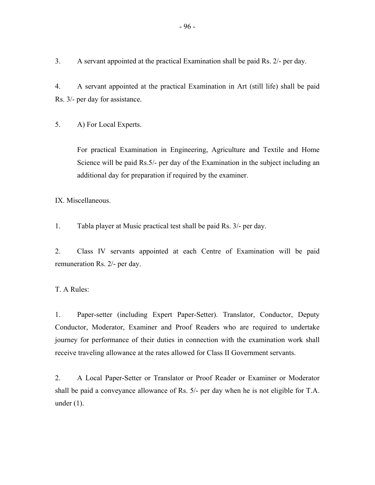3. A servant appointed at the practical Examination shall be paid Rs. 2/- per day.

4. A servant appointed at the practical Examination in Art (still life) shall be paid Rs. 3/- per day for assistance.

5. A) For Local Experts.

For practical Examination in Engineering, Agriculture and Textile and Home Science will be paid Rs.5/- per day of the Examination in the subject including an additional day for preparation if required by the examiner.

IX. Miscellaneous.

1. Tabla player at Music practical test shall be paid Rs. 3/- per day.

2. Class IV servants appointed at each Centre of Examination will be paid remuneration Rs. 2/- per day.

T. A Rules:

1. Paper-setter (including Expert Paper-Setter). Translator, Conductor, Deputy Conductor, Moderator, Examiner and Proof Readers who are required to undertake journey for performance of their duties in connection with the examination work shall receive traveling allowance at the rates allowed for Class II Government servants.

2. A Local Paper-Setter or Translator or Proof Reader or Examiner or Moderator shall be paid a conveyance allowance of Rs. 5/- per day when he is not eligible for T.A. under (1).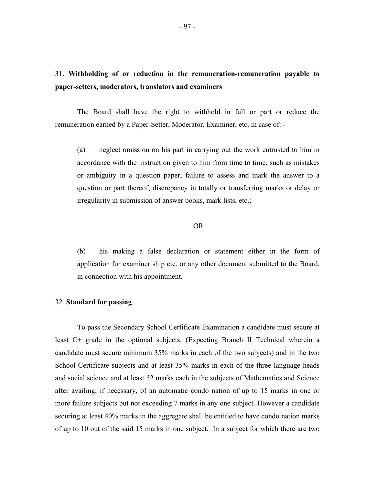# 31. **Withholding of or reduction in the remuneration-remuneration payable to paper-setters, moderators, translators and examiners**

The Board shall have the right to withhold in full or part or reduce the remuneration earned by a Paper-Setter, Moderator, Examiner, etc. in case of: -

(a) neglect omission on his part in carrying out the work entrusted to him in accordance with the instruction given to him from time to time, such as mistakes or ambiguity in a question paper, failure to assess and mark the answer to a question or part thereof, discrepancy in totally or transferring marks or delay or irregularity in submission of answer books, mark lists, etc.;

# OR

(b) his making a false declaration or statement either in the form of application for examiner ship etc. or any other document submitted to the Board, in connection with his appointment.

#### 32. **Standard for passing**

To pass the Secondary School Certificate Examination a candidate must secure at least C+ grade in the optional subjects. (Expecting Branch II Technical wherein a candidate must secure minimum 35% marks in each of the two subjects) and in the two School Certificate subjects and at least 35% marks in each of the three language heads and social science and at least 52 marks each in the subjects of Mathematics and Science after availing, if necessary, of an automatic condo nation of up to 15 marks in one or more failure subjects but not exceeding 7 marks in any one subject. However a candidate securing at least 40% marks in the aggregate shall be entitled to have condo nation marks of up to 10 out of the said 15 marks in one subject. In a subject for which there are two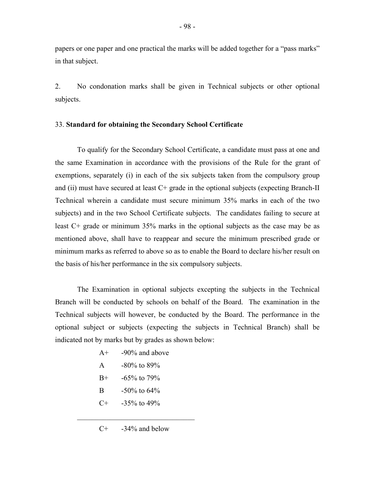papers or one paper and one practical the marks will be added together for a "pass marks" in that subject.

2. No condonation marks shall be given in Technical subjects or other optional subjects.

### 33. **Standard for obtaining the Secondary School Certificate**

To qualify for the Secondary School Certificate, a candidate must pass at one and the same Examination in accordance with the provisions of the Rule for the grant of exemptions, separately (i) in each of the six subjects taken from the compulsory group and (ii) must have secured at least  $C<sup>+</sup>$  grade in the optional subjects (expecting Branch-II Technical wherein a candidate must secure minimum 35% marks in each of the two subjects) and in the two School Certificate subjects. The candidates failing to secure at least C+ grade or minimum 35% marks in the optional subjects as the case may be as mentioned above, shall have to reappear and secure the minimum prescribed grade or minimum marks as referred to above so as to enable the Board to declare his/her result on the basis of his/her performance in the six compulsory subjects.

The Examination in optional subjects excepting the subjects in the Technical Branch will be conducted by schools on behalf of the Board. The examination in the Technical subjects will however, be conducted by the Board. The performance in the optional subject or subjects (expecting the subjects in Technical Branch) shall be indicated not by marks but by grades as shown below:

- $A<sup>+</sup>$  -90% and above
- A  $-80\%$  to  $89\%$
- $B+ -65\%$  to 79%
- B -50% to 64%
- $C+$  -35% to 49%

 $\mathcal{L}_\text{max}$  , and the set of the set of the set of the set of the set of the set of the set of the set of the set of the set of the set of the set of the set of the set of the set of the set of the set of the set of the

 $C^+$  -34% and below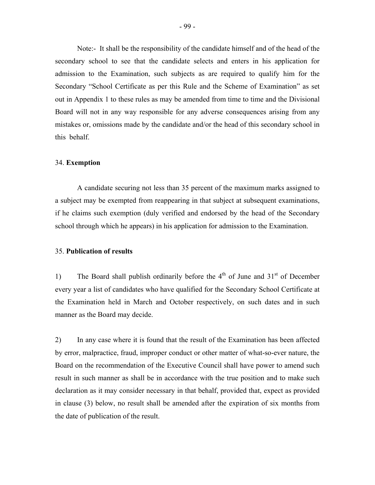Note:- It shall be the responsibility of the candidate himself and of the head of the secondary school to see that the candidate selects and enters in his application for admission to the Examination, such subjects as are required to qualify him for the Secondary "School Certificate as per this Rule and the Scheme of Examination" as set out in Appendix 1 to these rules as may be amended from time to time and the Divisional Board will not in any way responsible for any adverse consequences arising from any mistakes or, omissions made by the candidate and/or the head of this secondary school in this behalf.

### 34. **Exemption**

A candidate securing not less than 35 percent of the maximum marks assigned to a subject may be exempted from reappearing in that subject at subsequent examinations, if he claims such exemption (duly verified and endorsed by the head of the Secondary school through which he appears) in his application for admission to the Examination.

### 35. **Publication of results**

1) The Board shall publish ordinarily before the  $4<sup>th</sup>$  of June and  $31<sup>st</sup>$  of December every year a list of candidates who have qualified for the Secondary School Certificate at the Examination held in March and October respectively, on such dates and in such manner as the Board may decide.

2) In any case where it is found that the result of the Examination has been affected by error, malpractice, fraud, improper conduct or other matter of what-so-ever nature, the Board on the recommendation of the Executive Council shall have power to amend such result in such manner as shall be in accordance with the true position and to make such declaration as it may consider necessary in that behalf, provided that, expect as provided in clause (3) below, no result shall be amended after the expiration of six months from the date of publication of the result.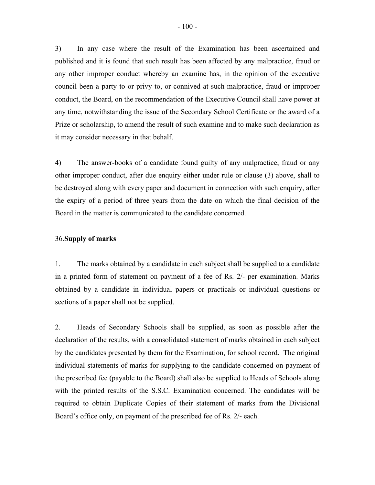3) In any case where the result of the Examination has been ascertained and published and it is found that such result has been affected by any malpractice, fraud or any other improper conduct whereby an examine has, in the opinion of the executive council been a party to or privy to, or connived at such malpractice, fraud or improper conduct, the Board, on the recommendation of the Executive Council shall have power at any time, notwithstanding the issue of the Secondary School Certificate or the award of a Prize or scholarship, to amend the result of such examine and to make such declaration as it may consider necessary in that behalf.

4) The answer-books of a candidate found guilty of any malpractice, fraud or any other improper conduct, after due enquiry either under rule or clause (3) above, shall to be destroyed along with every paper and document in connection with such enquiry, after the expiry of a period of three years from the date on which the final decision of the Board in the matter is communicated to the candidate concerned.

### 36.**Supply of marks**

1. The marks obtained by a candidate in each subject shall be supplied to a candidate in a printed form of statement on payment of a fee of Rs. 2/- per examination. Marks obtained by a candidate in individual papers or practicals or individual questions or sections of a paper shall not be supplied.

2. Heads of Secondary Schools shall be supplied, as soon as possible after the declaration of the results, with a consolidated statement of marks obtained in each subject by the candidates presented by them for the Examination, for school record. The original individual statements of marks for supplying to the candidate concerned on payment of the prescribed fee (payable to the Board) shall also be supplied to Heads of Schools along with the printed results of the S.S.C. Examination concerned. The candidates will be required to obtain Duplicate Copies of their statement of marks from the Divisional Board's office only, on payment of the prescribed fee of Rs. 2/- each.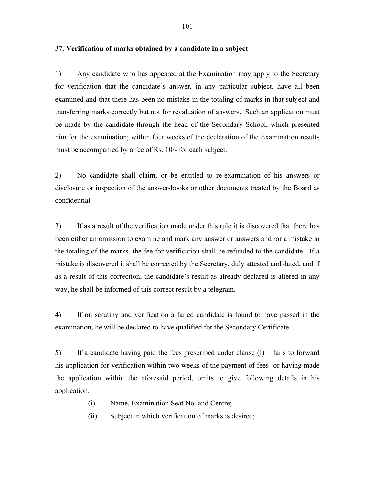1) Any candidate who has appeared at the Examination may apply to the Secretary for verification that the candidate's answer, in any particular subject, have all been examined and that there has been no mistake in the totaling of marks in that subject and transferring marks correctly but not for revaluation of answers. Such an application must be made by the candidate through the head of the Secondary School, which presented him for the examination; within four weeks of the declaration of the Examination results

2) No candidate shall claim, or be entitled to re-examination of his answers or disclosure or inspection of the answer-books or other documents treated by the Board as confidential.

3) If as a result of the verification made under this rule it is discovered that there has been either an omission to examine and mark any answer or answers and /or a mistake in the totaling of the marks, the fee for verification shall be refunded to the candidate. If a mistake is discovered it shall be corrected by the Secretary, duly attested and dated, and if as a result of this correction, the candidate's result as already declared is altered in any way, he shall be informed of this correct result by a telegram.

4) If on scrutiny and verification a failed candidate is found to have passed in the examination, he will be declared to have qualified for the Secondary Certificate.

5) If a candidate having paid the fees prescribed under clause (I) – fails to forward his application for verification within two weeks of the payment of fees- or having made the application within the aforesaid period, omits to give following details in his application.

- (i) Name, Examination Seat No. and Centre;
- (ii) Subject in which verification of marks is desired;

37. **Verification of marks obtained by a candidate in a subject** 

must be accompanied by a fee of Rs. 10/- for each subject.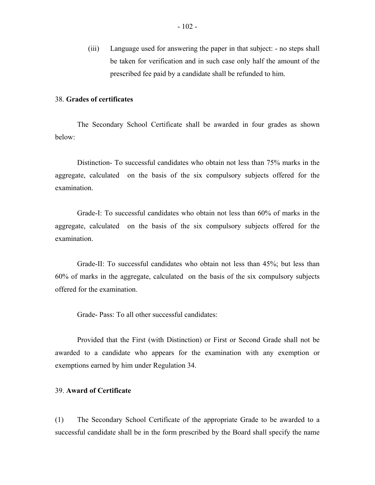(iii) Language used for answering the paper in that subject: - no steps shall be taken for verification and in such case only half the amount of the prescribed fee paid by a candidate shall be refunded to him.

## 38. **Grades of certificates**

The Secondary School Certificate shall be awarded in four grades as shown below:

Distinction- To successful candidates who obtain not less than 75% marks in the aggregate, calculated on the basis of the six compulsory subjects offered for the examination.

Grade-I: To successful candidates who obtain not less than 60% of marks in the aggregate, calculated on the basis of the six compulsory subjects offered for the examination.

Grade-II: To successful candidates who obtain not less than 45%; but less than 60% of marks in the aggregate, calculated on the basis of the six compulsory subjects offered for the examination.

Grade- Pass: To all other successful candidates:

Provided that the First (with Distinction) or First or Second Grade shall not be awarded to a candidate who appears for the examination with any exemption or exemptions earned by him under Regulation 34.

# 39. **Award of Certificate**

(1) The Secondary School Certificate of the appropriate Grade to be awarded to a successful candidate shall be in the form prescribed by the Board shall specify the name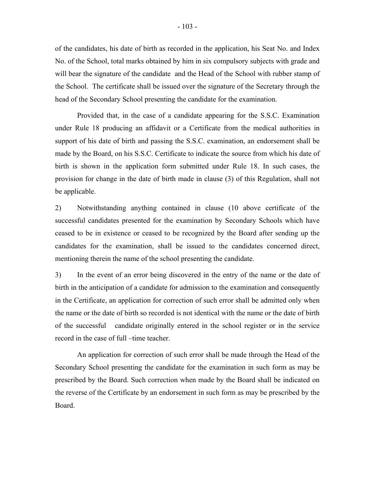of the candidates, his date of birth as recorded in the application, his Seat No. and Index No. of the School, total marks obtained by him in six compulsory subjects with grade and will bear the signature of the candidate and the Head of the School with rubber stamp of the School. The certificate shall be issued over the signature of the Secretary through the head of the Secondary School presenting the candidate for the examination.

Provided that, in the case of a candidate appearing for the S.S.C. Examination under Rule 18 producing an affidavit or a Certificate from the medical authorities in support of his date of birth and passing the S.S.C. examination, an endorsement shall be made by the Board, on his S.S.C. Certificate to indicate the source from which his date of birth is shown in the application form submitted under Rule 18. In such cases, the provision for change in the date of birth made in clause (3) of this Regulation, shall not be applicable.

2) Notwithstanding anything contained in clause (10 above certificate of the successful candidates presented for the examination by Secondary Schools which have ceased to be in existence or ceased to be recognized by the Board after sending up the candidates for the examination, shall be issued to the candidates concerned direct, mentioning therein the name of the school presenting the candidate.

3) In the event of an error being discovered in the entry of the name or the date of birth in the anticipation of a candidate for admission to the examination and consequently in the Certificate, an application for correction of such error shall be admitted only when the name or the date of birth so recorded is not identical with the name or the date of birth of the successful candidate originally entered in the school register or in the service record in the case of full –time teacher.

An application for correction of such error shall be made through the Head of the Secondary School presenting the candidate for the examination in such form as may be prescribed by the Board. Such correction when made by the Board shall be indicated on the reverse of the Certificate by an endorsement in such form as may be prescribed by the Board.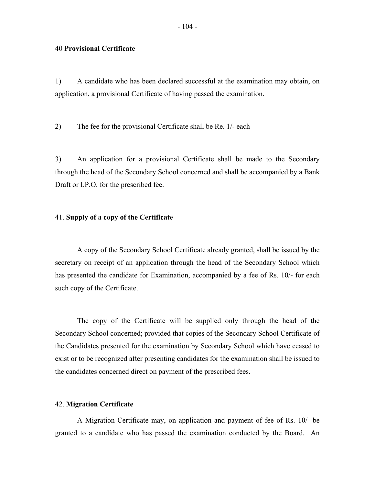1) A candidate who has been declared successful at the examination may obtain, on application, a provisional Certificate of having passed the examination.

2) The fee for the provisional Certificate shall be Re. 1/- each

3) An application for a provisional Certificate shall be made to the Secondary through the head of the Secondary School concerned and shall be accompanied by a Bank Draft or I.P.O. for the prescribed fee.

### 41. **Supply of a copy of the Certificate**

A copy of the Secondary School Certificate already granted, shall be issued by the secretary on receipt of an application through the head of the Secondary School which has presented the candidate for Examination, accompanied by a fee of Rs. 10/- for each such copy of the Certificate.

The copy of the Certificate will be supplied only through the head of the Secondary School concerned; provided that copies of the Secondary School Certificate of the Candidates presented for the examination by Secondary School which have ceased to exist or to be recognized after presenting candidates for the examination shall be issued to the candidates concerned direct on payment of the prescribed fees.

### 42. **Migration Certificate**

A Migration Certificate may, on application and payment of fee of Rs. 10/- be granted to a candidate who has passed the examination conducted by the Board. An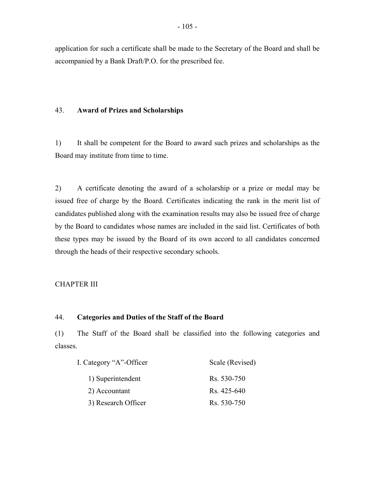application for such a certificate shall be made to the Secretary of the Board and shall be accompanied by a Bank Draft/P.O. for the prescribed fee.

### 43. **Award of Prizes and Scholarships**

1) It shall be competent for the Board to award such prizes and scholarships as the Board may institute from time to time.

2) A certificate denoting the award of a scholarship or a prize or medal may be issued free of charge by the Board. Certificates indicating the rank in the merit list of candidates published along with the examination results may also be issued free of charge by the Board to candidates whose names are included in the said list. Certificates of both these types may be issued by the Board of its own accord to all candidates concerned through the heads of their respective secondary schools.

# CHAPTER III

## 44. **Categories and Duties of the Staff of the Board**

(1) The Staff of the Board shall be classified into the following categories and classes.

| I. Category "A"-Officer | Scale (Revised) |  |
|-------------------------|-----------------|--|
| 1) Superintendent       | Rs. 530-750     |  |
| 2) Accountant           | Rs. 425-640     |  |
| 3) Research Officer     | Rs. 530-750     |  |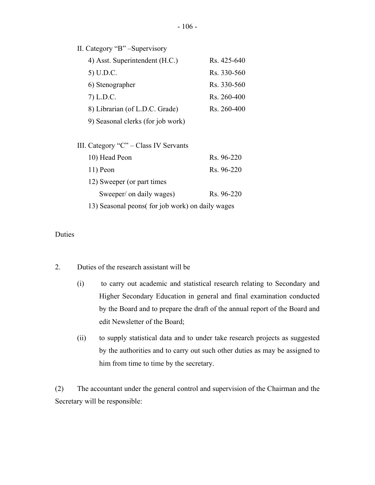II. Category "B" –Supervisory

| 4) Asst. Superintendent (H.C.)        | R <sub>S</sub> 425-640 |
|---------------------------------------|------------------------|
| 5) U.D.C.                             | Rs. 330-560            |
| 6) Stenographer                       | Rs. 330-560            |
| 7) L.D.C.                             | Rs. 260-400            |
| 8) Librarian (of L.D.C. Grade)        | Rs. 260-400            |
| 9) Seasonal clerks (for job work)     |                        |
|                                       |                        |
| III. Category "C" – Class IV Servants |                        |
| 10) Head Peon                         | Rs. 96-220             |
| 11) Peon                              | Rs. 96-220             |
| 12) Sweeper (or part times            |                        |
| Sweeper/ on daily wages)              | Rs. 96-220             |
|                                       |                        |

13) Seasonal peons( for job work) on daily wages

Duties

- Duties of the research assistant will be
- 2. Duties of the research assistant will be<br>(i) to carry out academic and statistical research relating to Secondary and Higher Secondary Education in general and final examination conducted by the Board and to prepare the draft of the annual report of the Board and edit Newsletter of the Board;
	- (ii) to supply statistical data and to under take research projects as suggested by the authorities and to carry out such other duties as may be assigned to him from time to time by the secretary.

(2) The accountant under the general control and supervision of the Chairman and the Secretary will be responsible: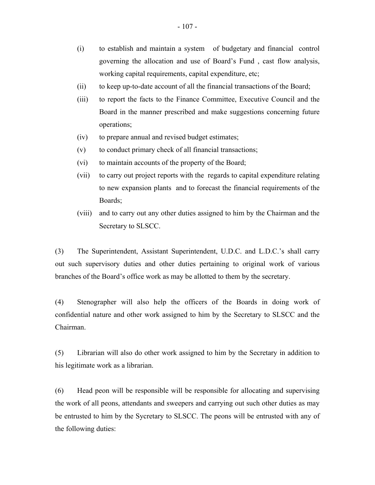- (i) to establish and maintain a system of budgetary and financial control governing the allocation and use of Board's Fund , cast flow analysis, working capital requirements, capital expenditure, etc;
- (ii) to keep up-to-date account of all the financial transactions of the Board;
- (iii) to report the facts to the Finance Committee, Executive Council and the Board in the manner prescribed and make suggestions concerning future operations;
- (iv) to prepare annual and revised budget estimates;
- (v) to conduct primary check of all financial transactions;
- (vi) to maintain accounts of the property of the Board;
- (vii) to carry out project reports with the regards to capital expenditure relating to new expansion plants and to forecast the financial requirements of the Boards;
- (viii) and to carry out any other duties assigned to him by the Chairman and the Secretary to SLSCC.

(3) The Superintendent, Assistant Superintendent, U.D.C. and L.D.C.'s shall carry out such supervisory duties and other duties pertaining to original work of various branches of the Board's office work as may be allotted to them by the secretary.

(4) Stenographer will also help the officers of the Boards in doing work of confidential nature and other work assigned to him by the Secretary to SLSCC and the Chairman.

(5) Librarian will also do other work assigned to him by the Secretary in addition to his legitimate work as a librarian.

(6) Head peon will be responsible will be responsible for allocating and supervising the work of all peons, attendants and sweepers and carrying out such other duties as may be entrusted to him by the Sycretary to SLSCC. The peons will be entrusted with any of the following duties: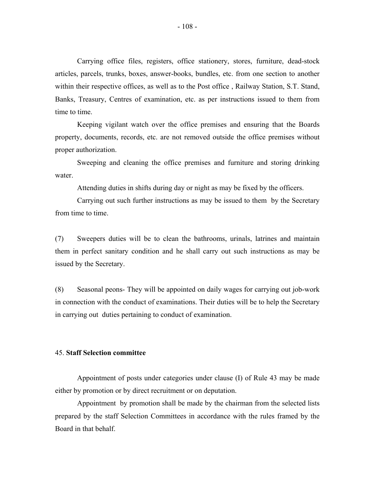Carrying office files, registers, office stationery, stores, furniture, dead-stock articles, parcels, trunks, boxes, answer-books, bundles, etc. from one section to another within their respective offices, as well as to the Post office , Railway Station, S.T. Stand, Banks, Treasury, Centres of examination, etc. as per instructions issued to them from time to time.

Keeping vigilant watch over the office premises and ensuring that the Boards property, documents, records, etc. are not removed outside the office premises without proper authorization.

Sweeping and cleaning the office premises and furniture and storing drinking water.

Attending duties in shifts during day or night as may be fixed by the officers.

Carrying out such further instructions as may be issued to them by the Secretary from time to time.

(7) Sweepers duties will be to clean the bathrooms, urinals, latrines and maintain them in perfect sanitary condition and he shall carry out such instructions as may be issued by the Secretary.

(8) Seasonal peons- They will be appointed on daily wages for carrying out job-work in connection with the conduct of examinations. Their duties will be to help the Secretary in carrying out duties pertaining to conduct of examination.

### 45. **Staff Selection committee**

Appointment of posts under categories under clause (I) of Rule 43 may be made either by promotion or by direct recruitment or on deputation.

Appointment by promotion shall be made by the chairman from the selected lists prepared by the staff Selection Committees in accordance with the rules framed by the Board in that behalf.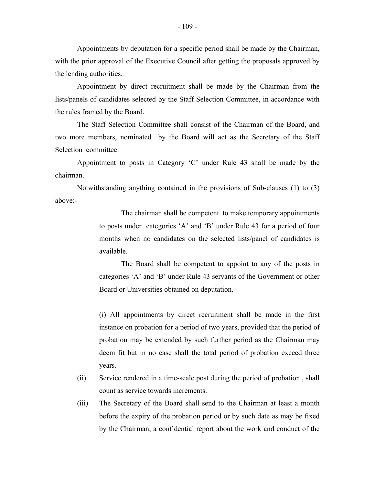Appointments by deputation for a specific period shall be made by the Chairman, with the prior approval of the Executive Council after getting the proposals approved by the lending authorities.

Appointment by direct recruitment shall be made by the Chairman from the lists/panels of candidates selected by the Staff Selection Committee, in accordance with the rules framed by the Board.

The Staff Selection Committee shall consist of the Chairman of the Board, and two more members, nominated by the Board will act as the Secretary of the Staff Selection committee.

Appointment to posts in Category 'C' under Rule 43 shall be made by the chairman.

Notwithstanding anything contained in the provisions of Sub-clauses (1) to (3) above:-

> The chairman shall be competent to make temporary appointments to posts under categories 'A' and 'B' under Rule 43 for a period of four months when no candidates on the selected lists/panel of candidates is available.

> The Board shall be competent to appoint to any of the posts in categories 'A' and 'B' under Rule 43 servants of the Government or other Board or Universities obtained on deputation.

> (i) All appointments by direct recruitment shall be made in the first instance on probation for a period of two years, provided that the period of probation may be extended by such further period as the Chairman may deem fit but in no case shall the total period of probation exceed three years.

- (ii) Service rendered in a time-scale post during the period of probation , shall count as service towards increments.
- (iii) The Secretary of the Board shall send to the Chairman at least a month before the expiry of the probation period or by such date as may be fixed by the Chairman, a confidential report about the work and conduct of the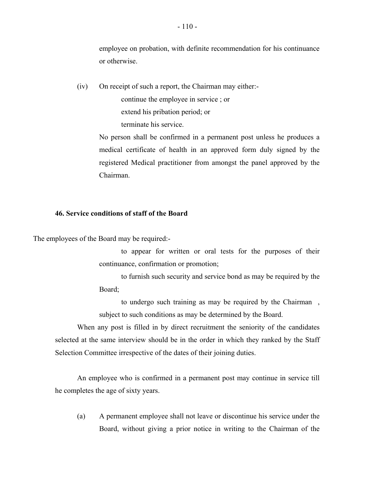employee on probation, with definite recommendation for his continuance or otherwise.

(iv) On receipt of such a report, the Chairman may either:-

continue the employee in service ; or

extend his pribation period; or

terminate his service.

No person shall be confirmed in a permanent post unless he produces a medical certificate of health in an approved form duly signed by the registered Medical practitioner from amongst the panel approved by the Chairman.

#### **46. Service conditions of staff of the Board**

The employees of the Board may be required:-

to appear for written or oral tests for the purposes of their continuance, confirmation or promotion;

to furnish such security and service bond as may be required by the Board;

to undergo such training as may be required by the Chairman , subject to such conditions as may be determined by the Board.

When any post is filled in by direct recruitment the seniority of the candidates selected at the same interview should be in the order in which they ranked by the Staff Selection Committee irrespective of the dates of their joining duties.

An employee who is confirmed in a permanent post may continue in service till he completes the age of sixty years.

(a) A permanent employee shall not leave or discontinue his service under the Board, without giving a prior notice in writing to the Chairman of the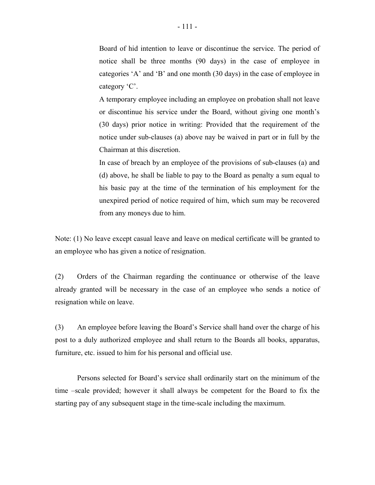Board of hid intention to leave or discontinue the service. The period of notice shall be three months (90 days) in the case of employee in categories 'A' and 'B' and one month (30 days) in the case of employee in category 'C'.

A temporary employee including an employee on probation shall not leave or discontinue his service under the Board, without giving one month's (30 days) prior notice in writing: Provided that the requirement of the notice under sub-clauses (a) above nay be waived in part or in full by the Chairman at this discretion.

In case of breach by an employee of the provisions of sub-clauses (a) and (d) above, he shall be liable to pay to the Board as penalty a sum equal to his basic pay at the time of the termination of his employment for the unexpired period of notice required of him, which sum may be recovered from any moneys due to him.

Note: (1) No leave except casual leave and leave on medical certificate will be granted to an employee who has given a notice of resignation.

(2) Orders of the Chairman regarding the continuance or otherwise of the leave already granted will be necessary in the case of an employee who sends a notice of resignation while on leave.

(3) An employee before leaving the Board's Service shall hand over the charge of his post to a duly authorized employee and shall return to the Boards all books, apparatus, furniture, etc. issued to him for his personal and official use.

Persons selected for Board's service shall ordinarily start on the minimum of the time –scale provided; however it shall always be competent for the Board to fix the starting pay of any subsequent stage in the time-scale including the maximum.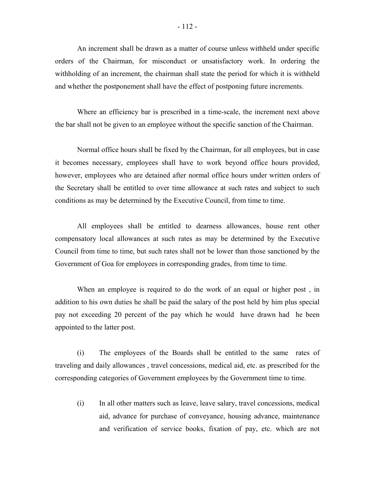An increment shall be drawn as a matter of course unless withheld under specific orders of the Chairman, for misconduct or unsatisfactory work. In ordering the withholding of an increment, the chairman shall state the period for which it is withheld and whether the postponement shall have the effect of postponing future increments.

Where an efficiency bar is prescribed in a time-scale, the increment next above the bar shall not be given to an employee without the specific sanction of the Chairman.

Normal office hours shall be fixed by the Chairman, for all employees, but in case it becomes necessary, employees shall have to work beyond office hours provided, however, employees who are detained after normal office hours under written orders of the Secretary shall be entitled to over time allowance at such rates and subject to such conditions as may be determined by the Executive Council, from time to time.

All employees shall be entitled to dearness allowances, house rent other compensatory local allowances at such rates as may be determined by the Executive Council from time to time, but such rates shall not be lower than those sanctioned by the Government of Goa for employees in corresponding grades, from time to time.

When an employee is required to do the work of an equal or higher post , in addition to his own duties he shall be paid the salary of the post held by him plus special pay not exceeding 20 percent of the pay which he would have drawn had he been appointed to the latter post.

(i) The employees of the Boards shall be entitled to the same rates of traveling and daily allowances , travel concessions, medical aid, etc. as prescribed for the corresponding categories of Government employees by the Government time to time.

(i) In all other matters such as leave, leave salary, travel concessions, medical aid, advance for purchase of conveyance, housing advance, maintenance and verification of service books, fixation of pay, etc. which are not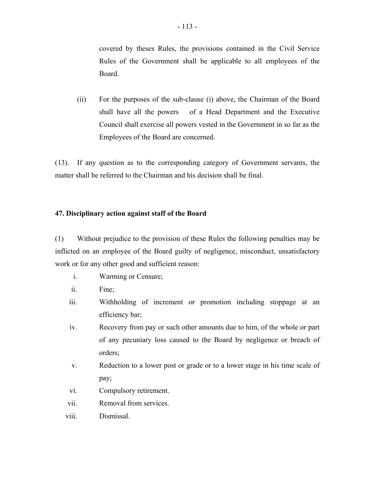covered by theses Rules, the provisions contained in the Civil Service Rules of the Government shall be applicable to all employees of the Board.

(ii) For the purposes of the sub-clause (i) above, the Chairman of the Board shall have all the powers of a Head Department and the Executive Council shall exercise all powers vested in the Government in so far as the Employees of the Board are concerned.

(13). If any question as to the corresponding category of Government servants, the matter shall be referred to the Chairman and his decision shall be final.

#### **47. Disciplinary action against staff of the Board**

(1) Without prejudice to the provision of these Rules the following penalties may be inflicted on an employee of the Board guilty of negligence, misconduct, unsatisfactory work or for any other good and sufficient reason:

- i. Warming or Censure;
- ii. Fine;
- iii. Withholding of increment or promotion including stoppage at an efficiency bar;
- iv. Recovery from pay or such other amounts due to him, of the whole or part of any pecuniary loss caused to the Board by negligence or breach of orders;
- v. Reduction to a lower post or grade or to a lower stage in his time scale of pay;
- vi. Compulsory retirement.
- vii. Removal from services.
- viii. Dismissal.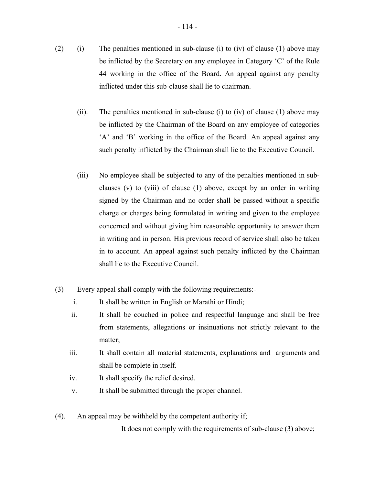- (2) (i) The penalties mentioned in sub-clause (i) to (iv) of clause (1) above may be inflicted by the Secretary on any employee in Category 'C' of the Rule 44 working in the office of the Board. An appeal against any penalty inflicted under this sub-clause shall lie to chairman.
	- (ii). The penalties mentioned in sub-clause (i) to (iv) of clause (1) above may be inflicted by the Chairman of the Board on any employee of categories 'A' and 'B' working in the office of the Board. An appeal against any such penalty inflicted by the Chairman shall lie to the Executive Council.
	- (iii) No employee shall be subjected to any of the penalties mentioned in subclauses (v) to (viii) of clause (1) above, except by an order in writing signed by the Chairman and no order shall be passed without a specific charge or charges being formulated in writing and given to the employee concerned and without giving him reasonable opportunity to answer them in writing and in person. His previous record of service shall also be taken in to account. An appeal against such penalty inflicted by the Chairman shall lie to the Executive Council.
- (3) Every appeal shall comply with the following requirements:
	- i. It shall be written in English or Marathi or Hindi;
	- ii. It shall be couched in police and respectful language and shall be free from statements, allegations or insinuations not strictly relevant to the matter;
	- iii. It shall contain all material statements, explanations and arguments and shall be complete in itself.
	- iv. It shall specify the relief desired.
	- v. It shall be submitted through the proper channel.
- (4). An appeal may be withheld by the competent authority if;

It does not comply with the requirements of sub-clause (3) above;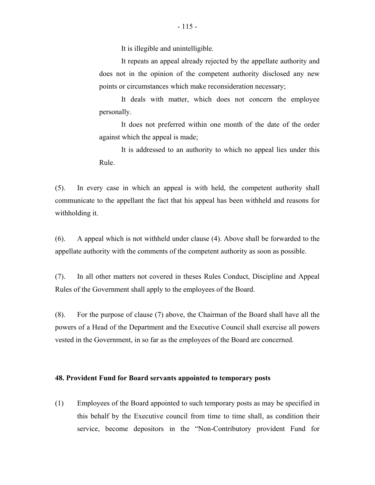It is illegible and unintelligible.

It repeats an appeal already rejected by the appellate authority and does not in the opinion of the competent authority disclosed any new points or circumstances which make reconsideration necessary;

It deals with matter, which does not concern the employee personally.

It does not preferred within one month of the date of the order against which the appeal is made;

It is addressed to an authority to which no appeal lies under this Rule.

(5). In every case in which an appeal is with held, the competent authority shall communicate to the appellant the fact that his appeal has been withheld and reasons for withholding it.

(6). A appeal which is not withheld under clause (4). Above shall be forwarded to the appellate authority with the comments of the competent authority as soon as possible.

(7). In all other matters not covered in theses Rules Conduct, Discipline and Appeal Rules of the Government shall apply to the employees of the Board.

(8). For the purpose of clause (7) above, the Chairman of the Board shall have all the powers of a Head of the Department and the Executive Council shall exercise all powers vested in the Government, in so far as the employees of the Board are concerned.

#### **48. Provident Fund for Board servants appointed to temporary posts**

(1) Employees of the Board appointed to such temporary posts as may be specified in this behalf by the Executive council from time to time shall, as condition their service, become depositors in the "Non-Contributory provident Fund for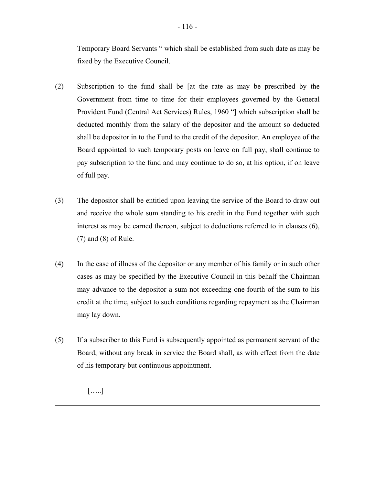Temporary Board Servants " which shall be established from such date as may be fixed by the Executive Council.

- (2) Subscription to the fund shall be [at the rate as may be prescribed by the Government from time to time for their employees governed by the General Provident Fund (Central Act Services) Rules, 1960 "] which subscription shall be deducted monthly from the salary of the depositor and the amount so deducted shall be depositor in to the Fund to the credit of the depositor. An employee of the Board appointed to such temporary posts on leave on full pay, shall continue to pay subscription to the fund and may continue to do so, at his option, if on leave of full pay.
- (3) The depositor shall be entitled upon leaving the service of the Board to draw out and receive the whole sum standing to his credit in the Fund together with such interest as may be earned thereon, subject to deductions referred to in clauses (6), (7) and (8) of Rule.
- (4) In the case of illness of the depositor or any member of his family or in such other cases as may be specified by the Executive Council in this behalf the Chairman may advance to the depositor a sum not exceeding one-fourth of the sum to his credit at the time, subject to such conditions regarding repayment as the Chairman may lay down.
- (5) If a subscriber to this Fund is subsequently appointed as permanent servant of the Board, without any break in service the Board shall, as with effect from the date of his temporary but continuous appointment.

[…..]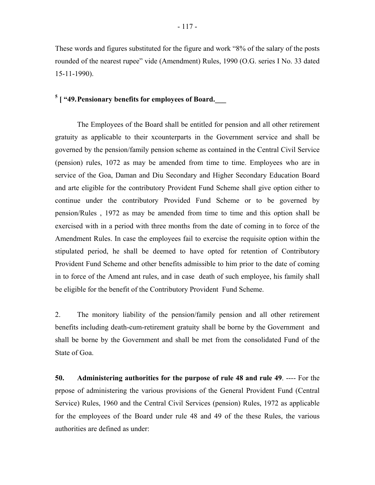These words and figures substituted for the figure and work "8% of the salary of the posts rounded of the nearest rupee" vide (Amendment) Rules, 1990 (O.G. series I No. 33 dated 15-11-1990).

# <sup>[5](#page-122-0)</sup> [ "49. Pensionary benefits for employees of Board.

The Employees of the Board shall be entitled for pension and all other retirement gratuity as applicable to their xcounterparts in the Government service and shall be governed by the pension/family pension scheme as contained in the Central Civil Service (pension) rules, 1072 as may be amended from time to time. Employees who are in service of the Goa, Daman and Diu Secondary and Higher Secondary Education Board and arte eligible for the contributory Provident Fund Scheme shall give option either to continue under the contributory Provided Fund Scheme or to be governed by pension/Rules , 1972 as may be amended from time to time and this option shall be exercised with in a period with three months from the date of coming in to force of the Amendment Rules. In case the employees fail to exercise the requisite option within the stipulated period, he shall be deemed to have opted for retention of Contributory Provident Fund Scheme and other benefits admissible to him prior to the date of coming in to force of the Amend ant rules, and in case death of such employee, his family shall be eligible for the benefit of the Contributory Provident Fund Scheme.

2. The monitory liability of the pension/family pension and all other retirement benefits including death-cum-retirement gratuity shall be borne by the Government and shall be borne by the Government and shall be met from the consolidated Fund of the State of Goa.

**50. Administering authorities for the purpose of rule 48 and rule 49**. ---- For the prpose of administering the various provisions of the General Provident Fund (Central Service) Rules, 1960 and the Central Civil Services (pension) Rules, 1972 as applicable for the employees of the Board under rule 48 and 49 of the these Rules, the various authorities are defined as under: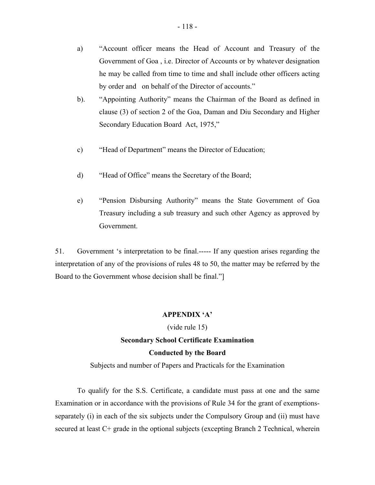- a) "Account officer means the Head of Account and Treasury of the Government of Goa , i.e. Director of Accounts or by whatever designation he may be called from time to time and shall include other officers acting by order and on behalf of the Director of accounts."
- b). "Appointing Authority" means the Chairman of the Board as defined in clause (3) of section 2 of the Goa, Daman and Diu Secondary and Higher Secondary Education Board Act, 1975,"
- c) "Head of Department" means the Director of Education;
- d) "Head of Office" means the Secretary of the Board;
- e) "Pension Disbursing Authority" means the State Government of Goa Treasury including a sub treasury and such other Agency as approved by Government.

51. Government 's interpretation to be final.----- If any question arises regarding the interpretation of any of the provisions of rules 48 to 50, the matter may be referred by the Board to the Government whose decision shall be final."]

#### **APPENDIX 'A'**

# (vide rule 15) **Secondary School Certificate Examination**

#### **Conducted by the Board**

Subjects and number of Papers and Practicals for the Examination

To qualify for the S.S. Certificate, a candidate must pass at one and the same Examination or in accordance with the provisions of Rule 34 for the grant of exemptionsseparately (i) in each of the six subjects under the Compulsory Group and (ii) must have secured at least C+ grade in the optional subjects (excepting Branch 2 Technical, wherein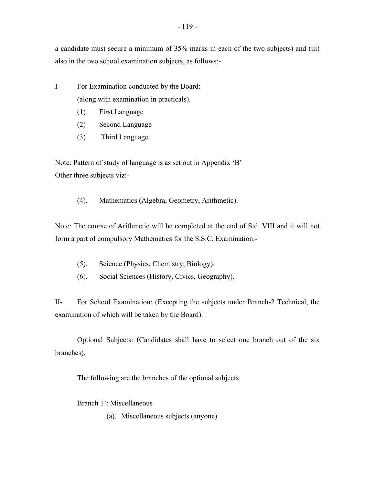a candidate must secure a minimum of 35% marks in each of the two subjects) and (iii) also in the two school examination subjects, as follows:-

- I- For Examination conducted by the Board: (along with examination in practicals).
	- (1) First Language
	- (2) Second Language
	- (3) Third Language.

Note: Pattern of study of language is as set out in Appendix 'B' Other three subjects viz:-

(4). Mathematics (Algebra, Geometry, Arithmetic).

Note: The course of Arithmetic will be completed at the end of Std. VIII and it will not form a part of compulsory Mathematics for the S.S.C. Examination.-

- (5). Science (Physics, Chemistry, Biology).
- (6). Social Sciences (History, Civics, Geography).

II- For School Examination: (Excepting the subjects under Branch-2 Technical, the examination of which will be taken by the Board).

Optional Subjects: (Candidates shall have to select one branch out of the six branches).

The following are the branches of the optional subjects:

Branch 1': Miscellaneous

(a). Miscellaneous subjects (anyone)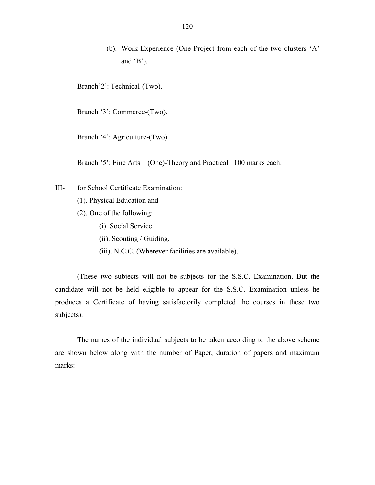(b). Work-Experience (One Project from each of the two clusters 'A' and  $B$ <sup>'</sup>).

Branch'2': Technical-(Two).

Branch '3': Commerce-(Two).

Branch '4': Agriculture-(Two).

Branch '5': Fine Arts – (One)-Theory and Practical –100 marks each.

- III- for School Certificate Examination:
	- (1). Physical Education and
	- (2). One of the following:
		- (i). Social Service.
		- (ii). Scouting / Guiding.
		- (iii). N.C.C. (Wherever facilities are available).

(These two subjects will not be subjects for the S.S.C. Examination. But the candidate will not be held eligible to appear for the S.S.C. Examination unless he produces a Certificate of having satisfactorily completed the courses in these two subjects).

 marks: The names of the individual subjects to be taken according to the above scheme are shown below along with the number of Paper, duration of papers and maximum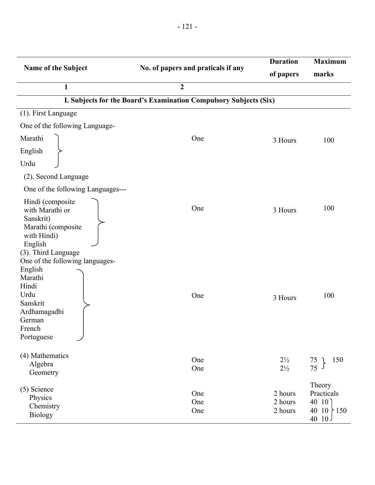| Name of the Subject                                                                                                                  | No. of papers and praticals if any<br>$\overline{2}$              | <b>Duration</b><br>of papers     | <b>Maximum</b><br>marks                                     |
|--------------------------------------------------------------------------------------------------------------------------------------|-------------------------------------------------------------------|----------------------------------|-------------------------------------------------------------|
| $\mathbf{1}$                                                                                                                         | I. Subjects for the Board's Examination Compulsory Subjects (Six) |                                  |                                                             |
| (1). First Language                                                                                                                  |                                                                   |                                  |                                                             |
| One of the following Language-                                                                                                       |                                                                   |                                  |                                                             |
| Marathi                                                                                                                              | One                                                               | 3 Hours                          |                                                             |
| English                                                                                                                              |                                                                   |                                  | 100                                                         |
| Urdu                                                                                                                                 |                                                                   |                                  |                                                             |
|                                                                                                                                      |                                                                   |                                  |                                                             |
| (2). Second Language                                                                                                                 |                                                                   |                                  |                                                             |
| One of the following Languages---                                                                                                    |                                                                   |                                  |                                                             |
| Hindi (composite)<br>with Marathi or<br>Sanskrit)<br>Marathi (composite<br>with Hindi)<br>English<br>(3). Third Language             | One                                                               | 3 Hours                          | 100                                                         |
| One of the following languages-<br>English<br>Marathi<br>Hindi<br>Urdu<br>Sanskrit<br>Ardhamagadhi<br>German<br>French<br>Portuguese | One                                                               | 3 Hours                          | 100                                                         |
| (4) Mathematics<br>Algebra<br>Geometry                                                                                               | One<br>One                                                        | $2\frac{1}{2}$<br>$2\frac{1}{2}$ | 150<br>$\begin{matrix} 75 \\ 75 \end{matrix}$ }             |
| (5) Science<br>Physics<br>Chemistry<br><b>Biology</b>                                                                                | One<br>One<br>One                                                 | 2 hours<br>2 hours<br>2 hours    | Theory<br>Practicals<br>40 $10$<br>40 10 $\{150$<br>40 $10$ |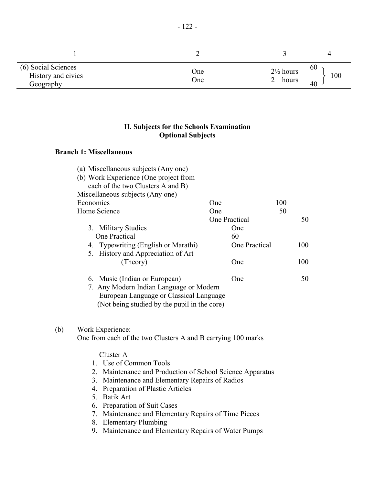| (6) Social Sciences<br>History and civics<br>Geography | One<br>One | $2\frac{1}{2}$ hours<br>hours | 60<br>100<br>40 |
|--------------------------------------------------------|------------|-------------------------------|-----------------|

## **II. Subjects for the Schools Examination Optional Subjects**

#### **Branch 1: Miscellaneous**

 $(b)$ 

|     |              | (a) Miscellaneous subjects (Any one)                         |                      |     |     |
|-----|--------------|--------------------------------------------------------------|----------------------|-----|-----|
|     |              | (b) Work Experience (One project from                        |                      |     |     |
|     |              | each of the two Clusters A and B)                            |                      |     |     |
|     |              | Miscellaneous subjects (Any one)                             |                      |     |     |
|     | Economics    |                                                              | One                  | 100 |     |
|     | Home Science |                                                              | One                  | 50  |     |
|     |              |                                                              | One Practical        |     | 50  |
|     |              | 3. Military Studies                                          | One                  |     |     |
|     |              | <b>One Practical</b>                                         | 60                   |     |     |
|     |              | 4. Typewriting (English or Marathi)                          | <b>One Practical</b> |     | 100 |
|     |              | 5. History and Appreciation of Art                           |                      |     |     |
|     |              | (Theory)                                                     | One                  |     | 100 |
|     |              | 6. Music (Indian or European)                                | One                  |     | 50  |
|     |              | 7. Any Modern Indian Language or Modern                      |                      |     |     |
|     |              | European Language or Classical Language                      |                      |     |     |
|     |              | (Not being studied by the pupil in the core)                 |                      |     |     |
|     |              |                                                              |                      |     |     |
| (b) |              | Work Experience:                                             |                      |     |     |
|     |              | One from each of the two Clusters A and B carrying 100 marks |                      |     |     |
|     |              |                                                              |                      |     |     |
|     |              | Cluster A                                                    |                      |     |     |
|     |              | 1. Use of Common Tools                                       |                      |     |     |
|     | 2            | Maintenance and Production of School Science Apparatus       |                      |     |     |
|     | 3.           | Maintenance and Elementary Repairs of Radios                 |                      |     |     |
|     | 4.           | Preparation of Plastic Articles                              |                      |     |     |
|     | 5.           | <b>Batik Art</b>                                             |                      |     |     |
|     | 6.           | <b>Preparation of Suit Cases</b>                             |                      |     |     |

- 7. Maintenance and Elementary Repairs of Time Pieces
- 8. Elementary Plumbing
- 9. Maintenance and Elementary Repairs of Water Pumps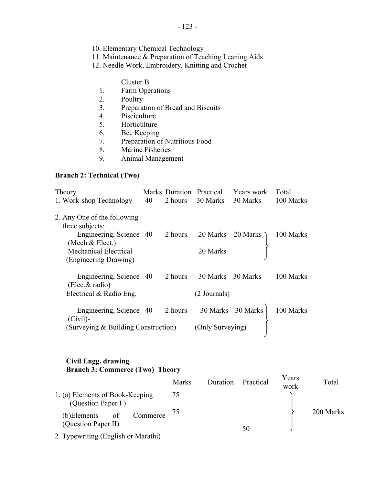- <span id="page-122-0"></span>10. Elementary Chemical Technology
- 11. Maintenance & Preparation of Teaching Leaning Aids
- 12. Needle Work, Embroidery, Knitting and Crochet

#### Cluster B

- 1. Farm Operations
- 2. Poultry
- 3. Preparation of Bread and Biscuits
- 4. Pisciculture
- 5. Horticulture
- 6. Bee Keeping
- 7. Preparation of Nutritious Food
- 8. Marine Fisheries
- 9. Animal Management

### **Branch 2: Technical (Two)**

| Theory<br>1. Work-shop Technology                                                                                                                      | 40 | 2 hours | Marks Duration Practical<br>30 Marks | Years work<br>30 Marks | Total<br>100 Marks |
|--------------------------------------------------------------------------------------------------------------------------------------------------------|----|---------|--------------------------------------|------------------------|--------------------|
| 2. Any One of the following<br>three subjects:<br>Engineering, Science 40<br>(Mech. & Elect.)<br><b>Mechanical Electrical</b><br>(Engineering Drawing) |    | 2 hours | 20 Marks<br>20 Marks                 | 20 Marks $\lambda$     | 100 Marks          |
| Engineering, Science 40<br>(Elect. & radio)                                                                                                            |    | 2 hours | 30 Marks                             | 30 Marks               | 100 Marks          |
| Electrical $& Radio Eng.$                                                                                                                              |    |         | (2 Journals)                         |                        |                    |
| Engineering, Science 40<br>$(Civil)$ -                                                                                                                 |    | 2 hours | 30 Marks                             | 30 Marks               | 100 Marks          |
| (Surveying & Building Construction)                                                                                                                    |    |         | (Only Surveying)                     |                        |                    |

#### **Civil Engg. drawing Branch 3: Commerce (Two) Theory**

|                                                       | <b>Marks</b> | Duration | Practical | Years<br>work | Total     |
|-------------------------------------------------------|--------------|----------|-----------|---------------|-----------|
| 1. (a) Elements of Book-Keeping<br>(Question Paper I) | 75           |          |           |               |           |
| Commerce<br>(b)Elements<br>of<br>(Question Paper II)  | 75           |          | 50        |               | 200 Marks |
| 2. Typewriting (English or Marathi)                   |              |          |           |               |           |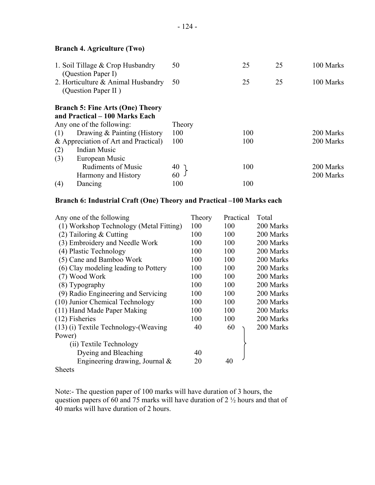# **Branch 4. Agriculture (Two)**

| 50  | 25     | 25 | 100 Marks |
|-----|--------|----|-----------|
| 50  | 25     | 25 | 100 Marks |
|     |        |    |           |
|     |        |    |           |
| 100 | 100    |    | 200 Marks |
| 100 | 100    |    | 200 Marks |
|     |        |    |           |
|     |        |    |           |
| 40  | 100    |    | 200 Marks |
| 60  |        |    | 200 Marks |
| 100 | 100    |    |           |
|     | Theory |    |           |

# **Branch 6: Industrial Craft (One) Theory and Practical –100 Marks each**

| Any one of the following                | Theory | Practical | Total     |
|-----------------------------------------|--------|-----------|-----------|
| (1) Workshop Technology (Metal Fitting) | 100    | 100       | 200 Marks |
| $(2)$ Tailoring & Cutting               | 100    | 100       | 200 Marks |
| (3) Embroidery and Needle Work          | 100    | 100       | 200 Marks |
| (4) Plastic Technology                  | 100    | 100       | 200 Marks |
| (5) Cane and Bamboo Work                | 100    | 100       | 200 Marks |
| (6) Clay modeling leading to Pottery    | 100    | 100       | 200 Marks |
| (7) Wood Work                           | 100    | 100       | 200 Marks |
| (8) Typography                          | 100    | 100       | 200 Marks |
| (9) Radio Engineering and Servicing     | 100    | 100       | 200 Marks |
| (10) Junior Chemical Technology         | 100    | 100       | 200 Marks |
| (11) Hand Made Paper Making             | 100    | 100       | 200 Marks |
| $(12)$ Fisheries                        | 100    | 100       | 200 Marks |
| (13) (i) Textile Technology-(Weaving    | 40     | 60        | 200 Marks |
| Power)                                  |        |           |           |
| (ii) Textile Technology                 |        |           |           |
| Dyeing and Bleaching                    | 40     |           |           |
| Engineering drawing, Journal &          | 20     | 40        |           |
| <b>Sheets</b>                           |        |           |           |

Note:- The question paper of 100 marks will have duration of 3 hours, the question papers of 60 and 75 marks will have duration of  $2\frac{1}{2}$  hours and that of 40 marks will have duration of 2 hours.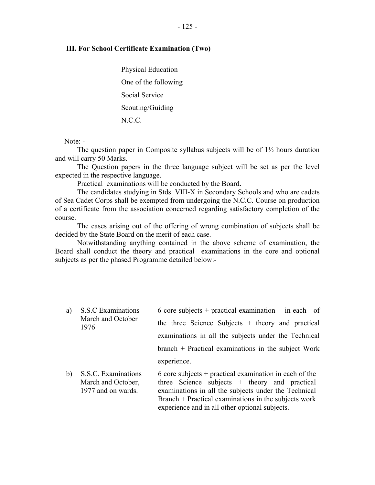#### **III. For School Certificate Examination (Two)**

Physical Education One of the following Social Service Scouting/Guiding N.C.C.

Note: -

The question paper in Composite syllabus subjects will be of 1½ hours duration and will carry 50 Marks.

The Question papers in the three language subject will be set as per the level expected in the respective language.

Practical examinations will be conducted by the Board.

The candidates studying in Stds. VIII-X in Secondary Schools and who are cadets of Sea Cadet Corps shall be exempted from undergoing the N.C.C. Course on production of a certificate from the association concerned regarding satisfactory completion of the course.

The cases arising out of the offering of wrong combination of subjects shall be decided by the State Board on the merit of each case.

Notwithstanding anything contained in the above scheme of examination, the Board shall conduct the theory and practical examinations in the core and optional subjects as per the phased Programme detailed below:-

- a) S.S.C Examinations March and October 1976 6 core subjects + practical examination in each of the three Science Subjects + theory and practical examinations in all the subjects under the Technical branch + Practical examinations in the subject Work experience.
- b) S.S.C. Examinations March and October, 1977 and on wards. 6 core subjects + practical examination in each of the three Science subjects + theory and practical examinations in all the subjects under the Technical Branch + Practical examinations in the subjects work experience and in all other optional subjects.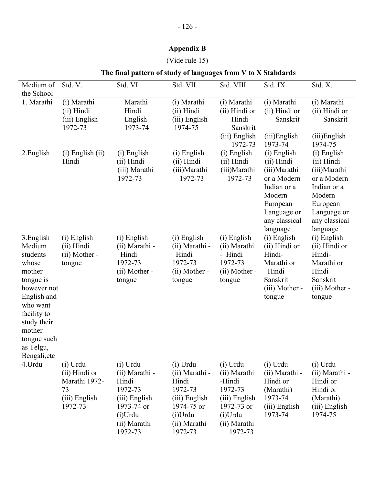#### **Appendix B**

#### (Vide rule 15)

#### Medium of Std. V. Std. VI. Std. VII. Std. VIII. Std. IX. Std. X. the School 1. Marathi (i) Marathi (ii) Hindi (iii) English 1972-73 Marathi Hindi English 1973-74 (i) Marathi (ii) Hindi (iii) English 1974-75 (i) Marathi (ii) Hindi or Hindi-Sanskrit (i) Marathi (ii) Hindi or Sanskrit (i) Marathi (ii) Hindi or Sanskrit (iii) English 1972-73 (iii)English 1973-74 (iii)English 1974-75 2.English (i) English (ii) Hindi (i) English ) (ii) Hindi (iii) Marathi 1972-73 (i) English (ii) Hindi (iii)Marathi 1972-73 (i) English (ii) Hindi (iii)Marathi 1972-73 (i) English (ii) Hindi (iii)Marathi or a Modern (i) English (ii) Hindi (iii)Marathi or a Modern Indian or a Indian or a Modern Modern 3.English Medium students whose mother tongue is however not English and who want (i) English (ii) Hindi (ii) Mother tongue (i) English (ii) Marathi - Hindi 1972-73 (ii) Mother tongue (i) English (ii) Marathi - Hindi 1972-73 (ii) Mother tongue (i) English (ii) Marathi - Hindi 1972-73 (ii) Mother tongue European Language or any classical language (i) English (ii) Hindi or Hindi-Marathi or Hindi Sanskrit (iii) Mother tongue European Language or any classical language (i) English (ii) Hindi or Hindi-Marathi or Hindi Sanskrit (iii) Mother tongue facility to study their mother tongue such as Telgu, Bengali,etc 4.Urdu (i) Urdu (ii) Hindi or Marathi 1972 (i) Urdu (ii) Marathi Hindi (i) Urdu (ii) Marathi Hindi (i) Urdu (ii) Marathi -Hindi (i) Urdu (ii) Marathi Hindi or (i) Urdu (ii) Marathi Hindi or 73 (iii) English 1972-73 1972-73 (iii) English 1973-74 or (i)Urdu (ii) Marathi 1972-73 (iii) English 1974-75 or (i)Urdu (ii) Marathi 1972-73 (iii) English 1972-73 or (i)Urdu (ii) Marathi (Marathi) 1973-74 (iii) English 1973-74 Hindi or (Marathi) (iii) English 1974-75 1972-73 1972-73 1972-73

#### **The final pattern of study of languages from V to X Stabdards**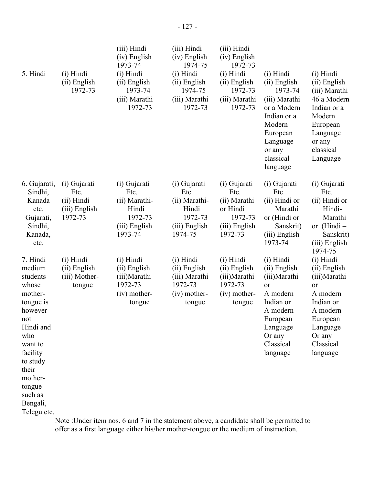| 5. Hindi                                                                                                                                                                                                     | (i) Hindi<br>(ii) English<br>1972-73                           | (iii) Hindi<br>(iv) English<br>1973-74<br>(i) Hindi<br>(ii) English<br>1973-74<br>(iii) Marathi<br>1972-73 | (iii) Hindi<br>(iv) English<br>1974-75<br>(i) Hindi<br>(ii) English<br>1974-75<br>(iii) Marathi<br>1972-73 | (iii) Hindi<br>(iv) English<br>1972-73<br>(i) Hindi<br>(ii) English<br>1972-73<br>(iii) Marathi<br>1972-73 | (i) Hindi<br>(ii) English<br>1973-74<br>(iii) Marathi<br>or a Modern<br>Indian or a<br>Modern<br>European<br>Language<br>or any<br>classical<br>language | (i) Hindi<br>(ii) English<br>(iii) Marathi<br>46 a Modern<br>Indian or a<br>Modern<br>European<br>Language<br>or any<br>classical<br>Language    |
|--------------------------------------------------------------------------------------------------------------------------------------------------------------------------------------------------------------|----------------------------------------------------------------|------------------------------------------------------------------------------------------------------------|------------------------------------------------------------------------------------------------------------|------------------------------------------------------------------------------------------------------------|----------------------------------------------------------------------------------------------------------------------------------------------------------|--------------------------------------------------------------------------------------------------------------------------------------------------|
| 6. Gujarati,<br>Sindhi,<br>Kanada<br>etc.<br>Gujarati,<br>Sindhi,<br>Kanada,<br>etc.                                                                                                                         | (i) Gujarati<br>Etc.<br>(ii) Hindi<br>(iii) English<br>1972-73 | (i) Gujarati<br>Etc.<br>(ii) Marathi-<br>Hindi<br>1972-73<br>(iii) English<br>1973-74                      | (i) Gujarati<br>Etc.<br>(ii) Marathi-<br>Hindi<br>1972-73<br>(iii) English<br>1974-75                      | (i) Gujarati<br>Etc.<br>(ii) Marathi<br>or Hindi<br>1972-73<br>(iii) English<br>1972-73                    | (i) Gujarati<br>Etc.<br>(ii) Hindi or<br>Marathi<br>or (Hindi or<br>Sanskrit)<br>(iii) English<br>1973-74                                                | (i) Gujarati<br>Etc.<br>(ii) Hindi or<br>Hindi-<br>Marathi<br>or $(Hindi -$<br>Sanskrit)<br>(iii) English<br>1974-75                             |
| 7. Hindi<br>medium<br>students<br>whose<br>mother-<br>tongue is<br>however<br>not<br>Hindi and<br>who<br>want to<br>facility<br>to study<br>their<br>mother-<br>tongue<br>such as<br>Bengali,<br>Telegu etc. | (i) Hindi<br>(ii) English<br>(iii) Mother-<br>tongue           | (i) Hindi<br>(ii) English<br>(iii) Marathi<br>1972-73<br>$(iv)$ mother-<br>tongue                          | (i) Hindi<br>(ii) English<br>(iii) Marathi<br>1972-73<br>$(iv)$ mother-<br>tongue                          | (i) Hindi<br>(ii) English<br>(iii) Marathi<br>1972-73<br>$(iv)$ mother-<br>tongue                          | (i) Hindi<br>(ii) English<br>(iii) Marathi<br>or<br>A modern<br>Indian or<br>A modern<br>European<br>Language<br>Or any<br>Classical<br>language         | (i) Hindi<br>(ii) English<br>(iii) Marathi<br>or<br>A modern<br>Indian or<br>A modern<br>European<br>Language<br>Or any<br>Classical<br>language |

Note :Under item nos. 6 and 7 in the statement above, a candidate shall be permitted to offer as a first language either his/her mother-tongue or the medium of instruction.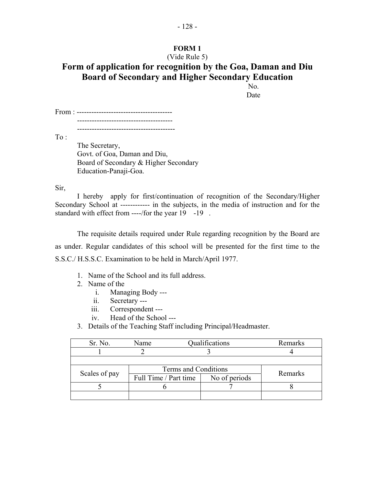# **FORM 1**

# (Vide Rule 5) **Form of application for recognition by the Goa, Daman and Diu Board of Secondary and Higher Secondary Education**

No. Date

From : --------------------------------------- ---------------------------------------

----------------------------------------

To :

 The Secretary, Govt. of Goa, Daman and Diu, Board of Secondary & Higher Secondary Education-Panaji-Goa.

Sir,

standard with effect from ----/for the year 19 -19. I hereby apply for first/continuation of recognition of the Secondary/Higher Secondary School at ------------ in the subjects, in the media of instruction and for the

The requisite details required under Rule regarding recognition by the Board are as under. Regular candidates of this school will be presented for the first time to the S.S.C./ H.S.S.C. Examination to be held in March/April 1977.

- 1. Name of the School and its full address.
- 2. Name of the
	- i. Managing Body ---
	- ii. Secretary ---
	- iii. Correspondent ---
	- iv. Head of the School ---
- 3. Details of the Teaching Staff including Principal/Headmaster.

| Sr. No.       | Name                  | Qualifications |  |
|---------------|-----------------------|----------------|--|
|               |                       |                |  |
|               |                       |                |  |
| Scales of pay | Terms and Conditions  | Remarks        |  |
|               | Full Time / Part time | No of periods  |  |
|               |                       |                |  |
|               |                       |                |  |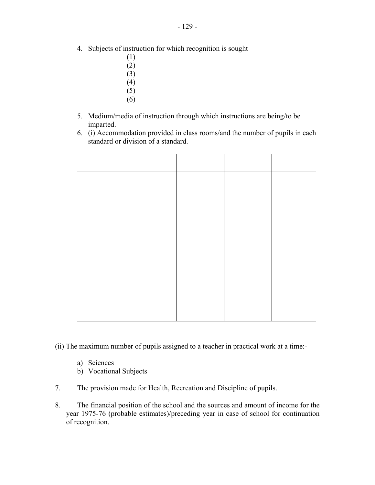- 4. Subjects of instruction for which recognition is sought
	- (1)
	- (2)
	- (3)
	- $(4)$
	- (5)
	- (6)
- 5. Medium/media of instruction through which instructions are being/to be imparted.
- 6. (i) Accommodation provided in class rooms/and the number of pupils in each standard or division of a standard.

- (ii) The maximum number of pupils assigned to a teacher in practical work at a time:
	- a) Sciences
	- b) Vocational Subjects
- 7. The provision made for Health, Recreation and Discipline of pupils.
- 8. The financial position of the school and the sources and amount of income for the year 1975-76 (probable estimates)/preceding year in case of school for continuation of recognition.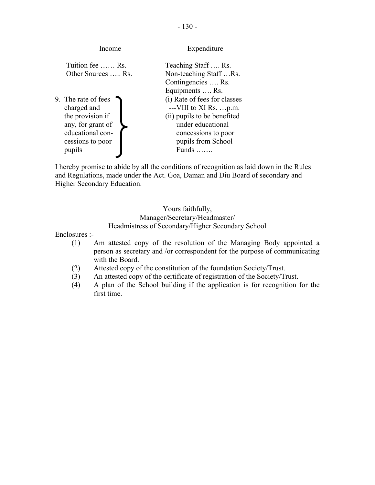| Income                                                                                                                        | Expenditure                                                                                                                                                                                   |
|-------------------------------------------------------------------------------------------------------------------------------|-----------------------------------------------------------------------------------------------------------------------------------------------------------------------------------------------|
| Tuition fee  Rs.<br>Other Sources  Rs.                                                                                        | Teaching Staff  Rs.<br>Non-teaching StaffRs.<br>Contingencies  Rs.                                                                                                                            |
| 9. The rate of fees<br>charged and<br>the provision if<br>any, for grant of<br>educational con-<br>cessions to poor<br>pupils | Equipments  Rs.<br>(i) Rate of fees for classes<br>$--VIII$ to XI Rs. p.m.<br>(ii) pupils to be benefited<br>under educational<br>concessions to poor<br>pupils from School<br>Funds $\ldots$ |

I hereby promise to abide by all the conditions of recognition as laid down in the Rules and Regulations, made under the Act. Goa, Daman and Diu Board of secondary and Higher Secondary Education.

#### Yours faithfully, Manager/Secretary/Headmaster/ Headmistress of Secondary/Higher Secondary School

Enclosures :-

- (1) Am attested copy of the resolution of the Managing Body appointed a person as secretary and /or correspondent for the purpose of communicating with the Board.
- (2) Attested copy of the constitution of the foundation Society/Trust.
- (3) An attested copy of the certificate of registration of the Society/Trust.
- (4) A plan of the School building if the application is for recognition for the first time.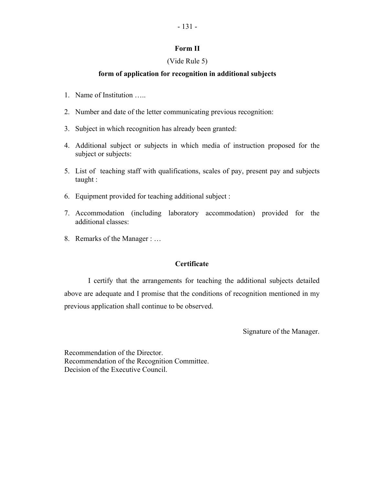#### **Form II**

#### (Vide Rule 5)

#### **form of application for recognition in additional subjects**

- 1. Name of Institution …..
- 2. Number and date of the letter communicating previous recognition:
- 3. Subject in which recognition has already been granted:
- 4. Additional subject or subjects in which media of instruction proposed for the subject or subjects:
- 5. List of teaching staff with qualifications, scales of pay, present pay and subjects taught :
- 6. Equipment provided for teaching additional subject :
- 7. Accommodation (including laboratory accommodation) provided for the additional classes:
- 8. Remarks of the Manager : ...

### **Certificate**

I certify that the arrangements for teaching the additional subjects detailed above are adequate and I promise that the conditions of recognition mentioned in my previous application shall continue to be observed.

Signature of the Manager.

Recommendation of the Director. Recommendation of the Recognition Committee. Decision of the Executive Council.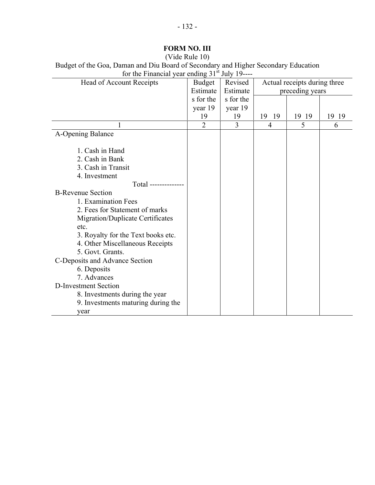| (Video Rule 10)                                                                    |
|------------------------------------------------------------------------------------|
| Budget of the Goa, Daman and Diu Board of Secondary and Higher Secondary Education |
| for the Financial year ending $31st$ July 19----                                   |

| $101$ and $1$ interested $\eta$    |               | $\cdots$  |                              |       |       |
|------------------------------------|---------------|-----------|------------------------------|-------|-------|
| Head of Account Receipts           | <b>Budget</b> | Revised   | Actual receipts during three |       |       |
|                                    | Estimate      | Estimate  | preceding years              |       |       |
|                                    | s for the     | s for the |                              |       |       |
|                                    | year 19       | year 19   |                              |       |       |
|                                    | 19            | 19        | 19<br>-19                    | 19 19 | 19 19 |
|                                    | 2             | 3         | $\overline{4}$               | 5     | 6     |
| A-Opening Balance                  |               |           |                              |       |       |
|                                    |               |           |                              |       |       |
| 1. Cash in Hand                    |               |           |                              |       |       |
| 2. Cash in Bank                    |               |           |                              |       |       |
| 3. Cash in Transit                 |               |           |                              |       |       |
| 4. Investment                      |               |           |                              |       |       |
| Total --------------               |               |           |                              |       |       |
| <b>B-Revenue Section</b>           |               |           |                              |       |       |
| 1. Examination Fees                |               |           |                              |       |       |
| 2. Fees for Statement of marks     |               |           |                              |       |       |
| Migration/Duplicate Certificates   |               |           |                              |       |       |
| etc.                               |               |           |                              |       |       |
| 3. Royalty for the Text books etc. |               |           |                              |       |       |
| 4. Other Miscellaneous Receipts    |               |           |                              |       |       |
| 5. Govt. Grants.                   |               |           |                              |       |       |
| C-Deposits and Advance Section     |               |           |                              |       |       |
| 6. Deposits                        |               |           |                              |       |       |
| 7. Advances                        |               |           |                              |       |       |
| D-Investment Section               |               |           |                              |       |       |
| 8. Investments during the year     |               |           |                              |       |       |
| 9. Investments maturing during the |               |           |                              |       |       |
| year                               |               |           |                              |       |       |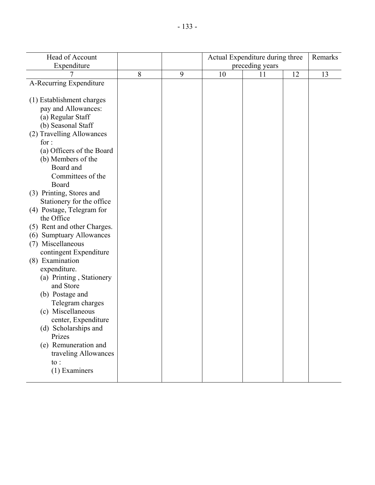| Head of Account             |   |   | Actual Expenditure during three |    |    | Remarks |
|-----------------------------|---|---|---------------------------------|----|----|---------|
| Expenditure                 |   |   | preceding years                 |    |    |         |
|                             | 8 | 9 | 10                              | 11 | 12 | 13      |
| A-Recurring Expenditure     |   |   |                                 |    |    |         |
|                             |   |   |                                 |    |    |         |
| (1) Establishment charges   |   |   |                                 |    |    |         |
| pay and Allowances:         |   |   |                                 |    |    |         |
| (a) Regular Staff           |   |   |                                 |    |    |         |
| (b) Seasonal Staff          |   |   |                                 |    |    |         |
| (2) Travelling Allowances   |   |   |                                 |    |    |         |
| for:                        |   |   |                                 |    |    |         |
| (a) Officers of the Board   |   |   |                                 |    |    |         |
| (b) Members of the          |   |   |                                 |    |    |         |
| Board and                   |   |   |                                 |    |    |         |
| Committees of the           |   |   |                                 |    |    |         |
| Board                       |   |   |                                 |    |    |         |
| (3) Printing, Stores and    |   |   |                                 |    |    |         |
| Stationery for the office   |   |   |                                 |    |    |         |
| (4) Postage, Telegram for   |   |   |                                 |    |    |         |
| the Office                  |   |   |                                 |    |    |         |
| (5) Rent and other Charges. |   |   |                                 |    |    |         |
| (6) Sumptuary Allowances    |   |   |                                 |    |    |         |
| (7) Miscellaneous           |   |   |                                 |    |    |         |
| contingent Expenditure      |   |   |                                 |    |    |         |
| (8) Examination             |   |   |                                 |    |    |         |
| expenditure.                |   |   |                                 |    |    |         |
| (a) Printing, Stationery    |   |   |                                 |    |    |         |
| and Store                   |   |   |                                 |    |    |         |
| (b) Postage and             |   |   |                                 |    |    |         |
| Telegram charges            |   |   |                                 |    |    |         |
| (c) Miscellaneous           |   |   |                                 |    |    |         |
| center, Expenditure         |   |   |                                 |    |    |         |
| (d) Scholarships and        |   |   |                                 |    |    |         |
| Prizes                      |   |   |                                 |    |    |         |
| (e) Remuneration and        |   |   |                                 |    |    |         |
| traveling Allowances        |   |   |                                 |    |    |         |
| $\mathsf{to}$ :             |   |   |                                 |    |    |         |
| (1) Examiners               |   |   |                                 |    |    |         |
|                             |   |   |                                 |    |    |         |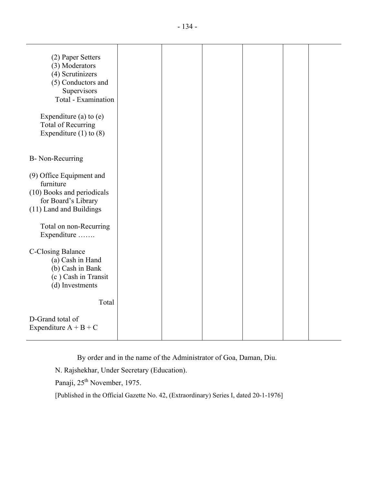| (2) Paper Setters<br>(3) Moderators<br>(4) Scrutinizers<br>(5) Conductors and<br>Supervisors<br>Total - Examination<br>Expenditure (a) to $(e)$<br><b>Total of Recurring</b><br>Expenditure $(1)$ to $(8)$ |  |  |  |
|------------------------------------------------------------------------------------------------------------------------------------------------------------------------------------------------------------|--|--|--|
| B- Non-Recurring                                                                                                                                                                                           |  |  |  |
| (9) Office Equipment and<br>furniture<br>(10) Books and periodicals<br>for Board's Library<br>(11) Land and Buildings<br>Total on non-Recurring<br>Expenditure                                             |  |  |  |
| C-Closing Balance<br>(a) Cash in Hand<br>(b) Cash in Bank<br>(c) Cash in Transit<br>(d) Investments<br>Total                                                                                               |  |  |  |
| D-Grand total of<br>Expenditure $A + B + C$                                                                                                                                                                |  |  |  |

By order and in the name of the Administrator of Goa, Daman, Diu.

N. Rajshekhar, Under Secretary (Education).

Panaji, 25<sup>th</sup> November, 1975.

[Published in the Official Gazette No. 42, (Extraordinary) Series I, dated 20-1-1976]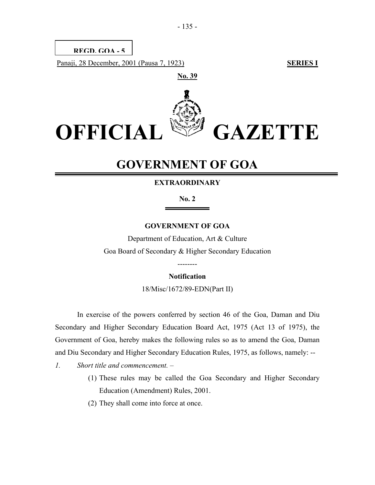

# **GOVERNMENT OF GOA**

#### **EXTRAORDINARY**

**No. 2** 

#### **GOVERNMENT OF GOA**

Department of Education, Art & Culture Goa Board of Secondary & Higher Secondary Education

#### **Notification**

--------

18/Misc/1672/89-EDN(Part II)

In exercise of the powers conferred by section 46 of the Goa, Daman and Diu Secondary and Higher Secondary Education Board Act, 1975 (Act 13 of 1975), the Government of Goa, hereby makes the following rules so as to amend the Goa, Daman and Diu Secondary and Higher Secondary Education Rules, 1975, as follows, namely: --

- *1. Short title and commencement.* 
	- (1) These rules may be called the Goa Secondary and Higher Secondary Education (Amendment) Rules, 2001.
	- (2) They shall come into force at once.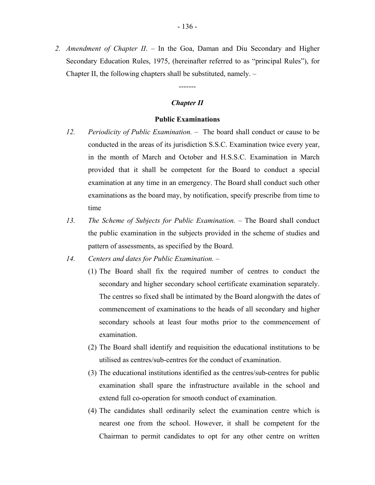*2. Amendment of Chapter II*. – In the Goa, Daman and Diu Secondary and Higher Secondary Education Rules, 1975, (hereinafter referred to as "principal Rules"), for Chapter II, the following chapters shall be substituted, namely. –

#### *Chapter II*

-------

#### **Public Examinations**

- *12. Periodicity of Public Examination.* The board shall conduct or cause to be conducted in the areas of its jurisdiction S.S.C. Examination twice every year, in the month of March and October and H.S.S.C. Examination in March provided that it shall be competent for the Board to conduct a special examination at any time in an emergency. The Board shall conduct such other examinations as the board may, by notification, specify prescribe from time to time
- *13. The Scheme of Subjects for Public Examination.* The Board shall conduct the public examination in the subjects provided in the scheme of studies and pattern of assessments, as specified by the Board.
- *14. Centers and dates for Public Examination.* 
	- (1) The Board shall fix the required number of centres to conduct the secondary and higher secondary school certificate examination separately. The centres so fixed shall be intimated by the Board alongwith the dates of commencement of examinations to the heads of all secondary and higher secondary schools at least four moths prior to the commencement of examination.
	- (2) The Board shall identify and requisition the educational institutions to be utilised as centres/sub-centres for the conduct of examination.
	- (3) The educational institutions identified as the centres/sub-centres for public examination shall spare the infrastructure available in the school and extend full co-operation for smooth conduct of examination.
	- (4) The candidates shall ordinarily select the examination centre which is nearest one from the school. However, it shall be competent for the Chairman to permit candidates to opt for any other centre on written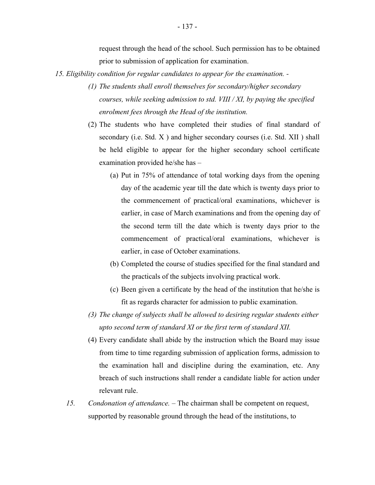request through the head of the school. Such permission has to be obtained prior to submission of application for examination.

- *15. Eligibility condition for regular candidates to appear for the examination.* 
	- *(1) The students shall enroll themselves for secondary/higher secondary courses, while seeking admission to std. VIII / XI, by paying the specified enrolment fees through the Head of the institution.*
	- (2) The students who have completed their studies of final standard of secondary (i.e. Std. X ) and higher secondary courses (i.e. Std. XII ) shall be held eligible to appear for the higher secondary school certificate examination provided he/she has –
		- (a) Put in 75% of attendance of total working days from the opening day of the academic year till the date which is twenty days prior to the commencement of practical/oral examinations, whichever is earlier, in case of March examinations and from the opening day of the second term till the date which is twenty days prior to the commencement of practical/oral examinations, whichever is earlier, in case of October examinations.
		- (b) Completed the course of studies specified for the final standard and the practicals of the subjects involving practical work.
		- (c) Been given a certificate by the head of the institution that he/she is fit as regards character for admission to public examination.
	- *(3) The change of subjects shall be allowed to desiring regular students either upto second term of standard XI or the first term of standard XII.*
	- (4) Every candidate shall abide by the instruction which the Board may issue from time to time regarding submission of application forms, admission to the examination hall and discipline during the examination, etc. Any breach of such instructions shall render a candidate liable for action under relevant rule.
	- *15. Condonation of attendance. –* The chairman shall be competent on request, supported by reasonable ground through the head of the institutions, to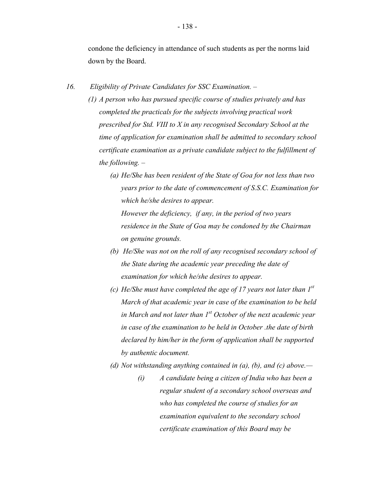condone the deficiency in attendance of such students as per the norms laid down by the Board.

- *16. Eligibility of Private Candidates for SSC Examination. (1) A person who has pursued specific course of studies privately and has completed the practicals for the subjects involving practical work prescribed for Std. VIII to X in any recognised Secondary School at the time of application for examination shall be admitted to secondary school certificate examination as a private candidate subject to the fulfillment of the following. –* 
	- *(a) He/She has been resident of the State of Goa for not less than two years prior to the date of commencement of S.S.C. Examination for which he/she desires to appear.*

*However the deficiency, if any, in the period of two years residence in the State of Goa may be condoned by the Chairman on genuine grounds.* 

- *(b) He/She was not on the roll of any recognised secondary school of the State during the academic year preceding the date of examination for which he/she desires to appear.*
- *(c) He/She must have completed the age of 17 years not later than 1st March of that academic year in case of the examination to be held in March and not later than 1st October of the next academic year in case of the examination to be held in October .the date of birth declared by him/her in the form of application shall be supported by authentic document.*
- *(d) Not withstanding anything contained in (a), (b), and (c) above.—* 
	- *(i) A candidate being a citizen of India who has been a regular student of a secondary school overseas and who has completed the course of studies for an examination equivalent to the secondary school certificate examination of this Board may be*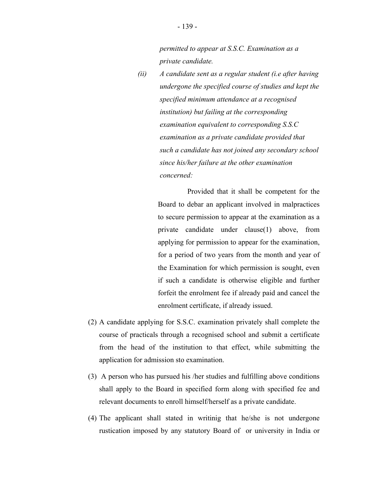*permitted to appear at S.S.C. Examination as a private candidate.* 

*(ii) A candidate sent as a regular student (i.e after having undergone the specified course of studies and kept the specified minimum attendance at a recognised institution) but failing at the corresponding examination equivalent to corresponding S.S.C examination as a private candidate provided that such a candidate has not joined any secondary school since his/her failure at the other examination concerned:* 

> Provided that it shall be competent for the Board to debar an applicant involved in malpractices to secure permission to appear at the examination as a private candidate under clause(1) above, from applying for permission to appear for the examination, for a period of two years from the month and year of the Examination for which permission is sought, even if such a candidate is otherwise eligible and further forfeit the enrolment fee if already paid and cancel the enrolment certificate, if already issued.

- (2) A candidate applying for S.S.C. examination privately shall complete the course of practicals through a recognised school and submit a certificate from the head of the institution to that effect, while submitting the application for admission sto examination.
- (3) A person who has pursued his /her studies and fulfilling above conditions shall apply to the Board in specified form along with specified fee and relevant documents to enroll himself/herself as a private candidate.
- (4) The applicant shall stated in writinig that he/she is not undergone rustication imposed by any statutory Board of or university in India or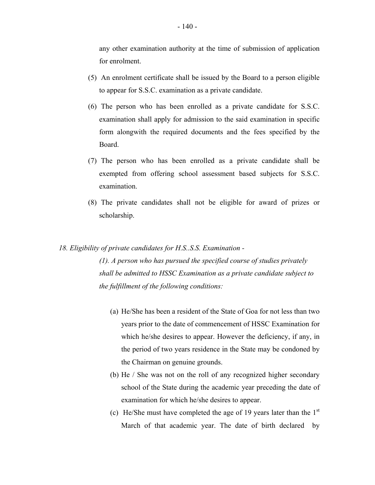any other examination authority at the time of submission of application for enrolment.

- (5) An enrolment certificate shall be issued by the Board to a person eligible to appear for S.S.C. examination as a private candidate.
- (6) The person who has been enrolled as a private candidate for S.S.C. examination shall apply for admission to the said examination in specific form alongwith the required documents and the fees specified by the Board.
- (7) The person who has been enrolled as a private candidate shall be exempted from offering school assessment based subjects for S.S.C. examination.
- (8) The private candidates shall not be eligible for award of prizes or scholarship.

#### *18. Eligibility of private candidates for H.S..S.S. Examination -*

*(1). A person who has pursued the specified course of studies privately shall be admitted to HSSC Examination as a private candidate subject to the fulfillment of the following conditions:* 

- (a) He/She has been a resident of the State of Goa for not less than two years prior to the date of commencement of HSSC Examination for which he/she desires to appear. However the deficiency, if any, in the period of two years residence in the State may be condoned by the Chairman on genuine grounds.
- (b) He / She was not on the roll of any recognized higher secondary school of the State during the academic year preceding the date of examination for which he/she desires to appear.
- (c) He/She must have completed the age of 19 years later than the  $1<sup>st</sup>$ March of that academic year. The date of birth declared by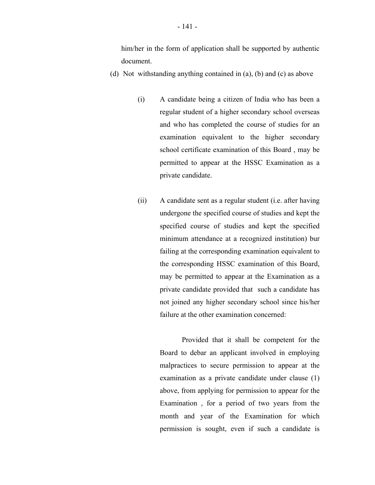him/her in the form of application shall be supported by authentic document.

- (d) Not withstanding anything contained in (a), (b) and (c) as above
	- (i) A candidate being a citizen of India who has been a regular student of a higher secondary school overseas and who has completed the course of studies for an examination equivalent to the higher secondary school certificate examination of this Board , may be permitted to appear at the HSSC Examination as a private candidate.
	- (ii) A candidate sent as a regular student (i.e. after having undergone the specified course of studies and kept the specified course of studies and kept the specified minimum attendance at a recognized institution) bur failing at the corresponding examination equivalent to the corresponding HSSC examination of this Board, may be permitted to appear at the Examination as a private candidate provided that such a candidate has not joined any higher secondary school since his/her failure at the other examination concerned:

Provided that it shall be competent for the Board to debar an applicant involved in employing malpractices to secure permission to appear at the examination as a private candidate under clause (1) above, from applying for permission to appear for the Examination , for a period of two years from the month and year of the Examination for which permission is sought, even if such a candidate is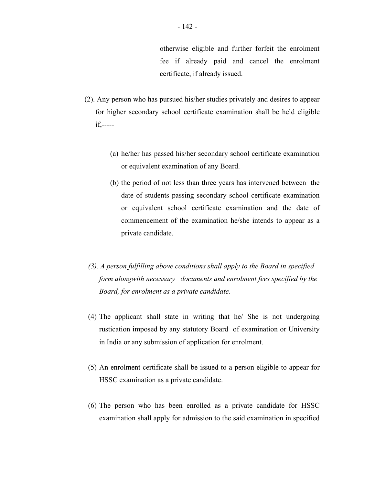fee if already paid and cancel the enrolment certificate, if already issued. otherwise eligible and further forfeit the enrolment

- (2). Any person who has pursued his/her studies privately and desires to appear for higher secondary school certificate examination shall be held eligible if,-----
	- (a) he/her has passed his/her secondary school certificate examination or equivalent examination of any Board.
	- (b) the period of not less than three years has intervened between the date of students passing secondary school certificate examination or equivalent school certificate examination and the date of commencement of the examination he/she intends to appear as a private candidate.
	- *(3). A person fulfilling above conditions shall apply to the Board in specified form alongwith necessary documents and enrolment fees specified by the Board, for enrolment as a private candidate.*
- (4) The applicant shall state in writing that he/ She is not undergoing rustication imposed by any statutory Board of examination or University in India or any submission of application for enrolment.
- (5) An enrolment certificate shall be issued to a person eligible to appear for HSSC examination as a private candidate.
- (6) The person who has been enrolled as a private candidate for HSSC examination shall apply for admission to the said examination in specified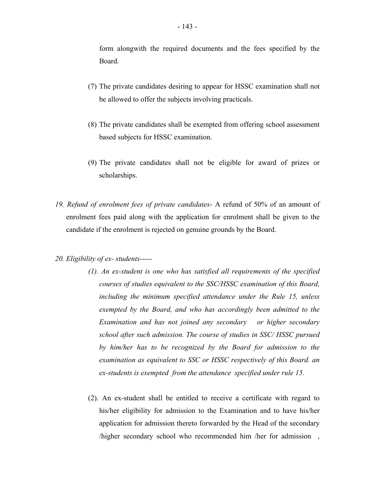form alongwith the required documents and the fees specified by the Board.

- (7) The private candidates desiring to appear for HSSC examination shall not be allowed to offer the subjects involving practicals.
- (8) The private candidates shall be exempted from offering school assessment based subjects for HSSC examination.
- (9) The private candidates shall not be eligible for award of prizes or scholarships.
- *19. Refund of enrolment fees of private candidates-* A refund of 50% of an amount of enrolment fees paid along with the application for enrolment shall be given to the candidate if the enrolment is rejected on genuine grounds by the Board.
- *20. Eligibility of ex- students----*
	- *(1). An ex-student is one who has satisfied all requirements of the specified courses of studies equivalent to the SSC/HSSC examination of this Board, including the minimum specified attendance under the Rule 15, unless exempted by the Board, and who has accordingly been admitted to the Examination and has not joined any secondary or higher secondary school after such admission. The course of studies in SSC/ HSSC pursued by him/her has to be recognized by the Board for admission to the examination as equivalent to SSC or HSSC respectively of this Board. an ex-students is exempted from the attendance specified under rule 15.*
	- (2). An ex-student shall be entitled to receive a certificate with regard to his/her eligibility for admission to the Examination and to have his/her application for admission thereto forwarded by the Head of the secondary /higher secondary school who recommended him /her for admission ,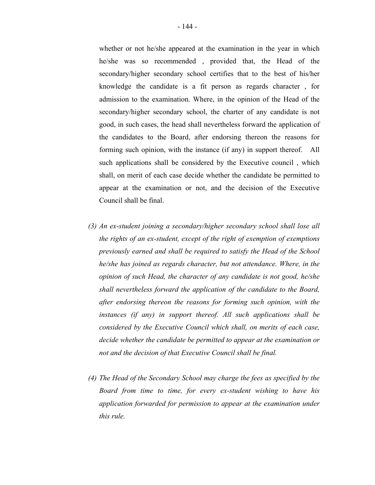whether or not he/she appeared at the examination in the year in which he/she was so recommended , provided that, the Head of the secondary/higher secondary school certifies that to the best of his/her knowledge the candidate is a fit person as regards character , for admission to the examination. Where, in the opinion of the Head of the secondary/higher secondary school, the charter of any candidate is not good, in such cases, the head shall nevertheless forward the application of the candidates to the Board, after endorsing thereon the reasons for forming such opinion, with the instance (if any) in support thereof. All such applications shall be considered by the Executive council , which shall, on merit of each case decide whether the candidate be permitted to appear at the examination or not, and the decision of the Executive Council shall be final.

- *(3) An ex-student joining a secondary/higher secondary school shall lose all the rights of an ex-student, except of the right of exemption of exemptions previously earned and shall be required to satisfy the Head of the School he/she has joined as regards character, but not attendance. Where, in the opinion of such Head, the character of any candidate is not good, he/she shall nevertheless forward the application of the candidate to the Board, after endorsing thereon the reasons for forming such opinion, with the instances (if any) in support thereof. All such applications shall be considered by the Executive Council which shall, on merits of each case, decide whether the candidate be permitted to appear at the examination or not and the decision of that Executive Council shall be final.*
- *(4) The Head of the Secondary School may charge the fees as specified by the Board from time to time, for every ex-student wishing to have his application forwarded for permission to appear at the examination under this rule.*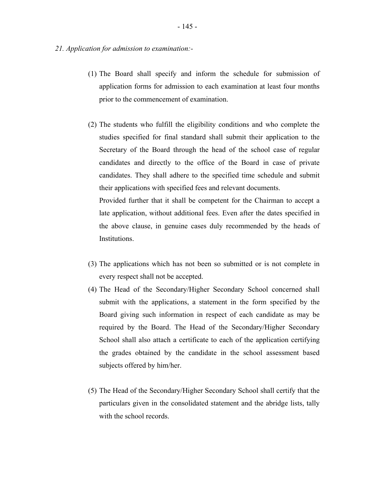- *21. Application for admission to examination:*
	- (1) The Board shall specify and inform the schedule for submission of application forms for admission to each examination at least four months prior to the commencement of examination.
	- (2) The students who fulfill the eligibility conditions and who complete the studies specified for final standard shall submit their application to the Secretary of the Board through the head of the school case of regular candidates and directly to the office of the Board in case of private candidates. They shall adhere to the specified time schedule and submit their applications with specified fees and relevant documents.

Provided further that it shall be competent for the Chairman to accept a late application, without additional fees. Even after the dates specified in the above clause, in genuine cases duly recommended by the heads of Institutions.

- (3) The applications which has not been so submitted or is not complete in every respect shall not be accepted.
- (4) The Head of the Secondary/Higher Secondary School concerned shall submit with the applications, a statement in the form specified by the Board giving such information in respect of each candidate as may be required by the Board. The Head of the Secondary/Higher Secondary School shall also attach a certificate to each of the application certifying the grades obtained by the candidate in the school assessment based subjects offered by him/her.
- (5) The Head of the Secondary/Higher Secondary School shall certify that the particulars given in the consolidated statement and the abridge lists, tally with the school records.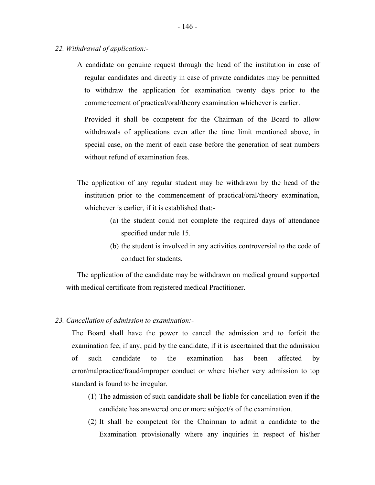- *22. Withdrawal of application:-*
	- A candidate on genuine request through the head of the institution in case of regular candidates and directly in case of private candidates may be permitted to withdraw the application for examination twenty days prior to the commencement of practical/oral/theory examination whichever is earlier.

Provided it shall be competent for the Chairman of the Board to allow withdrawals of applications even after the time limit mentioned above, in special case, on the merit of each case before the generation of seat numbers without refund of examination fees.

- The application of any regular student may be withdrawn by the head of the institution prior to the commencement of practical/oral/theory examination, whichever is earlier, if it is established that:-
	- (a) the student could not complete the required days of attendance specified under rule 15.
	- (b) the student is involved in any activities controversial to the code of conduct for students.

The application of the candidate may be withdrawn on medical ground supported with medical certificate from registered medical Practitioner.

#### *23. Cancellation of admission to examination:*

The Board shall have the power to cancel the admission and to forfeit the examination fee, if any, paid by the candidate, if it is ascertained that the admission of such candidate to the examination has been affected by error/malpractice/fraud/improper conduct or where his/her very admission to top standard is found to be irregular.

- (1) The admission of such candidate shall be liable for cancellation even if the candidate has answered one or more subject/s of the examination.
- (2) It shall be competent for the Chairman to admit a candidate to the Examination provisionally where any inquiries in respect of his/her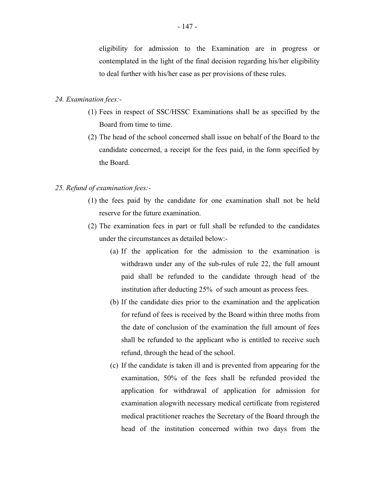eligibility for admission to the Examination are in progress or contemplated in the light of the final decision regarding his/her eligibility to deal further with his/her case as per provisions of these rules.

### *24. Examination fees:*

- (1) Fees in respect of SSC/HSSC Examinations shall be as specified by the Board from time to time.
- (2) The head of the school concerned shall issue on behalf of the Board to the candidate concerned, a receipt for the fees paid, in the form specified by the Board.

### *25. Refund of examination fees:*

- (1) the fees paid by the candidate for one examination shall not be held reserve for the future examination.
- (2) The examination fees in part or full shall be refunded to the candidates under the circumstances as detailed below:-
	- (a) If the application for the admission to the examination is withdrawn under any of the sub-rules of rule 22, the full amount paid shall be refunded to the candidate through head of the institution after deducting 25% of such amount as process fees.
	- (b) If the candidate dies prior to the examination and the application for refund of fees is received by the Board within three moths from the date of conclusion of the examination the full amount of fees shall be refunded to the applicant who is entitled to receive such refund, through the head of the school.
	- (c) If the candidate is taken ill and is prevented from appearing for the examination, 50% of the fees shall be refunded provided the application for withdrawal of application for admission for examination alogwith necessary medical certificate from registered medical practitioner reaches the Secretary of the Board through the head of the institution concerned within two days from the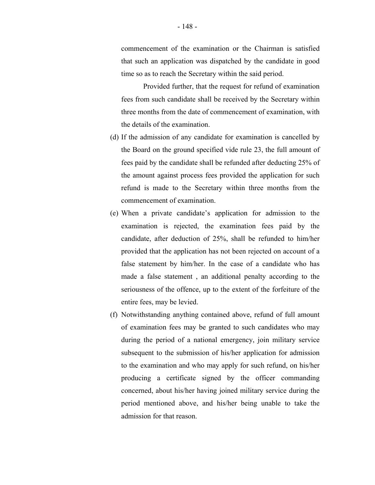commencement of the examination or the Chairman is satisfied that such an application was dispatched by the candidate in good time so as to reach the Secretary within the said period.

Provided further, that the request for refund of examination fees from such candidate shall be received by the Secretary within three months from the date of commencement of examination, with the details of the examination.

- (d) If the admission of any candidate for examination is cancelled by the Board on the ground specified vide rule 23, the full amount of fees paid by the candidate shall be refunded after deducting 25% of the amount against process fees provided the application for such refund is made to the Secretary within three months from the commencement of examination.
- (e) When a private candidate's application for admission to the examination is rejected, the examination fees paid by the candidate, after deduction of 25%, shall be refunded to him/her provided that the application has not been rejected on account of a false statement by him/her. In the case of a candidate who has made a false statement , an additional penalty according to the seriousness of the offence, up to the extent of the forfeiture of the entire fees, may be levied.
- (f) Notwithstanding anything contained above, refund of full amount of examination fees may be granted to such candidates who may during the period of a national emergency, join military service subsequent to the submission of his/her application for admission to the examination and who may apply for such refund, on his/her producing a certificate signed by the officer commanding concerned, about his/her having joined military service during the period mentioned above, and his/her being unable to take the admission for that reason.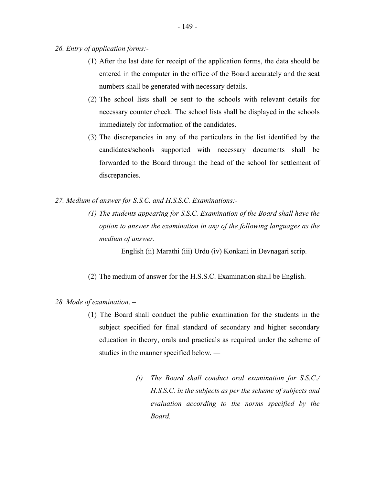- (1) After the last date for receipt of the application forms, the data should be entered in the computer in the office of the Board accurately and the seat numbers shall be generated with necessary details.
- (2) The school lists shall be sent to the schools with relevant details for necessary counter check. The school lists shall be displayed in the schools immediately for information of the candidates.
- (3) The discrepancies in any of the particulars in the list identified by the candidates/schools supported with necessary documents shall be forwarded to the Board through the head of the school for settlement of discrepancies.
- *27. Medium of answer for S.S.C. and H.S.S.C. Examinations:-*
	- *(1) The students appearing for S.S.C. Examination of the Board shall have the option to answer the examination in any of the following languages as the medium of answer.*

English (ii) Marathi (iii) Urdu (iv) Konkani in Devnagari scrip.

- (2) The medium of answer for the H.S.S.C. Examination shall be English.
- *28. Mode of examination*.
	- (1) The Board shall conduct the public examination for the students in the subject specified for final standard of secondary and higher secondary education in theory, orals and practicals as required under the scheme of studies in the manner specified below*. —* 
		- *(i) The Board shall conduct oral examination for S.S.C./ H.S.S.C. in the subjects as per the scheme of subjects and evaluation according to the norms specified by the Board.*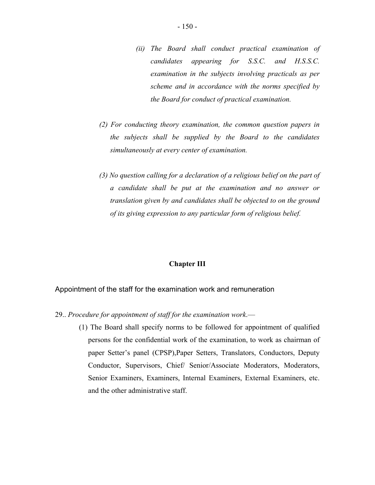- *(ii) The Board shall conduct practical examination of candidates appearing for S.S.C. and H.S.S.C. examination in the subjects involving practicals as per scheme and in accordance with the norms specified by the Board for conduct of practical examination.*
- *(2) For conducting theory examination, the common question papers in the subjects shall be supplied by the Board to the candidates simultaneously at every center of examination.*
- *(3) No question calling for a declaration of a religious belief on the part of a candidate shall be put at the examination and no answer or translation given by and candidates shall be objected to on the ground of its giving expression to any particular form of religious belief.*

#### **Chapter III**

#### Appointment of the staff for the examination work and remuneration

- 29.. *Procedure for appointment of staff for the examination work*.—
	- (1) The Board shall specify norms to be followed for appointment of qualified persons for the confidential work of the examination, to work as chairman of paper Setter's panel (CPSP),Paper Setters, Translators, Conductors, Deputy Conductor, Supervisors, Chief/ Senior/Associate Moderators, Moderators, Senior Examiners, Examiners, Internal Examiners, External Examiners, etc. and the other administrative staff.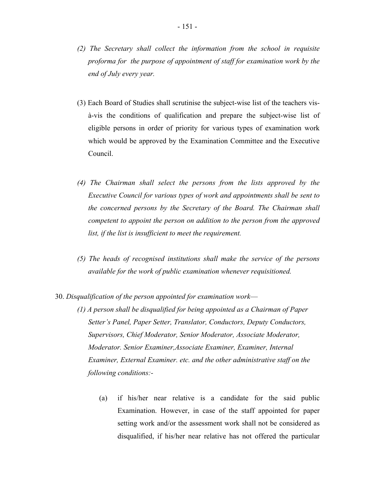- (3) Each Board of Studies shall scrutinise the subject-wise list of the teachers visà-vis the conditions of qualification and prepare the subject-wise list of eligible persons in order of priority for various types of examination work which would be approved by the Examination Committee and the Executive Council.
- *(4) The Chairman shall select the persons from the lists approved by the Executive Council for various types of work and appointments shall be sent to the concerned persons by the Secretary of the Board. The Chairman shall competent to appoint the person on addition to the person from the approved list, if the list is insufficient to meet the requirement.*
- *(5) The heads of recognised institutions shall make the service of the persons available for the work of public examination whenever requisitioned.*
- 30. *Disqualification of the person appointed for examination work*
	- *(1) A person shall be disqualified for being appointed as a Chairman of Paper Setter's Panel, Paper Setter, Translator, Conductors, Deputy Conductors, Supervisors, Chief Moderator, Senior Moderator, Associate Moderator, Moderator. Senior Examiner,Associate Examiner, Examiner, Internal Examiner, External Examiner. etc. and the other administrative staff on the following conditions:-* 
		- (a) if his/her near relative is a candidate for the said public Examination. However, in case of the staff appointed for paper setting work and/or the assessment work shall not be considered as disqualified, if his/her near relative has not offered the particular

*end of July every year.*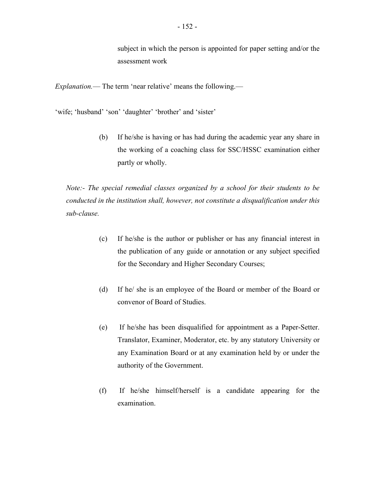subject in which the person is appointed for paper setting and/or the assessment work

*Explanation.*— The term 'near relative' means the following.—

'wife; 'husband' 'son' 'daughter' 'brother' and 'sister'

(b) If he/she is having or has had during the academic year any share in the working of a coaching class for SSC/HSSC examination either partly or wholly.

*Note:- The special remedial classes organized by a school for their students to be conducted in the institution shall, however, not constitute a disqualification under this sub-clause.* 

- (c) If he/she is the author or publisher or has any financial interest in the publication of any guide or annotation or any subject specified for the Secondary and Higher Secondary Courses;
- (d) If he/ she is an employee of the Board or member of the Board or convenor of Board of Studies.
- (e) If he/she has been disqualified for appointment as a Paper-Setter. Translator, Examiner, Moderator, etc. by any statutory University or any Examination Board or at any examination held by or under the authority of the Government.
- (f) If he/she himself/herself is a candidate appearing for the examination.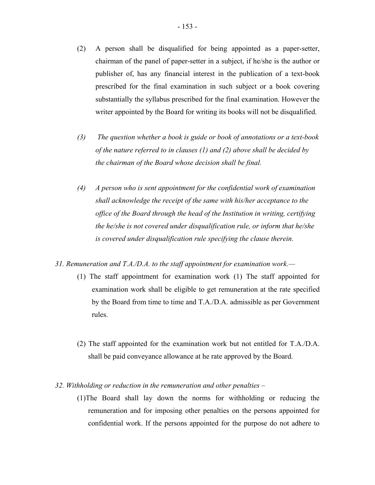- (2) A person shall be disqualified for being appointed as a paper-setter, chairman of the panel of paper-setter in a subject, if he/she is the author or publisher of, has any financial interest in the publication of a text-book prescribed for the final examination in such subject or a book covering substantially the syllabus prescribed for the final examination. However the writer appointed by the Board for writing its books will not be disqualified.
- *(3) The question whether a book is guide or book of annotations or a text-book of the nature referred to in clauses (1) and (2) above shall be decided by the chairman of the Board whose decision shall be final.*
- $(4)$ *(4) A person who is sent appointment for the confidential work of examination shall acknowledge the receipt of the same with his/her acceptance to the office of the Board through the head of the Institution in writing, certifying the he/she is not covered under disqualification rule, or inform that he/she is covered under disqualification rule specifying the clause therein.*
- *31. Remuneration and T.A./D.A. to the staff appointment for examination work.—* 
	- (1) The staff appointment for examination work (1) The staff appointed for examination work shall be eligible to get remuneration at the rate specified by the Board from time to time and T.A./D.A. admissible as per Government rules.
	- (2) The staff appointed for the examination work but not entitled for T.A./D.A. shall be paid conveyance allowance at he rate approved by the Board.

### *32. Withholding or reduction in the remuneration and other penalties* –

(1)The Board shall lay down the norms for withholding or reducing the remuneration and for imposing other penalties on the persons appointed for confidential work. If the persons appointed for the purpose do not adhere to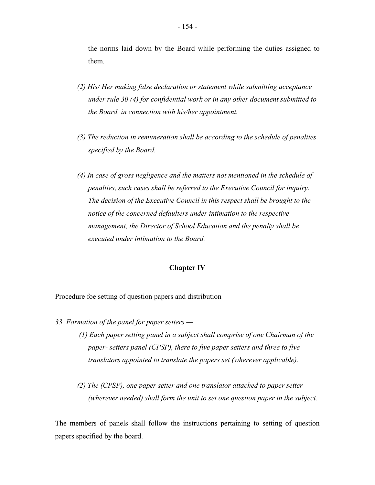the norms laid down by the Board while performing the duties assigned to them.

- *(2) His/ Her making false declaration or statement while submitting acceptance under rule 30 (4) for confidential work or in any other document submitted to the Board, in connection with his/her appointment.*
- *(3) The reduction in remuneration shall be according to the schedule of penalties specified by the Board.*
- *(4) In case of gross negligence and the matters not mentioned in the schedule of penalties, such cases shall be referred to the Executive Council for inquiry. The decision of the Executive Council in this respect shall be brought to the notice of the concerned defaulters under intimation to the respective management, the Director of School Education and the penalty shall be executed under intimation to the Board.*

#### **Chapter IV**

Procedure foe setting of question papers and distribution

- *33. Formation of the panel for paper setters.—* 
	- *(1) Each paper setting panel in a subject shall comprise of one Chairman of the paper- setters panel (CPSP), there to five paper setters and three to five translators appointed to translate the papers set (wherever applicable).*
	- *(2) The (CPSP), one paper setter and one translator attached to paper setter (wherever needed) shall form the unit to set one question paper in the subject.*

The members of panels shall follow the instructions pertaining to setting of question papers specified by the board.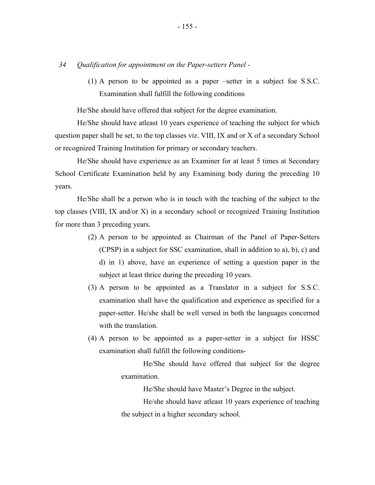*34 Qualification for appointment on the Paper-setters Panel -* 

(1) A person to be appointed as a paper –setter in a subject foe S.S.C. Examination shall fulfill the following conditions

He/She should have offered that subject for the degree examination.

He/She should have atleast 10 years experience of teaching the subject for which question paper shall be set, to the top classes viz. VIII, IX and or X of a secondary School or recognized Training Institution for primary or secondary teachers.

He/She should have experience as an Examiner for at least 5 times at Secondary School Certificate Examination held by any Examining body during the preceding 10 years.

He/She shall be a person who is in touch with the teaching of the subject to the top classes (VIII, IX and/or X) in a secondary school or recognized Training Institution for more than 3 preceding years.

- (2) A person to be appointed as Chairman of the Panel of Paper-Setters (CPSP) in a subject for SSC examination, shall in addition to a), b), c) and d) in 1) above, have an experience of setting a question paper in the subject at least thrice during the preceding 10 years.
- (3) A person to be appointed as a Translator in a subject for S.S.C. examination shall have the qualification and experience as specified for a paper-setter. He/she shall be well versed in both the languages concerned with the translation.
- (4) A person to be appointed as a paper-setter in a subject for HSSC examination shall fulfill the following conditions-

He/She should have offered that subject for the degree examination.

He/She should have Master's Degree in the subject.

He/she should have atleast 10 years experience of teaching the subject in a higher secondary school.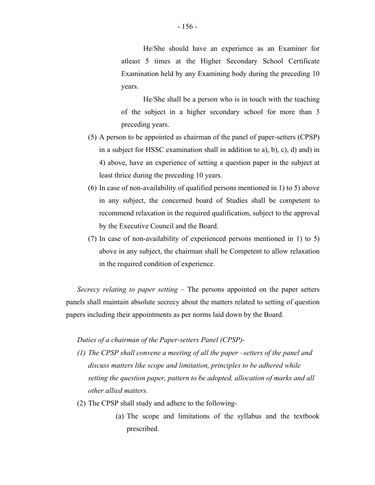He/She should have an experience as an Examiner for atleast 5 times at the Higher Secondary School Certificate Examination held by any Examining body during the preceding 10 years.

He/She shall be a person who is in touch with the teaching of the subject in a higher secondary school for more than 3 preceding years.

- (5) A person to be appointed as chairman of the panel of paper-setters (CPSP) in a subject for HSSC examination shall in addition to a), b), c), d) and) in 4) above, have an experience of setting a question paper in the subject at least thrice during the preceding 10 years.
- (6) In case of non-availability of qualified persons mentioned in 1) to 5) above in any subject, the concerned board of Studies shall be competent to recommend relaxation in the required qualification, subject to the approval by the Executive Council and the Board.
- (7) In case of non-availability of experienced persons mentioned in 1) to 5) above in any subject, the chairman shall be Competent to allow relaxation in the required condition of experience.

*Secrecy relating to paper setting –* The persons appointed on the paper setters panels shall maintain absolute secrecy about the matters related to setting of question papers including their appointments as per norms laid down by the Board.

## *Duties of a chairman of the Paper-setters Panel (CPSP)-*

- *(1) The CPSP shall convene a meeting of all the paper –setters of the panel and discuss matters like scope and limitation, principles to be adhered while setting the question paper, pattern to be adopted, allocation of marks and all other allied matters.*
- (2) The CPSP shall study and adhere to the following-
	- (a) The scope and limitations of the syllabus and the textbook prescribed.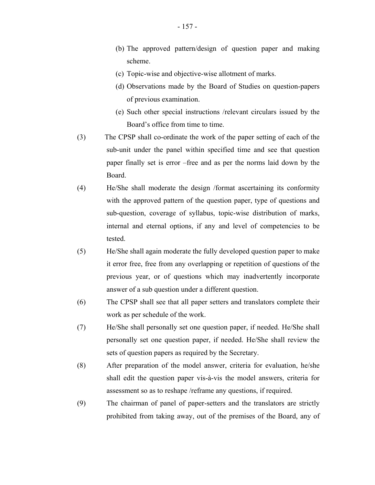- (b) The approved pattern/design of question paper and making scheme.
- (c) Topic-wise and objective-wise allotment of marks.
- (d) Observations made by the Board of Studies on question-papers of previous examination.
- (e) Such other special instructions /relevant circulars issued by the Board's office from time to time.
- (3) The CPSP shall co-ordinate the work of the paper setting of each of the sub-unit under the panel within specified time and see that question paper finally set is error –free and as per the norms laid down by the Board.
- (4) He/She shall moderate the design /format ascertaining its conformity with the approved pattern of the question paper, type of questions and sub-question, coverage of syllabus, topic-wise distribution of marks, internal and eternal options, if any and level of competencies to be tested.
- (5) He/She shall again moderate the fully developed question paper to make it error free, free from any overlapping or repetition of questions of the previous year, or of questions which may inadvertently incorporate answer of a sub question under a different question.
- (6) The CPSP shall see that all paper setters and translators complete their work as per schedule of the work.
- (7) He/She shall personally set one question paper, if needed. He/She shall personally set one question paper, if needed. He/She shall review the sets of question papers as required by the Secretary.
- (8) After preparation of the model answer, criteria for evaluation, he/she shall edit the question paper vis-à-vis the model answers, criteria for assessment so as to reshape /reframe any questions, if required.
- (9) The chairman of panel of paper-setters and the translators are strictly prohibited from taking away, out of the premises of the Board, any of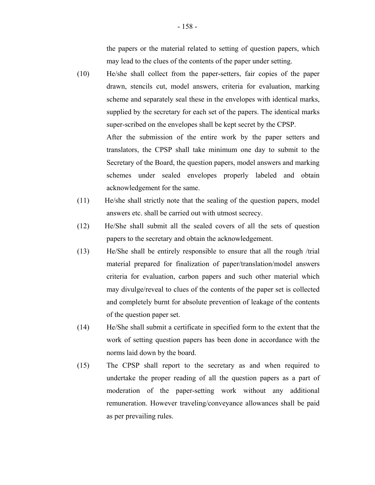the papers or the material related to setting of question papers, which may lead to the clues of the contents of the paper under setting.

- (10) He/she shall collect from the paper-setters, fair copies of the paper drawn, stencils cut, model answers, criteria for evaluation, marking scheme and separately seal these in the envelopes with identical marks, supplied by the secretary for each set of the papers. The identical marks super-scribed on the envelopes shall be kept secret by the CPSP. After the submission of the entire work by the paper setters and translators, the CPSP shall take minimum one day to submit to the Secretary of the Board, the question papers, model answers and marking schemes under sealed envelopes properly labeled and obtain acknowledgement for the same.
- (11) He/she shall strictly note that the sealing of the question papers, model answers etc. shall be carried out with utmost secrecy.
- (12) He/She shall submit all the sealed covers of all the sets of question papers to the secretary and obtain the acknowledgement.
- (13) He/She shall be entirely responsible to ensure that all the rough /trial material prepared for finalization of paper/translation/model answers criteria for evaluation, carbon papers and such other material which may divulge/reveal to clues of the contents of the paper set is collected and completely burnt for absolute prevention of leakage of the contents of the question paper set.
- (14) He/She shall submit a certificate in specified form to the extent that the work of setting question papers has been done in accordance with the norms laid down by the board.
- (15) The CPSP shall report to the secretary as and when required to undertake the proper reading of all the question papers as a part of moderation of the paper-setting work without any additional remuneration. However traveling/conveyance allowances shall be paid as per prevailing rules.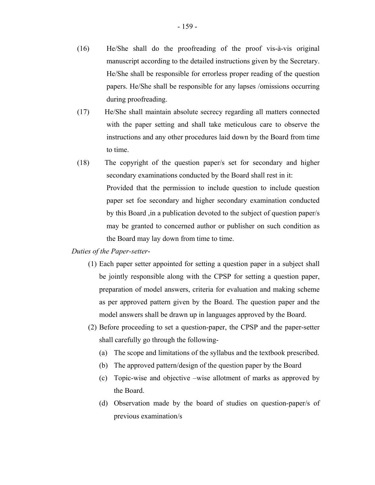- (16) He/She shall do the proofreading of the proof vis-à-vis original manuscript according to the detailed instructions given by the Secretary. He/She shall be responsible for errorless proper reading of the question papers. He/She shall be responsible for any lapses /omissions occurring during proofreading.
- (17) He/She shall maintain absolute secrecy regarding all matters connected with the paper setting and shall take meticulous care to observe the instructions and any other procedures laid down by the Board from time to time.
- (18) The copyright of the question paper/s set for secondary and higher secondary examinations conducted by the Board shall rest in it: Provided that the permission to include question to include question paper set foe secondary and higher secondary examination conducted by this Board ,in a publication devoted to the subject of question paper/s may be granted to concerned author or publisher on such condition as the Board may lay down from time to time.

#### *Duties of the Paper-setter*-

- (1) Each paper setter appointed for setting a question paper in a subject shall be jointly responsible along with the CPSP for setting a question paper, preparation of model answers, criteria for evaluation and making scheme as per approved pattern given by the Board. The question paper and the model answers shall be drawn up in languages approved by the Board.
- (2) Before proceeding to set a question-paper, the CPSP and the paper-setter shall carefully go through the following-
	- (a) The scope and limitations of the syllabus and the textbook prescribed.
	- (b) The approved pattern/design of the question paper by the Board
	- (c) Topic-wise and objective –wise allotment of marks as approved by the Board.
	- (d) Observation made by the board of studies on question-paper/s of previous examination/s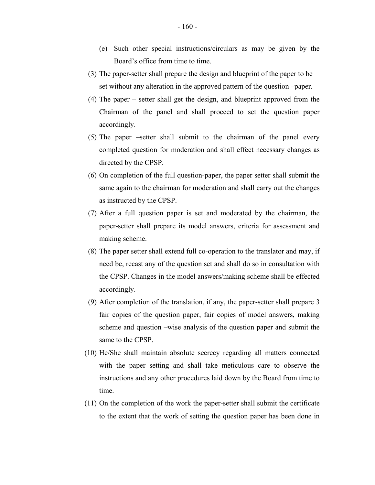- (e) Such other special instructions/circulars as may be given by the Board's office from time to time.
- (3) The paper-setter shall prepare the design and blueprint of the paper to be set without any alteration in the approved pattern of the question –paper.
- (4) The paper setter shall get the design, and blueprint approved from the Chairman of the panel and shall proceed to set the question paper accordingly.
- (5) The paper –setter shall submit to the chairman of the panel every completed question for moderation and shall effect necessary changes as directed by the CPSP.
- (6) On completion of the full question-paper, the paper setter shall submit the same again to the chairman for moderation and shall carry out the changes as instructed by the CPSP.
- (7) After a full question paper is set and moderated by the chairman, the paper-setter shall prepare its model answers, criteria for assessment and making scheme.
- (8) The paper setter shall extend full co-operation to the translator and may, if need be, recast any of the question set and shall do so in consultation with the CPSP. Changes in the model answers/making scheme shall be effected accordingly.
- (9) After completion of the translation, if any, the paper-setter shall prepare 3 fair copies of the question paper, fair copies of model answers, making scheme and question –wise analysis of the question paper and submit the same to the CPSP.
- (10) He/She shall maintain absolute secrecy regarding all matters connected with the paper setting and shall take meticulous care to observe the instructions and any other procedures laid down by the Board from time to time.
- (11) On the completion of the work the paper-setter shall submit the certificate to the extent that the work of setting the question paper has been done in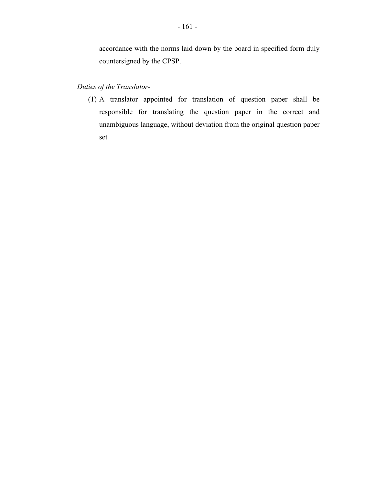accordance with the norms laid down by the board in specified form duly countersigned by the CPSP.

# *Duties of the Translator*

(1) A translator appointed for translation of question paper shall be responsible for translating the question paper in the correct and unambiguous language, without deviation from the original question paper set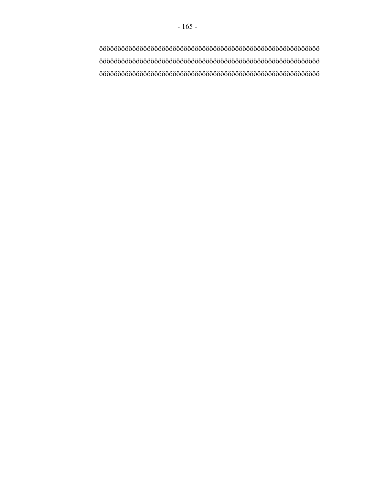öööööööööööööööööööööööööööööööööööööööööööööööööööööööööööö öööööööööööööööööööööööööööööööööööööööööööööööööööööööööööö öööööööööööööööööööööööööööööööööööööööööööööööööööööööööööö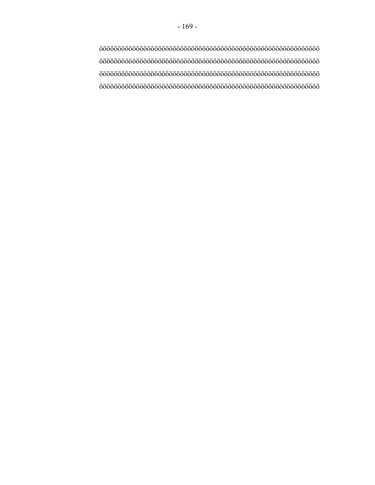öööööööööööööööööööööööööööööööööööööööööööööööööööööööööööö öööööööööööööööööööööööööööööööööööööööööööööööööööööööööööö öööööööööööööööööööööööööööööööööööööööööööööööööööööööööööö öööööööööööööööööööööööööööööööööööööööööööööööööööööööööööö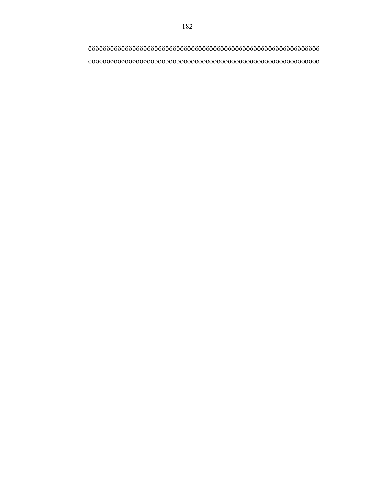ööööööööööööööööööööööööööööööööööööööööööööööööööööööööööööööö ööööööööööööööööööööööööööööööööööööööööööööööööööööööööööööööö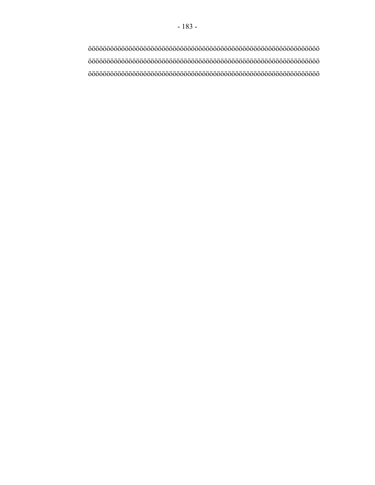ööööööööööööööööööööööööööööööööööööööööööööööööööööööööööööööö ööööööööööööööööööööööööööööööööööööööööööööööööööööööööööööööö ööööööööööööööööööööööööööööööööööööööööööööööööööööööööööööööö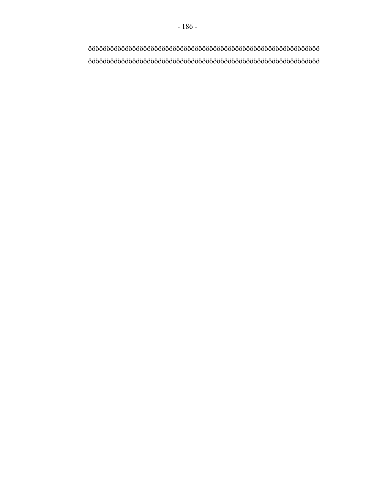ööööööööööööööööööööööööööööööööööööööööööööööööööööööööööööööö ööööööööööööööööööööööööööööööööööööööööööööööööööööööööööööööö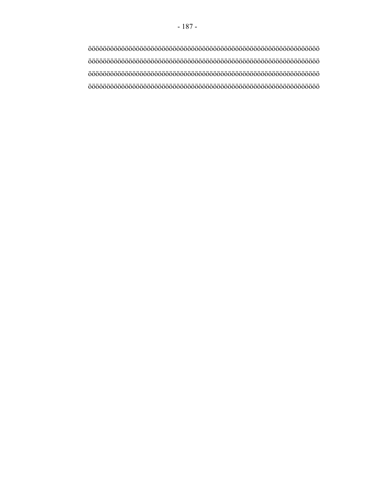ööööööööööööööööööööööööööööööööööööööööööööööööööööööööööööööö ööööööööööööööööööööööööööööööööööööööööööööööööööööööööööööööö ööööööööööööööööööööööööööööööööööööööööööööööööööööööööööööööö ööööööööööööööööööööööööööööööööööööööööööööööööööööööööööööööö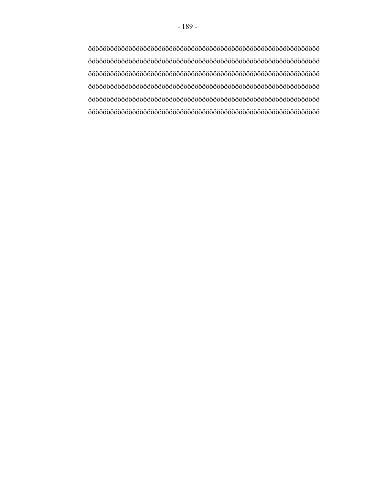ööööööööööööööööööööööööööööööööööööööööööööööööööööööööööööööö ööööööööööööööööööööööööööööööööööööööööööööööööööööööööööööööö ööööööööööööööööööööööööööööööööööööööööööööööööööööööööööööööö ööööööööööööööööööööööööööööööööööööööööööööööööööööööööööööööö ööööööööööööööööööööööööööööööööööööööööööööööööööööööööööööööö ööööööööööööööööööööööööööööööööööööööööööööööööööööööööööööööö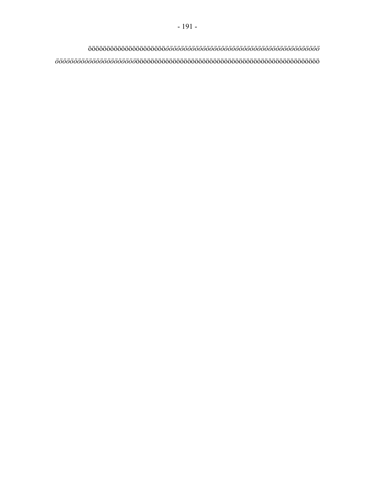ööööööööööööööööööööö*öööööööööööööööööööööööööööööööööööööööööö öööööööööööööööööööööö*öööööööööööööööööööööööööööööööööööööööööööööööööö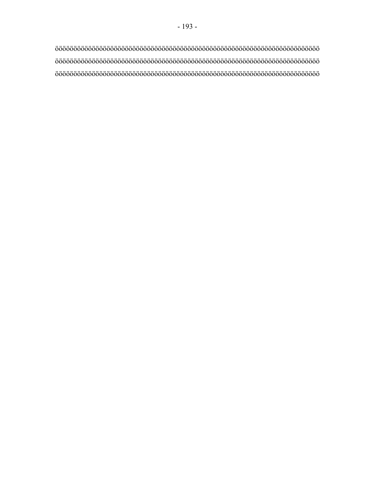öööööööööööööööööööööööööööööööööööööööööööööööööööööööööööööööööööööööö öööööööööööööööööööööööööööööööööööööööööööööööööööööööööööööööööööööööö öööööööööööööööööööööööööööööööööööööööööööööööööööööööööööööööööööööööö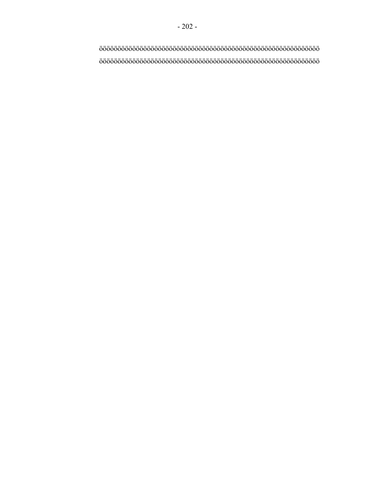öööööööööööööööööööööööööööööööööööööööööööööööööööööööööööö öööööööööööööööööööööööööööööööööööööööööööööööööööööööööööö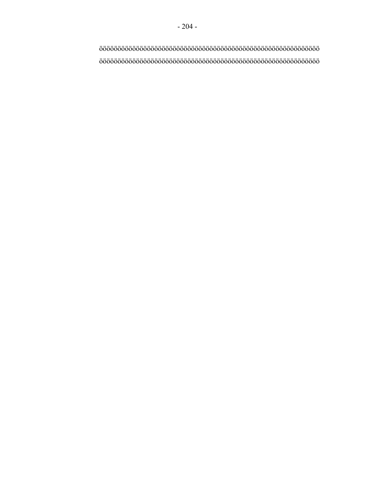öööööööööööööööööööööööööööööööööööööööööööööööööööööööööööö öööööööööööööööööööööööööööööööööööööööööööööööööööööööööööö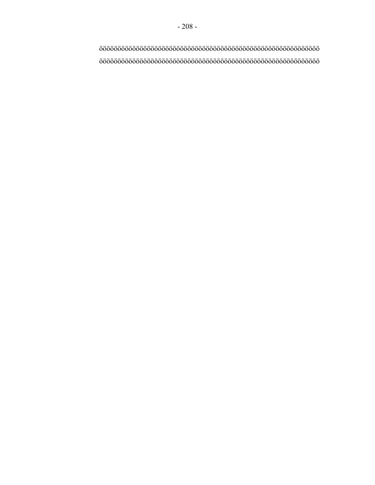öööööööööööööööööööööööööööööööööööööööööööööööööööööööööööö öööööööööööööööööööööööööööööööööööööööööööööööööööööööööööö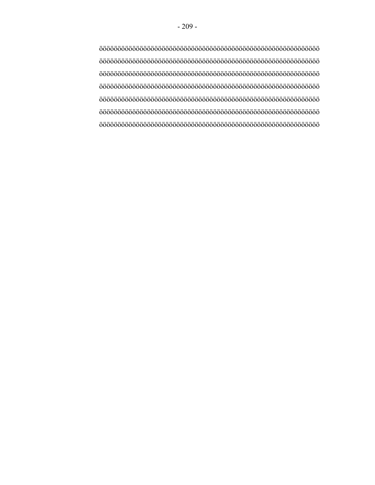öööööööööööööööööööööööööööööööööööööööööööööööööööööööööööö öööööööööööööööööööööööööööööööööööööööööööööööööööööööööööö öööööööööööööööööööööööööööööööööööööööööööööööööööööööööööö öööööööööööööööööööööööööööööööööööööööööööööööööööööööööööö öööööööööööööööööööööööööööööööööööööööööööööööööööööööööööö öööööööööööööööööööööööööööööööööööööööööööööööööööööööööööö öööööööööööööööööööööööööööööööööööööööööööööööööööööööööööö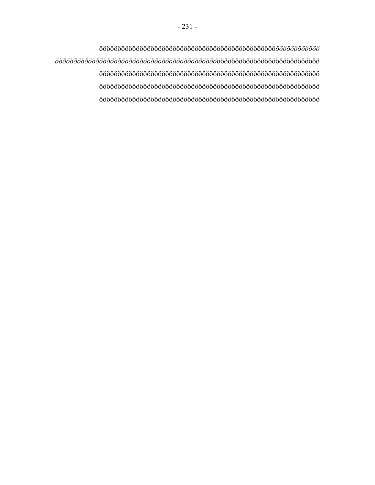öööööööööööööööööööööööööööööööööööööööööööööööö*öööööööööööö öööööööööööööööööööööööööööööööööööööööööööö*öööööööööööööööööööööööööööö öööööööööööööööööööööööööööööööööööööööööööööööööööööööööööö öööööööööööööööööööööööööööööööööööööööööööööööööööööööööööö öööööööööööööööööööööööööööööööööööööööööööööööööööööööööööö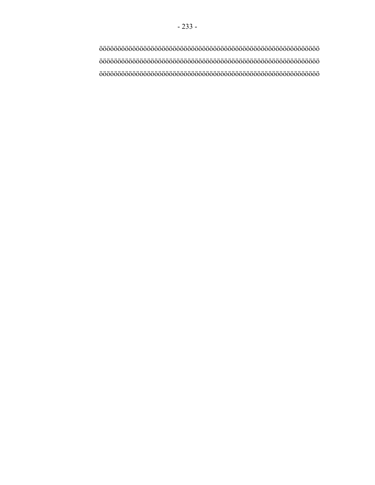öööööööööööööööööööööööööööööööööööööööööööööööööööööööööööö öööööööööööööööööööööööööööööööööööööööööööööööööööööööööööö öööööööööööööööööööööööööööööööööööööööööööööööööööööööööööö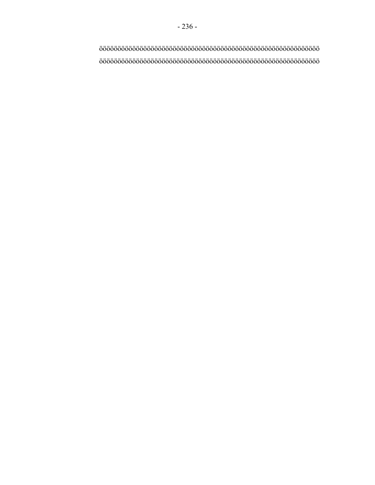- 236 -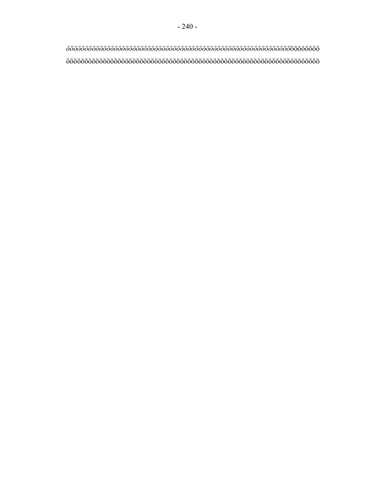*ööööööööööööööööööööööööööööööööööööööööööööööööööööööööööööö*öööööööö ööööööööööööööööööööööööööööööööööööööööööööööööööööööööööööööööööööö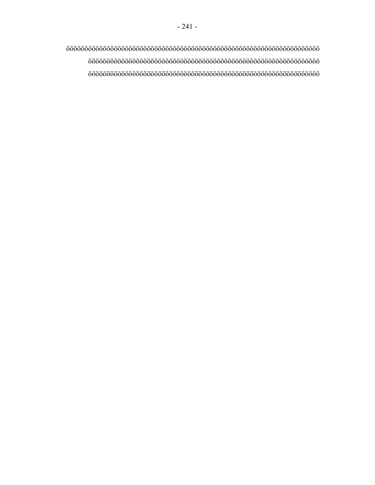ööööööööööööööööööööööööööööööööööööööööööööööööööööööööööööööööööööö ööööööööööööööööööööööööööööööööööööööööööööööööööööööööööööööö ööööööööööööööööööööööööööööööööööööööööööööööööööööööööööööööö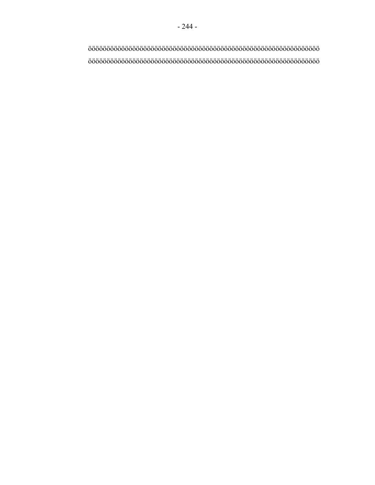ööööööööööööööööööööööööööööööööööööööööööööööööööööööööööööööö ööööööööööööööööööööööööööööööööööööööööööööööööööööööööööööööö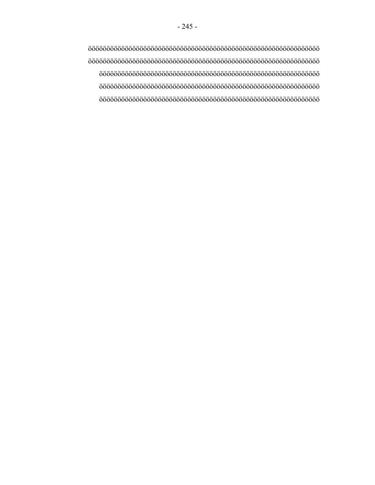ööööööööööööööööööööööööööööööööööööööööööööööööööööööööööööööö ööööööööööööööööööööööööööööööööööööööööööööööööööööööööööööööö öööööööööööööööööööööööööööööööööööööööööööööööööööööööööööö öööööööööööööööööööööööööööööööööööööööööööööööööööööööööööö öööööööööööööööööööööööööööööööööööööööööööööööööööööööööööö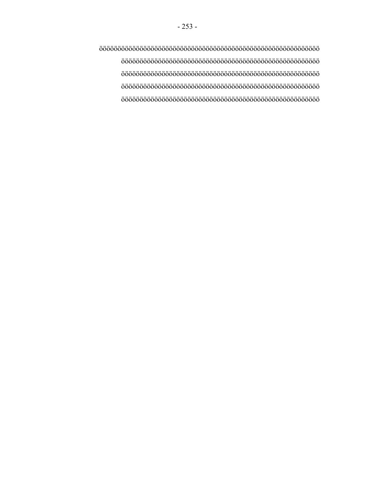öööööööööööööööööööööööööööööööööööööööööööööööööööööööööööö öööööööööööööööööööööööööööööööööööööööööööööööööööööö öööööööööööööööööööööööööööööööööööööööööööööööööööööö öööööööööööööööööööööööööööööööööööööööööööööööööööööö öööööööööööööööööööööööööööööööööööööööööööööööööööööö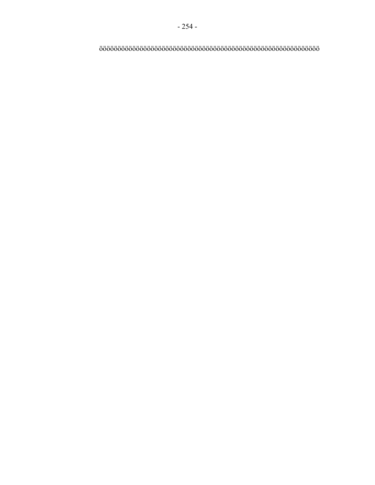öööööööööööööööööööööööööööööööööööööööööööööööööööööööööööö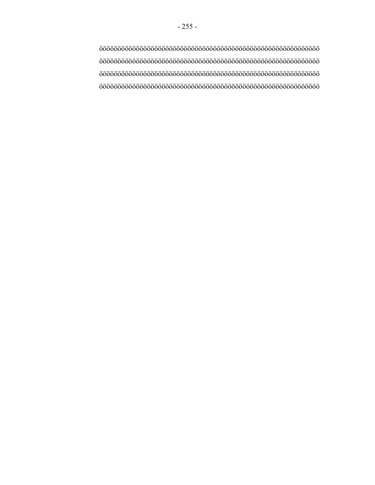öööööööööööööööööööööööööööööööööööööööööööööööööööööööööööö öööööööööööööööööööööööööööööööööööööööööööööööööööööööööööö öööööööööööööööööööööööööööööööööööööööööööööööööööööööööööö öööööööööööööööööööööööööööööööööööööööööööööööööööööööööööö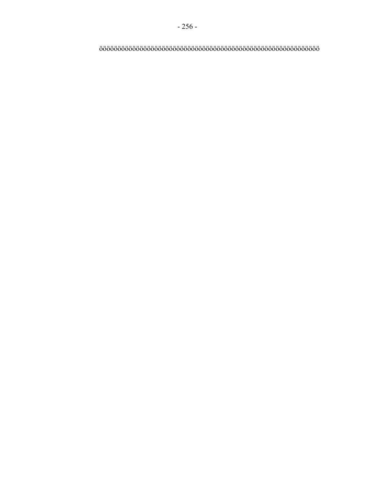öööööööööööööööööööööööööööööööööööööööööööööööööööööööööööö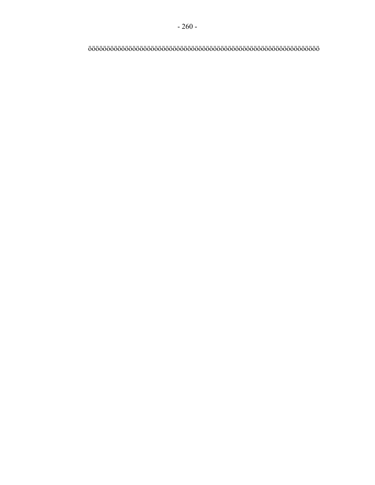ööööööööööööööööööööööööööööööööööööööööööööööööööööööööööööööö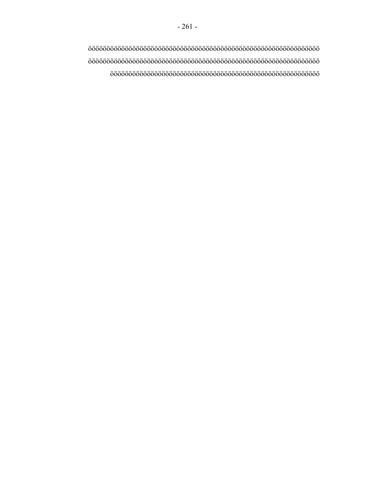ööööööööööööööööööööööööööööööööööööööööööööööööööööööööööööööö ööööööööööööööööööööööööööööööööööööööööööööööööööööööööööööööö ööööööööööööööööööööööööööööööööööööööööööööööööööööööööö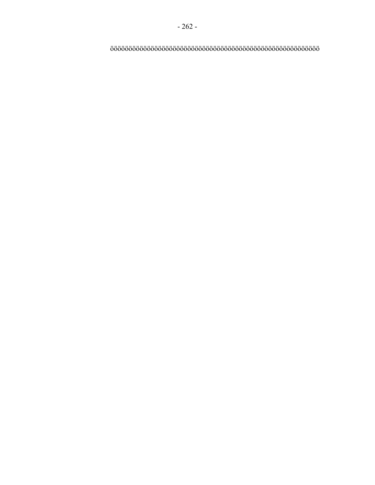ööööööööööööööööööööööööööööööööööööööööööööööööööööööööö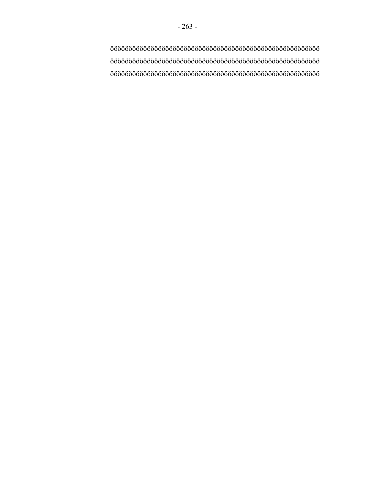ööööööööööööööööööööööööööööööööööööööööööööööööööööööööö ööööööööööööööööööööööööööööööööööööööööööööööööööööööööö ööööööööööööööööööööööööööööööööööööööööööööööööööööööööö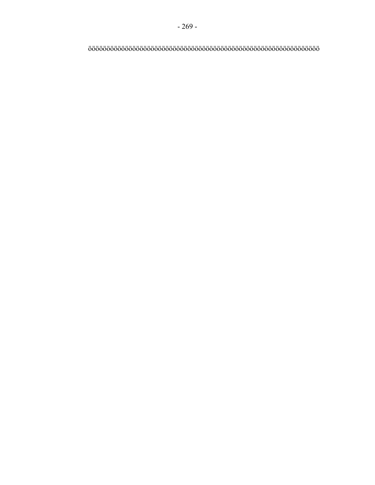ööööööööööööööööööööööööööööööööööööööööööööööööööööööööööööööö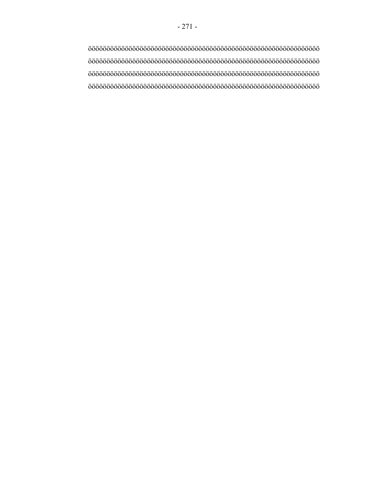ööööööööööööööööööööööööööööööööööööööööööööööööööööööööööööööö ööööööööööööööööööööööööööööööööööööööööööööööööööööööööööööööö ööööööööööööööööööööööööööööööööööööööööööööööööööööööööööööööö ööööööööööööööööööööööööööööööööööööööööööööööööööööööööööööööö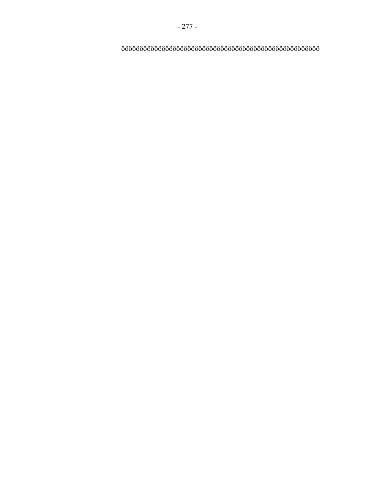öööööööööööööööööööööööööööööööööööööööööööööööööööööö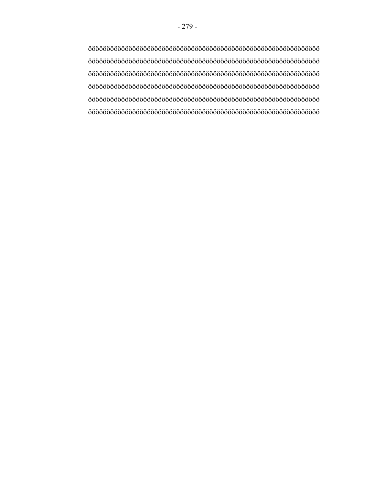ööööööööööööööööööööööööööööööööööööööööööööööööööööööööööööööö ööööööööööööööööööööööööööööööööööööööööööööööööööööööööööööööö ööööööööööööööööööööööööööööööööööööööööööööööööööööööööööööööö ööööööööööööööööööööööööööööööööööööööööööööööööööööööööööööööö ööööööööööööööööööööööööööööööööööööööööööööööööööööööööööööööö ööööööööööööööööööööööööööööööööööööööööööööööööööööööööööööööö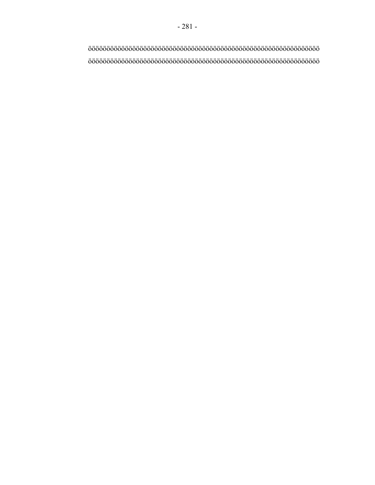- 281 -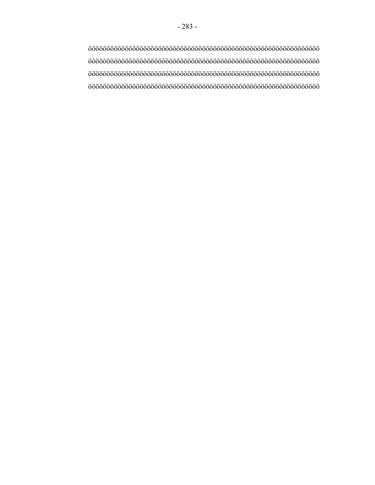ööööööööööööööööööööööööööööööööööööööööööööööööööööööööööööööö ööööööööööööööööööööööööööööööööööööööööööööööööööööööööööööööö ööööööööööööööööööööööööööööööööööööööööööööööööööööööööööööööö ööööööööööööööööööööööööööööööööööööööööööööööööööööööööööööööö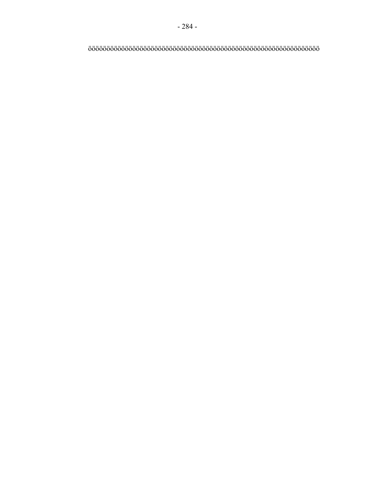## ööööööööööööööööööööööööööööööööööööööööööööööööööööööööööööööö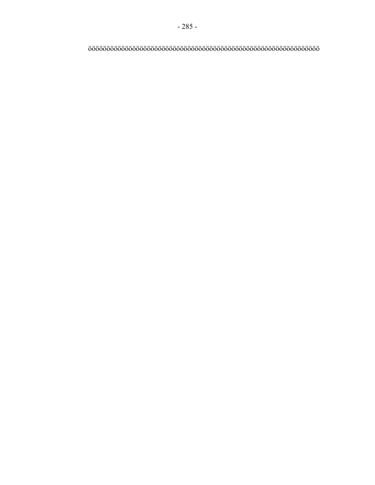## ööööööööööööööööööööööööööööööööööööööööööööööööööööööööööööööö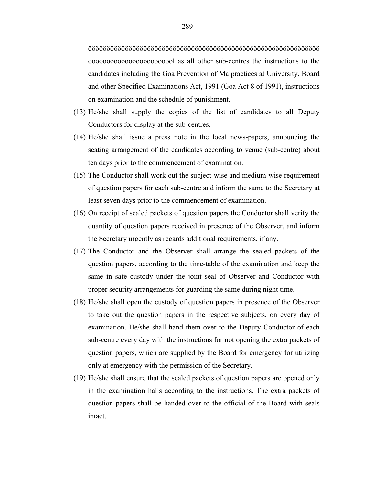ööööööööööööööööööööööööööööööööööööööööööööööööööööööööööööööö öööööööööööööööööööööööl as all other sub-centres the instructions to the candidates including the Goa Prevention of Malpractices at University, Board and other Specified Examinations Act, 1991 (Goa Act 8 of 1991), instructions on examination and the schedule of punishment.

- (13) He/she shall supply the copies of the list of candidates to all Deputy Conductors for display at the sub-centres.
- (14) He/she shall issue a press note in the local news-papers, announcing the seating arrangement of the candidates according to venue (sub-centre) about ten days prior to the commencement of examination.
- (15) The Conductor shall work out the subject-wise and medium-wise requirement of question papers for each sub-centre and inform the same to the Secretary at least seven days prior to the commencement of examination.
- (16) On receipt of sealed packets of question papers the Conductor shall verify the quantity of question papers received in presence of the Observer, and inform the Secretary urgently as regards additional requirements, if any.
- (17) The Conductor and the Observer shall arrange the sealed packets of the question papers, according to the time-table of the examination and keep the same in safe custody under the joint seal of Observer and Conductor with proper security arrangements for guarding the same during night time.
- (18) He/she shall open the custody of question papers in presence of the Observer to take out the question papers in the respective subjects, on every day of examination. He/she shall hand them over to the Deputy Conductor of each sub-centre every day with the instructions for not opening the extra packets of question papers, which are supplied by the Board for emergency for utilizing only at emergency with the permission of the Secretary.
- (19) He/she shall ensure that the sealed packets of question papers are opened only in the examination halls according to the instructions. The extra packets of question papers shall be handed over to the official of the Board with seals intact.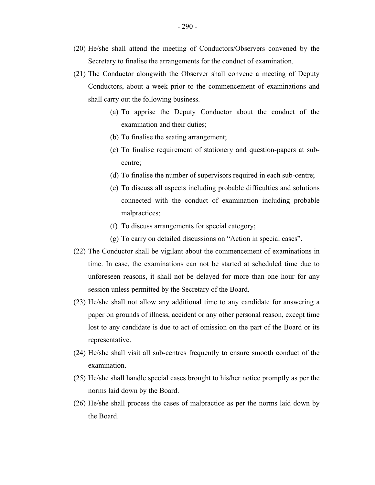- (21) The Conductor alongwith the Observer shall convene a meeting of Deputy Conductors, about a week prior to the commencement of examinations and shall carry out the following business.
	- (a) To apprise the Deputy Conductor about the conduct of the examination and their duties;
	- (b) To finalise the seating arrangement;
	- (c) To finalise requirement of stationery and question-papers at subcentre;
	- (d) To finalise the number of supervisors required in each sub-centre;
	- (e) To discuss all aspects including probable difficulties and solutions connected with the conduct of examination including probable malpractices;
	- (f) To discuss arrangements for special category;
	- (g) To carry on detailed discussions on "Action in special cases".
- (22) The Conductor shall be vigilant about the commencement of examinations in time. In case, the examinations can not be started at scheduled time due to unforeseen reasons, it shall not be delayed for more than one hour for any session unless permitted by the Secretary of the Board.
- (23) He/she shall not allow any additional time to any candidate for answering a paper on grounds of illness, accident or any other personal reason, except time lost to any candidate is due to act of omission on the part of the Board or its representative.
- (24) He/she shall visit all sub-centres frequently to ensure smooth conduct of the examination.
- (25) He/she shall handle special cases brought to his/her notice promptly as per the norms laid down by the Board.
- (26) He/she shall process the cases of malpractice as per the norms laid down by the Board.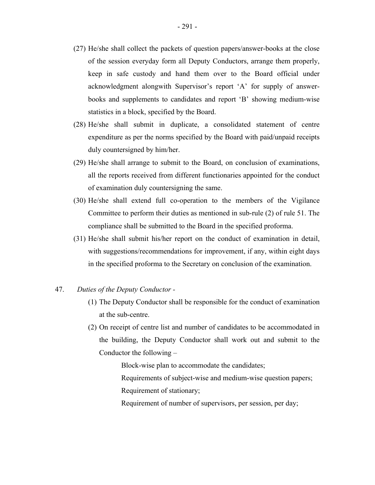- (27) He/she shall collect the packets of question papers/answer-books at the close of the session everyday form all Deputy Conductors, arrange them properly, keep in safe custody and hand them over to the Board official under acknowledgment alongwith Supervisor's report 'A' for supply of answerbooks and supplements to candidates and report 'B' showing medium-wise statistics in a block, specified by the Board.
- (28) He/she shall submit in duplicate, a consolidated statement of centre expenditure as per the norms specified by the Board with paid/unpaid receipts duly countersigned by him/her.
- (29) He/she shall arrange to submit to the Board, on conclusion of examinations, all the reports received from different functionaries appointed for the conduct of examination duly countersigning the same.
- (30) He/she shall extend full co-operation to the members of the Vigilance Committee to perform their duties as mentioned in sub-rule (2) of rule 51. The compliance shall be submitted to the Board in the specified proforma.
- (31) He/she shall submit his/her report on the conduct of examination in detail, with suggestions/recommendations for improvement, if any, within eight days in the specified proforma to the Secretary on conclusion of the examination.
- 47. *Duties of the Deputy Conductor -*
	- (1) The Deputy Conductor shall be responsible for the conduct of examination at the sub-centre.
	- (2) On receipt of centre list and number of candidates to be accommodated in the building, the Deputy Conductor shall work out and submit to the Conductor the following –

Block-wise plan to accommodate the candidates;

- Requirements of subject-wise and medium-wise question papers;
- Requirement of stationary;
- Requirement of number of supervisors, per session, per day;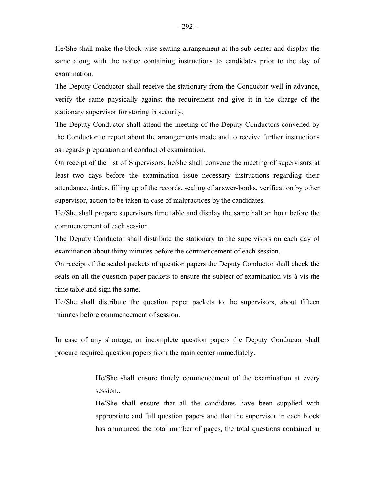He/She shall make the block-wise seating arrangement at the sub-center and display the same along with the notice containing instructions to candidates prior to the day of examination.

The Deputy Conductor shall receive the stationary from the Conductor well in advance, verify the same physically against the requirement and give it in the charge of the stationary supervisor for storing in security.

The Deputy Conductor shall attend the meeting of the Deputy Conductors convened by the Conductor to report about the arrangements made and to receive further instructions as regards preparation and conduct of examination.

On receipt of the list of Supervisors, he/she shall convene the meeting of supervisors at least two days before the examination issue necessary instructions regarding their attendance, duties, filling up of the records, sealing of answer-books, verification by other supervisor, action to be taken in case of malpractices by the candidates.

He/She shall prepare supervisors time table and display the same half an hour before the commencement of each session.

The Deputy Conductor shall distribute the stationary to the supervisors on each day of examination about thirty minutes before the commencement of each session.

On receipt of the sealed packets of question papers the Deputy Conductor shall check the seals on all the question paper packets to ensure the subject of examination vis-à-vis the time table and sign the same.

He/She shall distribute the question paper packets to the supervisors, about fifteen minutes before commencement of session.

In case of any shortage, or incomplete question papers the Deputy Conductor shall procure required question papers from the main center immediately.

> He/She shall ensure timely commencement of the examination at every session..

> He/She shall ensure that all the candidates have been supplied with appropriate and full question papers and that the supervisor in each block has announced the total number of pages, the total questions contained in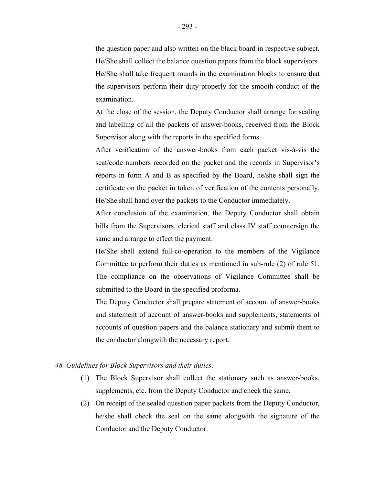the question paper and also written on the black board in respective subject. He/She shall collect the balance question papers from the block supervisors He/She shall take frequent rounds in the examination blocks to ensure that the supervisors perform their duty properly for the smooth conduct of the examination.

At the close of the session, the Deputy Conductor shall arrange for sealing and labelling of all the packets of answer-books, received from the Block Supervisor along with the reports in the specified forms.

After verification of the answer-books from each packet vis-à-vis the seat/code numbers recorded on the packet and the records in Supervisor's reports in form A and B as specified by the Board, he/she shall sign the certificate on the packet in token of verification of the contents personally. He/She shall hand over the packets to the Conductor immediately.

After conclusion of the examination, the Deputy Conductor shall obtain bills from the Supervisors, clerical staff and class IV staff countersign the same and arrange to effect the payment.

He/She shall extend full-co-operation to the members of the Vigilance Committee to perform their duties as mentioned in sub-rule (2) of rule 51. The compliance on the observations of Vigilance Committee shall be submitted to the Board in the specified proforma.

The Deputy Conductor shall prepare statement of account of answer-books and statement of account of answer-books and supplements, statements of accounts of question papers and the balance stationary and submit them to the conductor alongwith the necessary report.

### *48. Guidelines for Block Supervisors and their duties:*

- (1) The Block Supervisor shall collect the stationary such as answer-books, supplements, etc. from the Deputy Conductor and check the same.
- (2) On receipt of the sealed question paper packets from the Deputy Conductor, he/she shall check the seal on the same alongwith the signature of the Conductor and the Deputy Conductor.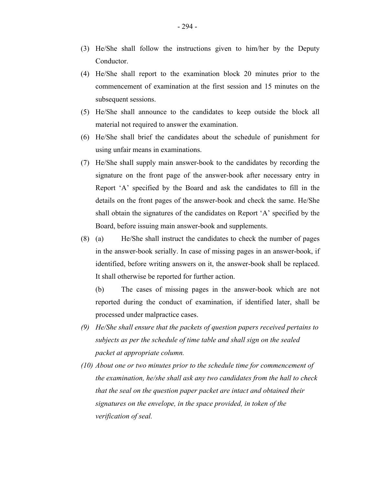- (3) He/She shall follow the instructions given to him/her by the Deputy Conductor.
- (4) He/She shall report to the examination block 20 minutes prior to the commencement of examination at the first session and 15 minutes on the subsequent sessions.
- (5) He/She shall announce to the candidates to keep outside the block all material not required to answer the examination.
- (6) He/She shall brief the candidates about the schedule of punishment for using unfair means in examinations.
- (7) He/She shall supply main answer-book to the candidates by recording the signature on the front page of the answer-book after necessary entry in Report 'A' specified by the Board and ask the candidates to fill in the details on the front pages of the answer-book and check the same. He/She shall obtain the signatures of the candidates on Report 'A' specified by the Board, before issuing main answer-book and supplements.
- (8) (a) He/She shall instruct the candidates to check the number of pages in the answer-book serially. In case of missing pages in an answer-book, if identified, before writing answers on it, the answer-book shall be replaced. It shall otherwise be reported for further action.

(b) The cases of missing pages in the answer-book which are not reported during the conduct of examination, if identified later, shall be processed under malpractice cases.

- *(9) He/She shall ensure that the packets of question papers received pertains to subjects as per the schedule of time table and shall sign on the sealed packet at appropriate column.*
- *(10) About one or two minutes prior to the schedule time for commencement of the examination, he/she shall ask any two candidates from the hall to check that the seal on the question paper packet are intact and obtained their signatures on the envelope, in the space provided, in token of the verification of seal.*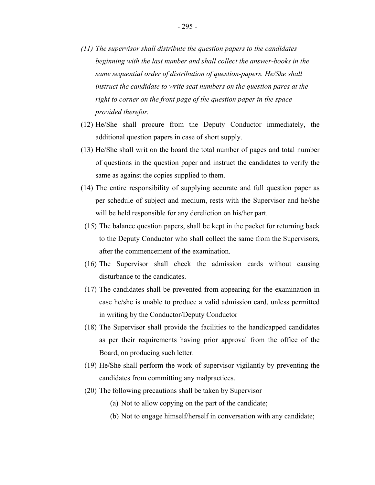- *(11) The supervisor shall distribute the question papers to the candidates beginning with the last number and shall collect the answer-books in the same sequential order of distribution of question-papers. He/She shall instruct the candidate to write seat numbers on the question pares at the right to corner on the front page of the question paper in the space provided therefor.*
- (12) He/She shall procure from the Deputy Conductor immediately, the additional question papers in case of short supply.
- (13) He/She shall writ on the board the total number of pages and total number of questions in the question paper and instruct the candidates to verify the same as against the copies supplied to them.
- (14) The entire responsibility of supplying accurate and full question paper as per schedule of subject and medium, rests with the Supervisor and he/she will be held responsible for any dereliction on his/her part.
- (15) The balance question papers, shall be kept in the packet for returning back to the Deputy Conductor who shall collect the same from the Supervisors, after the commencement of the examination.
- (16) The Supervisor shall check the admission cards without causing disturbance to the candidates.
- (17) The candidates shall be prevented from appearing for the examination in case he/she is unable to produce a valid admission card, unless permitted in writing by the Conductor/Deputy Conductor
- (18) The Supervisor shall provide the facilities to the handicapped candidates as per their requirements having prior approval from the office of the Board, on producing such letter.
- (19) He/She shall perform the work of supervisor vigilantly by preventing the candidates from committing any malpractices.
- (20) The following precautions shall be taken by Supervisor
	- (a) Not to allow copying on the part of the candidate;
	- (b) Not to engage himself/herself in conversation with any candidate;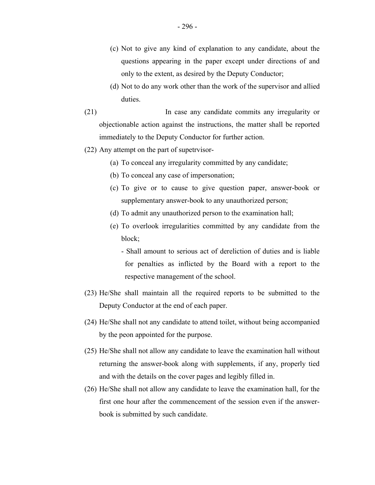- (c) Not to give any kind of explanation to any candidate, about the questions appearing in the paper except under directions of and only to the extent, as desired by the Deputy Conductor;
- (d) Not to do any work other than the work of the supervisor and allied duties.
- (21) In case any candidate commits any irregularity or objectionable action against the instructions, the matter shall be reported immediately to the Deputy Conductor for further action.
- (22) Any attempt on the part of supetrvisor-
	- (a) To conceal any irregularity committed by any candidate;
	- (b) To conceal any case of impersonation;
	- (c) To give or to cause to give question paper, answer-book or supplementary answer-book to any unauthorized person;
	- (d) To admit any unauthorized person to the examination hall;
	- (e) To overlook irregularities committed by any candidate from the block;
		- Shall amount to serious act of dereliction of duties and is liable for penalties as inflicted by the Board with a report to the respective management of the school.
- (23) He/She shall maintain all the required reports to be submitted to the Deputy Conductor at the end of each paper.
- (24) He/She shall not any candidate to attend toilet, without being accompanied by the peon appointed for the purpose.
- (25) He/She shall not allow any candidate to leave the examination hall without returning the answer-book along with supplements, if any, properly tied and with the details on the cover pages and legibly filled in.
- (26) He/She shall not allow any candidate to leave the examination hall, for the first one hour after the commencement of the session even if the answerbook is submitted by such candidate.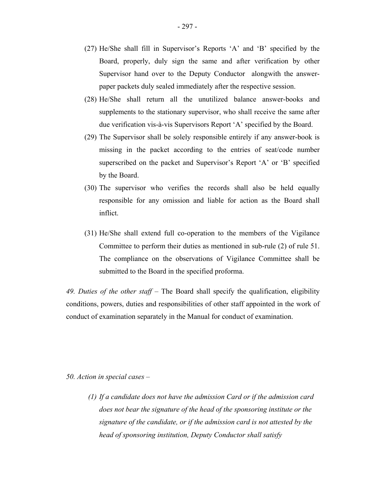- (27) He/She shall fill in Supervisor's Reports 'A' and 'B' specified by the Board, properly, duly sign the same and after verification by other Supervisor hand over to the Deputy Conductor alongwith the answerpaper packets duly sealed immediately after the respective session.
- (28) He/She shall return all the unutilized balance answer-books and supplements to the stationary supervisor, who shall receive the same after due verification vis-à-vis Supervisors Report 'A' specified by the Board.
- (29) The Supervisor shall be solely responsible entirely if any answer-book is missing in the packet according to the entries of seat/code number superscribed on the packet and Supervisor's Report 'A' or 'B' specified by the Board.
- (30) The supervisor who verifies the records shall also be held equally responsible for any omission and liable for action as the Board shall inflict.
- (31) He/She shall extend full co-operation to the members of the Vigilance Committee to perform their duties as mentioned in sub-rule (2) of rule 51. The compliance on the observations of Vigilance Committee shall be submitted to the Board in the specified proforma.

*49. Duties of the other staff* – The Board shall specify the qualification, eligibility conditions, powers, duties and responsibilities of other staff appointed in the work of conduct of examination separately in the Manual for conduct of examination.

#### *50. Action in special cases* –

*(1) If a candidate does not have the admission Card or if the admission card does not bear the signature of the head of the sponsoring institute or the signature of the candidate, or if the admission card is not attested by the head of sponsoring institution, Deputy Conductor shall satisfy*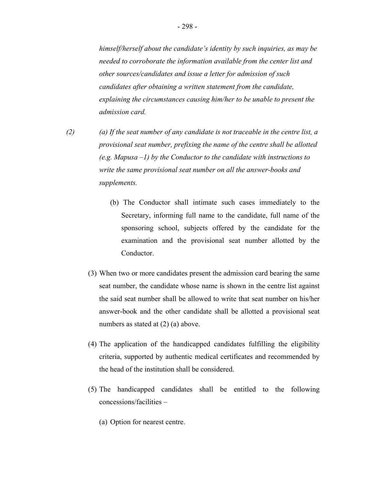*himself/herself about the candidate's identity by such inquiries, as may be needed to corroborate the information available from the center list and other sources/candidates and issue a letter for admission of such candidates after obtaining a written statement from the candidate, explaining the circumstances causing him/her to be unable to present the admission card.* 

- *(2) (a) If the seat number of any candidate is not traceable in the centre list, a provisional seat number, prefixing the name of the centre shall be allotted (e.g. Mapusa –1) by the Conductor to the candidate with instructions to write the same provisional seat number on all the answer-books and supplements.* 
	- (b) The Conductor shall intimate such cases immediately to the Secretary, informing full name to the candidate, full name of the sponsoring school, subjects offered by the candidate for the examination and the provisional seat number allotted by the Conductor.
	- (3) When two or more candidates present the admission card bearing the same seat number, the candidate whose name is shown in the centre list against the said seat number shall be allowed to write that seat number on his/her answer-book and the other candidate shall be allotted a provisional seat numbers as stated at  $(2)$  (a) above.
	- (4) The application of the handicapped candidates fulfilling the eligibility criteria, supported by authentic medical certificates and recommended by the head of the institution shall be considered.
	- (5) The handicapped candidates shall be entitled to the following concessions/facilities –
		- (a) Option for nearest centre.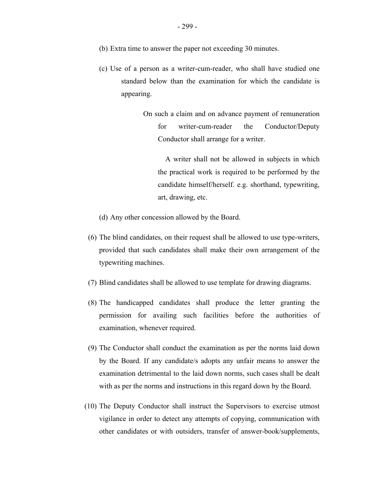- (b) Extra time to answer the paper not exceeding 30 minutes.
- (c) Use of a person as a writer-cum-reader, who shall have studied one standard below than the examination for which the candidate is appearing.
	- On such a claim and on advance payment of remuneration for writer-cum-reader the Conductor/Deputy Conductor shall arrange for a writer.

A writer shall not be allowed in subjects in which the practical work is required to be performed by the candidate himself/herself. e.g. shorthand, typewriting, art, drawing, etc.

- (d) Any other concession allowed by the Board.
- (6) The blind candidates, on their request shall be allowed to use type-writers, provided that such candidates shall make their own arrangement of the typewriting machines.
- (7) Blind candidates shall be allowed to use template for drawing diagrams.
- (8) The handicapped candidates shall produce the letter granting the permission for availing such facilities before the authorities of examination, whenever required.
- (9) The Conductor shall conduct the examination as per the norms laid down by the Board. If any candidate/s adopts any unfair means to answer the examination detrimental to the laid down norms, such cases shall be dealt with as per the norms and instructions in this regard down by the Board.
- (10) The Deputy Conductor shall instruct the Supervisors to exercise utmost vigilance in order to detect any attempts of copying, communication with other candidates or with outsiders, transfer of answer-book/supplements,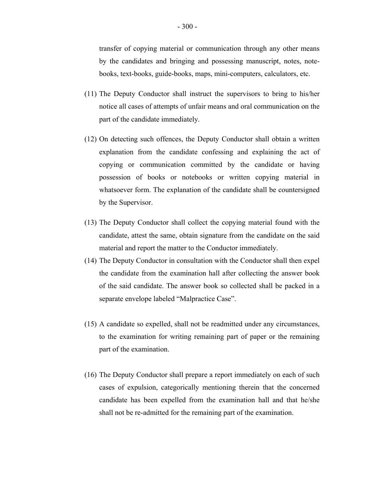transfer of copying material or communication through any other means by the candidates and bringing and possessing manuscript, notes, notebooks, text-books, guide-books, maps, mini-computers, calculators, etc.

- (11) The Deputy Conductor shall instruct the supervisors to bring to his/her notice all cases of attempts of unfair means and oral communication on the part of the candidate immediately.
- (12) On detecting such offences, the Deputy Conductor shall obtain a written explanation from the candidate confessing and explaining the act of copying or communication committed by the candidate or having possession of books or notebooks or written copying material in whatsoever form. The explanation of the candidate shall be countersigned by the Supervisor.
- (13) The Deputy Conductor shall collect the copying material found with the candidate, attest the same, obtain signature from the candidate on the said material and report the matter to the Conductor immediately.
- (14) The Deputy Conductor in consultation with the Conductor shall then expel the candidate from the examination hall after collecting the answer book of the said candidate. The answer book so collected shall be packed in a separate envelope labeled "Malpractice Case".
- (15) A candidate so expelled, shall not be readmitted under any circumstances, to the examination for writing remaining part of paper or the remaining part of the examination.
- (16) The Deputy Conductor shall prepare a report immediately on each of such cases of expulsion, categorically mentioning therein that the concerned candidate has been expelled from the examination hall and that he/she shall not be re-admitted for the remaining part of the examination.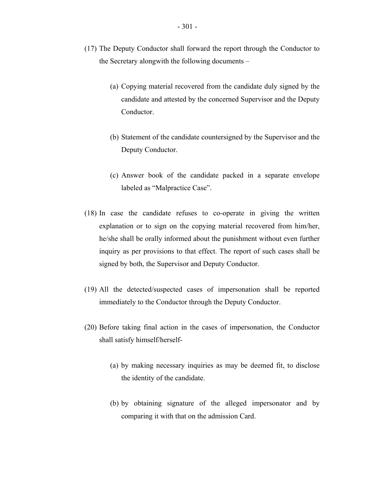- (17) The Deputy Conductor shall forward the report through the Conductor to the Secretary alongwith the following documents –
	- (a) Copying material recovered from the candidate duly signed by the candidate and attested by the concerned Supervisor and the Deputy Conductor.
	- (b) Statement of the candidate countersigned by the Supervisor and the Deputy Conductor.
	- (c) Answer book of the candidate packed in a separate envelope labeled as "Malpractice Case".
- (18) In case the candidate refuses to co-operate in giving the written explanation or to sign on the copying material recovered from him/her, he/she shall be orally informed about the punishment without even further inquiry as per provisions to that effect. The report of such cases shall be signed by both, the Supervisor and Deputy Conductor.
- (19) All the detected/suspected cases of impersonation shall be reported immediately to the Conductor through the Deputy Conductor.
- (20) Before taking final action in the cases of impersonation, the Conductor shall satisfy himself/herself-
	- (a) by making necessary inquiries as may be deemed fit, to disclose the identity of the candidate.
	- (b) by obtaining signature of the alleged impersonator and by comparing it with that on the admission Card.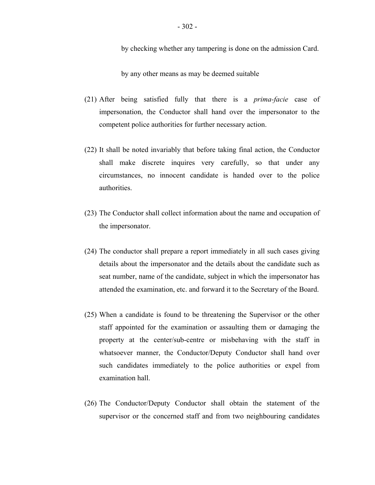by checking whether any tampering is done on the admission Card.

by any other means as may be deemed suitable

- (21) After being satisfied fully that there is a *prima-facie* case of impersonation, the Conductor shall hand over the impersonator to the competent police authorities for further necessary action.
- (22) It shall be noted invariably that before taking final action, the Conductor shall make discrete inquires very carefully, so that under any circumstances, no innocent candidate is handed over to the police authorities.
- (23) The Conductor shall collect information about the name and occupation of the impersonator.
- (24) The conductor shall prepare a report immediately in all such cases giving details about the impersonator and the details about the candidate such as seat number, name of the candidate, subject in which the impersonator has attended the examination, etc. and forward it to the Secretary of the Board.
- (25) When a candidate is found to be threatening the Supervisor or the other staff appointed for the examination or assaulting them or damaging the property at the center/sub-centre or misbehaving with the staff in whatsoever manner, the Conductor/Deputy Conductor shall hand over such candidates immediately to the police authorities or expel from examination hall.
- (26) The Conductor/Deputy Conductor shall obtain the statement of the supervisor or the concerned staff and from two neighbouring candidates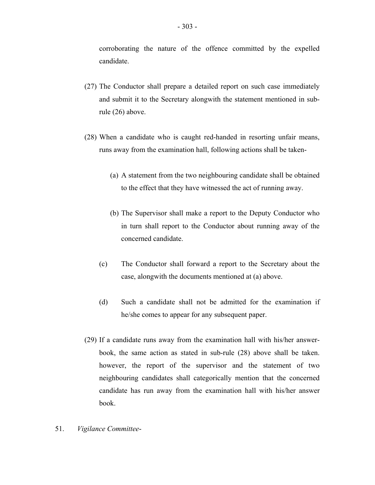corroborating the nature of the offence committed by the expelled candidate.

- (27) The Conductor shall prepare a detailed report on such case immediately and submit it to the Secretary alongwith the statement mentioned in subrule (26) above.
- (28) When a candidate who is caught red-handed in resorting unfair means, runs away from the examination hall, following actions shall be taken-
	- (a) A statement from the two neighbouring candidate shall be obtained to the effect that they have witnessed the act of running away.
	- (b) The Supervisor shall make a report to the Deputy Conductor who in turn shall report to the Conductor about running away of the concerned candidate.
	- (c) The Conductor shall forward a report to the Secretary about the case, alongwith the documents mentioned at (a) above.
	- (d) Such a candidate shall not be admitted for the examination if he/she comes to appear for any subsequent paper.
- (29) If a candidate runs away from the examination hall with his/her answerbook, the same action as stated in sub-rule (28) above shall be taken. however, the report of the supervisor and the statement of two neighbouring candidates shall categorically mention that the concerned candidate has run away from the examination hall with his/her answer book.
- 51. *Vigilance Committee*-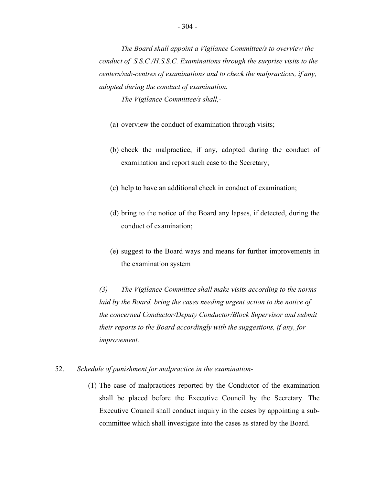*The Vigilance Committee/s shall,-* 

- (a) overview the conduct of examination through visits;
- (b) check the malpractice, if any, adopted during the conduct of examination and report such case to the Secretary;
- (c) help to have an additional check in conduct of examination;
- (d) bring to the notice of the Board any lapses, if detected, during the conduct of examination;
- (e) suggest to the Board ways and means for further improvements in the examination system

*(3) The Vigilance Committee shall make visits according to the norms laid by the Board, bring the cases needing urgent action to the notice of the concerned Conductor/Deputy Conductor/Block Supervisor and submit their reports to the Board accordingly with the suggestions, if any, for improvement.* 

# 52. *Schedule of punishment for malpractice in the examination*

(1) The case of malpractices reported by the Conductor of the examination shall be placed before the Executive Council by the Secretary. The Executive Council shall conduct inquiry in the cases by appointing a subcommittee which shall investigate into the cases as stared by the Board.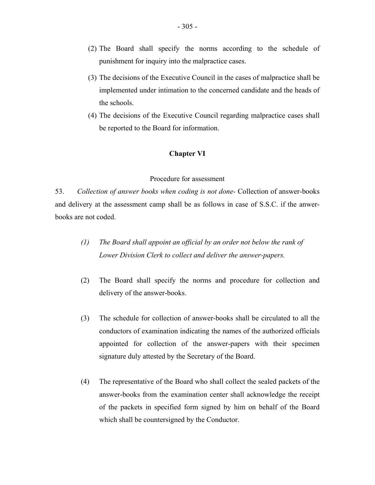- (2) The Board shall specify the norms according to the schedule of punishment for inquiry into the malpractice cases.
- (3) The decisions of the Executive Council in the cases of malpractice shall be implemented under intimation to the concerned candidate and the heads of the schools.
- (4) The decisions of the Executive Council regarding malpractice cases shall be reported to the Board for information.

# **Chapter VI**

## Procedure for assessment

53. *Collection of answer books when coding is not done-* Collection of answer-books and delivery at the assessment camp shall be as follows in case of S.S.C. if the anwerbooks are not coded.

- *(1) The Board shall appoint an official by an order not below the rank of Lower Division Clerk to collect and deliver the answer-papers.*
- (2) The Board shall specify the norms and procedure for collection and delivery of the answer-books.
- (3) The schedule for collection of answer-books shall be circulated to all the conductors of examination indicating the names of the authorized officials appointed for collection of the answer-papers with their specimen signature duly attested by the Secretary of the Board.
- (4) The representative of the Board who shall collect the sealed packets of the answer-books from the examination center shall acknowledge the receipt of the packets in specified form signed by him on behalf of the Board which shall be countersigned by the Conductor.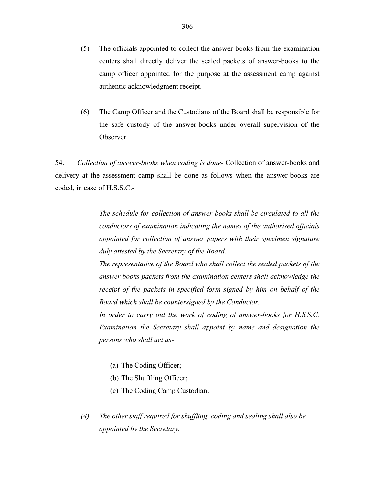- (5) The officials appointed to collect the answer-books from the examination centers shall directly deliver the sealed packets of answer-books to the camp officer appointed for the purpose at the assessment camp against authentic acknowledgment receipt.
- (6) The Camp Officer and the Custodians of the Board shall be responsible for the safe custody of the answer-books under overall supervision of the Observer.

54. *Collection of answer-books when coding is done-* Collection of answer-books and delivery at the assessment camp shall be done as follows when the answer-books are coded, in case of H.S.S.C.-

> *The schedule for collection of answer-books shall be circulated to all the conductors of examination indicating the names of the authorised officials appointed for collection of answer papers with their specimen signature duly attested by the Secretary of the Board.*

> *The representative of the Board who shall collect the sealed packets of the answer books packets from the examination centers shall acknowledge the receipt of the packets in specified form signed by him on behalf of the Board which shall be countersigned by the Conductor.*

> *In order to carry out the work of coding of answer-books for H.S.S.C. Examination the Secretary shall appoint by name and designation the persons who shall act as-*

- (a) The Coding Officer;
- (b) The Shuffling Officer;
- (c) The Coding Camp Custodian.
- *(4) The other staff required for shuffling, coding and sealing shall also be appointed by the Secretary.*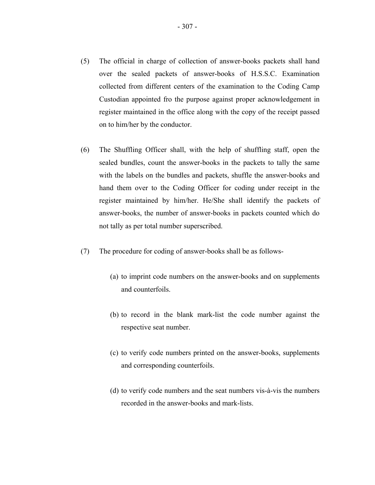- (5) The official in charge of collection of answer-books packets shall hand over the sealed packets of answer-books of H.S.S.C. Examination collected from different centers of the examination to the Coding Camp Custodian appointed fro the purpose against proper acknowledgement in register maintained in the office along with the copy of the receipt passed on to him/her by the conductor.
- (6) The Shuffling Officer shall, with the help of shuffling staff, open the sealed bundles, count the answer-books in the packets to tally the same with the labels on the bundles and packets, shuffle the answer-books and hand them over to the Coding Officer for coding under receipt in the register maintained by him/her. He/She shall identify the packets of answer-books, the number of answer-books in packets counted which do not tally as per total number superscribed.
- (7) The procedure for coding of answer-books shall be as follows-
	- (a) to imprint code numbers on the answer-books and on supplements and counterfoils.
	- (b) to record in the blank mark-list the code number against the respective seat number.
	- (c) to verify code numbers printed on the answer-books, supplements and corresponding counterfoils.
	- (d) to verify code numbers and the seat numbers vis-à-vis the numbers recorded in the answer-books and mark-lists.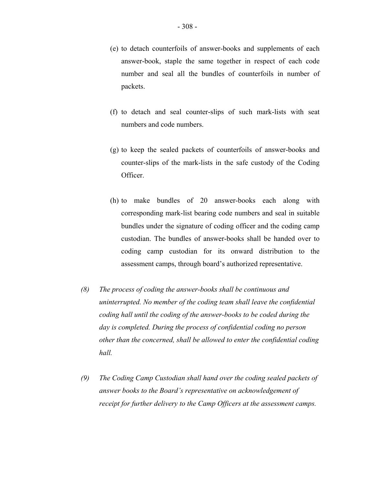- (e) to detach counterfoils of answer-books and supplements of each answer-book, staple the same together in respect of each code number and seal all the bundles of counterfoils in number of packets.
- (f) to detach and seal counter-slips of such mark-lists with seat numbers and code numbers.
- (g) to keep the sealed packets of counterfoils of answer-books and counter-slips of the mark-lists in the safe custody of the Coding Officer.
- (h) to make bundles of 20 answer-books each along with corresponding mark-list bearing code numbers and seal in suitable bundles under the signature of coding officer and the coding camp custodian. The bundles of answer-books shall be handed over to coding camp custodian for its onward distribution to the assessment camps, through board's authorized representative.
- *(8) The process of coding the answer-books shall be continuous and uninterrupted. No member of the coding team shall leave the confidential coding hall until the coding of the answer-books to be coded during the day is completed. During the process of confidential coding no person other than the concerned, shall be allowed to enter the confidential coding hall.*
- *(9) The Coding Camp Custodian shall hand over the coding sealed packets of answer books to the Board's representative on acknowledgement of receipt for further delivery to the Camp Officers at the assessment camps.*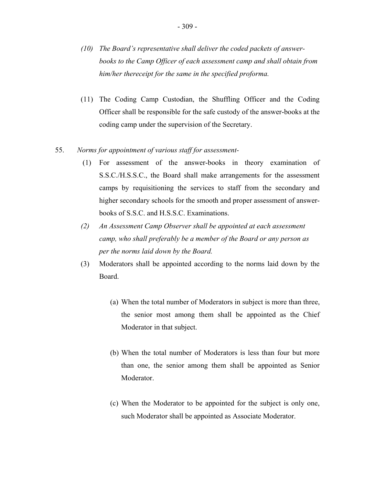- *(10) The Board's representative shall deliver the coded packets of answerbooks to the Camp Officer of each assessment camp and shall obtain from him/her thereceipt for the same in the specified proforma.*
- (11) The Coding Camp Custodian, the Shuffling Officer and the Coding Officer shall be responsible for the safe custody of the answer-books at the coding camp under the supervision of the Secretary.
- 55. *Norms for appointment of various staff for assessment-* 
	- (1) For assessment of the answer-books in theory examination of S.S.C./H.S.S.C., the Board shall make arrangements for the assessment camps by requisitioning the services to staff from the secondary and higher secondary schools for the smooth and proper assessment of answerbooks of S.S.C. and H.S.S.C. Examinations.
	- *(2) An Assessment Camp Observer shall be appointed at each assessment camp, who shall preferably be a member of the Board or any person as per the norms laid down by the Board.*
	- (3) Moderators shall be appointed according to the norms laid down by the Board.
		- (a) When the total number of Moderators in subject is more than three, the senior most among them shall be appointed as the Chief Moderator in that subject.
		- (b) When the total number of Moderators is less than four but more than one, the senior among them shall be appointed as Senior Moderator.
		- (c) When the Moderator to be appointed for the subject is only one, such Moderator shall be appointed as Associate Moderator.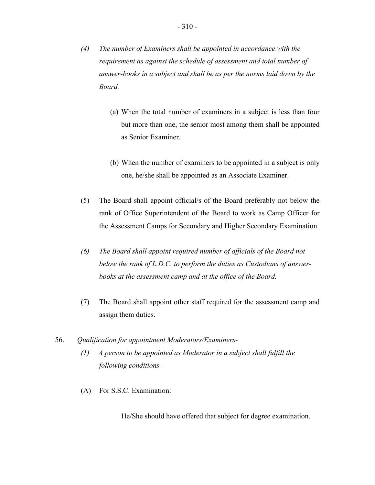- *(4) The number of Examiners shall be appointed in accordance with the requirement as against the schedule of assessment and total number of answer-books in a subject and shall be as per the norms laid down by the Board.* 
	- (a) When the total number of examiners in a subject is less than four but more than one, the senior most among them shall be appointed as Senior Examiner.
	- (b) When the number of examiners to be appointed in a subject is only one, he/she shall be appointed as an Associate Examiner.
- (5) The Board shall appoint official/s of the Board preferably not below the rank of Office Superintendent of the Board to work as Camp Officer for the Assessment Camps for Secondary and Higher Secondary Examination.
- *(6) The Board shall appoint required number of officials of the Board not below the rank of L.D.C. to perform the duties as Custodians of answerbooks at the assessment camp and at the office of the Board.*
- (7) The Board shall appoint other staff required for the assessment camp and assign them duties.
- 56. *Qualification for appointment Moderators/Examiners-* 
	- *(1) A person to be appointed as Moderator in a subject shall fulfill the following conditions-*
	- (A) For S.S.C. Examination:

He/She should have offered that subject for degree examination.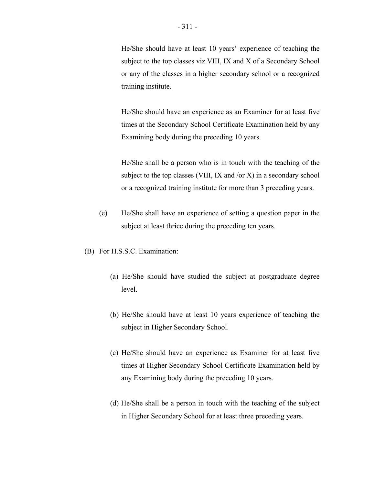He/She should have at least 10 years' experience of teaching the subject to the top classes viz.VIII, IX and X of a Secondary School or any of the classes in a higher secondary school or a recognized training institute.

He/She should have an experience as an Examiner for at least five times at the Secondary School Certificate Examination held by any Examining body during the preceding 10 years.

He/She shall be a person who is in touch with the teaching of the subject to the top classes (VIII, IX and /or X) in a secondary school or a recognized training institute for more than 3 preceding years.

- (e) He/She shall have an experience of setting a question paper in the subject at least thrice during the preceding ten years.
- (B) For H.S.S.C. Examination:
	- (a) He/She should have studied the subject at postgraduate degree level.
	- (b) He/She should have at least 10 years experience of teaching the subject in Higher Secondary School.
	- (c) He/She should have an experience as Examiner for at least five times at Higher Secondary School Certificate Examination held by any Examining body during the preceding 10 years.
	- (d) He/She shall be a person in touch with the teaching of the subject in Higher Secondary School for at least three preceding years.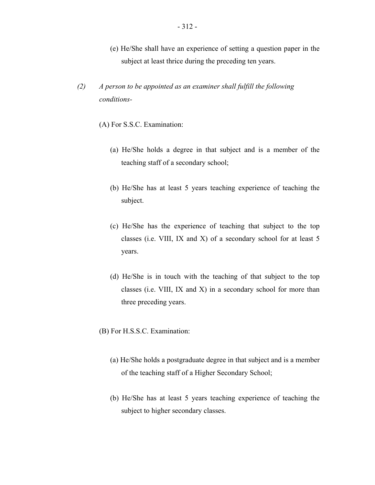- (e) He/She shall have an experience of setting a question paper in the subject at least thrice during the preceding ten years.
- $(2)$ *A person to be appointed as an examiner shall fulfill the following conditions-*
	- (A) For S.S.C. Examination:
		- (a) He/She holds a degree in that subject and is a member of the teaching staff of a secondary school;
		- (b) He/She has at least 5 years teaching experience of teaching the subject.
		- (c) He/She has the experience of teaching that subject to the top classes (i.e. VIII, IX and X) of a secondary school for at least 5 years.
		- (d) He/She is in touch with the teaching of that subject to the top classes (i.e. VIII, IX and X) in a secondary school for more than three preceding years.
	- (B) For H.S.S.C. Examination:
		- (a) He/She holds a postgraduate degree in that subject and is a member of the teaching staff of a Higher Secondary School;
		- (b) He/She has at least 5 years teaching experience of teaching the subject to higher secondary classes.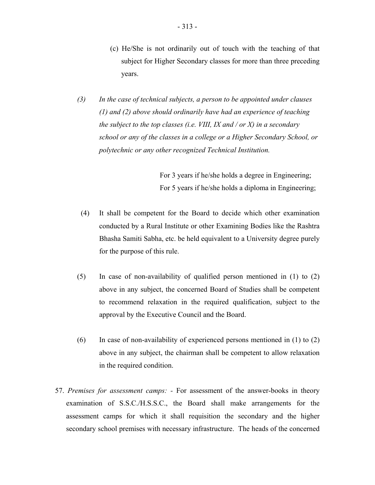- (c) He/She is not ordinarily out of touch with the teaching of that subject for Higher Secondary classes for more than three preceding years.
- $(3)$ In the case of technical subjects, a person to be appointed under clauses *(1) and (2) above should ordinarily have had an experience of teaching the subject to the top classes (i.e. VIII, IX and / or X) in a secondary school or any of the classes in a college or a Higher Secondary School, or polytechnic or any other recognized Technical Institution.*

For 3 years if he/she holds a degree in Engineering; For 5 years if he/she holds a diploma in Engineering;

- (4) It shall be competent for the Board to decide which other examination conducted by a Rural Institute or other Examining Bodies like the Rashtra Bhasha Samiti Sabha, etc. be held equivalent to a University degree purely for the purpose of this rule.
- (5) In case of non-availability of qualified person mentioned in (1) to (2) above in any subject, the concerned Board of Studies shall be competent to recommend relaxation in the required qualification, subject to the approval by the Executive Council and the Board.
- (6) In case of non-availability of experienced persons mentioned in (1) to (2) above in any subject, the chairman shall be competent to allow relaxation in the required condition.
- 57. *Premises for assessment camps: -* For assessment of the answer-books in theory examination of S.S.C./H.S.S.C., the Board shall make arrangements for the assessment camps for which it shall requisition the secondary and the higher secondary school premises with necessary infrastructure. The heads of the concerned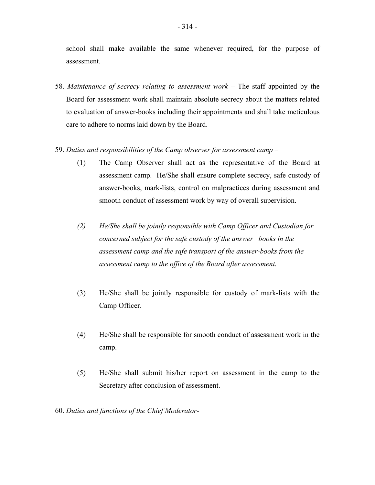school shall make available the same whenever required, for the purpose of assessment.

- 58. *Maintenance of secrecy relating to assessment work –* The staff appointed by the Board for assessment work shall maintain absolute secrecy about the matters related to evaluation of answer-books including their appointments and shall take meticulous care to adhere to norms laid down by the Board.
- 59. *Duties and responsibilities of the Camp observer for assessment camp* 
	- (1) The Camp Observer shall act as the representative of the Board at assessment camp. He/She shall ensure complete secrecy, safe custody of answer-books, mark-lists, control on malpractices during assessment and smooth conduct of assessment work by way of overall supervision.
	- *(2) He/She shall be jointly responsible with Camp Officer and Custodian for concerned subject for the safe custody of the answer –books in the assessment camp and the safe transport of the answer-books from the assessment camp to the office of the Board after assessment.*
	- (3) He/She shall be jointly responsible for custody of mark-lists with the Camp Officer.
	- (4) He/She shall be responsible for smooth conduct of assessment work in the camp.
	- (5) He/She shall submit his/her report on assessment in the camp to the Secretary after conclusion of assessment.
- 60. *Duties and functions of the Chief Moderator-*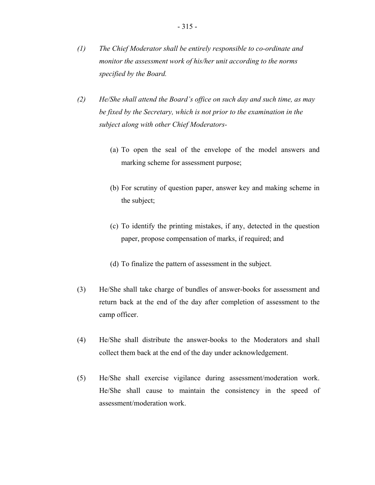- $\left( l\right)$ *The Chief Moderator shall be entirely responsible to co-ordinate and monitor the assessment work of his/her unit according to the norms specified by the Board.*
- $(2)$ *He/She shall attend the Board's office on such day and such time, as may be fixed by the Secretary, which is not prior to the examination in the subject along with other Chief Moderators-* 
	- (a) To open the seal of the envelope of the model answers and marking scheme for assessment purpose;
	- (b) For scrutiny of question paper, answer key and making scheme in the subject;
	- (c) To identify the printing mistakes, if any, detected in the question paper, propose compensation of marks, if required; and
	- (d) To finalize the pattern of assessment in the subject.
- (3) He/She shall take charge of bundles of answer-books for assessment and return back at the end of the day after completion of assessment to the camp officer.
- (4) He/She shall distribute the answer-books to the Moderators and shall collect them back at the end of the day under acknowledgement.
- (5) He/She shall exercise vigilance during assessment/moderation work. He/She shall cause to maintain the consistency in the speed of assessment/moderation work.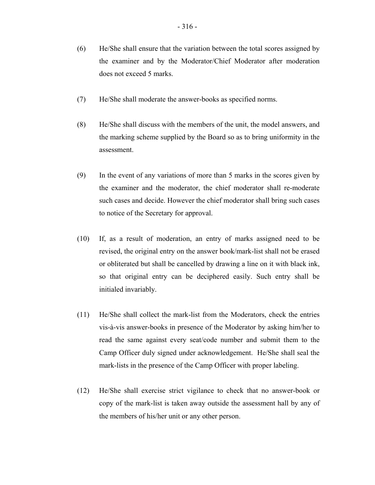(7) He/She shall moderate the answer-books as specified norms.

does not exceed 5 marks.

- (8) He/She shall discuss with the members of the unit, the model answers, and the marking scheme supplied by the Board so as to bring uniformity in the assessment.
- (9) In the event of any variations of more than 5 marks in the scores given by the examiner and the moderator, the chief moderator shall re-moderate such cases and decide. However the chief moderator shall bring such cases to notice of the Secretary for approval.
- (10) If, as a result of moderation, an entry of marks assigned need to be revised, the original entry on the answer book/mark-list shall not be erased or obliterated but shall be cancelled by drawing a line on it with black ink, so that original entry can be deciphered easily. Such entry shall be initialed invariably.
- (11) He/She shall collect the mark-list from the Moderators, check the entries vis-à-vis answer-books in presence of the Moderator by asking him/her to read the same against every seat/code number and submit them to the Camp Officer duly signed under acknowledgement. He/She shall seal the mark-lists in the presence of the Camp Officer with proper labeling.
- (12) He/She shall exercise strict vigilance to check that no answer-book or copy of the mark-list is taken away outside the assessment hall by any of the members of his/her unit or any other person.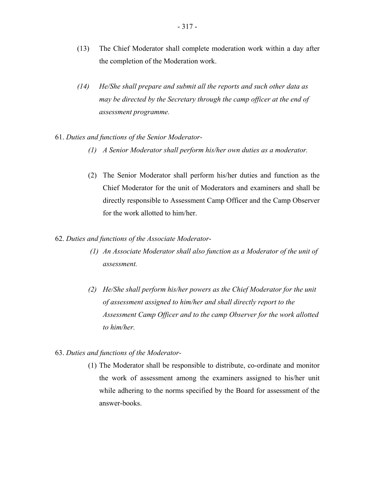- (13) The Chief Moderator shall complete moderation work within a day after the completion of the Moderation work.
- $(14)$ *He/She shall prepare and submit all the reports and such other data as may be directed by the Secretary through the camp officer at the end of assessment programme.*
- 61. *Duties and functions of the Senior Moderator*
	- *(1) A Senior Moderator shall perform his/her own duties as a moderator.*
	- (2) The Senior Moderator shall perform his/her duties and function as the Chief Moderator for the unit of Moderators and examiners and shall be directly responsible to Assessment Camp Officer and the Camp Observer for the work allotted to him/her.

## 62. *Duties and functions of the Associate Moderator-*

- *(1) An Associate Moderator shall also function as a Moderator of the unit of assessment.*
- *(2) He/She shall perform his/her powers as the Chief Moderator for the unit of assessment assigned to him/her and shall directly report to the Assessment Camp Officer and to the camp Observer for the work allotted to him/her.*

# 63. *Duties and functions of the Moderator*

(1) The Moderator shall be responsible to distribute, co-ordinate and monitor the work of assessment among the examiners assigned to his/her unit while adhering to the norms specified by the Board for assessment of the answer-books.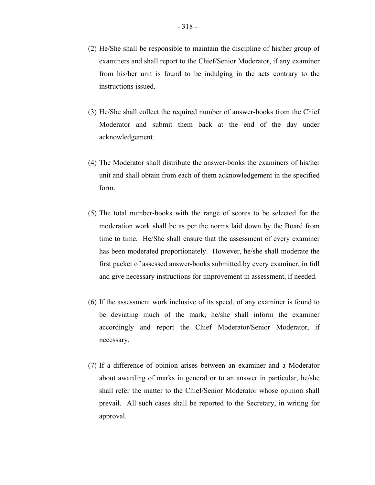- (2) He/She shall be responsible to maintain the discipline of his/her group of examiners and shall report to the Chief/Senior Moderator, if any examiner from his/her unit is found to be indulging in the acts contrary to the instructions issued.
- (3) He/She shall collect the required number of answer-books from the Chief Moderator and submit them back at the end of the day under acknowledgement.
- (4) The Moderator shall distribute the answer-books the examiners of his/her unit and shall obtain from each of them acknowledgement in the specified form.
- (5) The total number-books with the range of scores to be selected for the moderation work shall be as per the norms laid down by the Board from time to time. He/She shall ensure that the assessment of every examiner has been moderated proportionately. However, he/she shall moderate the first packet of assessed answer-books submitted by every examiner, in full and give necessary instructions for improvement in assessment, if needed.
- (6) If the assessment work inclusive of its speed, of any examiner is found to be deviating much of the mark, he/she shall inform the examiner accordingly and report the Chief Moderator/Senior Moderator, if necessary.
- (7) If a difference of opinion arises between an examiner and a Moderator about awarding of marks in general or to an answer in particular, he/she shall refer the matter to the Chief/Senior Moderator whose opinion shall prevail. All such cases shall be reported to the Secretary, in writing for approval.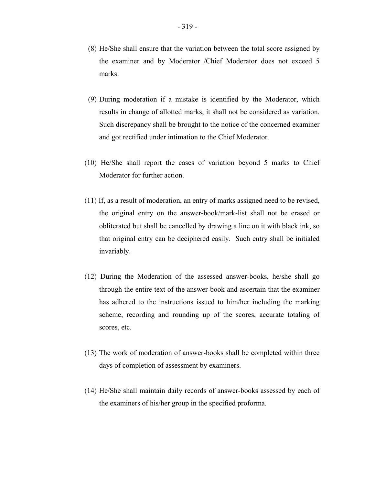- 319 -

- (8) He/She shall ensure that the variation between the total score assigned by the examiner and by Moderator /Chief Moderator does not exceed 5 marks.
- (9) During moderation if a mistake is identified by the Moderator, which results in change of allotted marks, it shall not be considered as variation. Such discrepancy shall be brought to the notice of the concerned examiner and got rectified under intimation to the Chief Moderator.
- (10) He/She shall report the cases of variation beyond 5 marks to Chief Moderator for further action.
- (11) If, as a result of moderation, an entry of marks assigned need to be revised, the original entry on the answer-book/mark-list shall not be erased or obliterated but shall be cancelled by drawing a line on it with black ink, so that original entry can be deciphered easily. Such entry shall be initialed invariably.
- (12) During the Moderation of the assessed answer-books, he/she shall go through the entire text of the answer-book and ascertain that the examiner has adhered to the instructions issued to him/her including the marking scheme, recording and rounding up of the scores, accurate totaling of scores, etc.
- (13) The work of moderation of answer-books shall be completed within three days of completion of assessment by examiners.
- (14) He/She shall maintain daily records of answer-books assessed by each of the examiners of his/her group in the specified proforma.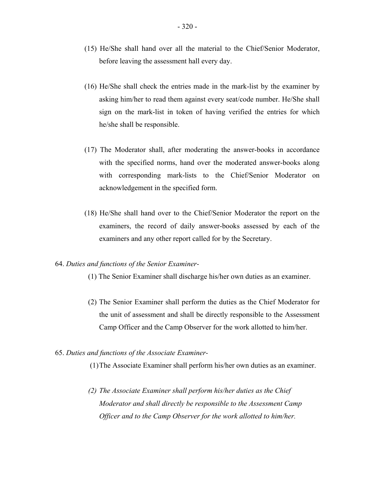- (15) He/She shall hand over all the material to the Chief/Senior Moderator, before leaving the assessment hall every day.
- (16) He/She shall check the entries made in the mark-list by the examiner by asking him/her to read them against every seat/code number. He/She shall sign on the mark-list in token of having verified the entries for which he/she shall be responsible.
- (17) The Moderator shall, after moderating the answer-books in accordance with the specified norms, hand over the moderated answer-books along with corresponding mark-lists to the Chief/Senior Moderator on acknowledgement in the specified form.
- (18) He/She shall hand over to the Chief/Senior Moderator the report on the examiners, the record of daily answer-books assessed by each of the examiners and any other report called for by the Secretary.

### 64. *Duties and functions of the Senior Examiner*

- (1) The Senior Examiner shall discharge his/her own duties as an examiner.
- (2) The Senior Examiner shall perform the duties as the Chief Moderator for the unit of assessment and shall be directly responsible to the Assessment Camp Officer and the Camp Observer for the work allotted to him/her.

### 65. *Duties and functions of the Associate Examiner-*

(1)The Associate Examiner shall perform his/her own duties as an examiner.

*(2) The Associate Examiner shall perform his/her duties as the Chief Moderator and shall directly be responsible to the Assessment Camp Officer and to the Camp Observer for the work allotted to him/her.*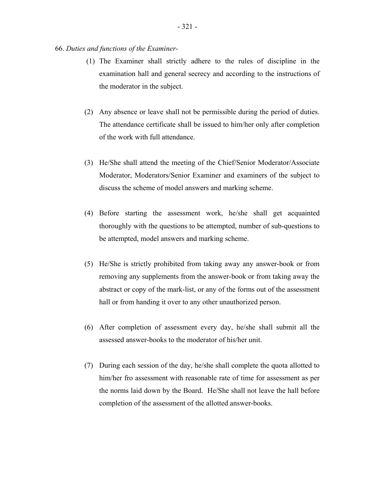- (1) The Examiner shall strictly adhere to the rules of discipline in the examination hall and general secrecy and according to the instructions of the moderator in the subject.
- (2) Any absence or leave shall not be permissible during the period of duties. The attendance certificate shall be issued to him/her only after completion of the work with full attendance.
- (3) He/She shall attend the meeting of the Chief/Senior Moderator/Associate Moderator, Moderators/Senior Examiner and examiners of the subject to discuss the scheme of model answers and marking scheme.
- (4) Before starting the assessment work, he/she shall get acquainted thoroughly with the questions to be attempted, number of sub-questions to be attempted, model answers and marking scheme.
- (5) He/She is strictly prohibited from taking away any answer-book or from removing any supplements from the answer-book or from taking away the abstract or copy of the mark-list, or any of the forms out of the assessment hall or from handing it over to any other unauthorized person.
- (6) After completion of assessment every day, he/she shall submit all the assessed answer-books to the moderator of his/her unit.
- (7) During each session of the day, he/she shall complete the quota allotted to him/her fro assessment with reasonable rate of time for assessment as per the norms laid down by the Board. He/She shall not leave the hall before completion of the assessment of the allotted answer-books.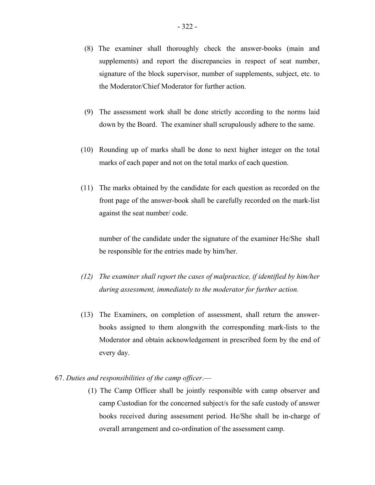- (8) The examiner shall thoroughly check the answer-books (main and supplements) and report the discrepancies in respect of seat number, signature of the block supervisor, number of supplements, subject, etc. to the Moderator/Chief Moderator for further action.
- (9) The assessment work shall be done strictly according to the norms laid down by the Board. The examiner shall scrupulously adhere to the same.
- (10) Rounding up of marks shall be done to next higher integer on the total marks of each paper and not on the total marks of each question.
- (11) The marks obtained by the candidate for each question as recorded on the front page of the answer-book shall be carefully recorded on the mark-list against the seat number/ code.

number of the candidate under the signature of the examiner He/She shall be responsible for the entries made by him/her.

- *(12) The examiner shall report the cases of malpractice, if identified by him/her during assessment, immediately to the moderator for further action.*
- (13) The Examiners, on completion of assessment, shall return the answerbooks assigned to them alongwith the corresponding mark-lists to the Moderator and obtain acknowledgement in prescribed form by the end of every day.
- 67. *Duties and responsibilities of the camp officer*.—
	- (1) The Camp Officer shall be jointly responsible with camp observer and camp Custodian for the concerned subject/s for the safe custody of answer books received during assessment period. He/She shall be in-charge of overall arrangement and co-ordination of the assessment camp.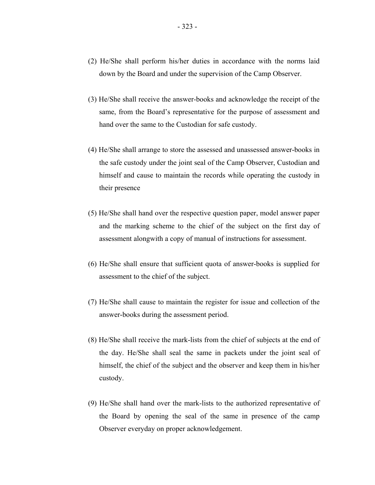- (2) He/She shall perform his/her duties in accordance with the norms laid down by the Board and under the supervision of the Camp Observer.
- (3) He/She shall receive the answer-books and acknowledge the receipt of the same, from the Board's representative for the purpose of assessment and hand over the same to the Custodian for safe custody.
- (4) He/She shall arrange to store the assessed and unassessed answer-books in the safe custody under the joint seal of the Camp Observer, Custodian and himself and cause to maintain the records while operating the custody in their presence
- (5) He/She shall hand over the respective question paper, model answer paper and the marking scheme to the chief of the subject on the first day of assessment alongwith a copy of manual of instructions for assessment.
- (6) He/She shall ensure that sufficient quota of answer-books is supplied for assessment to the chief of the subject.
- (7) He/She shall cause to maintain the register for issue and collection of the answer-books during the assessment period.
- (8) He/She shall receive the mark-lists from the chief of subjects at the end of the day. He/She shall seal the same in packets under the joint seal of himself, the chief of the subject and the observer and keep them in his/her custody.
- (9) He/She shall hand over the mark-lists to the authorized representative of the Board by opening the seal of the same in presence of the camp Observer everyday on proper acknowledgement.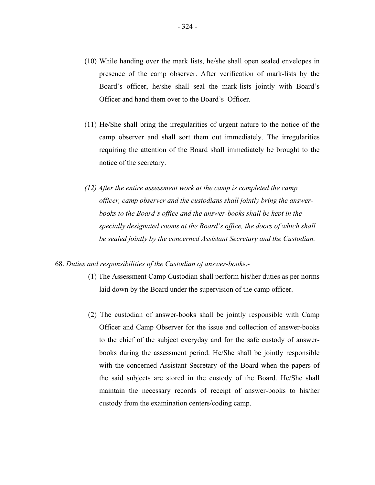- (10) While handing over the mark lists, he/she shall open sealed envelopes in presence of the camp observer. After verification of mark-lists by the Board's officer, he/she shall seal the mark-lists jointly with Board's Officer and hand them over to the Board's Officer.
- (11) He/She shall bring the irregularities of urgent nature to the notice of the camp observer and shall sort them out immediately. The irregularities requiring the attention of the Board shall immediately be brought to the notice of the secretary.
- *(12) After the entire assessment work at the camp is completed the camp officer, camp observer and the custodians shall jointly bring the answerbooks to the Board's office and the answer-books shall be kept in the specially designated rooms at the Board's office, the doors of which shall be sealed jointly by the concerned Assistant Secretary and the Custodian.*

#### 68. *Duties and responsibilities of the Custodian of answer-book*s.-

- (1) The Assessment Camp Custodian shall perform his/her duties as per norms laid down by the Board under the supervision of the camp officer.
- (2) The custodian of answer-books shall be jointly responsible with Camp Officer and Camp Observer for the issue and collection of answer-books to the chief of the subject everyday and for the safe custody of answerbooks during the assessment period. He/She shall be jointly responsible with the concerned Assistant Secretary of the Board when the papers of the said subjects are stored in the custody of the Board. He/She shall maintain the necessary records of receipt of answer-books to his/her custody from the examination centers/coding camp.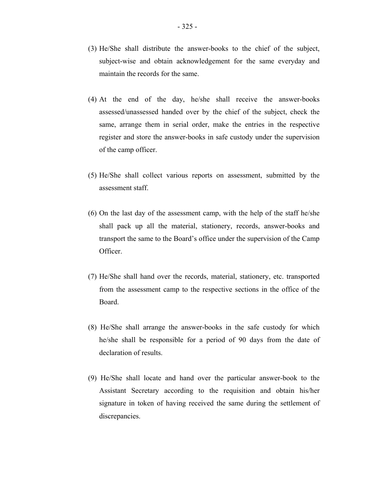- (3) He/She shall distribute the answer-books to the chief of the subject, subject-wise and obtain acknowledgement for the same everyday and maintain the records for the same.
- (4) At the end of the day, he/she shall receive the answer-books assessed/unassessed handed over by the chief of the subject, check the same, arrange them in serial order, make the entries in the respective register and store the answer-books in safe custody under the supervision of the camp officer.
- (5) He/She shall collect various reports on assessment, submitted by the assessment staff.
- (6) On the last day of the assessment camp, with the help of the staff he/she shall pack up all the material, stationery, records, answer-books and transport the same to the Board's office under the supervision of the Camp Officer.
- (7) He/She shall hand over the records, material, stationery, etc. transported from the assessment camp to the respective sections in the office of the Board.
- (8) He/She shall arrange the answer-books in the safe custody for which he/she shall be responsible for a period of 90 days from the date of declaration of results.
- (9) He/She shall locate and hand over the particular answer-book to the Assistant Secretary according to the requisition and obtain his/her signature in token of having received the same during the settlement of discrepancies.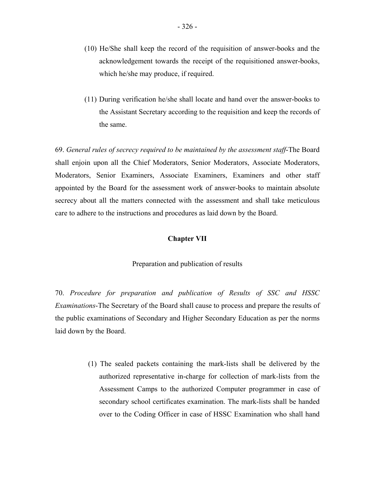- (10) He/She shall keep the record of the requisition of answer-books and the acknowledgement towards the receipt of the requisitioned answer-books, which he/she may produce, if required.
- (11) During verification he/she shall locate and hand over the answer-books to the Assistant Secretary according to the requisition and keep the records of the same.

69. *General rules of secrecy required to be maintained by the assessment staff*-The Board shall enjoin upon all the Chief Moderators, Senior Moderators, Associate Moderators, Moderators, Senior Examiners, Associate Examiners, Examiners and other staff appointed by the Board for the assessment work of answer-books to maintain absolute secrecy about all the matters connected with the assessment and shall take meticulous care to adhere to the instructions and procedures as laid down by the Board.

#### **Chapter VII**

#### Preparation and publication of results

70. *Procedure for preparation and publication of Results of SSC and HSSC Examinations*-The Secretary of the Board shall cause to process and prepare the results of the public examinations of Secondary and Higher Secondary Education as per the norms laid down by the Board.

> (1) The sealed packets containing the mark-lists shall be delivered by the authorized representative in-charge for collection of mark-lists from the Assessment Camps to the authorized Computer programmer in case of secondary school certificates examination. The mark-lists shall be handed over to the Coding Officer in case of HSSC Examination who shall hand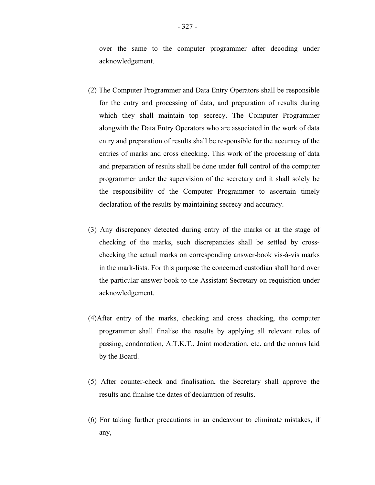over the same to the computer programmer after decoding under acknowledgement.

- (2) The Computer Programmer and Data Entry Operators shall be responsible for the entry and processing of data, and preparation of results during which they shall maintain top secrecy. The Computer Programmer alongwith the Data Entry Operators who are associated in the work of data entry and preparation of results shall be responsible for the accuracy of the entries of marks and cross checking. This work of the processing of data and preparation of results shall be done under full control of the computer programmer under the supervision of the secretary and it shall solely be the responsibility of the Computer Programmer to ascertain timely declaration of the results by maintaining secrecy and accuracy.
- (3) Any discrepancy detected during entry of the marks or at the stage of checking of the marks, such discrepancies shall be settled by crosschecking the actual marks on corresponding answer-book vis-à-vis marks in the mark-lists. For this purpose the concerned custodian shall hand over the particular answer-book to the Assistant Secretary on requisition under acknowledgement.
- (4)After entry of the marks, checking and cross checking, the computer programmer shall finalise the results by applying all relevant rules of passing, condonation, A.T.K.T., Joint moderation, etc. and the norms laid by the Board.
- (5) After counter-check and finalisation, the Secretary shall approve the results and finalise the dates of declaration of results.
- (6) For taking further precautions in an endeavour to eliminate mistakes, if any,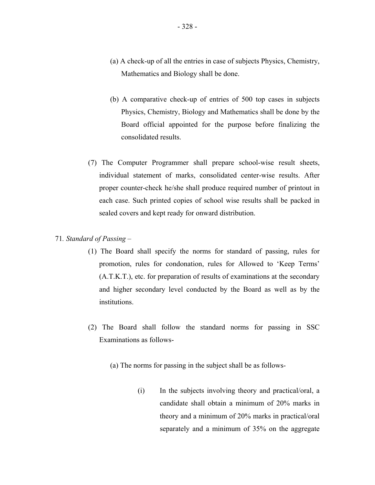- (a) A check-up of all the entries in case of subjects Physics, Chemistry, Mathematics and Biology shall be done.
- (b) A comparative check-up of entries of 500 top cases in subjects Physics, Chemistry, Biology and Mathematics shall be done by the Board official appointed for the purpose before finalizing the consolidated results.
- (7) The Computer Programmer shall prepare school-wise result sheets, individual statement of marks, consolidated center-wise results. After proper counter-check he/she shall produce required number of printout in each case. Such printed copies of school wise results shall be packed in sealed covers and kept ready for onward distribution.

## 71*. Standard of Passing* –

- (1) The Board shall specify the norms for standard of passing, rules for promotion, rules for condonation, rules for Allowed to 'Keep Terms' (A.T.K.T.), etc. for preparation of results of examinations at the secondary and higher secondary level conducted by the Board as well as by the institutions.
- (2) The Board shall follow the standard norms for passing in SSC Examinations as follows
	- (a) The norms for passing in the subject shall be as follows-
		- (i) In the subjects involving theory and practical/oral, a candidate shall obtain a minimum of 20% marks in theory and a minimum of 20% marks in practical/oral separately and a minimum of 35% on the aggregate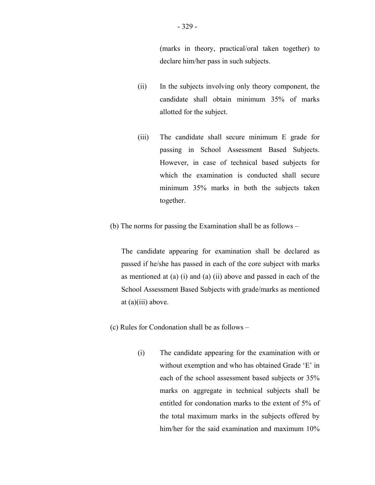- (ii) In the subjects involving only theory component, the candidate shall obtain minimum 35% of marks allotted for the subject.
- (iii) The candidate shall secure minimum E grade for passing in School Assessment Based Subjects. However, in case of technical based subjects for which the examination is conducted shall secure minimum 35% marks in both the subjects taken together.
- (b) The norms for passing the Examination shall be as follows –

The candidate appearing for examination shall be declared as passed if he/she has passed in each of the core subject with marks as mentioned at (a) (i) and (a) (ii) above and passed in each of the School Assessment Based Subjects with grade/marks as mentioned at (a)(iii) above.

- (c) Rules for Condonation shall be as follows
	- (i) The candidate appearing for the examination with or without exemption and who has obtained Grade 'E' in each of the school assessment based subjects or 35% marks on aggregate in technical subjects shall be entitled for condonation marks to the extent of 5% of the total maximum marks in the subjects offered by him/her for the said examination and maximum 10%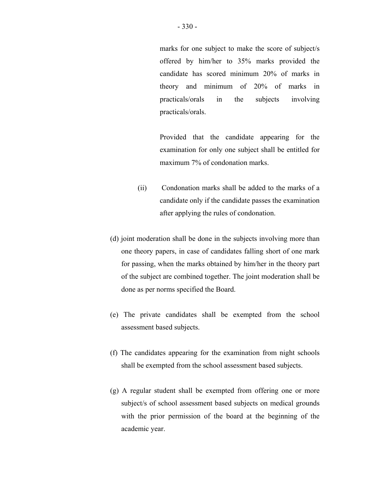marks for one subject to make the score of subject/s offered by him/her to 35% marks provided the candidate has scored minimum 20% of marks in theory and minimum of 20% of marks in practicals/orals in the subjects involving practicals/orals.

Provided that the candidate appearing for the examination for only one subject shall be entitled for maximum 7% of condonation marks.

- (ii) Condonation marks shall be added to the marks of a candidate only if the candidate passes the examination after applying the rules of condonation.
- (d) joint moderation shall be done in the subjects involving more than one theory papers, in case of candidates falling short of one mark for passing, when the marks obtained by him/her in the theory part of the subject are combined together. The joint moderation shall be done as per norms specified the Board.
- (e) The private candidates shall be exempted from the school assessment based subjects.
- (f) The candidates appearing for the examination from night schools shall be exempted from the school assessment based subjects.
- (g) A regular student shall be exempted from offering one or more subject/s of school assessment based subjects on medical grounds with the prior permission of the board at the beginning of the academic year.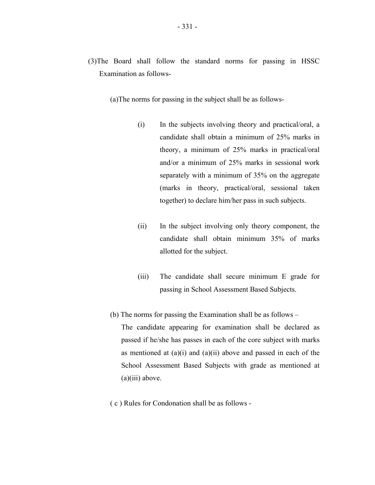- (3)The Board shall follow the standard norms for passing in HSSC Examination as follows
	- (a)The norms for passing in the subject shall be as follows-
		- (i) In the subjects involving theory and practical/oral, a candidate shall obtain a minimum of 25% marks in theory, a minimum of 25% marks in practical/oral and/or a minimum of 25% marks in sessional work separately with a minimum of 35% on the aggregate (marks in theory, practical/oral, sessional taken together) to declare him/her pass in such subjects.
		- (ii) In the subject involving only theory component, the candidate shall obtain minimum 35% of marks allotted for the subject.
		- (iii) The candidate shall secure minimum E grade for passing in School Assessment Based Subjects.
	- (b) The norms for passing the Examination shall be as follows –

The candidate appearing for examination shall be declared as passed if he/she has passes in each of the core subject with marks as mentioned at  $(a)(i)$  and  $(a)(ii)$  above and passed in each of the School Assessment Based Subjects with grade as mentioned at  $(a)(iii)$  above.

( c ) Rules for Condonation shall be as follows -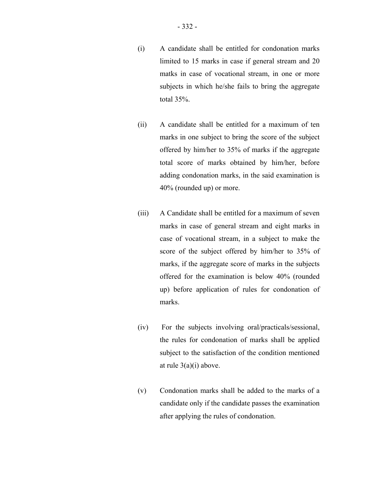- (i) A candidate shall be entitled for condonation marks limited to 15 marks in case if general stream and 20 matks in case of vocational stream, in one or more subjects in which he/she fails to bring the aggregate total 35%.
- (ii) A candidate shall be entitled for a maximum of ten marks in one subject to bring the score of the subject offered by him/her to 35% of marks if the aggregate total score of marks obtained by him/her, before adding condonation marks, in the said examination is 40% (rounded up) or more.
- (iii) A Candidate shall be entitled for a maximum of seven marks in case of general stream and eight marks in case of vocational stream, in a subject to make the score of the subject offered by him/her to 35% of marks, if the aggregate score of marks in the subjects offered for the examination is below 40% (rounded up) before application of rules for condonation of marks.
- (iv) For the subjects involving oral/practicals/sessional, the rules for condonation of marks shall be applied subject to the satisfaction of the condition mentioned at rule  $3(a)(i)$  above.
- (v) Condonation marks shall be added to the marks of a candidate only if the candidate passes the examination after applying the rules of condonation.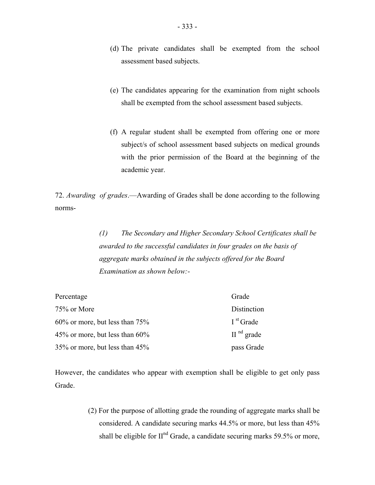- (d) The private candidates shall be exempted from the school assessment based subjects.
- (e) The candidates appearing for the examination from night schools shall be exempted from the school assessment based subjects.
- (f) A regular student shall be exempted from offering one or more subject/s of school assessment based subjects on medical grounds with the prior permission of the Board at the beginning of the academic year.

72. *Awarding of grades*.—Awarding of Grades shall be done according to the following norms-

> *(1) The Secondary and Higher Secondary School Certificates shall be awarded to the successful candidates in four grades on the basis of aggregate marks obtained in the subjects offered for the Board Examination as shown below:-*

| Percentage                           | Grade        |
|--------------------------------------|--------------|
| 75% or More                          | Distinction  |
| $60\%$ or more, but less than $75\%$ | $Ist$ Grade  |
| 45% or more, but less than $60\%$    | $IInd$ grade |
| 35% or more, but less than 45%       | pass Grade   |

However, the candidates who appear with exemption shall be eligible to get only pass Grade.

> (2) For the purpose of allotting grade the rounding of aggregate marks shall be considered. A candidate securing marks 44.5% or more, but less than 45% shall be eligible for  $II<sup>nd</sup>$  Grade, a candidate securing marks 59.5% or more,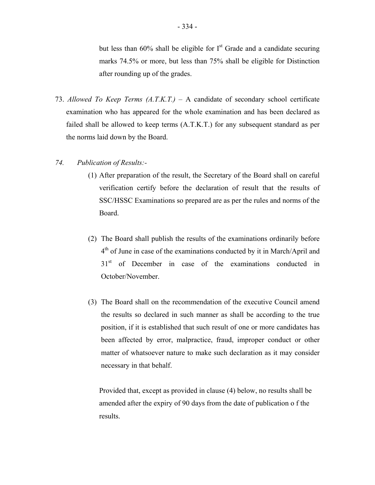but less than  $60\%$  shall be eligible for  $I<sup>st</sup>$  Grade and a candidate securing marks 74.5% or more, but less than 75% shall be eligible for Distinction after rounding up of the grades.

73. *Allowed To Keep Terms (A.T.K.T.)* – A candidate of secondary school certificate examination who has appeared for the whole examination and has been declared as failed shall be allowed to keep terms (A.T.K.T.) for any subsequent standard as per the norms laid down by the Board.

## *74. Publication of Results:-*

- (1) After preparation of the result, the Secretary of the Board shall on careful verification certify before the declaration of result that the results of SSC/HSSC Examinations so prepared are as per the rules and norms of the Board.
- (2) The Board shall publish the results of the examinations ordinarily before  $4<sup>th</sup>$  of June in case of the examinations conducted by it in March/April and 31<sup>st</sup> of December in case of the examinations conducted in October/November.
- (3) The Board shall on the recommendation of the executive Council amend the results so declared in such manner as shall be according to the true position, if it is established that such result of one or more candidates has been affected by error, malpractice, fraud, improper conduct or other matter of whatsoever nature to make such declaration as it may consider necessary in that behalf.

Provided that, except as provided in clause (4) below, no results shall be amended after the expiry of 90 days from the date of publication o f the results.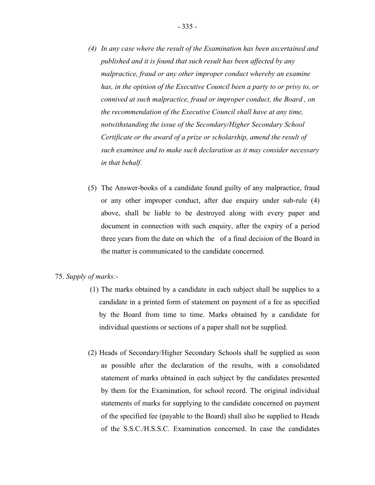- *(4) In any case where the result of the Examination has been ascertained and published and it is found that such result has been affected by any malpractice, fraud or any other improper conduct whereby an examine has, in the opinion of the Executive Council been a party to or privy to, or connived at such malpractice, fraud or improper conduct, the Board , on the recommendation of the Executive Council shall have at any time, notwithstanding the issue of the Secondary/Higher Secondary School Certificate or the award of a prize or scholarship, amend the result of such examinee and to make such declaration as it may consider necessary in that behalf.*
- (5) The Answer-books of a candidate found guilty of any malpractice, fraud or any other improper conduct, after due enquiry under sub-rule (4) above, shall be liable to be destroyed along with every paper and document in connection with such enquiry, after the expiry of a period three years from the date on which the of a final decision of the Board in the matter is communicated to the candidate concerned.

#### 75. *Supply of marks:*

- (1) The marks obtained by a candidate in each subject shall be supplies to a candidate in a printed form of statement on payment of a fee as specified by the Board from time to time. Marks obtained by a candidate for individual questions or sections of a paper shall not be supplied.
- (2) Heads of Secondary/Higher Secondary Schools shall be supplied as soon as possible after the declaration of the results, with a consolidated statement of marks obtained in each subject by the candidates presented by them for the Examination, for school record. The original individual statements of marks for supplying to the candidate concerned on payment of the specified fee (payable to the Board) shall also be supplied to Heads of the S.S.C./H.S.S.C. Examination concerned. In case the candidates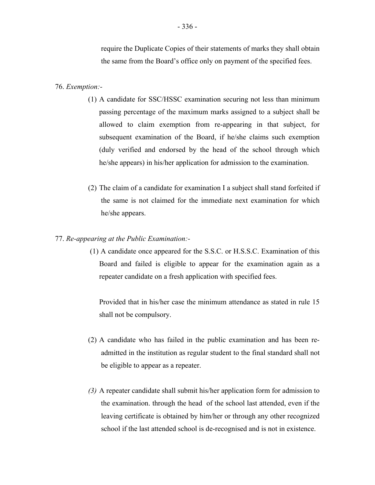require the Duplicate Copies of their statements of marks they shall obtain the same from the Board's office only on payment of the specified fees.

### 76. *Exemption:*

- (1) A candidate for SSC/HSSC examination securing not less than minimum passing percentage of the maximum marks assigned to a subject shall be allowed to claim exemption from re-appearing in that subject, for subsequent examination of the Board, if he/she claims such exemption (duly verified and endorsed by the head of the school through which he/she appears) in his/her application for admission to the examination.
- (2) The claim of a candidate for examination I a subject shall stand forfeited if the same is not claimed for the immediate next examination for which he/she appears.

### 77. *Re-appearing at the Public Examination:*

(1) A candidate once appeared for the S.S.C. or H.S.S.C. Examination of this Board and failed is eligible to appear for the examination again as a repeater candidate on a fresh application with specified fees.

Provided that in his/her case the minimum attendance as stated in rule 15 shall not be compulsory.

- (2) A candidate who has failed in the public examination and has been readmitted in the institution as regular student to the final standard shall not be eligible to appear as a repeater.
- *(3)* A repeater candidate shall submit his/her application form for admission to the examination. through the head of the school last attended, even if the leaving certificate is obtained by him/her or through any other recognized school if the last attended school is de-recognised and is not in existence.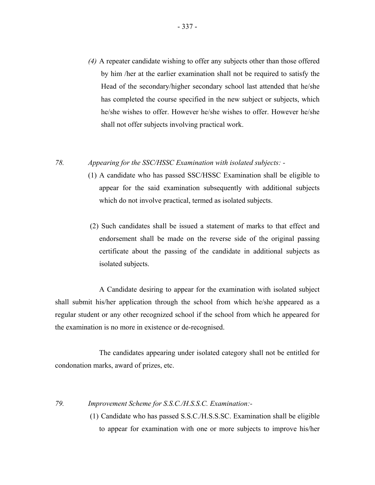*(4)* A repeater candidate wishing to offer any subjects other than those offered by him /her at the earlier examination shall not be required to satisfy the Head of the secondary/higher secondary school last attended that he/she has completed the course specified in the new subject or subjects, which he/she wishes to offer. However he/she wishes to offer. However he/she shall not offer subjects involving practical work.

*78. Appearing for the SSC/HSSC Examination with isolated subjects: -* 

- (1) A candidate who has passed SSC/HSSC Examination shall be eligible to appear for the said examination subsequently with additional subjects which do not involve practical, termed as isolated subjects.
- (2) Such candidates shall be issued a statement of marks to that effect and endorsement shall be made on the reverse side of the original passing certificate about the passing of the candidate in additional subjects as isolated subjects.

A Candidate desiring to appear for the examination with isolated subject shall submit his/her application through the school from which he/she appeared as a regular student or any other recognized school if the school from which he appeared for the examination is no more in existence or de-recognised.

The candidates appearing under isolated category shall not be entitled for condonation marks, award of prizes, etc.

*79. Improvement Scheme for S.S.C./H.S.S.C. Examination:-*

 (1) Candidate who has passed S.S.C./H.S.S.SC. Examination shall be eligible to appear for examination with one or more subjects to improve his/her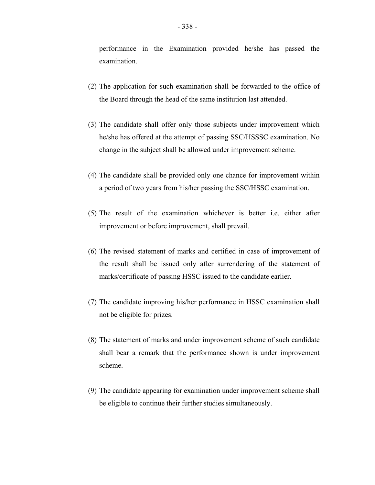performance in the Examination provided he/she has passed the examination.

- (2) The application for such examination shall be forwarded to the office of the Board through the head of the same institution last attended.
- (3) The candidate shall offer only those subjects under improvement which he/she has offered at the attempt of passing SSC/HSSSC examination. No change in the subject shall be allowed under improvement scheme.
- (4) The candidate shall be provided only one chance for improvement within a period of two years from his/her passing the SSC/HSSC examination.
- (5) The result of the examination whichever is better i.e. either after improvement or before improvement, shall prevail.
- (6) The revised statement of marks and certified in case of improvement of the result shall be issued only after surrendering of the statement of marks/certificate of passing HSSC issued to the candidate earlier.
- (7) The candidate improving his/her performance in HSSC examination shall not be eligible for prizes.
- (8) The statement of marks and under improvement scheme of such candidate shall bear a remark that the performance shown is under improvement scheme.
- (9) The candidate appearing for examination under improvement scheme shall be eligible to continue their further studies simultaneously.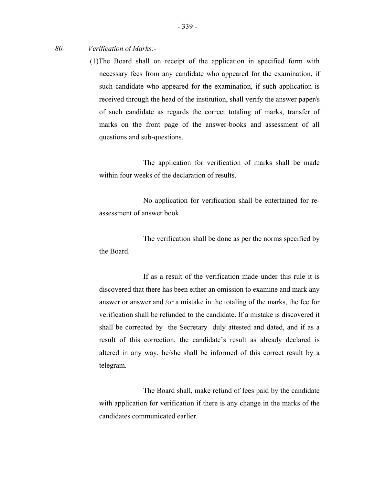*80. Verification of Marks:-*

(1)The Board shall on receipt of the application in specified form with necessary fees from any candidate who appeared for the examination, if such candidate who appeared for the examination, if such application is received through the head of the institution, shall verify the answer paper/s of such candidate as regards the correct totaling of marks, transfer of marks on the front page of the answer-books and assessment of all questions and sub-questions.

The application for verification of marks shall be made within four weeks of the declaration of results.

No application for verification shall be entertained for reassessment of answer book.

The verification shall be done as per the norms specified by the Board.

 shall be corrected by the Secretary duly attested and dated, and if as a If as a result of the verification made under this rule it is discovered that there has been either an omission to examine and mark any answer or answer and /or a mistake in the totaling of the marks, the fee for verification shall be refunded to the candidate. If a mistake is discovered it result of this correction, the candidate's result as already declared is altered in any way, he/she shall be informed of this correct result by a telegram.

The Board shall, make refund of fees paid by the candidate with application for verification if there is any change in the marks of the candidates communicated earlier.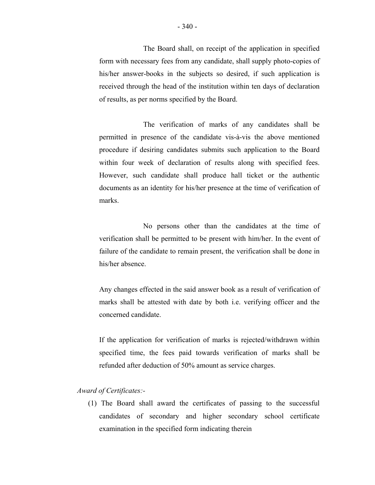The Board shall, on receipt of the application in specified form with necessary fees from any candidate, shall supply photo-copies of his/her answer-books in the subjects so desired, if such application is received through the head of the institution within ten days of declaration of results, as per norms specified by the Board.

The verification of marks of any candidates shall be permitted in presence of the candidate vis-à-vis the above mentioned procedure if desiring candidates submits such application to the Board within four week of declaration of results along with specified fees. However, such candidate shall produce hall ticket or the authentic documents as an identity for his/her presence at the time of verification of marks.

No persons other than the candidates at the time of verification shall be permitted to be present with him/her. In the event of failure of the candidate to remain present, the verification shall be done in his/her absence.

Any changes effected in the said answer book as a result of verification of marks shall be attested with date by both i.e. verifying officer and the concerned candidate.

If the application for verification of marks is rejected/withdrawn within specified time, the fees paid towards verification of marks shall be refunded after deduction of 50% amount as service charges.

# *Award of Certificates:*

(1) The Board shall award the certificates of passing to the successful candidates of secondary and higher secondary school certificate examination in the specified form indicating therein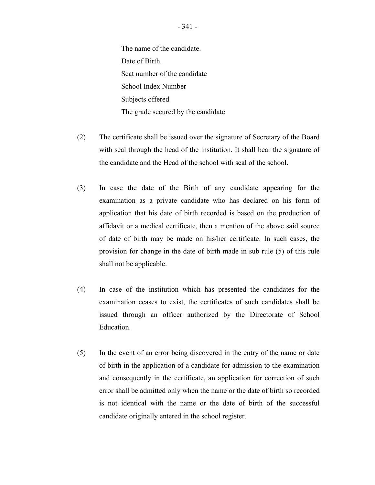The name of the candidate. Date of Birth. Seat number of the candidate School Index Number Subjects offered The grade secured by the candidate

- (2) The certificate shall be issued over the signature of Secretary of the Board with seal through the head of the institution. It shall bear the signature of the candidate and the Head of the school with seal of the school.
- (3) In case the date of the Birth of any candidate appearing for the examination as a private candidate who has declared on his form of application that his date of birth recorded is based on the production of affidavit or a medical certificate, then a mention of the above said source of date of birth may be made on his/her certificate. In such cases, the provision for change in the date of birth made in sub rule (5) of this rule shall not be applicable.
- (4) In case of the institution which has presented the candidates for the examination ceases to exist, the certificates of such candidates shall be issued through an officer authorized by the Directorate of School Education.
- (5) In the event of an error being discovered in the entry of the name or date of birth in the application of a candidate for admission to the examination and consequently in the certificate, an application for correction of such error shall be admitted only when the name or the date of birth so recorded is not identical with the name or the date of birth of the successful candidate originally entered in the school register.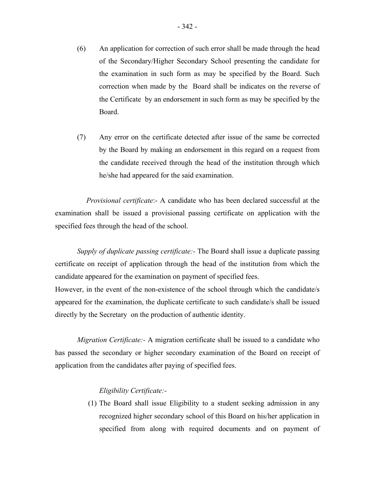- (6) An application for correction of such error shall be made through the head of the Secondary/Higher Secondary School presenting the candidate for the examination in such form as may be specified by the Board. Such correction when made by the Board shall be indicates on the reverse of the Certificate by an endorsement in such form as may be specified by the Board.
- (7) Any error on the certificate detected after issue of the same be corrected by the Board by making an endorsement in this regard on a request from the candidate received through the head of the institution through which he/she had appeared for the said examination.

 *Provisional certificate*:- A candidate who has been declared successful at the examination shall be issued a provisional passing certificate on application with the specified fees through the head of the school.

*Supply of duplicate passing certificate:-* The Board shall issue a duplicate passing certificate on receipt of application through the head of the institution from which the candidate appeared for the examination on payment of specified fees.

However, in the event of the non-existence of the school through which the candidate/s appeared for the examination, the duplicate certificate to such candidate/s shall be issued directly by the Secretary on the production of authentic identity.

*Migration Certificate:-* A migration certificate shall be issued to a candidate who has passed the secondary or higher secondary examination of the Board on receipt of application from the candidates after paying of specified fees.

## *Eligibility Certificate:-*

(1) The Board shall issue Eligibility to a student seeking admission in any recognized higher secondary school of this Board on his/her application in specified from along with required documents and on payment of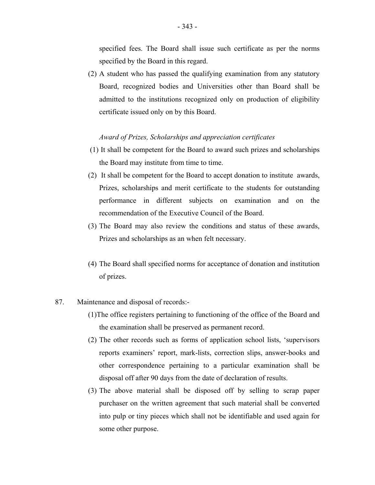specified fees. The Board shall issue such certificate as per the norms specified by the Board in this regard.

(2) A student who has passed the qualifying examination from any statutory Board, recognized bodies and Universities other than Board shall be admitted to the institutions recognized only on production of eligibility certificate issued only on by this Board.

#### *Award of Prizes, Scholarships and appreciation certificates*

- (1) It shall be competent for the Board to award such prizes and scholarships the Board may institute from time to time.
- (2) It shall be competent for the Board to accept donation to institute awards, Prizes, scholarships and merit certificate to the students for outstanding performance in different subjects on examination and on the recommendation of the Executive Council of the Board.
- (3) The Board may also review the conditions and status of these awards, Prizes and scholarships as an when felt necessary.
- (4) The Board shall specified norms for acceptance of donation and institution of prizes.
- 87. Maintenance and disposal of records:-
	- (1)The office registers pertaining to functioning of the office of the Board and the examination shall be preserved as permanent record.
	- (2) The other records such as forms of application school lists, 'supervisors reports examiners' report, mark-lists, correction slips, answer-books and other correspondence pertaining to a particular examination shall be disposal off after 90 days from the date of declaration of results.
	- (3) The above material shall be disposed off by selling to scrap paper purchaser on the written agreement that such material shall be converted into pulp or tiny pieces which shall not be identifiable and used again for some other purpose.